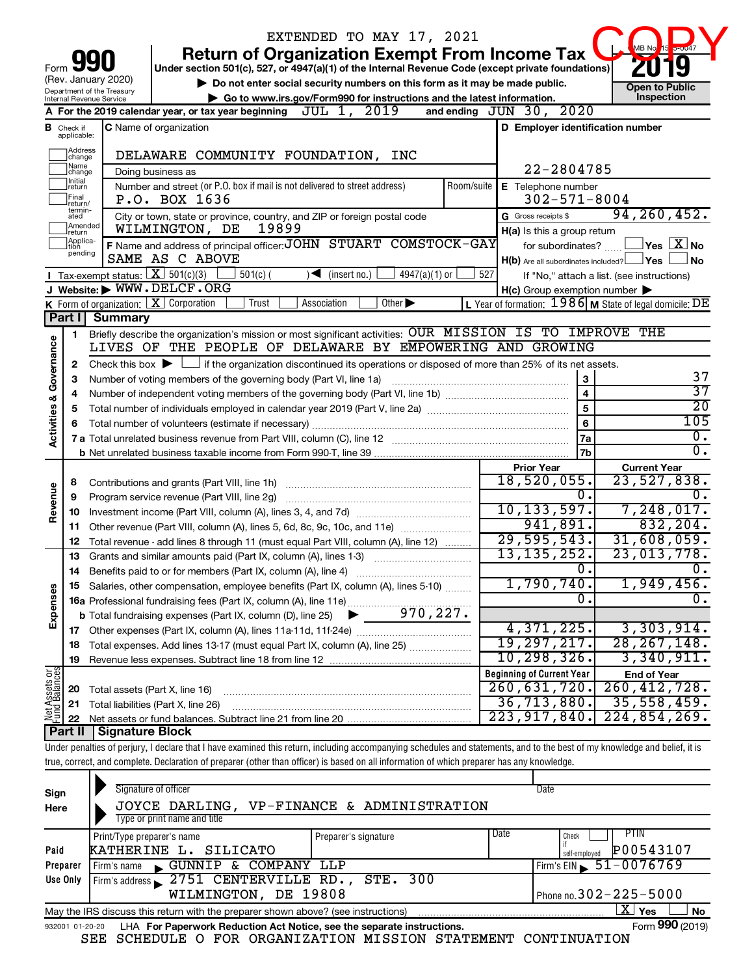|                                    |                                                                                                                                  |                                                                   | EXTENDED TO MAY 17, 2021                                                                                                                                                   |                 |                                                     |                  |                                                           |  |  |
|------------------------------------|----------------------------------------------------------------------------------------------------------------------------------|-------------------------------------------------------------------|----------------------------------------------------------------------------------------------------------------------------------------------------------------------------|-----------------|-----------------------------------------------------|------------------|-----------------------------------------------------------|--|--|
|                                    |                                                                                                                                  |                                                                   | <b>Return of Organization Exempt From Income Tax</b>                                                                                                                       |                 |                                                     |                  | MB No<br>$5 - 0047$<br> 15                                |  |  |
| Form                               |                                                                                                                                  |                                                                   | Under section 501(c), 527, or 4947(a)(1) of the Internal Revenue Code (except private foundations)                                                                         |                 |                                                     |                  |                                                           |  |  |
|                                    |                                                                                                                                  | (Rev. January 2020)                                               | Do not enter social security numbers on this form as it may be made public.                                                                                                |                 |                                                     |                  | <b>Open to Public</b>                                     |  |  |
|                                    | Department of the Treasury<br>Go to www.irs.gov/Form990 for instructions and the latest information.<br>Internal Revenue Service |                                                                   |                                                                                                                                                                            |                 |                                                     |                  |                                                           |  |  |
|                                    |                                                                                                                                  |                                                                   | A For the 2019 calendar year, or tax year beginning $JUL$ 1, $2019$                                                                                                        |                 | and ending JUN 30, 2020                             |                  |                                                           |  |  |
|                                    | <b>B</b> Check if applicable:                                                                                                    |                                                                   | C Name of organization                                                                                                                                                     |                 |                                                     |                  | D Employer identification number                          |  |  |
|                                    | Address<br> change<br>Name                                                                                                       |                                                                   | DELAWARE COMMUNITY FOUNDATION, INC                                                                                                                                         |                 |                                                     |                  |                                                           |  |  |
|                                    | change<br>Initial                                                                                                                |                                                                   | Doing business as                                                                                                                                                          |                 | 22-2804785                                          |                  |                                                           |  |  |
|                                    | return<br>Final                                                                                                                  |                                                                   | Number and street (or P.O. box if mail is not delivered to street address)                                                                                                 | Room/suite      | E Telephone number<br>$302 - 571 - 8004$            |                  |                                                           |  |  |
|                                    | return/<br>termin-                                                                                                               |                                                                   | P.O. BOX 1636                                                                                                                                                              |                 |                                                     |                  | 94, 260, 452.                                             |  |  |
|                                    | ated<br>Amended<br>Ireturn                                                                                                       |                                                                   | City or town, state or province, country, and ZIP or foreign postal code<br>19899<br>WILMINGTON, DE                                                                        |                 | G Gross receipts \$                                 |                  |                                                           |  |  |
|                                    | Applica-<br>tion                                                                                                                 |                                                                   | F Name and address of principal officer: JOHN STUART COMSTOCK-GAY                                                                                                          |                 | H(a) Is this a group return                         |                  | $\overline{\ }$ Yes $\overline{\phantom{a}X}$ No          |  |  |
|                                    | pending                                                                                                                          |                                                                   | SAME AS C ABOVE                                                                                                                                                            |                 | for subordinates?                                   |                  | $H(b)$ Are all subordinates included? $\Box$ Yes<br>No.   |  |  |
|                                    |                                                                                                                                  | Tax-exempt status: $X \overline{301(c)(3)}$                       | $\blacktriangleleft$ (insert no.)<br>$4947(a)(1)$ or<br>$501(c)$ (                                                                                                         | 527             |                                                     |                  | If "No," attach a list. (see instructions)                |  |  |
|                                    |                                                                                                                                  |                                                                   | J Website: WWW.DELCF.ORG                                                                                                                                                   |                 | $H(c)$ Group exemption number $\blacktriangleright$ |                  |                                                           |  |  |
|                                    |                                                                                                                                  | <b>K</b> Form of organization: $\boxed{\textbf{X}}$ Corporation   | Association<br>Other $\blacktriangleright$<br>Trust                                                                                                                        |                 |                                                     |                  | L Year of formation: $1986$ M State of legal domicile: DE |  |  |
|                                    | Part I                                                                                                                           | <b>Summary</b>                                                    |                                                                                                                                                                            |                 |                                                     |                  |                                                           |  |  |
|                                    | 1                                                                                                                                |                                                                   | Briefly describe the organization's mission or most significant activities: OUR MISSION IS TO IMPROVE THE                                                                  |                 |                                                     |                  |                                                           |  |  |
|                                    |                                                                                                                                  |                                                                   | LIVES OF THE PEOPLE OF DELAWARE BY EMPOWERING AND GROWING                                                                                                                  |                 |                                                     |                  |                                                           |  |  |
|                                    | 2                                                                                                                                |                                                                   | Check this box $\blacktriangleright \Box$ if the organization discontinued its operations or disposed of more than 25% of its net assets.                                  |                 |                                                     |                  |                                                           |  |  |
|                                    | 3                                                                                                                                | Number of voting members of the governing body (Part VI, line 1a) | 37                                                                                                                                                                         |                 |                                                     |                  |                                                           |  |  |
|                                    | 4                                                                                                                                |                                                                   | $\overline{37}$                                                                                                                                                            |                 |                                                     |                  |                                                           |  |  |
| <b>Activities &amp; Governance</b> | 5                                                                                                                                |                                                                   | $\overline{5}$                                                                                                                                                             | $\overline{20}$ |                                                     |                  |                                                           |  |  |
|                                    | 6                                                                                                                                |                                                                   | Total number of volunteers (estimate if necessary)                                                                                                                         |                 |                                                     | 6                | 105                                                       |  |  |
|                                    |                                                                                                                                  |                                                                   |                                                                                                                                                                            |                 |                                                     | 7a               | Ο.                                                        |  |  |
|                                    |                                                                                                                                  |                                                                   |                                                                                                                                                                            |                 |                                                     | 7b               | σ.                                                        |  |  |
|                                    |                                                                                                                                  |                                                                   |                                                                                                                                                                            |                 | <b>Prior Year</b>                                   |                  | <b>Current Year</b>                                       |  |  |
|                                    | 8                                                                                                                                |                                                                   | Contributions and grants (Part VIII, line 1h)                                                                                                                              |                 | 18,520,055.                                         |                  | 23,527,838.                                               |  |  |
| Revenue                            | 9                                                                                                                                |                                                                   | Program service revenue (Part VIII, line 2g)                                                                                                                               |                 |                                                     | $\overline{0}$ . | 0.                                                        |  |  |
|                                    | 10                                                                                                                               |                                                                   |                                                                                                                                                                            |                 | 10, 133, 597.                                       |                  | 7,248,017.                                                |  |  |
|                                    | 11.                                                                                                                              |                                                                   | Other revenue (Part VIII, column (A), lines 5, 6d, 8c, 9c, 10c, and 11e)                                                                                                   |                 | 941,891.                                            |                  | 832, 204.                                                 |  |  |
|                                    | 12                                                                                                                               |                                                                   | Total revenue - add lines 8 through 11 (must equal Part VIII, column (A), line 12)                                                                                         |                 | 29,595,543.<br>13, 135, 252.                        |                  | 31,608,059.<br>23,013,778.                                |  |  |
|                                    | 13                                                                                                                               |                                                                   | Grants and similar amounts paid (Part IX, column (A), lines 1-3)                                                                                                           |                 |                                                     | о.               | 0.                                                        |  |  |
|                                    | 14                                                                                                                               |                                                                   | Benefits paid to or for members (Part IX, column (A), line 4)                                                                                                              |                 | 1,790,740.                                          |                  | 1,949,456.                                                |  |  |
| Expenses                           | 15                                                                                                                               |                                                                   | Salaries, other compensation, employee benefits (Part IX, column (A), lines 5-10)                                                                                          |                 |                                                     | 0.               |                                                           |  |  |
|                                    |                                                                                                                                  |                                                                   |                                                                                                                                                                            |                 |                                                     |                  |                                                           |  |  |
|                                    |                                                                                                                                  |                                                                   |                                                                                                                                                                            |                 | 4,371,225.                                          |                  | 3,303,914.                                                |  |  |
|                                    | 18                                                                                                                               |                                                                   | Total expenses. Add lines 13-17 (must equal Part IX, column (A), line 25)                                                                                                  |                 | 19,297,217.                                         |                  | 28, 267, 148.                                             |  |  |
|                                    | 19                                                                                                                               |                                                                   |                                                                                                                                                                            |                 | 10,298,326.                                         |                  | 3,340,911.                                                |  |  |
|                                    |                                                                                                                                  |                                                                   |                                                                                                                                                                            |                 | <b>Beginning of Current Year</b>                    |                  | <b>End of Year</b>                                        |  |  |
|                                    | 20                                                                                                                               | Total assets (Part X, line 16)                                    |                                                                                                                                                                            |                 | 260, 631, 720.                                      |                  | 260, 412, 728.                                            |  |  |
| Net Assets or<br>Fund Balances     | 21                                                                                                                               |                                                                   | Total liabilities (Part X, line 26)                                                                                                                                        |                 | 36,713,880.                                         |                  | 35,558,459.                                               |  |  |
|                                    | 22                                                                                                                               |                                                                   |                                                                                                                                                                            |                 | 223, 917, 840.                                      |                  | 224,854,269                                               |  |  |
|                                    | Part II                                                                                                                          | <b>Signature Block</b>                                            |                                                                                                                                                                            |                 |                                                     |                  |                                                           |  |  |
|                                    |                                                                                                                                  |                                                                   | Under penalties of perjury, I declare that I have examined this return, including accompanying schedules and statements, and to the best of my knowledge and belief, it is |                 |                                                     |                  |                                                           |  |  |
|                                    |                                                                                                                                  |                                                                   | true, correct, and complete. Declaration of preparer (other than officer) is based on all information of which preparer has any knowledge.                                 |                 |                                                     |                  |                                                           |  |  |
|                                    |                                                                                                                                  |                                                                   |                                                                                                                                                                            |                 |                                                     |                  |                                                           |  |  |

| Sign            | Signature of officer                                                              |                      |      | Date                               |
|-----------------|-----------------------------------------------------------------------------------|----------------------|------|------------------------------------|
| Here            | JOYCE DARLING, VP-FINANCE & ADMINISTRATION                                        |                      |      |                                    |
|                 | Type or print name and title                                                      |                      |      |                                    |
|                 | Print/Type preparer's name                                                        | Preparer's signature | Date | PTIN<br>Check                      |
| Paid            | KATHERINE L. SILICATO                                                             |                      |      | P00543107<br>self-employed         |
| Preparer        | Firm's name GUNNIP & COMPANY LLP                                                  |                      |      | Firm's EIN $\frac{51-0076769}{51}$ |
| Use Only        | Firm's address 2751 CENTERVILLE RD., STE. 300                                     |                      |      |                                    |
|                 | WILMINGTON, DE 19808                                                              |                      |      | Phone no. $302 - 225 - 5000$       |
|                 | May the IRS discuss this return with the preparer shown above? (see instructions) |                      |      | $X \mid$<br>Yes<br>No              |
| 932001 01-20-20 | LHA For Paperwork Reduction Act Notice, see the separate instructions.            |                      |      | Form 990 (2019)                    |

SEE SCHEDULE O FOR ORGANIZATION MISSION STATEMENT CONTINUATION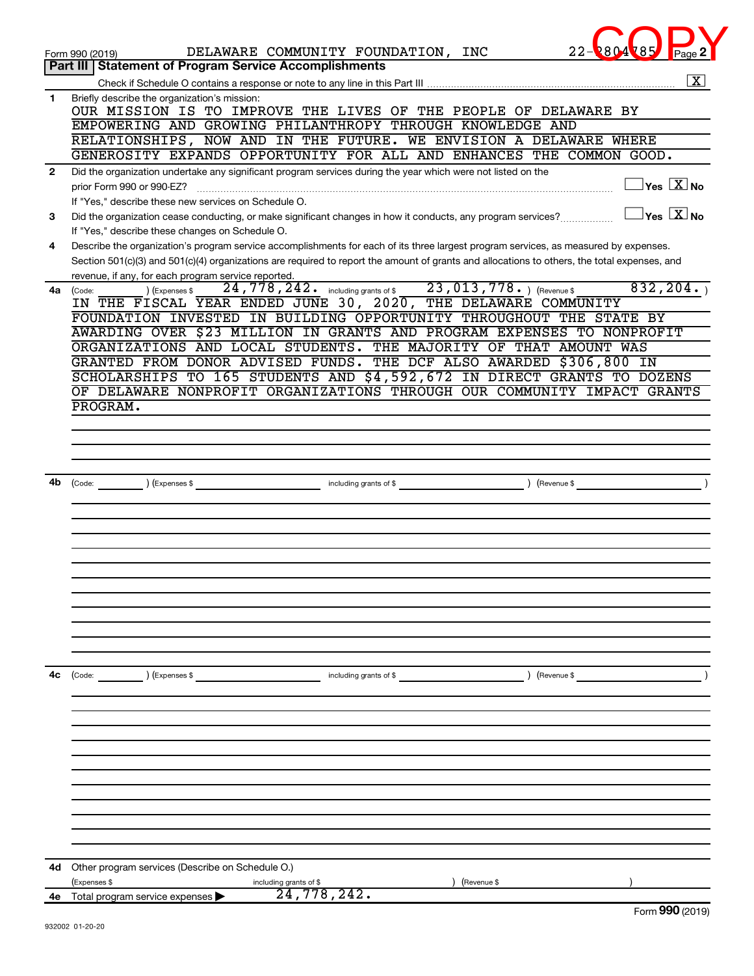|              | DELAWARE COMMUNITY FOUNDATION, INC<br>Form 990 (2019)<br><b>Part III   Statement of Program Service Accomplishments</b>                                                                       |
|--------------|-----------------------------------------------------------------------------------------------------------------------------------------------------------------------------------------------|
|              | $\overline{\mathbf{X}}$                                                                                                                                                                       |
| 1            | Briefly describe the organization's mission:                                                                                                                                                  |
|              | OUR MISSION IS TO IMPROVE THE LIVES OF THE PEOPLE OF DELAWARE BY                                                                                                                              |
|              | EMPOWERING AND GROWING PHILANTHROPY THROUGH KNOWLEDGE AND<br>RELATIONSHIPS, NOW AND IN THE FUTURE.<br>WE ENVISION A DELAWARE WHERE                                                            |
|              | GENEROSITY EXPANDS OPPORTUNITY FOR ALL AND ENHANCES THE COMMON GOOD.                                                                                                                          |
| $\mathbf{2}$ | Did the organization undertake any significant program services during the year which were not listed on the                                                                                  |
|              | $\overline{\ }$ Yes $\overline{\rm X}$ No<br>prior Form 990 or 990-EZ?                                                                                                                        |
|              | If "Yes," describe these new services on Schedule O.                                                                                                                                          |
| 3            | $\gamma$ es $\boxed{X}$ No<br>Did the organization cease conducting, or make significant changes in how it conducts, any program services?<br>If "Yes," describe these changes on Schedule O. |
| 4            | Describe the organization's program service accomplishments for each of its three largest program services, as measured by expenses.                                                          |
|              | Section 501(c)(3) and 501(c)(4) organizations are required to report the amount of grants and allocations to others, the total expenses, and                                                  |
|              | revenue, if any, for each program service reported.                                                                                                                                           |
| 4a           | 23,013,778. Revenue \$<br>832, 204.<br>$24$ , $778$ , $242$ or including grants of \$<br>) (Expenses \$<br>(Code:<br>IN THE FISCAL YEAR ENDED JUNE 30, 2020, THE DELAWARE COMMUNITY           |
|              | FOUNDATION INVESTED IN BUILDING OPPORTUNITY THROUGHOUT THE STATE BY                                                                                                                           |
|              | AWARDING OVER \$23 MILLION IN GRANTS AND PROGRAM EXPENSES TO NONPROFIT                                                                                                                        |
|              | ORGANIZATIONS AND LOCAL STUDENTS.<br>THE MAJORITY OF THAT AMOUNT WAS                                                                                                                          |
|              | GRANTED FROM DONOR ADVISED FUNDS. THE DCF ALSO AWARDED \$306,800 IN                                                                                                                           |
|              | SCHOLARSHIPS TO 165 STUDENTS AND \$4,592,672 IN DIRECT GRANTS TO DOZENS<br>OF DELAWARE NONPROFIT ORGANIZATIONS THROUGH OUR COMMUNITY IMPACT GRANTS                                            |
|              | PROGRAM.                                                                                                                                                                                      |
|              |                                                                                                                                                                                               |
|              |                                                                                                                                                                                               |
|              |                                                                                                                                                                                               |
| 4b           |                                                                                                                                                                                               |
|              | $\left(\text{Revenue }$<br>$\left(\text{Code:}\right)$ $\left(\text{Expenses $}\right)$<br>including grants of \$                                                                             |
|              |                                                                                                                                                                                               |
|              |                                                                                                                                                                                               |
|              |                                                                                                                                                                                               |
|              |                                                                                                                                                                                               |
|              |                                                                                                                                                                                               |
|              |                                                                                                                                                                                               |
|              |                                                                                                                                                                                               |
|              |                                                                                                                                                                                               |
|              |                                                                                                                                                                                               |
| 4с           | $\text{(Code:}$ $\qquad \qquad$ $\text{(Expenses $}$<br>$\left($ Revenue \$<br>including grants of \$                                                                                         |
|              |                                                                                                                                                                                               |
|              |                                                                                                                                                                                               |
|              |                                                                                                                                                                                               |
|              |                                                                                                                                                                                               |
|              |                                                                                                                                                                                               |
|              |                                                                                                                                                                                               |
|              |                                                                                                                                                                                               |
|              |                                                                                                                                                                                               |
|              |                                                                                                                                                                                               |
|              |                                                                                                                                                                                               |
| 4d           | Other program services (Describe on Schedule O.)                                                                                                                                              |
|              | (Expenses \$<br>including grants of \$<br>(Revenue \$<br>24,778,242.                                                                                                                          |
|              | 4e Total program service expenses<br>$\Omega$ <sup><math>\Omega</math></sup>                                                                                                                  |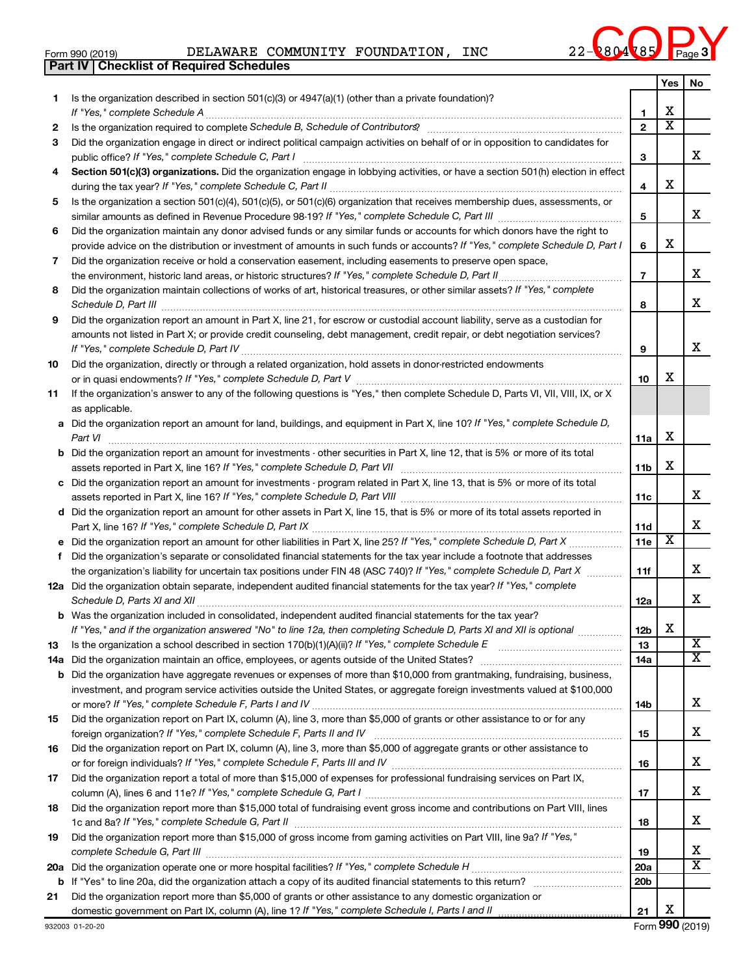|  | Form 990 (2019) |  |
|--|-----------------|--|
|  |                 |  |

**Part IV Checklist of Required Schedules**

Form 990 (2019) DELAWARE COMMUNITY FOUNDATION, INC  $22-\sqrt{80485}$  Page DELAWARE COMMUNITY FOUNDATION, INC  $22$ -2804785



|          |                                                                                                                                                                       |                        | Yes                     | No                      |
|----------|-----------------------------------------------------------------------------------------------------------------------------------------------------------------------|------------------------|-------------------------|-------------------------|
| 1        | Is the organization described in section $501(c)(3)$ or $4947(a)(1)$ (other than a private foundation)?                                                               |                        |                         |                         |
|          | If "Yes," complete Schedule A                                                                                                                                         | 1                      | x                       |                         |
| 2        | Is the organization required to complete Schedule B, Schedule of Contributors? [111] [12] the organization required to complete Schedule B, Schedule of Contributors? | $\mathbf{2}$           | $\overline{\textbf{x}}$ |                         |
| 3        | Did the organization engage in direct or indirect political campaign activities on behalf of or in opposition to candidates for                                       |                        |                         | x                       |
|          | public office? If "Yes," complete Schedule C, Part I                                                                                                                  | 3                      |                         |                         |
| 4        | Section 501(c)(3) organizations. Did the organization engage in lobbying activities, or have a section 501(h) election in effect                                      | 4                      | X                       |                         |
| 5        | Is the organization a section 501(c)(4), 501(c)(5), or 501(c)(6) organization that receives membership dues, assessments, or                                          |                        |                         |                         |
|          |                                                                                                                                                                       | 5                      |                         | x                       |
| 6        | Did the organization maintain any donor advised funds or any similar funds or accounts for which donors have the right to                                             |                        |                         |                         |
|          | provide advice on the distribution or investment of amounts in such funds or accounts? If "Yes," complete Schedule D, Part I                                          | 6                      | x                       |                         |
| 7        | Did the organization receive or hold a conservation easement, including easements to preserve open space,                                                             |                        |                         |                         |
|          |                                                                                                                                                                       | $\overline{7}$         |                         | x                       |
| 8        | Did the organization maintain collections of works of art, historical treasures, or other similar assets? If "Yes," complete                                          |                        |                         |                         |
|          |                                                                                                                                                                       | 8                      |                         | x                       |
| 9        | Did the organization report an amount in Part X, line 21, for escrow or custodial account liability, serve as a custodian for                                         |                        |                         |                         |
|          | amounts not listed in Part X; or provide credit counseling, debt management, credit repair, or debt negotiation services?                                             |                        |                         |                         |
|          |                                                                                                                                                                       | 9                      |                         | х                       |
| 10       | Did the organization, directly or through a related organization, hold assets in donor-restricted endowments                                                          |                        |                         |                         |
|          |                                                                                                                                                                       | 10                     | x                       |                         |
| 11       | If the organization's answer to any of the following questions is "Yes," then complete Schedule D, Parts VI, VII, VIII, IX, or X                                      |                        |                         |                         |
|          | as applicable.                                                                                                                                                        |                        |                         |                         |
|          | a Did the organization report an amount for land, buildings, and equipment in Part X, line 10? If "Yes," complete Schedule D,                                         |                        | X                       |                         |
|          | <b>b</b> Did the organization report an amount for investments - other securities in Part X, line 12, that is 5% or more of its total                                 | 11a                    |                         |                         |
|          |                                                                                                                                                                       | 11b                    | X                       |                         |
|          | c Did the organization report an amount for investments - program related in Part X, line 13, that is 5% or more of its total                                         |                        |                         |                         |
|          |                                                                                                                                                                       | 11c                    |                         | x                       |
|          | d Did the organization report an amount for other assets in Part X, line 15, that is 5% or more of its total assets reported in                                       |                        |                         |                         |
|          |                                                                                                                                                                       | 11d                    |                         | x                       |
| е        | Did the organization report an amount for other liabilities in Part X, line 25? If "Yes," complete Schedule D, Part X                                                 | 11e                    | X                       |                         |
| f        | Did the organization's separate or consolidated financial statements for the tax year include a footnote that addresses                                               |                        |                         |                         |
|          | the organization's liability for uncertain tax positions under FIN 48 (ASC 740)? If "Yes," complete Schedule D, Part X                                                | 11f                    |                         | x                       |
|          | 12a Did the organization obtain separate, independent audited financial statements for the tax year? If "Yes," complete                                               |                        |                         |                         |
|          |                                                                                                                                                                       | 12a                    |                         | X                       |
|          | <b>b</b> Was the organization included in consolidated, independent audited financial statements for the tax year?                                                    |                        | х                       |                         |
|          | If "Yes," and if the organization answered "No" to line 12a, then completing Schedule D, Parts XI and XII is optional                                                 | 12 <sub>b</sub>        |                         | $\overline{\mathbf{X}}$ |
| 13       |                                                                                                                                                                       | 13                     |                         | $\overline{X}$          |
| 14a<br>b | Did the organization have aggregate revenues or expenses of more than \$10,000 from grantmaking, fundraising, business,                                               | 14a                    |                         |                         |
|          | investment, and program service activities outside the United States, or aggregate foreign investments valued at \$100,000                                            |                        |                         |                         |
|          |                                                                                                                                                                       | 14b                    |                         | x                       |
| 15       | Did the organization report on Part IX, column (A), line 3, more than \$5,000 of grants or other assistance to or for any                                             |                        |                         |                         |
|          |                                                                                                                                                                       | 15                     |                         | x                       |
| 16       | Did the organization report on Part IX, column (A), line 3, more than \$5,000 of aggregate grants or other assistance to                                              |                        |                         |                         |
|          |                                                                                                                                                                       | 16                     |                         | x                       |
| 17       | Did the organization report a total of more than \$15,000 of expenses for professional fundraising services on Part IX,                                               |                        |                         |                         |
|          |                                                                                                                                                                       | 17                     |                         | x                       |
| 18       | Did the organization report more than \$15,000 total of fundraising event gross income and contributions on Part VIII, lines                                          |                        |                         |                         |
|          |                                                                                                                                                                       | 18                     |                         | x                       |
| 19       | Did the organization report more than \$15,000 of gross income from gaming activities on Part VIII, line 9a? If "Yes,"                                                |                        |                         | x                       |
|          |                                                                                                                                                                       | 19                     |                         | $\overline{X}$          |
| 20a<br>b |                                                                                                                                                                       | 20a<br>20 <sub>b</sub> |                         |                         |
| 21       | Did the organization report more than \$5,000 of grants or other assistance to any domestic organization or                                                           |                        |                         |                         |
|          |                                                                                                                                                                       | 21                     | X                       |                         |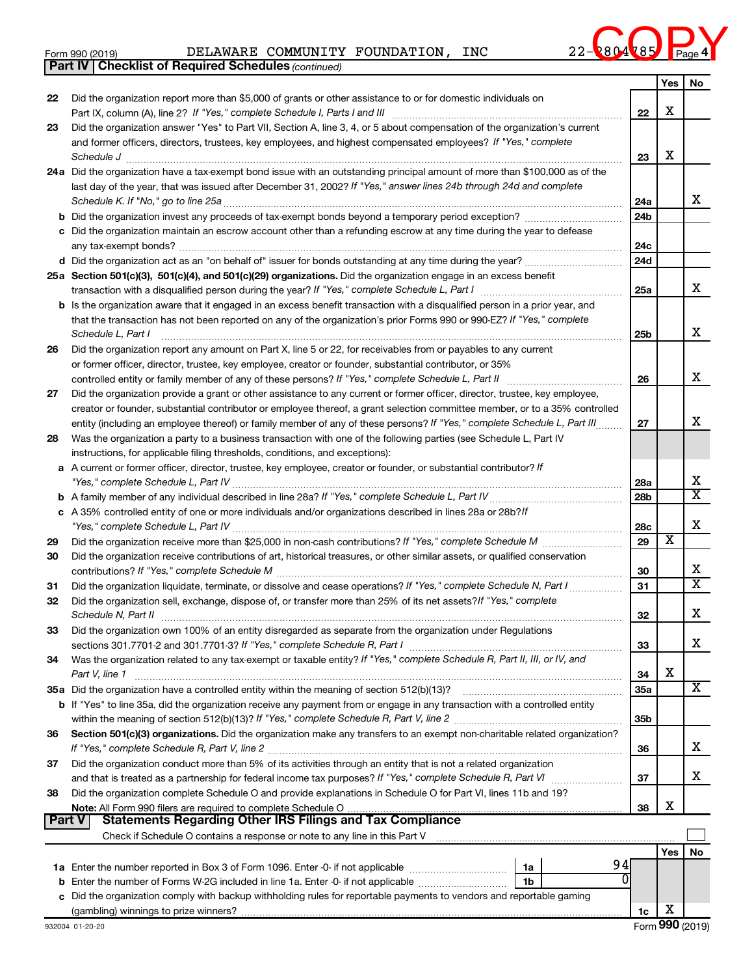|  | Form 990 (2019) |
|--|-----------------|
|  |                 |

**Part IV Checklist of Required Schedules**

Form 990 (2019) DELAWARE COMMUNITY FOUNDATION, INC  $22-\sqrt{80485}$  Page DELAWARE COMMUNITY FOUNDATION, INC  $22$ -2804785

*(continued)*



|               |                                                                                                                                                                                                                                                   |                        | Yes                     | No                           |
|---------------|---------------------------------------------------------------------------------------------------------------------------------------------------------------------------------------------------------------------------------------------------|------------------------|-------------------------|------------------------------|
| 22            | Did the organization report more than \$5,000 of grants or other assistance to or for domestic individuals on                                                                                                                                     |                        |                         |                              |
|               |                                                                                                                                                                                                                                                   | 22                     | х                       |                              |
| 23            | Did the organization answer "Yes" to Part VII, Section A, line 3, 4, or 5 about compensation of the organization's current                                                                                                                        |                        |                         |                              |
|               | and former officers, directors, trustees, key employees, and highest compensated employees? If "Yes," complete                                                                                                                                    |                        |                         |                              |
|               | Schedule J                                                                                                                                                                                                                                        | 23                     | х                       |                              |
|               | 24a Did the organization have a tax-exempt bond issue with an outstanding principal amount of more than \$100,000 as of the<br>last day of the year, that was issued after December 31, 2002? If "Yes," answer lines 24b through 24d and complete |                        |                         |                              |
|               |                                                                                                                                                                                                                                                   | 24a                    |                         | x                            |
|               | <b>b</b> Did the organization invest any proceeds of tax-exempt bonds beyond a temporary period exception?                                                                                                                                        | 24 <sub>b</sub>        |                         |                              |
|               | c Did the organization maintain an escrow account other than a refunding escrow at any time during the year to defease                                                                                                                            |                        |                         |                              |
|               |                                                                                                                                                                                                                                                   | 24c                    |                         |                              |
|               |                                                                                                                                                                                                                                                   | 24d                    |                         |                              |
|               | 25a Section 501(c)(3), 501(c)(4), and 501(c)(29) organizations. Did the organization engage in an excess benefit                                                                                                                                  |                        |                         |                              |
|               | transaction with a disqualified person during the year? If "Yes," complete Schedule L, Part I manual manual manual manual manual manual manual manual manual manual manual manual manual manual manual manual manual manual ma                    | 25a                    |                         | x                            |
|               | <b>b</b> Is the organization aware that it engaged in an excess benefit transaction with a disqualified person in a prior year, and                                                                                                               |                        |                         |                              |
|               | that the transaction has not been reported on any of the organization's prior Forms 990 or 990-EZ? If "Yes," complete                                                                                                                             |                        |                         | х                            |
| 26            | Schedule L, Part I<br>Did the organization report any amount on Part X, line 5 or 22, for receivables from or payables to any current                                                                                                             | 25b                    |                         |                              |
|               | or former officer, director, trustee, key employee, creator or founder, substantial contributor, or 35%                                                                                                                                           |                        |                         |                              |
|               | controlled entity or family member of any of these persons? If "Yes," complete Schedule L, Part II                                                                                                                                                | 26                     |                         | х                            |
| 27            | Did the organization provide a grant or other assistance to any current or former officer, director, trustee, key employee,                                                                                                                       |                        |                         |                              |
|               | creator or founder, substantial contributor or employee thereof, a grant selection committee member, or to a 35% controlled                                                                                                                       |                        |                         |                              |
|               | entity (including an employee thereof) or family member of any of these persons? If "Yes," complete Schedule L, Part III                                                                                                                          | 27                     |                         | х                            |
| 28            | Was the organization a party to a business transaction with one of the following parties (see Schedule L, Part IV                                                                                                                                 |                        |                         |                              |
|               | instructions, for applicable filing thresholds, conditions, and exceptions):                                                                                                                                                                      |                        |                         |                              |
|               | a A current or former officer, director, trustee, key employee, creator or founder, or substantial contributor? If                                                                                                                                |                        |                         | х                            |
|               |                                                                                                                                                                                                                                                   | 28a<br>28 <sub>b</sub> |                         | $\overline{\texttt{x}}$      |
|               | c A 35% controlled entity of one or more individuals and/or organizations described in lines 28a or 28b?!f                                                                                                                                        |                        |                         |                              |
|               |                                                                                                                                                                                                                                                   | 28c                    |                         | х                            |
| 29            | Did the organization receive more than \$25,000 in non-cash contributions? If "Yes," complete Schedule M                                                                                                                                          | 29                     | $\overline{\textbf{x}}$ |                              |
| 30            | Did the organization receive contributions of art, historical treasures, or other similar assets, or qualified conservation                                                                                                                       |                        |                         |                              |
|               |                                                                                                                                                                                                                                                   | 30                     |                         | х<br>$\overline{\textbf{x}}$ |
| 31            | Did the organization liquidate, terminate, or dissolve and cease operations? If "Yes," complete Schedule N, Part I.                                                                                                                               | 31                     |                         |                              |
| 32            | Did the organization sell, exchange, dispose of, or transfer more than 25% of its net assets? If "Yes," complete                                                                                                                                  | 32                     |                         | X                            |
| 33            | Did the organization own 100% of an entity disregarded as separate from the organization under Regulations                                                                                                                                        |                        |                         |                              |
|               | sections 301.7701-2 and 301.7701-3? If "Yes," complete Schedule R, Part I                                                                                                                                                                         | 33                     |                         | x                            |
| 34            | Was the organization related to any tax-exempt or taxable entity? If "Yes," complete Schedule R, Part II, III, or IV, and                                                                                                                         |                        |                         |                              |
|               | Part V, line 1                                                                                                                                                                                                                                    | 34                     | х                       |                              |
|               |                                                                                                                                                                                                                                                   | <b>35a</b>             |                         | х                            |
|               | b If "Yes" to line 35a, did the organization receive any payment from or engage in any transaction with a controlled entity                                                                                                                       |                        |                         |                              |
|               |                                                                                                                                                                                                                                                   | 35b                    |                         |                              |
| 36            | Section 501(c)(3) organizations. Did the organization make any transfers to an exempt non-charitable related organization?                                                                                                                        | 36                     |                         | х                            |
| 37            | Did the organization conduct more than 5% of its activities through an entity that is not a related organization                                                                                                                                  |                        |                         |                              |
|               |                                                                                                                                                                                                                                                   | 37                     |                         | х                            |
| 38            | Did the organization complete Schedule O and provide explanations in Schedule O for Part VI, lines 11b and 19?                                                                                                                                    |                        |                         |                              |
|               | Note: All Form 990 filers are required to complete Schedule O<br>אווי על אוייט אוויס איז וויס איז אוויס איז א די פון א דער איז א די די דער איז א די די די די די די די די די די<br>Statements Regarding Other IRS Filings and Tax Compliance       | 38                     | х                       |                              |
| <b>Part V</b> |                                                                                                                                                                                                                                                   |                        |                         |                              |
|               |                                                                                                                                                                                                                                                   |                        | Yes                     |                              |
|               | 94<br>1a                                                                                                                                                                                                                                          |                        |                         | No                           |
| b             | 0<br>Enter the number of Forms W-2G included in line 1a. Enter -0- if not applicable<br>1b                                                                                                                                                        |                        |                         |                              |
|               | c Did the organization comply with backup withholding rules for reportable payments to vendors and reportable gaming                                                                                                                              |                        |                         |                              |
|               |                                                                                                                                                                                                                                                   | 1c                     | х                       |                              |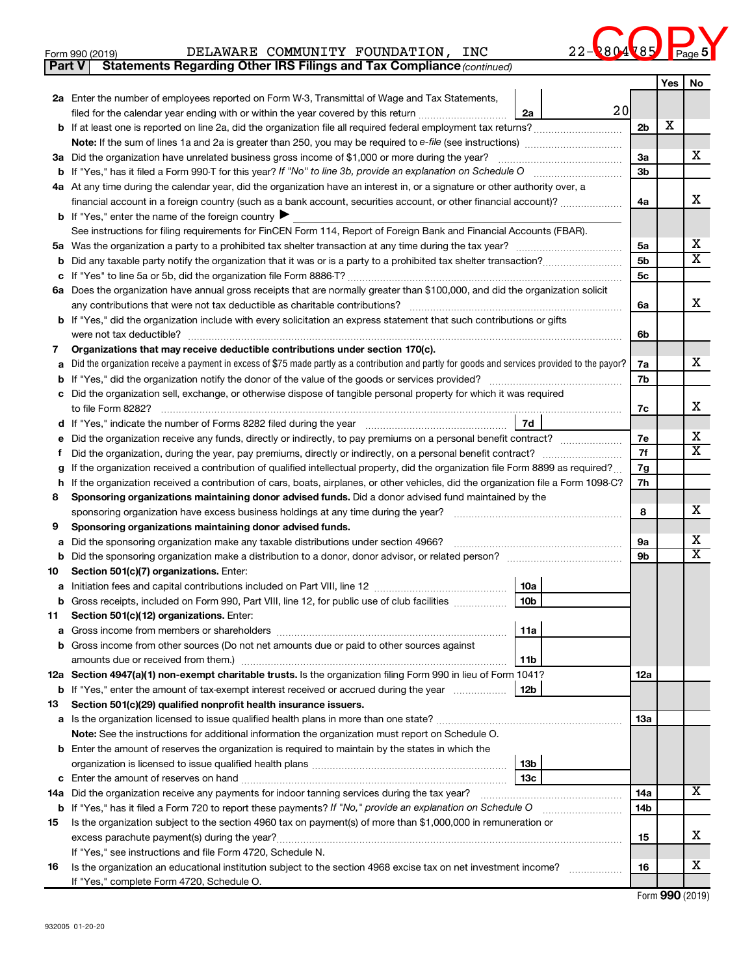| 22 | ں | c<br>o | Page 5 N |  |
|----|---|--------|----------|--|
|    |   |        |          |  |

| Form 990 (2019) |  | DELAWARE | COMMUNITY | <b>FOUNDATION</b> | INC | <b>804 785 Page</b><br>$\sim$ $\sim$ $\sim$ |  |  |  |
|-----------------|--|----------|-----------|-------------------|-----|---------------------------------------------|--|--|--|
|-----------------|--|----------|-----------|-------------------|-----|---------------------------------------------|--|--|--|

*(continued)* **Part V Statements Regarding Other IRS Filings and Tax Compliance**

|     |                                                                                                                                                                                                                                                  |                 |                | Yes | No                           |  |  |  |  |
|-----|--------------------------------------------------------------------------------------------------------------------------------------------------------------------------------------------------------------------------------------------------|-----------------|----------------|-----|------------------------------|--|--|--|--|
|     | 2a Enter the number of employees reported on Form W-3, Transmittal of Wage and Tax Statements,                                                                                                                                                   |                 |                |     |                              |  |  |  |  |
|     | filed for the calendar year ending with or within the year covered by this return <i>manumumumum</i>                                                                                                                                             | 20<br>2a        | 2 <sub>b</sub> | х   |                              |  |  |  |  |
|     |                                                                                                                                                                                                                                                  |                 |                |     |                              |  |  |  |  |
|     |                                                                                                                                                                                                                                                  |                 |                |     |                              |  |  |  |  |
|     | 3a Did the organization have unrelated business gross income of \$1,000 or more during the year?                                                                                                                                                 |                 |                |     |                              |  |  |  |  |
|     | If "Yes," has it filed a Form 990-T for this year? If "No" to line 3b, provide an explanation on Schedule O<br>b<br>4a At any time during the calendar year, did the organization have an interest in, or a signature or other authority over, a |                 |                |     |                              |  |  |  |  |
|     | financial account in a foreign country (such as a bank account, securities account, or other financial account)?                                                                                                                                 |                 | 4a             |     | x                            |  |  |  |  |
|     | <b>b</b> If "Yes," enter the name of the foreign country I                                                                                                                                                                                       |                 |                |     |                              |  |  |  |  |
|     | See instructions for filing requirements for FinCEN Form 114, Report of Foreign Bank and Financial Accounts (FBAR).                                                                                                                              |                 |                |     |                              |  |  |  |  |
|     |                                                                                                                                                                                                                                                  |                 | 5a             |     | x                            |  |  |  |  |
| b   |                                                                                                                                                                                                                                                  |                 | 5 <sub>b</sub> |     | $\overline{\mathbf{X}}$      |  |  |  |  |
| с   |                                                                                                                                                                                                                                                  |                 | 5c             |     |                              |  |  |  |  |
|     | 6a Does the organization have annual gross receipts that are normally greater than \$100,000, and did the organization solicit                                                                                                                   |                 |                |     |                              |  |  |  |  |
|     | any contributions that were not tax deductible as charitable contributions?                                                                                                                                                                      |                 | 6а             |     | х                            |  |  |  |  |
|     | <b>b</b> If "Yes," did the organization include with every solicitation an express statement that such contributions or gifts                                                                                                                    |                 |                |     |                              |  |  |  |  |
|     | were not tax deductible?                                                                                                                                                                                                                         |                 | 6b             |     |                              |  |  |  |  |
| 7   | Organizations that may receive deductible contributions under section 170(c).                                                                                                                                                                    |                 |                |     |                              |  |  |  |  |
| а   | Did the organization receive a payment in excess of \$75 made partly as a contribution and partly for goods and services provided to the payor?                                                                                                  |                 | 7a             |     | х                            |  |  |  |  |
| b   |                                                                                                                                                                                                                                                  |                 | 7b             |     |                              |  |  |  |  |
|     | c Did the organization sell, exchange, or otherwise dispose of tangible personal property for which it was required                                                                                                                              |                 |                |     |                              |  |  |  |  |
|     |                                                                                                                                                                                                                                                  |                 | 7c             |     | х                            |  |  |  |  |
|     |                                                                                                                                                                                                                                                  | 7d              |                |     |                              |  |  |  |  |
| е   | Did the organization receive any funds, directly or indirectly, to pay premiums on a personal benefit contract?                                                                                                                                  |                 | 7е<br>7f       |     | х<br>$\overline{\textbf{X}}$ |  |  |  |  |
| Ť.  | Did the organization, during the year, pay premiums, directly or indirectly, on a personal benefit contract?                                                                                                                                     |                 |                |     |                              |  |  |  |  |
| g   | If the organization received a contribution of qualified intellectual property, did the organization file Form 8899 as required?                                                                                                                 |                 | 7g<br>7h       |     |                              |  |  |  |  |
| 8   | If the organization received a contribution of cars, boats, airplanes, or other vehicles, did the organization file a Form 1098-C?<br>h<br>Sponsoring organizations maintaining donor advised funds. Did a donor advised fund maintained by the  |                 |                |     |                              |  |  |  |  |
|     | sponsoring organization have excess business holdings at any time during the year?                                                                                                                                                               |                 | 8              |     | х                            |  |  |  |  |
| 9   | Sponsoring organizations maintaining donor advised funds.                                                                                                                                                                                        |                 |                |     |                              |  |  |  |  |
| а   | Did the sponsoring organization make any taxable distributions under section 4966?                                                                                                                                                               |                 | 9а             |     | х                            |  |  |  |  |
| b   | Did the sponsoring organization make a distribution to a donor, donor advisor, or related person? [111] Did the sponsoring organization make a distribution to a donor, donor advisor, or related person?                                        |                 | 9 <sub>b</sub> |     | $\overline{\texttt{x}}$      |  |  |  |  |
| 10  | Section 501(c)(7) organizations. Enter:                                                                                                                                                                                                          |                 |                |     |                              |  |  |  |  |
| а   |                                                                                                                                                                                                                                                  | 10a             |                |     |                              |  |  |  |  |
| b   | Gross receipts, included on Form 990, Part VIII, line 12, for public use of club facilities                                                                                                                                                      | 10 <sub>b</sub> |                |     |                              |  |  |  |  |
| 11  | Section 501(c)(12) organizations. Enter:                                                                                                                                                                                                         |                 |                |     |                              |  |  |  |  |
| а   | Gross income from members or shareholders                                                                                                                                                                                                        | 11a             |                |     |                              |  |  |  |  |
|     | <b>b</b> Gross income from other sources (Do not net amounts due or paid to other sources against                                                                                                                                                |                 |                |     |                              |  |  |  |  |
|     | amounts due or received from them.)                                                                                                                                                                                                              | 11b             |                |     |                              |  |  |  |  |
|     | 12a Section 4947(a)(1) non-exempt charitable trusts. Is the organization filing Form 990 in lieu of Form 1041?                                                                                                                                   |                 | 12a            |     |                              |  |  |  |  |
|     | <b>b</b> If "Yes," enter the amount of tax-exempt interest received or accrued during the year                                                                                                                                                   | 12b             |                |     |                              |  |  |  |  |
| 13  | Section 501(c)(29) qualified nonprofit health insurance issuers.                                                                                                                                                                                 |                 |                |     |                              |  |  |  |  |
| a   | Is the organization licensed to issue qualified health plans in more than one state?                                                                                                                                                             |                 | 13a            |     |                              |  |  |  |  |
|     | Note: See the instructions for additional information the organization must report on Schedule O.<br><b>b</b> Enter the amount of reserves the organization is required to maintain by the states in which the                                   |                 |                |     |                              |  |  |  |  |
|     |                                                                                                                                                                                                                                                  | 13b             |                |     |                              |  |  |  |  |
|     |                                                                                                                                                                                                                                                  | 13с             |                |     |                              |  |  |  |  |
| 14a | Did the organization receive any payments for indoor tanning services during the tax year?                                                                                                                                                       |                 | 14a            |     | X                            |  |  |  |  |
| b   | If "Yes," has it filed a Form 720 to report these payments? If "No," provide an explanation on Schedule O                                                                                                                                        |                 | 14b            |     |                              |  |  |  |  |
| 15  | Is the organization subject to the section 4960 tax on payment(s) of more than \$1,000,000 in remuneration or                                                                                                                                    |                 |                |     |                              |  |  |  |  |
|     |                                                                                                                                                                                                                                                  |                 | 15             |     | х                            |  |  |  |  |
|     | If "Yes," see instructions and file Form 4720, Schedule N.                                                                                                                                                                                       |                 |                |     |                              |  |  |  |  |
| 16  | Is the organization an educational institution subject to the section 4968 excise tax on net investment income?                                                                                                                                  |                 | 16             |     | х                            |  |  |  |  |
|     | If "Yes," complete Form 4720, Schedule O.                                                                                                                                                                                                        |                 |                |     |                              |  |  |  |  |

Form (2019) **990**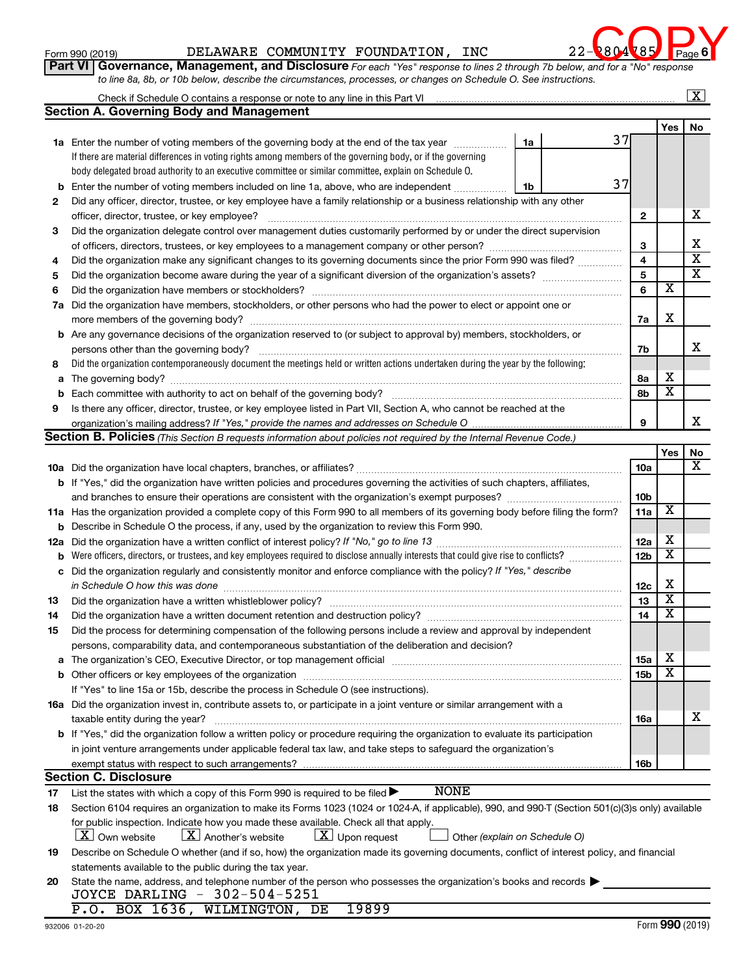Form 990 (2019) DELAWARE COMMUNITY FOUNDATION, INC 22-2804785 Page



**Form 990 (2019)**<br>**Part VI** Governance, Management, and Disclosure For each "Yes" response to lines 2 through 7b below, and for a "No" response *to line 8a, 8b, or 10b below, describe the circumstances, processes, or changes on Schedule O. See instructions.*

|     | Check if Schedule O contains a response or note to any line in this Part VI                                                                                                                                      |                         |                         | х                       |
|-----|------------------------------------------------------------------------------------------------------------------------------------------------------------------------------------------------------------------|-------------------------|-------------------------|-------------------------|
|     | <b>Section A. Governing Body and Management</b>                                                                                                                                                                  |                         |                         |                         |
|     |                                                                                                                                                                                                                  |                         | Yes                     | No                      |
|     | 37<br>1a<br><b>1a</b> Enter the number of voting members of the governing body at the end of the tax year                                                                                                        |                         |                         |                         |
|     | If there are material differences in voting rights among members of the governing body, or if the governing                                                                                                      |                         |                         |                         |
|     | body delegated broad authority to an executive committee or similar committee, explain on Schedule O.                                                                                                            |                         |                         |                         |
| b   | 37<br>Enter the number of voting members included on line 1a, above, who are independent<br>1b                                                                                                                   |                         |                         |                         |
| 2   | Did any officer, director, trustee, or key employee have a family relationship or a business relationship with any other                                                                                         |                         |                         |                         |
|     | officer, director, trustee, or key employee?                                                                                                                                                                     | $\mathbf{2}$            |                         | х                       |
| 3   | Did the organization delegate control over management duties customarily performed by or under the direct supervision                                                                                            |                         |                         |                         |
|     | of officers, directors, trustees, or key employees to a management company or other person?                                                                                                                      | 3                       |                         | х                       |
| 4   | Did the organization make any significant changes to its governing documents since the prior Form 990 was filed?                                                                                                 | $\overline{\mathbf{4}}$ |                         | $\overline{\mathbf{x}}$ |
| 5   |                                                                                                                                                                                                                  | $\overline{5}$          |                         | $\overline{\texttt{x}}$ |
| 6   |                                                                                                                                                                                                                  | 6                       | $\overline{\textbf{x}}$ |                         |
| 7a  | Did the organization have members, stockholders, or other persons who had the power to elect or appoint one or                                                                                                   |                         |                         |                         |
|     |                                                                                                                                                                                                                  | 7a                      | X                       |                         |
|     | <b>b</b> Are any governance decisions of the organization reserved to (or subject to approval by) members, stockholders, or                                                                                      |                         |                         |                         |
|     | persons other than the governing body?                                                                                                                                                                           | 7b                      |                         | х                       |
| 8   | Did the organization contemporaneously document the meetings held or written actions undertaken during the year by the following:                                                                                |                         |                         |                         |
| a   |                                                                                                                                                                                                                  | 8а                      | х                       |                         |
| b   |                                                                                                                                                                                                                  | 8b                      | $\overline{\textbf{x}}$ |                         |
| 9   | Is there any officer, director, trustee, or key employee listed in Part VII, Section A, who cannot be reached at the                                                                                             |                         |                         |                         |
|     | organization's mailing address? If "Yes," provide the names and addresses on Schedule O.                                                                                                                         | 9                       |                         | х                       |
|     | Section B. Policies (This Section B requests information about policies not required by the Internal Revenue Code.)                                                                                              |                         |                         |                         |
|     |                                                                                                                                                                                                                  |                         | Yes                     | No                      |
|     |                                                                                                                                                                                                                  | 10a                     |                         | х                       |
|     | b If "Yes," did the organization have written policies and procedures governing the activities of such chapters, affiliates,                                                                                     |                         |                         |                         |
|     |                                                                                                                                                                                                                  | 10 <sub>b</sub>         |                         |                         |
|     | 11a Has the organization provided a complete copy of this Form 990 to all members of its governing body before filing the form?                                                                                  | 11a                     | $\overline{\textbf{x}}$ |                         |
|     | <b>b</b> Describe in Schedule O the process, if any, used by the organization to review this Form 990.                                                                                                           |                         |                         |                         |
| 12a |                                                                                                                                                                                                                  | 12a                     | х                       |                         |
| b   | Were officers, directors, or trustees, and key employees required to disclose annually interests that could give rise to conflicts?                                                                              | 12 <sub>b</sub>         | $\overline{\textbf{x}}$ |                         |
| с   | Did the organization regularly and consistently monitor and enforce compliance with the policy? If "Yes," describe                                                                                               |                         |                         |                         |
|     | in Schedule O how this was done                                                                                                                                                                                  | 12c                     | х                       |                         |
| 13  | Did the organization have a written whistleblower policy?                                                                                                                                                        | 13                      | $\overline{\textbf{x}}$ |                         |
| 14  |                                                                                                                                                                                                                  | 14                      | $\overline{\textbf{x}}$ |                         |
| 15  | Did the process for determining compensation of the following persons include a review and approval by independent                                                                                               |                         |                         |                         |
|     | persons, comparability data, and contemporaneous substantiation of the deliberation and decision?                                                                                                                |                         |                         |                         |
|     | The organization's CEO, Executive Director, or top management official manufactured content of the organization's CEO, Executive Director, or top management official manufactured content of the organization's | 15a                     | х                       |                         |
|     |                                                                                                                                                                                                                  | 15 <sub>b</sub>         | $\overline{\textbf{x}}$ |                         |
|     | If "Yes" to line 15a or 15b, describe the process in Schedule O (see instructions).                                                                                                                              |                         |                         |                         |
|     | 16a Did the organization invest in, contribute assets to, or participate in a joint venture or similar arrangement with a                                                                                        |                         |                         |                         |
|     | taxable entity during the year?                                                                                                                                                                                  | 16a                     |                         | х                       |
|     | b If "Yes," did the organization follow a written policy or procedure requiring the organization to evaluate its participation                                                                                   |                         |                         |                         |
|     | in joint venture arrangements under applicable federal tax law, and take steps to safeguard the organization's                                                                                                   |                         |                         |                         |
|     | exempt status with respect to such arrangements?                                                                                                                                                                 | 16b                     |                         |                         |
|     | <b>Section C. Disclosure</b>                                                                                                                                                                                     |                         |                         |                         |
| 17  | <b>NONE</b><br>List the states with which a copy of this Form 990 is required to be filed $\blacktriangleright$                                                                                                  |                         |                         |                         |
| 18  | Section 6104 requires an organization to make its Forms 1023 (1024 or 1024-A, if applicable), 990, and 990-T (Section 501(c)(3)s only) available                                                                 |                         |                         |                         |
|     | for public inspection. Indicate how you made these available. Check all that apply.                                                                                                                              |                         |                         |                         |
|     | $\lfloor x \rfloor$ Another's website<br>$\lfloor \underline{X} \rfloor$ Upon request<br>  X   Own website<br>Other (explain on Schedule O)                                                                      |                         |                         |                         |
| 19  | Describe on Schedule O whether (and if so, how) the organization made its governing documents, conflict of interest policy, and financial                                                                        |                         |                         |                         |
|     | statements available to the public during the tax year.                                                                                                                                                          |                         |                         |                         |
| 20  | State the name, address, and telephone number of the person who possesses the organization's books and records $\blacktriangleright$                                                                             |                         |                         |                         |
|     | JOYCE DARLING - 302-504-5251                                                                                                                                                                                     |                         |                         |                         |
|     | P.O. BOX 1636, WILMINGTON, DE<br>19899                                                                                                                                                                           |                         |                         |                         |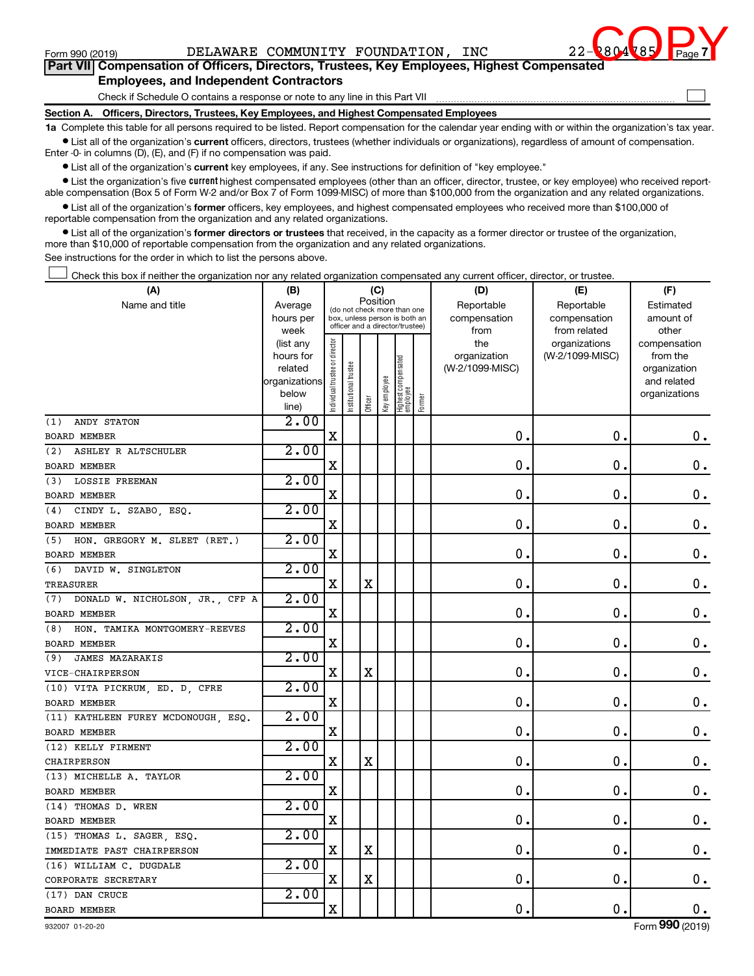

 $\Box$ 

**Part VII Compensation of Officers, Directors, Trustees, Key Employees, Highest Compensated Employees, and Independent Contractors**

Check if Schedule O contains a response or note to any line in this Part VII

**Section A. Officers, Directors, Trustees, Key Employees, and Highest Compensated Employees**

**1a**  Complete this table for all persons required to be listed. Report compensation for the calendar year ending with or within the organization's tax year.  $\bullet$  List all of the organization's current officers, directors, trustees (whether individuals or organizations), regardless of amount of compensation.

Enter -0- in columns (D), (E), and (F) if no compensation was paid.

**•** List all of the organization's current key employees, if any. See instructions for definition of "key employee."

**•** List the organization's five *current* highest compensated employees (other than an officer, director, trustee, or key employee) who received reportable compensation (Box 5 of Form W-2 and/or Box 7 of Form 1099-MISC) of more than \$100,000 from the organization and any related organizations.

 $\bullet$  List all of the organization's former officers, key employees, and highest compensated employees who received more than \$100,000 of reportable compensation from the organization and any related organizations.

**•** List all of the organization's former directors or trustees that received, in the capacity as a former director or trustee of the organization, more than \$10,000 of reportable compensation from the organization and any related organizations.

See instructions for the order in which to list the persons above.

Check this box if neither the organization nor any related organization compensated any current officer, director, or trustee.  $\Box$ 

| (A)                                 | (B)                    |                                |                                                                  | (C)         |              |                                 |        | (D)                 | (E)                              | (F)                      |
|-------------------------------------|------------------------|--------------------------------|------------------------------------------------------------------|-------------|--------------|---------------------------------|--------|---------------------|----------------------------------|--------------------------|
| Name and title                      | Average                |                                | (do not check more than one                                      | Position    |              |                                 |        | Reportable          | Reportable                       | Estimated                |
|                                     | hours per              |                                | box, unless person is both an<br>officer and a director/trustee) |             |              |                                 |        | compensation        | compensation                     | amount of                |
|                                     | week                   |                                |                                                                  |             |              |                                 |        | from                | from related                     | other                    |
|                                     | (list any<br>hours for |                                |                                                                  |             |              |                                 |        | the<br>organization | organizations<br>(W-2/1099-MISC) | compensation<br>from the |
|                                     | related                |                                |                                                                  |             |              |                                 |        | (W-2/1099-MISC)     |                                  | organization             |
|                                     | organizations          |                                |                                                                  |             |              |                                 |        |                     |                                  | and related              |
|                                     | below                  | Individual trustee or director | Institutional trustee                                            |             | Key employee | Highest compensated<br>employee |        |                     |                                  | organizations            |
|                                     | line)                  |                                |                                                                  | Officer     |              |                                 | Former |                     |                                  |                          |
| ANDY STATON<br>(1)                  | $\overline{2.00}$      |                                |                                                                  |             |              |                                 |        |                     |                                  |                          |
| <b>BOARD MEMBER</b>                 |                        | X                              |                                                                  |             |              |                                 |        | $\mathbf 0$ .       | $\mathbf 0$ .                    | 0.                       |
| (2) ASHLEY R ALTSCHULER             | 2.00                   |                                |                                                                  |             |              |                                 |        |                     |                                  |                          |
| <b>BOARD MEMBER</b>                 |                        | $\mathbf x$                    |                                                                  |             |              |                                 |        | $\mathbf 0$         | $\mathbf 0$ .                    | 0.                       |
| (3) LOSSIE FREEMAN                  | $2 \cdot 00$           |                                |                                                                  |             |              |                                 |        |                     |                                  |                          |
| <b>BOARD MEMBER</b>                 |                        | X                              |                                                                  |             |              |                                 |        | $\mathbf 0$         | $\mathbf 0$ .                    | $\boldsymbol{0}$ .       |
| (4) CINDY L. SZABO, ESQ.            | 2.00                   |                                |                                                                  |             |              |                                 |        |                     |                                  |                          |
| <b>BOARD MEMBER</b>                 |                        | X                              |                                                                  |             |              |                                 |        | $\mathbf 0$ .       | $\mathbf 0$                      | $\mathbf 0$ .            |
| (5) HON. GREGORY M. SLEET (RET.)    | 2.00                   |                                |                                                                  |             |              |                                 |        |                     |                                  |                          |
| <b>BOARD MEMBER</b>                 |                        | X                              |                                                                  |             |              |                                 |        | $\mathbf 0$ .       | $\mathbf 0$ .                    | $\mathbf 0$ .            |
| (6) DAVID W. SINGLETON              | 2.00                   |                                |                                                                  |             |              |                                 |        |                     |                                  |                          |
| TREASURER                           |                        | X                              |                                                                  | $\mathbf X$ |              |                                 |        | $\mathbf 0$ .       | $\mathbf 0$ .                    | $0$ .                    |
| (7) DONALD W. NICHOLSON, JR., CFP A | 2.00                   |                                |                                                                  |             |              |                                 |        |                     |                                  |                          |
| <b>BOARD MEMBER</b>                 |                        | X                              |                                                                  |             |              |                                 |        | $\mathbf 0$ .       | $\mathbf 0$                      | $\mathbf 0$ .            |
| (8) HON. TAMIKA MONTGOMERY-REEVES   | 2.00                   |                                |                                                                  |             |              |                                 |        |                     |                                  |                          |
| <b>BOARD MEMBER</b>                 |                        | X                              |                                                                  |             |              |                                 |        | $\mathbf 0$ .       | $\mathbf 0$                      | 0.                       |
| <b>JAMES MAZARAKIS</b><br>(9)       | 2.00                   |                                |                                                                  |             |              |                                 |        |                     |                                  |                          |
| VICE-CHAIRPERSON                    |                        | X                              |                                                                  | X           |              |                                 |        | $\mathbf 0$ .       | $\mathbf 0$                      | $\mathbf 0$ .            |
| (10) VITA PICKRUM, ED. D, CFRE      | $\overline{2.00}$      |                                |                                                                  |             |              |                                 |        |                     |                                  |                          |
| <b>BOARD MEMBER</b>                 |                        | X                              |                                                                  |             |              |                                 |        | 0                   | 0                                | $\mathbf 0$ .            |
| (11) KATHLEEN FUREY MCDONOUGH, ESQ. | 2.00                   |                                |                                                                  |             |              |                                 |        |                     |                                  |                          |
| BOARD MEMBER                        |                        | X                              |                                                                  |             |              |                                 |        | 0                   | $\mathbf 0$                      | 0.                       |
| (12) KELLY FIRMENT                  | 2.00                   |                                |                                                                  |             |              |                                 |        |                     |                                  |                          |
| CHAIRPERSON                         |                        | $\mathbf X$                    |                                                                  | $\mathbf X$ |              |                                 |        | $\mathbf 0$ .       | $\mathbf 0$                      | $0$ .                    |
| (13) MICHELLE A. TAYLOR             | 2.00                   |                                |                                                                  |             |              |                                 |        |                     |                                  |                          |
| BOARD MEMBER                        |                        | X                              |                                                                  |             |              |                                 |        | $\mathbf 0$         | $\mathbf 0$ .                    | $\mathbf 0$ .            |
| (14) THOMAS D. WREN                 | 2.00                   |                                |                                                                  |             |              |                                 |        |                     |                                  |                          |
| BOARD MEMBER                        |                        | X                              |                                                                  |             |              |                                 |        | $\mathbf 0$ .       | $\mathbf 0$ .                    | 0.                       |
| (15) THOMAS L. SAGER, ESQ.          | 2.00                   |                                |                                                                  |             |              |                                 |        |                     |                                  |                          |
| IMMEDIATE PAST CHAIRPERSON          |                        | X                              |                                                                  | $\mathbf x$ |              |                                 |        | $\mathbf 0$ .       | $\mathbf 0$ .                    | $0$ .                    |
| (16) WILLIAM C. DUGDALE             | 2.00                   |                                |                                                                  |             |              |                                 |        |                     |                                  |                          |
| CORPORATE SECRETARY                 |                        | $\mathbf X$                    |                                                                  | $\mathbf X$ |              |                                 |        | $\mathbf 0$ .       | $\mathbf 0$ .                    | $0$ .                    |
| (17) DAN CRUCE                      | 2.00                   |                                |                                                                  |             |              |                                 |        |                     |                                  |                          |
| <b>BOARD MEMBER</b>                 |                        | X                              |                                                                  |             |              |                                 |        | $\mathbf 0$ .       | $\mathbf 0$ .                    | 0.                       |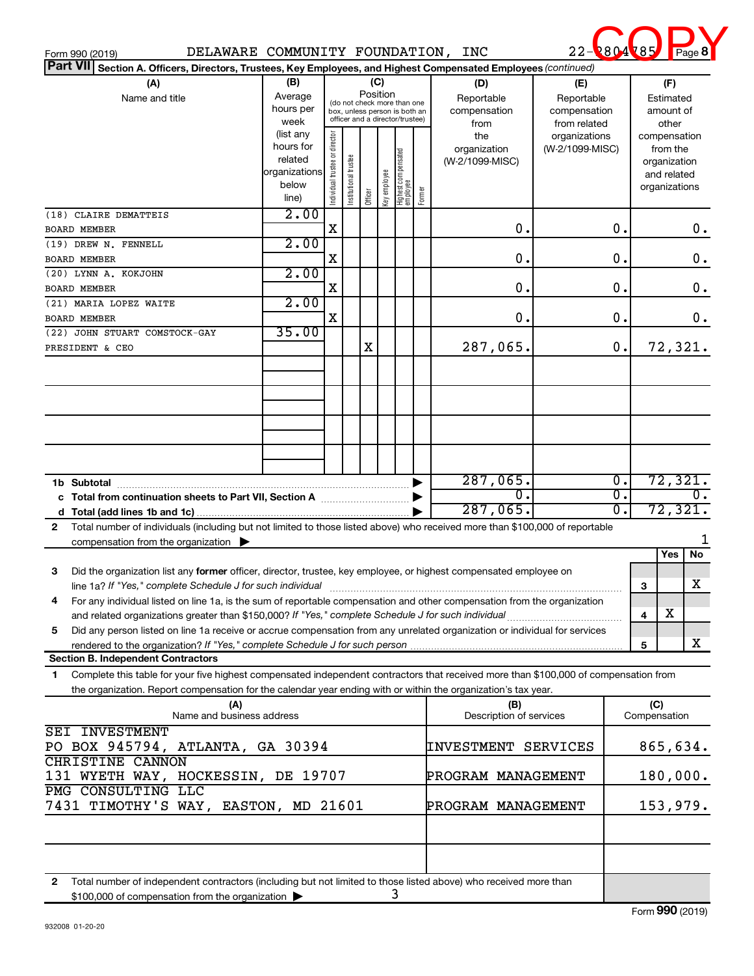| Form 990 (2019)                                                                                                                                                                                                                                                                                                                                                                                                                                                 | DELAWARE COMMUNITY FOUNDATION, INC                                                                   |                                |                       |         |                          |                                                                                                                                    |        |                                                                              | <b>2804</b>                                                                    | 285<br>Page                                                                                                 |
|-----------------------------------------------------------------------------------------------------------------------------------------------------------------------------------------------------------------------------------------------------------------------------------------------------------------------------------------------------------------------------------------------------------------------------------------------------------------|------------------------------------------------------------------------------------------------------|--------------------------------|-----------------------|---------|--------------------------|------------------------------------------------------------------------------------------------------------------------------------|--------|------------------------------------------------------------------------------|--------------------------------------------------------------------------------|-------------------------------------------------------------------------------------------------------------|
| <b>Part VII</b><br>Section A. Officers, Directors, Trustees, Key Employees, and Highest Compensated Employees (continued)<br>(A)                                                                                                                                                                                                                                                                                                                                | (B)                                                                                                  |                                |                       | (C)     |                          |                                                                                                                                    |        | (D)                                                                          | (E)                                                                            | (F)                                                                                                         |
| Name and title                                                                                                                                                                                                                                                                                                                                                                                                                                                  | Average<br>hours per<br>week<br>(list any<br>hours for<br>related<br>organizations<br>below<br>line) | Individual trustee or director | Institutional trustee | Officer | Position<br>Key employee | (do not check more than one<br>box, unless person is both an<br>officer and a director/trustee)<br>Highest compensated<br>employee | Former | Reportable<br>compensation<br>from<br>the<br>organization<br>(W-2/1099-MISC) | Reportable<br>compensation<br>from related<br>organizations<br>(W-2/1099-MISC) | Estimated<br>amount of<br>other<br>compensation<br>from the<br>organization<br>and related<br>organizations |
| (18) CLAIRE DEMATTEIS                                                                                                                                                                                                                                                                                                                                                                                                                                           | 2.00                                                                                                 | X                              |                       |         |                          |                                                                                                                                    |        | О.                                                                           | $\mathbf 0$ .                                                                  | 0.                                                                                                          |
| <b>BOARD MEMBER</b><br>(19) DREW N. FENNELL<br><b>BOARD MEMBER</b>                                                                                                                                                                                                                                                                                                                                                                                              | 2.00                                                                                                 | $\mathbf X$                    |                       |         |                          |                                                                                                                                    |        | $\mathbf 0$ .                                                                | $\mathbf 0$ .                                                                  | 0.                                                                                                          |
| (20) LYNN A. KOKJOHN<br><b>BOARD MEMBER</b>                                                                                                                                                                                                                                                                                                                                                                                                                     | 2.00                                                                                                 | X                              |                       |         |                          |                                                                                                                                    |        | 0.                                                                           | $\mathbf 0$ .                                                                  | 0.                                                                                                          |
| (21) MARIA LOPEZ WAITE                                                                                                                                                                                                                                                                                                                                                                                                                                          | 2.00                                                                                                 | X                              |                       |         |                          |                                                                                                                                    |        | 0.                                                                           | $\mathbf 0$ .                                                                  | $0$ .                                                                                                       |
| <b>BOARD MEMBER</b><br>35.00<br>(22) JOHN STUART COMSTOCK-GAY<br>$\mathbf 0$ .<br>X<br>287,065.<br>PRESIDENT & CEO                                                                                                                                                                                                                                                                                                                                              |                                                                                                      |                                |                       |         |                          |                                                                                                                                    |        |                                                                              |                                                                                | 72,321.                                                                                                     |
| c<br>d<br>Total number of individuals (including but not limited to those listed above) who received more than \$100,000 of reportable<br>$\mathbf{2}$<br>compensation from the organization $\blacktriangleright$<br>Did the organization list any former officer, director, trustee, key employee, or highest compensated employee on<br>з<br>line 1a? If "Yes," complete Schedule J for such individual [11] manufacture manufacture in the set of the set o |                                                                                                      |                                |                       |         |                          |                                                                                                                                    |        | $287,065$ .<br>0.<br>$287,065$ .                                             | $\overline{0}$ .<br>$\overline{\mathfrak{o}}$ .<br>$\overline{0}$ .            | 72,321<br>72,321<br>Yes<br>No<br>х<br>3                                                                     |
| For any individual listed on line 1a, is the sum of reportable compensation and other compensation from the organization<br>4<br>Did any person listed on line 1a receive or accrue compensation from any unrelated organization or individual for services<br>5                                                                                                                                                                                                |                                                                                                      |                                |                       |         |                          |                                                                                                                                    |        |                                                                              |                                                                                | х<br>4                                                                                                      |
| <b>Section B. Independent Contractors</b>                                                                                                                                                                                                                                                                                                                                                                                                                       |                                                                                                      |                                |                       |         |                          |                                                                                                                                    |        |                                                                              |                                                                                | х<br>5                                                                                                      |
| Complete this table for your five highest compensated independent contractors that received more than \$100,000 of compensation from<br>1.<br>the organization. Report compensation for the calendar year ending with or within the organization's tax year.                                                                                                                                                                                                    |                                                                                                      |                                |                       |         |                          |                                                                                                                                    |        |                                                                              |                                                                                |                                                                                                             |
| (A)<br>Name and business address                                                                                                                                                                                                                                                                                                                                                                                                                                |                                                                                                      |                                |                       |         |                          |                                                                                                                                    |        | (B)<br>Description of services                                               |                                                                                | (C)<br>Compensation                                                                                         |
| <b>SEI INVESTMENT</b><br>PO BOX 945794, ATLANTA, GA 30394<br><b>CHRISTINE CANNON</b>                                                                                                                                                                                                                                                                                                                                                                            |                                                                                                      |                                |                       |         |                          |                                                                                                                                    |        | INVESTMENT SERVICES                                                          |                                                                                | 865,634.                                                                                                    |
| 131 WYETH WAY, HOCKESSIN, DE 19707                                                                                                                                                                                                                                                                                                                                                                                                                              |                                                                                                      |                                |                       |         |                          |                                                                                                                                    |        | PROGRAM MANAGEMENT                                                           |                                                                                | 180,000.                                                                                                    |

**2** Total number of independent contractors (including but not limited to those listed above) who received more than \$100,000 of compensation from the organization 3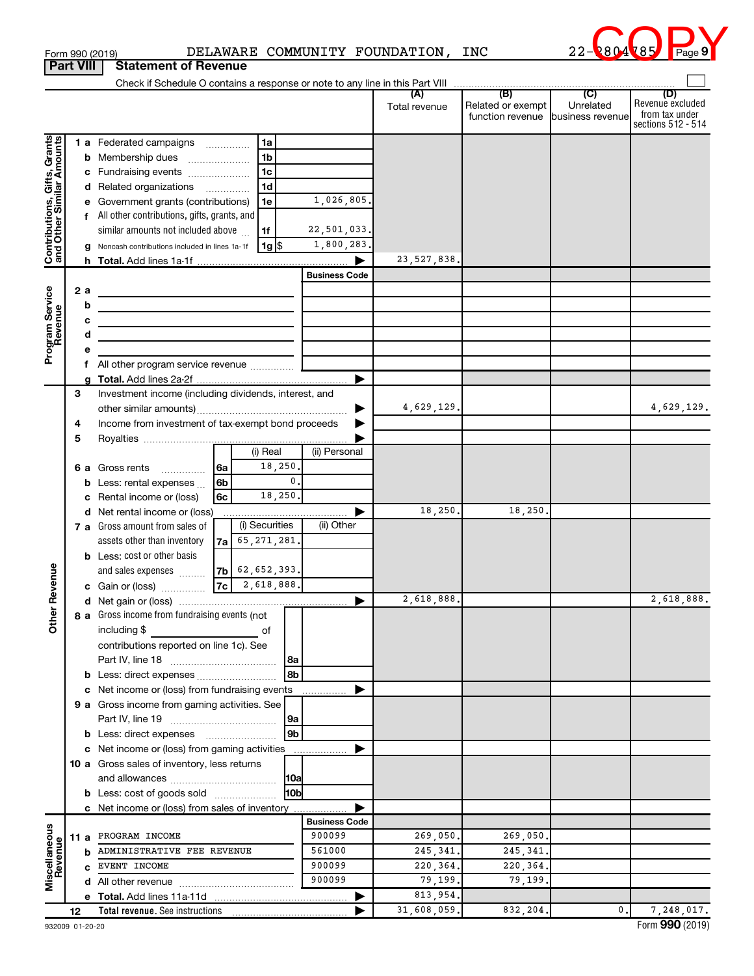| Form 990 (2019)  |                             |  | DELAWARE COMMUNITY FOUNDATION | INC | 22-2804785 Page |  |
|------------------|-----------------------------|--|-------------------------------|-----|-----------------|--|
| <b>Part VIII</b> | <b>Statement of Revenue</b> |  |                               |     |                 |  |



|                                                           |    |    |                                                                            |                      |                      |                     | (B)                                   | $\overline{C}$                | (D)                                |
|-----------------------------------------------------------|----|----|----------------------------------------------------------------------------|----------------------|----------------------|---------------------|---------------------------------------|-------------------------------|------------------------------------|
|                                                           |    |    |                                                                            |                      |                      | Total revenue       | Related or exempt<br>function revenue | Unrelated<br>business revenue | Revenue excluded<br>from tax under |
|                                                           |    |    |                                                                            |                      |                      |                     |                                       |                               | sections 512 - 514                 |
|                                                           |    |    | 1 a Federated campaigns                                                    | 1a                   |                      |                     |                                       |                               |                                    |
|                                                           |    |    | <b>b</b> Membership dues                                                   | 1 <sub>b</sub>       |                      |                     |                                       |                               |                                    |
|                                                           |    |    | c Fundraising events                                                       | 1c                   |                      |                     |                                       |                               |                                    |
|                                                           |    |    | d Related organizations                                                    | 1d                   |                      |                     |                                       |                               |                                    |
|                                                           |    |    | e Government grants (contributions)                                        | 1e                   | 1,026,805.           |                     |                                       |                               |                                    |
|                                                           |    |    | f All other contributions, gifts, grants, and                              |                      |                      |                     |                                       |                               |                                    |
|                                                           |    |    | similar amounts not included above                                         | 1f                   | 22,501,033.          |                     |                                       |                               |                                    |
|                                                           |    |    | g Noncash contributions included in lines 1a-1f                            | $1g$ $\frac{1}{3}$   | 1,800,283.           |                     |                                       |                               |                                    |
| Contributions, Gifts, Grants<br>and Other Similar Amounts |    |    |                                                                            |                      | ▶                    | 23, 527, 838.       |                                       |                               |                                    |
|                                                           |    |    |                                                                            |                      | <b>Business Code</b> |                     |                                       |                               |                                    |
|                                                           |    | 2a |                                                                            |                      |                      |                     |                                       |                               |                                    |
|                                                           |    |    | <u> 1989 - Johann Stein, mars an de Brasilia (b. 19</u>                    |                      |                      |                     |                                       |                               |                                    |
|                                                           |    | b  |                                                                            |                      |                      |                     |                                       |                               |                                    |
|                                                           |    | с  | the control of the control of the control of the control of the control of |                      |                      |                     |                                       |                               |                                    |
|                                                           |    | d  | the control of the control of the control of the control of the control of |                      |                      |                     |                                       |                               |                                    |
| Program Service<br>Revenue                                |    | е  |                                                                            |                      |                      |                     |                                       |                               |                                    |
|                                                           |    |    | f All other program service revenue                                        |                      |                      |                     |                                       |                               |                                    |
|                                                           | 3  | a  | Investment income (including dividends, interest, and                      |                      |                      |                     |                                       |                               |                                    |
|                                                           |    |    |                                                                            |                      |                      | 4,629,129.          |                                       |                               | 4,629,129.                         |
|                                                           |    |    |                                                                            |                      |                      |                     |                                       |                               |                                    |
|                                                           | 4  |    | Income from investment of tax-exempt bond proceeds                         |                      |                      |                     |                                       |                               |                                    |
|                                                           | 5  |    |                                                                            | (i) Real             | (ii) Personal        |                     |                                       |                               |                                    |
|                                                           |    |    |                                                                            | 18,250.              |                      |                     |                                       |                               |                                    |
|                                                           |    |    | l 6a<br><b>6 a</b> Gross rents<br>6b                                       | 0.                   |                      |                     |                                       |                               |                                    |
|                                                           |    |    | <b>b</b> Less: rental expenses $\ldots$<br>6с                              | 18,250.              |                      |                     |                                       |                               |                                    |
|                                                           |    |    | c Rental income or (loss)<br>d Net rental income or (loss)                 |                      |                      | 18,250.             | 18,250                                |                               |                                    |
|                                                           |    |    | 7 a Gross amount from sales of                                             | (i) Securities       | (ii) Other           |                     |                                       |                               |                                    |
|                                                           |    |    | $7a$ 65, 271, 281.                                                         |                      |                      |                     |                                       |                               |                                    |
|                                                           |    |    | assets other than inventory                                                |                      |                      |                     |                                       |                               |                                    |
|                                                           |    |    | <b>b</b> Less: cost or other basis<br>$ 7b $ 62, 652, 393.                 |                      |                      |                     |                                       |                               |                                    |
|                                                           |    |    | and sales expenses                                                         |                      |                      |                     |                                       |                               |                                    |
| <b>Other Revenue</b>                                      |    |    |                                                                            |                      |                      |                     |                                       |                               |                                    |
|                                                           |    |    |                                                                            |                      |                      | 2,618,888.          |                                       |                               | 2,618,888.                         |
|                                                           |    |    | 8 a Gross income from fundraising events (not                              |                      |                      |                     |                                       |                               |                                    |
|                                                           |    |    | including \$                                                               |                      |                      |                     |                                       |                               |                                    |
|                                                           |    |    | contributions reported on line 1c). See                                    |                      |                      |                     |                                       |                               |                                    |
|                                                           |    |    |                                                                            | 8a<br>8b             |                      |                     |                                       |                               |                                    |
|                                                           |    |    |                                                                            |                      |                      |                     |                                       |                               |                                    |
|                                                           |    |    | c Net income or (loss) from fundraising events                             |                      |                      |                     |                                       |                               |                                    |
|                                                           |    |    | 9 a Gross income from gaming activities. See                               |                      |                      |                     |                                       |                               |                                    |
|                                                           |    |    |                                                                            | 9a<br>9 <sub>b</sub> |                      |                     |                                       |                               |                                    |
|                                                           |    |    | <b>b</b> Less: direct expenses <b>manually</b>                             |                      |                      |                     |                                       |                               |                                    |
|                                                           |    |    | c Net income or (loss) from gaming activities                              |                      |                      |                     |                                       |                               |                                    |
|                                                           |    |    | 10 a Gross sales of inventory, less returns                                |                      |                      |                     |                                       |                               |                                    |
|                                                           |    |    |                                                                            | 10a                  |                      |                     |                                       |                               |                                    |
|                                                           |    |    | <b>b</b> Less: cost of goods sold                                          | 10b                  |                      |                     |                                       |                               |                                    |
|                                                           |    |    | c Net income or (loss) from sales of inventory                             |                      | <b>Business Code</b> |                     |                                       |                               |                                    |
|                                                           |    |    | 11 a PROGRAM INCOME                                                        |                      | 900099               | 269,050.            | 269,050.                              |                               |                                    |
|                                                           |    |    | <b>b</b> ADMINISTRATIVE FEE REVENUE                                        |                      | 561000               |                     |                                       |                               |                                    |
|                                                           |    |    |                                                                            |                      | 900099               | 245, 341.           | 245, 341.                             |                               |                                    |
| Miscellaneous<br>Revenue                                  |    |    | C EVENT INCOME                                                             |                      | 900099               | 220,364.<br>79,199. | 220,364.<br>79,199.                   |                               |                                    |
|                                                           |    |    |                                                                            |                      |                      | 813,954.            |                                       |                               |                                    |
|                                                           |    |    |                                                                            |                      | ▶                    |                     |                                       | $\mathbf{0}$                  |                                    |
|                                                           | 12 |    |                                                                            |                      |                      | 31,608,059.         | 832,204.                              |                               | 7,248,017.                         |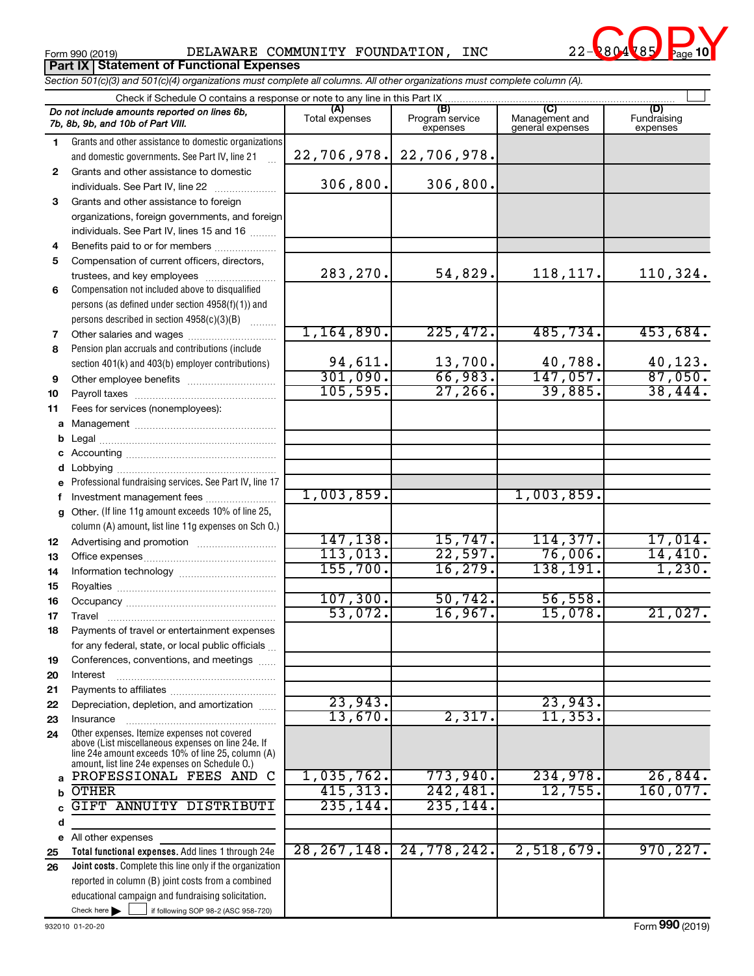Form 990 (2019) DELAWARE COMMUNITY FOUNDATION, INC 22-2804785 Page **Part IX Statement of Functional Expenses**



*Section 501(c)(3) and 501(c)(4) organizations must complete all columns. All other organizations must complete column (A).*

|              | Check if Schedule O contains a response or note to any line in this Part IX.                       |                       |                                    |                                           |                                |
|--------------|----------------------------------------------------------------------------------------------------|-----------------------|------------------------------------|-------------------------------------------|--------------------------------|
|              | Do not include amounts reported on lines 6b,<br>7b, 8b, 9b, and 10b of Part VIII.                  | (A)<br>Total expenses | (B)<br>Program service<br>expenses | (C)<br>Management and<br>general expenses | (D)<br>Fundraising<br>expenses |
| 1.           | Grants and other assistance to domestic organizations                                              |                       |                                    |                                           |                                |
|              | and domestic governments. See Part IV, line 21                                                     | 22,706,978.           | 22,706,978.                        |                                           |                                |
| $\mathbf{2}$ | Grants and other assistance to domestic                                                            |                       |                                    |                                           |                                |
|              | individuals. See Part IV, line 22                                                                  | 306,800.              | 306,800.                           |                                           |                                |
| 3            | Grants and other assistance to foreign                                                             |                       |                                    |                                           |                                |
|              | organizations, foreign governments, and foreign                                                    |                       |                                    |                                           |                                |
|              | individuals. See Part IV, lines 15 and 16                                                          |                       |                                    |                                           |                                |
| 4            | Benefits paid to or for members                                                                    |                       |                                    |                                           |                                |
| 5            | Compensation of current officers, directors,                                                       |                       |                                    |                                           |                                |
|              | trustees, and key employees                                                                        | 283,270.              | 54,829.                            | 118, 117.                                 | 110,324.                       |
| 6            | Compensation not included above to disqualified                                                    |                       |                                    |                                           |                                |
|              | persons (as defined under section 4958(f)(1)) and                                                  |                       |                                    |                                           |                                |
|              | persons described in section 4958(c)(3)(B)                                                         |                       |                                    |                                           |                                |
| 7            | Other salaries and wages                                                                           | 1,164,890.            | 225,472.                           | 485,734.                                  | 453,684.                       |
| 8            | Pension plan accruals and contributions (include                                                   |                       |                                    |                                           |                                |
|              | section 401(k) and 403(b) employer contributions)                                                  | 94,611.               | $\frac{13,700}{66,983}$ .          | $\frac{40,788}{147,057}$                  | $\frac{40,123}{87,050}$        |
| 9            | Other employee benefits                                                                            | 301,090.              |                                    |                                           |                                |
| 10           |                                                                                                    | 105, 595.             | 27, 266.                           | 39,885.                                   | 38,444.                        |
| 11           | Fees for services (nonemployees):                                                                  |                       |                                    |                                           |                                |
|              |                                                                                                    |                       |                                    |                                           |                                |
|              |                                                                                                    |                       |                                    |                                           |                                |
|              |                                                                                                    |                       |                                    |                                           |                                |
|              |                                                                                                    |                       |                                    |                                           |                                |
|              | Professional fundraising services. See Part IV, line 17                                            |                       |                                    |                                           |                                |
|              | Investment management fees                                                                         | 1,003,859.            |                                    | 1,003,859.                                |                                |
| g            | Other. (If line 11g amount exceeds 10% of line 25,                                                 |                       |                                    |                                           |                                |
|              | column (A) amount, list line 11g expenses on Sch O.)                                               |                       |                                    |                                           |                                |
| 12           |                                                                                                    | 147,138.              | 15,747.                            | 114,377.                                  | 17,014.                        |
| 13           |                                                                                                    | 113,013.              | 22,597.                            | 76,006.                                   | 14,410.                        |
| 14           |                                                                                                    | 155,700.              | 16, 279.                           | 138,191.                                  | 1,230.                         |
| 15           |                                                                                                    |                       |                                    |                                           |                                |
| 16           |                                                                                                    | 107,300.              | 50, 742.                           | 56,558.                                   |                                |
| 17           |                                                                                                    | 53,072.               | 16,967.                            | 15,078.                                   | 21,027.                        |
| 18           | Payments of travel or entertainment expenses                                                       |                       |                                    |                                           |                                |
|              | for any federal, state, or local public officials                                                  |                       |                                    |                                           |                                |
| 19           | Conferences, conventions, and meetings                                                             |                       |                                    |                                           |                                |
| 20           | Interest                                                                                           |                       |                                    |                                           |                                |
| 21           |                                                                                                    |                       |                                    |                                           |                                |
| 22           | Depreciation, depletion, and amortization                                                          | 23,943.<br>13,670.    | 2,317.                             | 23,943.<br>11, 353.                       |                                |
| 23           | Insurance                                                                                          |                       |                                    |                                           |                                |
| 24           | Other expenses. Itemize expenses not covered<br>above (List miscellaneous expenses on line 24e. If |                       |                                    |                                           |                                |
|              | line 24e amount exceeds 10% of line 25, column (A)                                                 |                       |                                    |                                           |                                |
|              | amount, list line 24e expenses on Schedule O.)<br>PROFESSIONAL FEES AND C                          | 1,035,762.            | 773,940.                           | 234,978.                                  | 26,844.                        |
| a            | <b>OTHER</b>                                                                                       | 415,313.              | 242,481.                           | 12,755.                                   | 160,077.                       |
|              | GIFT ANNUITY DISTRIBUTI                                                                            | 235, 144.             | 235,144.                           |                                           |                                |
|              |                                                                                                    |                       |                                    |                                           |                                |
| d            | All other expenses                                                                                 |                       |                                    |                                           |                                |
| е<br>25      | Total functional expenses. Add lines 1 through 24e                                                 | 28, 267, 148.         | 24,778,242.                        | 2,518,679.                                | 970, 227.                      |
| 26           | Joint costs. Complete this line only if the organization                                           |                       |                                    |                                           |                                |
|              | reported in column (B) joint costs from a combined                                                 |                       |                                    |                                           |                                |
|              | educational campaign and fundraising solicitation.                                                 |                       |                                    |                                           |                                |
|              | Check here $\blacktriangleright$<br>if following SOP 98-2 (ASC 958-720)                            |                       |                                    |                                           |                                |
|              |                                                                                                    |                       |                                    |                                           |                                |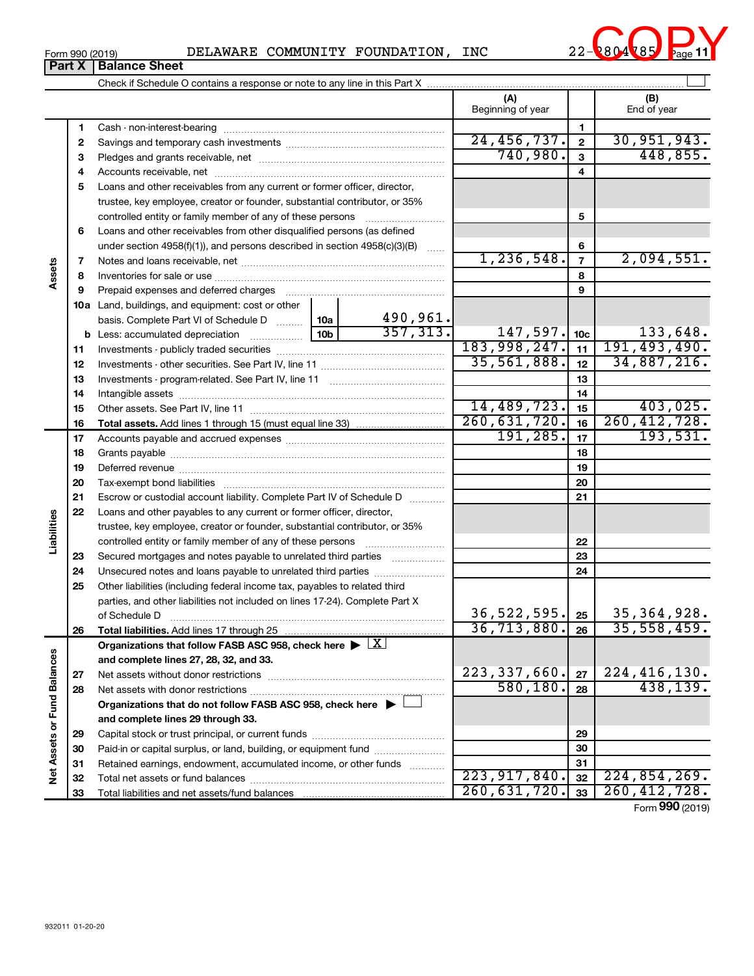| 2804785<br>ົ<br>INC<br>COMMUNITY FOUNDATION,<br>DELAWARE<br>Form 990 (2019)<br>-44-<br>Page |
|---------------------------------------------------------------------------------------------|
|---------------------------------------------------------------------------------------------|

 $\perp$ Check if Schedule O contains a response or note to any line in this Part X **(A) (B)** Beginning of year  $\begin{vmatrix} 1 & 1 \end{vmatrix}$  End of year **1 1** Cash - non-interest-bearing ~~~~~~~~~~~~~~~~~~~~~~~~~  $\overline{24, 456, 737.}$  2 30,951,943. **2 2** Savings and temporary cash investments ~~~~~~~~~~~~~~~~~~ 740,980. 448,855. **3 3** Pledges and grants receivable, net ~~~~~~~~~~~~~~~~~~~~~ **4 4** Accounts receivable, net ~~~~~~~~~~~~~~~~~~~~~~~~~~ **5** Loans and other receivables from any current or former officer, director, trustee, key employee, creator or founder, substantial contributor, or 35% controlled entity or family member of any of these persons  $\ldots$ ........................ **5 6** Loans and other receivables from other disqualified persons (as defined under section 4958(f)(1)), and persons described in section  $4958(c)(3)(B)$  ...... **6**  $1,236,548.$   $7$  2,094,551. **7 7** Notes and loans receivable, net ~~~~~~~~~~~~~~~~~~~~~~~ **Assets 8 8** Inventories for sale or use ~~~~~~~~~~~~~~~~~~~~~~~~~~ **9 9** Prepaid expenses and deferred charges ~~~~~~~~~~~~~~~~~~ **10 a** Land, buildings, and equipment: cost or other 490,961. basis. Complete Part VI of Schedule D  $\frac{1}{10}$  10a  $357,313.$  147,597.  $|10c|$  133,648. **10c b** Less: accumulated depreciation  $\ldots$  [10b 183,998,247. 11 191,493,490. **11 11** Investments - publicly traded securities ~~~~~~~~~~~~~~~~~~~ 35,561,888. 34,887,216. **12 12** Investments - other securities. See Part IV, line 11 ~~~~~~~~~~~~~~ **13 13** Investments - program-related. See Part IV, line 11 ~~~~~~~~~~~~~ **14 14** Intangible assets ~~~~~~~~~~~~~~~~~~~~~~~~~~~~~~ 14,489,723. 403,025. Other assets. See Part IV, line 11 ~~~~~~~~~~~~~~~~~~~~~~ **15 15** 260,631,720. 260,412,728. **16 16 Total assets.**  Add lines 1 through 15 (must equal line 33)  $191,285.$  17 193,531. **17 17** Accounts payable and accrued expenses ~~~~~~~~~~~~~~~~~~ **18 18** Grants payable ~~~~~~~~~~~~~~~~~~~~~~~~~~~~~~~ **19 19** Deferred revenue ~~~~~~~~~~~~~~~~~~~~~~~~~~~~~~ **20 20** Tax-exempt bond liabilities ~~~~~~~~~~~~~~~~~~~~~~~~~ **21 21** Escrow or custodial account liability. Complete Part IV of Schedule D ........... **22** Loans and other payables to any current or former officer, director, **Liabilities** trustee, key employee, creator or founder, substantial contributor, or 35% **22** controlled entity or family member of any of these persons ~~~~~~~~~ **23** Secured mortgages and notes payable to unrelated third parties **23 24** Unsecured notes and loans payable to unrelated third parties ~~~~~~~~ **24 25** Other liabilities (including federal income tax, payables to related third parties, and other liabilities not included on lines 17-24). Complete Part X 36,522,595**.** 25 35,364,928. of Schedule D ~~~~~~~~~~~~~~~~~~~~~~~~~~~~~~~ **25 26** 36,713,880. 26 35,558,459. **26 Total liabilities.**  Add lines 17 through 25 Organizations that follow FASB ASC 958, check here  $\blacktriangleright \boxed{\text{X}}$ Net Assets or Fund Balances **Net Assets or Fund Balances and complete lines 27, 28, 32, and 33.** 223,337,660. 224,416,130. **27 27** Net assets without donor restrictions ~~~~~~~~~~~~~~~~~~~~ 580,180. 438,139. **28 28** Net assets with donor restrictions ~~~~~~~~~~~~~~~~~~~~~~ **Organizations that do not follow FASB ASC 958, check here** | † **and complete lines 29 through 33. 29 29** Capital stock or trust principal, or current funds ~~~~~~~~~~~~~~~ **30 30** Paid-in or capital surplus, or land, building, or equipment fund ....................... **31 31** Retained earnings, endowment, accumulated income, or other funds ............ Total net assets or fund balances ~~~~~~~~~~~~~~~~~~~~~~ 223,917,840. 32 224,854,269. **32 32** 260,631,720. 33 | 260,412,728. **33 33** Total liabilities and net assets/fund balances ...

Form (2019) **990**



**Part X** | **Balance Sheet**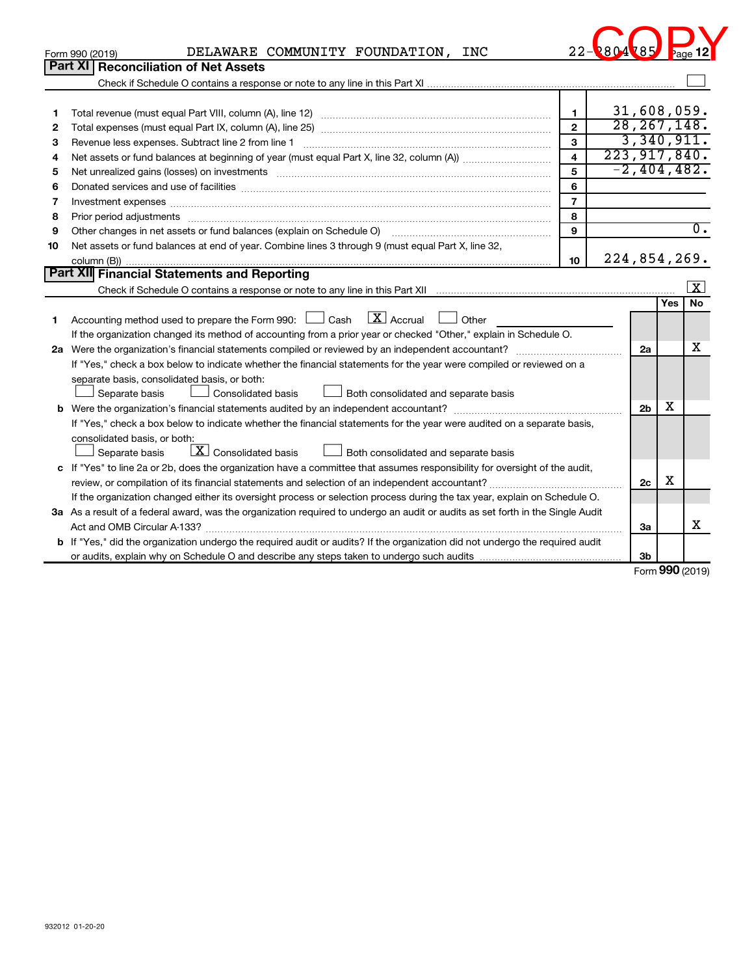| DELAWARE COMMUNITY FOUNDATION, INC<br>Form 990 (2019)<br>Part XI   Reconciliation of Net Assets<br>31,608,059.<br>$\mathbf{1}$<br>1<br>28, 267, 148.<br>$\overline{2}$<br>2<br>3,340,911.<br>$\overline{3}$<br>3<br>223, 917, 840.<br>$\overline{\mathbf{4}}$<br>4<br>$-2,404,482$ .<br>5<br>5<br>Net unrealized gains (losses) on investments [111] matter in the contract of the contract of the contract of the contract of the contract of the contract of the contract of the contract of the contract of the contract of t<br>6<br>Donated services and use of facilities [[111] non-manufacture in the service of facilities [[11] non-manufacture in the service and use of facilities [[11] non-manufacture in the service of facilities [[11] non-manufacture<br>6<br>$\overline{7}$<br>7<br>Investment expenses www.communication.com/www.communication.com/www.communication.com/www.com<br>8<br>8<br>$\overline{0}$ .<br>9<br>Other changes in net assets or fund balances (explain on Schedule O)<br>9<br>Net assets or fund balances at end of year. Combine lines 3 through 9 (must equal Part X, line 32,<br>10<br>224,854,269.<br>10<br>Part XII Financial Statements and Reporting |
|-------------------------------------------------------------------------------------------------------------------------------------------------------------------------------------------------------------------------------------------------------------------------------------------------------------------------------------------------------------------------------------------------------------------------------------------------------------------------------------------------------------------------------------------------------------------------------------------------------------------------------------------------------------------------------------------------------------------------------------------------------------------------------------------------------------------------------------------------------------------------------------------------------------------------------------------------------------------------------------------------------------------------------------------------------------------------------------------------------------------------------------------------------------------------------------------------------|
|                                                                                                                                                                                                                                                                                                                                                                                                                                                                                                                                                                                                                                                                                                                                                                                                                                                                                                                                                                                                                                                                                                                                                                                                       |
|                                                                                                                                                                                                                                                                                                                                                                                                                                                                                                                                                                                                                                                                                                                                                                                                                                                                                                                                                                                                                                                                                                                                                                                                       |
|                                                                                                                                                                                                                                                                                                                                                                                                                                                                                                                                                                                                                                                                                                                                                                                                                                                                                                                                                                                                                                                                                                                                                                                                       |
|                                                                                                                                                                                                                                                                                                                                                                                                                                                                                                                                                                                                                                                                                                                                                                                                                                                                                                                                                                                                                                                                                                                                                                                                       |
|                                                                                                                                                                                                                                                                                                                                                                                                                                                                                                                                                                                                                                                                                                                                                                                                                                                                                                                                                                                                                                                                                                                                                                                                       |
|                                                                                                                                                                                                                                                                                                                                                                                                                                                                                                                                                                                                                                                                                                                                                                                                                                                                                                                                                                                                                                                                                                                                                                                                       |
|                                                                                                                                                                                                                                                                                                                                                                                                                                                                                                                                                                                                                                                                                                                                                                                                                                                                                                                                                                                                                                                                                                                                                                                                       |
|                                                                                                                                                                                                                                                                                                                                                                                                                                                                                                                                                                                                                                                                                                                                                                                                                                                                                                                                                                                                                                                                                                                                                                                                       |
|                                                                                                                                                                                                                                                                                                                                                                                                                                                                                                                                                                                                                                                                                                                                                                                                                                                                                                                                                                                                                                                                                                                                                                                                       |
|                                                                                                                                                                                                                                                                                                                                                                                                                                                                                                                                                                                                                                                                                                                                                                                                                                                                                                                                                                                                                                                                                                                                                                                                       |
|                                                                                                                                                                                                                                                                                                                                                                                                                                                                                                                                                                                                                                                                                                                                                                                                                                                                                                                                                                                                                                                                                                                                                                                                       |
|                                                                                                                                                                                                                                                                                                                                                                                                                                                                                                                                                                                                                                                                                                                                                                                                                                                                                                                                                                                                                                                                                                                                                                                                       |
|                                                                                                                                                                                                                                                                                                                                                                                                                                                                                                                                                                                                                                                                                                                                                                                                                                                                                                                                                                                                                                                                                                                                                                                                       |
|                                                                                                                                                                                                                                                                                                                                                                                                                                                                                                                                                                                                                                                                                                                                                                                                                                                                                                                                                                                                                                                                                                                                                                                                       |
|                                                                                                                                                                                                                                                                                                                                                                                                                                                                                                                                                                                                                                                                                                                                                                                                                                                                                                                                                                                                                                                                                                                                                                                                       |
|                                                                                                                                                                                                                                                                                                                                                                                                                                                                                                                                                                                                                                                                                                                                                                                                                                                                                                                                                                                                                                                                                                                                                                                                       |
| <b>Yes</b><br>No                                                                                                                                                                                                                                                                                                                                                                                                                                                                                                                                                                                                                                                                                                                                                                                                                                                                                                                                                                                                                                                                                                                                                                                      |
| $\overline{\mathbf{X}}$ Accrual<br>Accounting method used to prepare the Form 990: $\Box$ Cash<br>Other<br>1                                                                                                                                                                                                                                                                                                                                                                                                                                                                                                                                                                                                                                                                                                                                                                                                                                                                                                                                                                                                                                                                                          |
| If the organization changed its method of accounting from a prior year or checked "Other," explain in Schedule O.                                                                                                                                                                                                                                                                                                                                                                                                                                                                                                                                                                                                                                                                                                                                                                                                                                                                                                                                                                                                                                                                                     |
| х<br>2a                                                                                                                                                                                                                                                                                                                                                                                                                                                                                                                                                                                                                                                                                                                                                                                                                                                                                                                                                                                                                                                                                                                                                                                               |
| If "Yes," check a box below to indicate whether the financial statements for the year were compiled or reviewed on a                                                                                                                                                                                                                                                                                                                                                                                                                                                                                                                                                                                                                                                                                                                                                                                                                                                                                                                                                                                                                                                                                  |
| separate basis, consolidated basis, or both:                                                                                                                                                                                                                                                                                                                                                                                                                                                                                                                                                                                                                                                                                                                                                                                                                                                                                                                                                                                                                                                                                                                                                          |
| Separate basis<br>Consolidated basis<br>Both consolidated and separate basis                                                                                                                                                                                                                                                                                                                                                                                                                                                                                                                                                                                                                                                                                                                                                                                                                                                                                                                                                                                                                                                                                                                          |
| х<br>2 <sub>b</sub><br>b                                                                                                                                                                                                                                                                                                                                                                                                                                                                                                                                                                                                                                                                                                                                                                                                                                                                                                                                                                                                                                                                                                                                                                              |
| If "Yes," check a box below to indicate whether the financial statements for the year were audited on a separate basis,                                                                                                                                                                                                                                                                                                                                                                                                                                                                                                                                                                                                                                                                                                                                                                                                                                                                                                                                                                                                                                                                               |
| consolidated basis, or both:                                                                                                                                                                                                                                                                                                                                                                                                                                                                                                                                                                                                                                                                                                                                                                                                                                                                                                                                                                                                                                                                                                                                                                          |
| $\boxed{\textbf{X}}$ Consolidated basis<br>Separate basis<br>Both consolidated and separate basis                                                                                                                                                                                                                                                                                                                                                                                                                                                                                                                                                                                                                                                                                                                                                                                                                                                                                                                                                                                                                                                                                                     |
| c If "Yes" to line 2a or 2b, does the organization have a committee that assumes responsibility for oversight of the audit,                                                                                                                                                                                                                                                                                                                                                                                                                                                                                                                                                                                                                                                                                                                                                                                                                                                                                                                                                                                                                                                                           |
| x<br>2c                                                                                                                                                                                                                                                                                                                                                                                                                                                                                                                                                                                                                                                                                                                                                                                                                                                                                                                                                                                                                                                                                                                                                                                               |
| If the organization changed either its oversight process or selection process during the tax year, explain on Schedule O.                                                                                                                                                                                                                                                                                                                                                                                                                                                                                                                                                                                                                                                                                                                                                                                                                                                                                                                                                                                                                                                                             |
| 3a As a result of a federal award, was the organization required to undergo an audit or audits as set forth in the Single Audit                                                                                                                                                                                                                                                                                                                                                                                                                                                                                                                                                                                                                                                                                                                                                                                                                                                                                                                                                                                                                                                                       |
| х<br>За                                                                                                                                                                                                                                                                                                                                                                                                                                                                                                                                                                                                                                                                                                                                                                                                                                                                                                                                                                                                                                                                                                                                                                                               |
| b If "Yes," did the organization undergo the required audit or audits? If the organization did not undergo the required audit                                                                                                                                                                                                                                                                                                                                                                                                                                                                                                                                                                                                                                                                                                                                                                                                                                                                                                                                                                                                                                                                         |
| 3b<br>$000$ (2010)                                                                                                                                                                                                                                                                                                                                                                                                                                                                                                                                                                                                                                                                                                                                                                                                                                                                                                                                                                                                                                                                                                                                                                                    |

Form (2019) **990**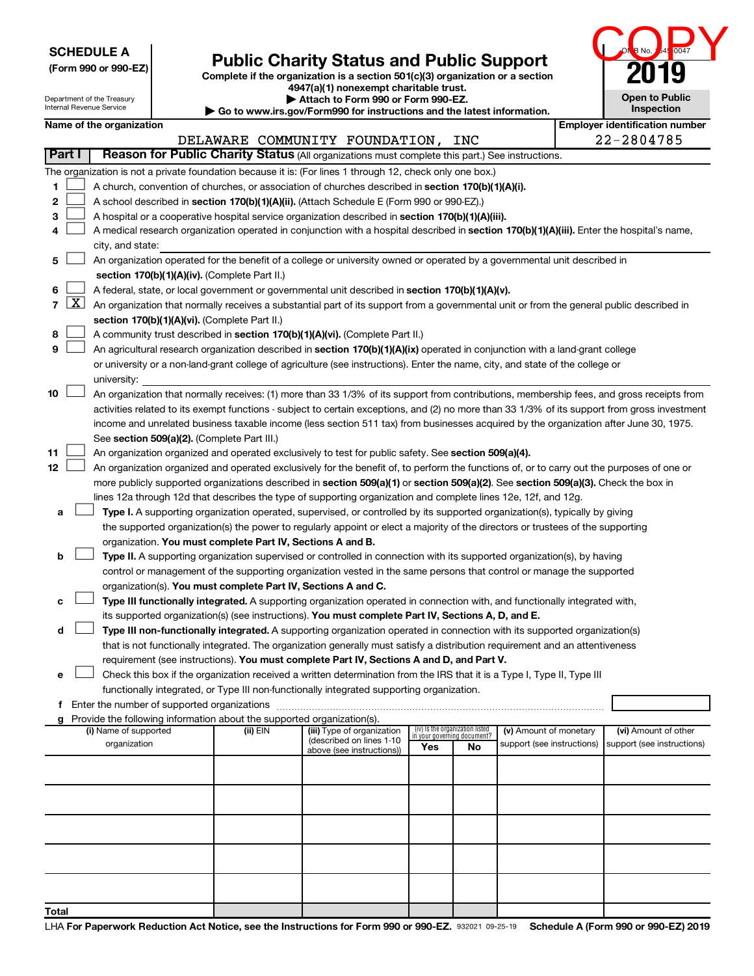| <b>SCHEDULE A</b> |  |
|-------------------|--|
|-------------------|--|

| (Form 990 or 990-EZ) |  |  |  |  |  |  |
|----------------------|--|--|--|--|--|--|
|----------------------|--|--|--|--|--|--|



|                |              | JUNEDULE A<br>(Form 990 or 990-EZ)                     |                                                                        | <b>Public Charity Status and Public Support</b><br>Complete if the organization is a section 501(c)(3) organization or a section                                                                                                                                                 |     |                                 |                                                      |                                                                                                                                               |
|----------------|--------------|--------------------------------------------------------|------------------------------------------------------------------------|----------------------------------------------------------------------------------------------------------------------------------------------------------------------------------------------------------------------------------------------------------------------------------|-----|---------------------------------|------------------------------------------------------|-----------------------------------------------------------------------------------------------------------------------------------------------|
|                |              |                                                        |                                                                        | 4947(a)(1) nonexempt charitable trust.                                                                                                                                                                                                                                           |     |                                 |                                                      |                                                                                                                                               |
|                |              | Department of the Treasury<br>Internal Revenue Service |                                                                        | Attach to Form 990 or Form 990-EZ.                                                                                                                                                                                                                                               |     |                                 |                                                      | <b>Open to Public</b><br><b>Inspection</b>                                                                                                    |
|                |              | Name of the organization                               |                                                                        | Go to www.irs.gov/Form990 for instructions and the latest information.                                                                                                                                                                                                           |     |                                 |                                                      | <b>Employer identification number</b>                                                                                                         |
|                |              |                                                        |                                                                        | DELAWARE COMMUNITY FOUNDATION,                                                                                                                                                                                                                                                   |     | INC                             |                                                      | 22-2804785                                                                                                                                    |
|                | Part I       |                                                        |                                                                        | Reason for Public Charity Status (All organizations must complete this part.) See instructions.                                                                                                                                                                                  |     |                                 |                                                      |                                                                                                                                               |
|                |              |                                                        |                                                                        | The organization is not a private foundation because it is: (For lines 1 through 12, check only one box.)                                                                                                                                                                        |     |                                 |                                                      |                                                                                                                                               |
| 1              |              |                                                        |                                                                        | A church, convention of churches, or association of churches described in section 170(b)(1)(A)(i).                                                                                                                                                                               |     |                                 |                                                      |                                                                                                                                               |
| 2              |              |                                                        |                                                                        | A school described in section 170(b)(1)(A)(ii). (Attach Schedule E (Form 990 or 990-EZ).)                                                                                                                                                                                        |     |                                 |                                                      |                                                                                                                                               |
| З              |              |                                                        |                                                                        | A hospital or a cooperative hospital service organization described in section 170(b)(1)(A)(iii).                                                                                                                                                                                |     |                                 |                                                      |                                                                                                                                               |
| 4              |              |                                                        |                                                                        | A medical research organization operated in conjunction with a hospital described in section 170(b)(1)(A)(iii). Enter the hospital's name,                                                                                                                                       |     |                                 |                                                      |                                                                                                                                               |
|                |              | city, and state:                                       |                                                                        |                                                                                                                                                                                                                                                                                  |     |                                 |                                                      |                                                                                                                                               |
| 5              |              |                                                        |                                                                        | An organization operated for the benefit of a college or university owned or operated by a governmental unit described in                                                                                                                                                        |     |                                 |                                                      |                                                                                                                                               |
|                |              |                                                        | section 170(b)(1)(A)(iv). (Complete Part II.)                          |                                                                                                                                                                                                                                                                                  |     |                                 |                                                      |                                                                                                                                               |
| 6              |              |                                                        |                                                                        | A federal, state, or local government or governmental unit described in section 170(b)(1)(A)(v).                                                                                                                                                                                 |     |                                 |                                                      |                                                                                                                                               |
| $\overline{7}$ | <u>  X  </u> |                                                        |                                                                        | An organization that normally receives a substantial part of its support from a governmental unit or from the general public described in                                                                                                                                        |     |                                 |                                                      |                                                                                                                                               |
| 8              |              |                                                        | section 170(b)(1)(A)(vi). (Complete Part II.)                          | A community trust described in section 170(b)(1)(A)(vi). (Complete Part II.)                                                                                                                                                                                                     |     |                                 |                                                      |                                                                                                                                               |
| 9              |              |                                                        |                                                                        | An agricultural research organization described in section 170(b)(1)(A)(ix) operated in conjunction with a land-grant college                                                                                                                                                    |     |                                 |                                                      |                                                                                                                                               |
|                |              |                                                        |                                                                        | or university or a non-land-grant college of agriculture (see instructions). Enter the name, city, and state of the college or                                                                                                                                                   |     |                                 |                                                      |                                                                                                                                               |
|                |              | university:                                            |                                                                        |                                                                                                                                                                                                                                                                                  |     |                                 |                                                      |                                                                                                                                               |
| 10             |              |                                                        |                                                                        | An organization that normally receives: (1) more than 33 1/3% of its support from contributions, membership fees, and gross receipts from                                                                                                                                        |     |                                 |                                                      |                                                                                                                                               |
|                |              |                                                        |                                                                        |                                                                                                                                                                                                                                                                                  |     |                                 |                                                      | activities related to its exempt functions - subject to certain exceptions, and (2) no more than 33 1/3% of its support from gross investment |
|                |              |                                                        |                                                                        | income and unrelated business taxable income (less section 511 tax) from businesses acquired by the organization after June 30, 1975.                                                                                                                                            |     |                                 |                                                      |                                                                                                                                               |
|                |              |                                                        | See section 509(a)(2). (Complete Part III.)                            |                                                                                                                                                                                                                                                                                  |     |                                 |                                                      |                                                                                                                                               |
| 11             |              |                                                        |                                                                        | An organization organized and operated exclusively to test for public safety. See section 509(a)(4).                                                                                                                                                                             |     |                                 |                                                      |                                                                                                                                               |
| 12             |              |                                                        |                                                                        | An organization organized and operated exclusively for the benefit of, to perform the functions of, or to carry out the purposes of one or<br>more publicly supported organizations described in section 509(a)(1) or section 509(a)(2). See section 509(a)(3). Check the box in |     |                                 |                                                      |                                                                                                                                               |
|                |              |                                                        |                                                                        | lines 12a through 12d that describes the type of supporting organization and complete lines 12e, 12f, and 12g.                                                                                                                                                                   |     |                                 |                                                      |                                                                                                                                               |
| а              |              |                                                        |                                                                        | Type I. A supporting organization operated, supervised, or controlled by its supported organization(s), typically by giving                                                                                                                                                      |     |                                 |                                                      |                                                                                                                                               |
|                |              |                                                        |                                                                        | the supported organization(s) the power to regularly appoint or elect a majority of the directors or trustees of the supporting                                                                                                                                                  |     |                                 |                                                      |                                                                                                                                               |
|                |              |                                                        | organization. You must complete Part IV, Sections A and B.             |                                                                                                                                                                                                                                                                                  |     |                                 |                                                      |                                                                                                                                               |
| b              |              |                                                        |                                                                        | Type II. A supporting organization supervised or controlled in connection with its supported organization(s), by having                                                                                                                                                          |     |                                 |                                                      |                                                                                                                                               |
|                |              |                                                        |                                                                        | control or management of the supporting organization vested in the same persons that control or manage the supported                                                                                                                                                             |     |                                 |                                                      |                                                                                                                                               |
|                |              |                                                        | organization(s). You must complete Part IV, Sections A and C.          |                                                                                                                                                                                                                                                                                  |     |                                 |                                                      |                                                                                                                                               |
| с              |              |                                                        |                                                                        | Type III functionally integrated. A supporting organization operated in connection with, and functionally integrated with,                                                                                                                                                       |     |                                 |                                                      |                                                                                                                                               |
| d              |              |                                                        |                                                                        | its supported organization(s) (see instructions). You must complete Part IV, Sections A, D, and E.<br>Type III non-functionally integrated. A supporting organization operated in connection with its supported organization(s)                                                  |     |                                 |                                                      |                                                                                                                                               |
|                |              |                                                        |                                                                        | that is not functionally integrated. The organization generally must satisfy a distribution requirement and an attentiveness                                                                                                                                                     |     |                                 |                                                      |                                                                                                                                               |
|                |              |                                                        |                                                                        | requirement (see instructions). You must complete Part IV, Sections A and D, and Part V.                                                                                                                                                                                         |     |                                 |                                                      |                                                                                                                                               |
| е              |              |                                                        |                                                                        | Check this box if the organization received a written determination from the IRS that it is a Type I, Type II, Type III                                                                                                                                                          |     |                                 |                                                      |                                                                                                                                               |
|                |              |                                                        |                                                                        | functionally integrated, or Type III non-functionally integrated supporting organization.                                                                                                                                                                                        |     |                                 |                                                      |                                                                                                                                               |
| f              |              | Enter the number of supported organizations            |                                                                        |                                                                                                                                                                                                                                                                                  |     |                                 |                                                      |                                                                                                                                               |
|                |              |                                                        | Provide the following information about the supported organization(s). |                                                                                                                                                                                                                                                                                  |     | (iv) Is the organization listed |                                                      |                                                                                                                                               |
|                |              | (i) Name of supported<br>organization                  | (ii) EIN                                                               | (iii) Type of organization<br>(described on lines 1-10)                                                                                                                                                                                                                          |     | in your governing document?     | (v) Amount of monetary<br>support (see instructions) | (vi) Amount of other<br>support (see instructions)                                                                                            |
|                |              |                                                        |                                                                        | above (see instructions))                                                                                                                                                                                                                                                        | Yes | No                              |                                                      |                                                                                                                                               |
|                |              |                                                        |                                                                        |                                                                                                                                                                                                                                                                                  |     |                                 |                                                      |                                                                                                                                               |
|                |              |                                                        |                                                                        |                                                                                                                                                                                                                                                                                  |     |                                 |                                                      |                                                                                                                                               |
|                |              |                                                        |                                                                        |                                                                                                                                                                                                                                                                                  |     |                                 |                                                      |                                                                                                                                               |
|                |              |                                                        |                                                                        |                                                                                                                                                                                                                                                                                  |     |                                 |                                                      |                                                                                                                                               |
|                |              |                                                        |                                                                        |                                                                                                                                                                                                                                                                                  |     |                                 |                                                      |                                                                                                                                               |
|                |              |                                                        |                                                                        |                                                                                                                                                                                                                                                                                  |     |                                 |                                                      |                                                                                                                                               |
|                |              |                                                        |                                                                        |                                                                                                                                                                                                                                                                                  |     |                                 |                                                      |                                                                                                                                               |
|                |              |                                                        |                                                                        |                                                                                                                                                                                                                                                                                  |     |                                 |                                                      |                                                                                                                                               |
|                |              |                                                        |                                                                        |                                                                                                                                                                                                                                                                                  |     |                                 |                                                      |                                                                                                                                               |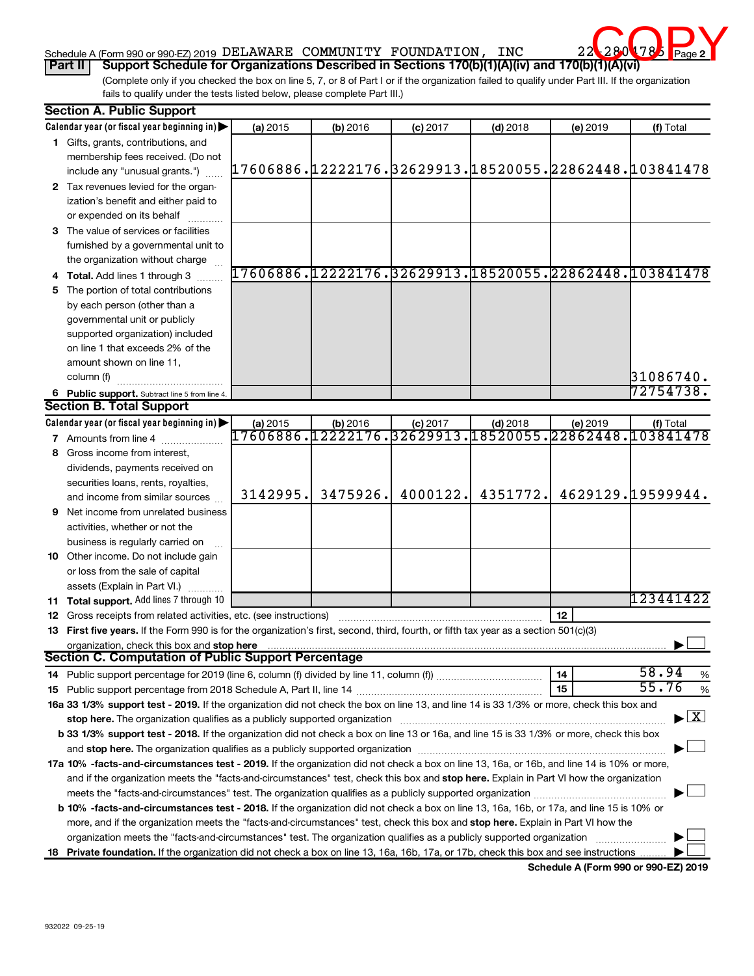# Schedule A (Form 990 or 990-EZ) 2019 DELAWARE COMMUNITY FOUNDATION, INC 22-2804785 Page **Part II** Support Schedule for Organizations Described in Sections 170(b)(1)(A)(iv) and 170(b)(1)(A)(vi)<br>Part II Support Schedule for Organizations Described in Sections 170(b)(1)(A)(iv) and 170(b)(1)(A)(vi)



(Complete only if you checked the box on line 5, 7, or 8 of Part I or if the organization failed to qualify under Part III. If the organization fails to qualify under the tests listed below, please complete Part III.)

| <b>Section A. Public Support</b>                                                                                                                                                                                               |                                                        |            |                                                        |            |          |                                 |  |
|--------------------------------------------------------------------------------------------------------------------------------------------------------------------------------------------------------------------------------|--------------------------------------------------------|------------|--------------------------------------------------------|------------|----------|---------------------------------|--|
| Calendar year (or fiscal year beginning in)                                                                                                                                                                                    | (a) 2015                                               | (b) 2016   | $(c)$ 2017                                             | $(d)$ 2018 | (e) 2019 | (f) Total                       |  |
| 1 Gifts, grants, contributions, and                                                                                                                                                                                            |                                                        |            |                                                        |            |          |                                 |  |
| membership fees received. (Do not                                                                                                                                                                                              |                                                        |            |                                                        |            |          |                                 |  |
| include any "unusual grants.")                                                                                                                                                                                                 | 17606886.12222176.32629913.18520055.22862448.103841478 |            |                                                        |            |          |                                 |  |
| 2 Tax revenues levied for the organ-                                                                                                                                                                                           |                                                        |            |                                                        |            |          |                                 |  |
| ization's benefit and either paid to                                                                                                                                                                                           |                                                        |            |                                                        |            |          |                                 |  |
| or expended on its behalf                                                                                                                                                                                                      |                                                        |            |                                                        |            |          |                                 |  |
| 3 The value of services or facilities                                                                                                                                                                                          |                                                        |            |                                                        |            |          |                                 |  |
| furnished by a governmental unit to                                                                                                                                                                                            |                                                        |            |                                                        |            |          |                                 |  |
| the organization without charge                                                                                                                                                                                                |                                                        |            |                                                        |            |          |                                 |  |
| 4 Total. Add lines 1 through 3                                                                                                                                                                                                 |                                                        |            | 17606886.12222176.32629913.18520055.22862448.103841478 |            |          |                                 |  |
| 5 The portion of total contributions                                                                                                                                                                                           |                                                        |            |                                                        |            |          |                                 |  |
| by each person (other than a                                                                                                                                                                                                   |                                                        |            |                                                        |            |          |                                 |  |
| governmental unit or publicly                                                                                                                                                                                                  |                                                        |            |                                                        |            |          |                                 |  |
| supported organization) included                                                                                                                                                                                               |                                                        |            |                                                        |            |          |                                 |  |
| on line 1 that exceeds 2% of the                                                                                                                                                                                               |                                                        |            |                                                        |            |          |                                 |  |
| amount shown on line 11,                                                                                                                                                                                                       |                                                        |            |                                                        |            |          |                                 |  |
| column (f)                                                                                                                                                                                                                     |                                                        |            |                                                        |            |          | 31086740.                       |  |
| 6 Public support. Subtract line 5 from line 4.                                                                                                                                                                                 |                                                        |            |                                                        |            |          | 72754738.                       |  |
| <b>Section B. Total Support</b>                                                                                                                                                                                                |                                                        |            |                                                        |            |          |                                 |  |
| Calendar year (or fiscal year beginning in)                                                                                                                                                                                    | (a) 2015                                               | $(b)$ 2016 | $(c)$ 2017                                             | $(d)$ 2018 | (e) 2019 | (f) Total                       |  |
| 7 Amounts from line 4                                                                                                                                                                                                          | 17606886.12222176.32629913.18520055.22862448.103841478 |            |                                                        |            |          |                                 |  |
| 8 Gross income from interest,                                                                                                                                                                                                  |                                                        |            |                                                        |            |          |                                 |  |
| dividends, payments received on                                                                                                                                                                                                |                                                        |            |                                                        |            |          |                                 |  |
| securities loans, rents, royalties,                                                                                                                                                                                            |                                                        |            |                                                        |            |          |                                 |  |
| and income from similar sources                                                                                                                                                                                                | 3142995.                                               | 3475926.   | 4000122.                                               | 4351772.   |          | 4629129.19599944.               |  |
| <b>9</b> Net income from unrelated business                                                                                                                                                                                    |                                                        |            |                                                        |            |          |                                 |  |
| activities, whether or not the                                                                                                                                                                                                 |                                                        |            |                                                        |            |          |                                 |  |
| business is regularly carried on                                                                                                                                                                                               |                                                        |            |                                                        |            |          |                                 |  |
| 10 Other income. Do not include gain                                                                                                                                                                                           |                                                        |            |                                                        |            |          |                                 |  |
| or loss from the sale of capital                                                                                                                                                                                               |                                                        |            |                                                        |            |          |                                 |  |
| assets (Explain in Part VI.)                                                                                                                                                                                                   |                                                        |            |                                                        |            |          |                                 |  |
| <b>11 Total support.</b> Add lines 7 through 10                                                                                                                                                                                |                                                        |            |                                                        |            |          | 123441422                       |  |
| <b>12</b> Gross receipts from related activities, etc. (see instructions)                                                                                                                                                      |                                                        |            |                                                        |            | 12       |                                 |  |
| 13 First five years. If the Form 990 is for the organization's first, second, third, fourth, or fifth tax year as a section 501(c)(3)                                                                                          |                                                        |            |                                                        |            |          |                                 |  |
| organization, check this box and stop here                                                                                                                                                                                     |                                                        |            |                                                        |            |          |                                 |  |
| Section C. Computation of Public Support Percentage                                                                                                                                                                            |                                                        |            |                                                        |            |          |                                 |  |
|                                                                                                                                                                                                                                |                                                        |            |                                                        |            | 14       | 58.94<br>$\%$                   |  |
|                                                                                                                                                                                                                                |                                                        |            |                                                        |            | 15       | 55.76<br>%                      |  |
| 16a 33 1/3% support test - 2019. If the organization did not check the box on line 13, and line 14 is 33 1/3% or more, check this box and                                                                                      |                                                        |            |                                                        |            |          |                                 |  |
| stop here. The organization qualifies as a publicly supported organization manufactured content and the support of the state of the state of the state of the state of the state of the state of the state of the state of the |                                                        |            |                                                        |            |          | $\blacktriangleright$ $\vert$ X |  |
| b 33 1/3% support test - 2018. If the organization did not check a box on line 13 or 16a, and line 15 is 33 1/3% or more, check this box                                                                                       |                                                        |            |                                                        |            |          |                                 |  |
|                                                                                                                                                                                                                                |                                                        |            |                                                        |            |          |                                 |  |
| 17a 10% -facts-and-circumstances test - 2019. If the organization did not check a box on line 13, 16a, or 16b, and line 14 is 10% or more,                                                                                     |                                                        |            |                                                        |            |          |                                 |  |
| and if the organization meets the "facts-and-circumstances" test, check this box and stop here. Explain in Part VI how the organization                                                                                        |                                                        |            |                                                        |            |          |                                 |  |
|                                                                                                                                                                                                                                |                                                        |            |                                                        |            |          |                                 |  |
| <b>b 10%</b> -facts-and-circumstances test - 2018. If the organization did not check a box on line 13, 16a, 16b, or 17a, and line 15 is 10% or                                                                                 |                                                        |            |                                                        |            |          |                                 |  |
|                                                                                                                                                                                                                                |                                                        |            |                                                        |            |          |                                 |  |
| more, and if the organization meets the "facts-and-circumstances" test, check this box and stop here. Explain in Part VI how the                                                                                               |                                                        |            |                                                        |            |          |                                 |  |
| organization meets the "facts-and-circumstances" test. The organization qualifies as a publicly supported organization                                                                                                         |                                                        |            |                                                        |            |          |                                 |  |
| 18 Private foundation. If the organization did not check a box on line 13, 16a, 16b, 17a, or 17b, check this box and see instructions                                                                                          |                                                        |            |                                                        |            |          |                                 |  |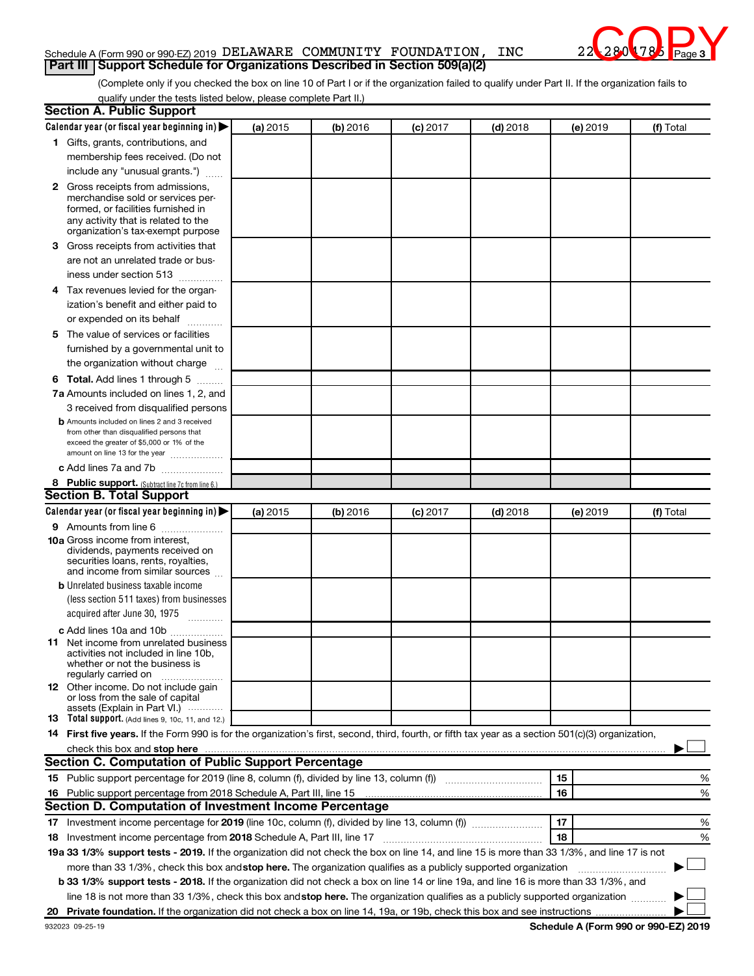## Schedule A (Form 990 or 990-EZ) 2019 DELAWARE COMMUNITY FOUNDATION, INC 22-2804785 Page **Part III | Support Schedule for Organizations Described in Section 509(a)(2)**



(Complete only if you checked the box on line 10 of Part I or if the organization failed to qualify under Part II. If the organization fails to qualify under the tests listed below, please complete Part II.)

| <b>Section A. Public Support</b>                                                                                                                    |          |          |                 |            |          |           |
|-----------------------------------------------------------------------------------------------------------------------------------------------------|----------|----------|-----------------|------------|----------|-----------|
| Calendar year (or fiscal year beginning in)                                                                                                         | (a) 2015 | (b) 2016 | $(c)$ 2017      | $(d)$ 2018 | (e) 2019 | (f) Total |
| 1 Gifts, grants, contributions, and                                                                                                                 |          |          |                 |            |          |           |
| membership fees received. (Do not                                                                                                                   |          |          |                 |            |          |           |
| include any "unusual grants.")                                                                                                                      |          |          |                 |            |          |           |
| 2 Gross receipts from admissions,                                                                                                                   |          |          |                 |            |          |           |
| merchandise sold or services per-                                                                                                                   |          |          |                 |            |          |           |
| formed, or facilities furnished in                                                                                                                  |          |          |                 |            |          |           |
| any activity that is related to the<br>organization's tax-exempt purpose                                                                            |          |          |                 |            |          |           |
| 3 Gross receipts from activities that                                                                                                               |          |          |                 |            |          |           |
| are not an unrelated trade or bus-                                                                                                                  |          |          |                 |            |          |           |
| iness under section 513                                                                                                                             |          |          |                 |            |          |           |
| 4 Tax revenues levied for the organ-                                                                                                                |          |          |                 |            |          |           |
| ization's benefit and either paid to                                                                                                                |          |          |                 |            |          |           |
| or expended on its behalf                                                                                                                           |          |          |                 |            |          |           |
| 5 The value of services or facilities                                                                                                               |          |          |                 |            |          |           |
| furnished by a governmental unit to                                                                                                                 |          |          |                 |            |          |           |
| the organization without charge                                                                                                                     |          |          |                 |            |          |           |
| <b>6 Total.</b> Add lines 1 through 5                                                                                                               |          |          |                 |            |          |           |
| 7a Amounts included on lines 1, 2, and                                                                                                              |          |          |                 |            |          |           |
| 3 received from disqualified persons                                                                                                                |          |          |                 |            |          |           |
| <b>b</b> Amounts included on lines 2 and 3 received                                                                                                 |          |          |                 |            |          |           |
| from other than disqualified persons that                                                                                                           |          |          |                 |            |          |           |
| exceed the greater of \$5,000 or 1% of the                                                                                                          |          |          |                 |            |          |           |
| amount on line 13 for the year                                                                                                                      |          |          |                 |            |          |           |
| c Add lines 7a and 7b                                                                                                                               |          |          |                 |            |          |           |
| 8 Public support. (Subtract line 7c from line 6.)<br><b>Section B. Total Support</b>                                                                |          |          |                 |            |          |           |
| Calendar year (or fiscal year beginning in)                                                                                                         | (a) 2015 | (b) 2016 |                 | $(d)$ 2018 |          | (f) Total |
| <b>9</b> Amounts from line 6                                                                                                                        |          |          | <b>(c)</b> 2017 |            | (e) 2019 |           |
| <b>10a</b> Gross income from interest,                                                                                                              |          |          |                 |            |          |           |
| dividends, payments received on                                                                                                                     |          |          |                 |            |          |           |
| securities loans, rents, royalties,                                                                                                                 |          |          |                 |            |          |           |
| and income from similar sources                                                                                                                     |          |          |                 |            |          |           |
| <b>b</b> Unrelated business taxable income                                                                                                          |          |          |                 |            |          |           |
| (less section 511 taxes) from businesses                                                                                                            |          |          |                 |            |          |           |
| acquired after June 30, 1975<br>$\frac{1}{2}$                                                                                                       |          |          |                 |            |          |           |
| c Add lines 10a and 10b                                                                                                                             |          |          |                 |            |          |           |
| 11 Net income from unrelated business<br>activities not included in line 10b.                                                                       |          |          |                 |            |          |           |
| whether or not the business is                                                                                                                      |          |          |                 |            |          |           |
| regularly carried on                                                                                                                                |          |          |                 |            |          |           |
| <b>12</b> Other income. Do not include gain<br>or loss from the sale of capital                                                                     |          |          |                 |            |          |           |
| assets (Explain in Part VI.)                                                                                                                        |          |          |                 |            |          |           |
| <b>13</b> Total support. (Add lines 9, 10c, 11, and 12.)                                                                                            |          |          |                 |            |          |           |
| 14 First five years. If the Form 990 is for the organization's first, second, third, fourth, or fifth tax year as a section 501(c)(3) organization, |          |          |                 |            |          |           |
|                                                                                                                                                     |          |          |                 |            |          |           |
| Section C. Computation of Public Support Percentage                                                                                                 |          |          |                 |            |          |           |
|                                                                                                                                                     |          |          |                 |            | 15       | %         |
| 16 Public support percentage from 2018 Schedule A, Part III, line 15                                                                                |          |          |                 |            | 16       | %         |
| <b>Section D. Computation of Investment Income Percentage</b>                                                                                       |          |          |                 |            |          |           |
|                                                                                                                                                     |          |          |                 |            | 17       | %         |
| 18 Investment income percentage from 2018 Schedule A, Part III, line 17                                                                             |          |          |                 |            | 18       | %         |
| 19a 33 1/3% support tests - 2019. If the organization did not check the box on line 14, and line 15 is more than 33 1/3%, and line 17 is not        |          |          |                 |            |          |           |
| more than 33 1/3%, check this box and stop here. The organization qualifies as a publicly supported organization                                    |          |          |                 |            |          |           |
| b 33 1/3% support tests - 2018. If the organization did not check a box on line 14 or line 19a, and line 16 is more than 33 1/3%, and               |          |          |                 |            |          |           |
| line 18 is not more than 33 1/3%, check this box and stop here. The organization qualifies as a publicly supported organization                     |          |          |                 |            |          |           |
|                                                                                                                                                     |          |          |                 |            |          |           |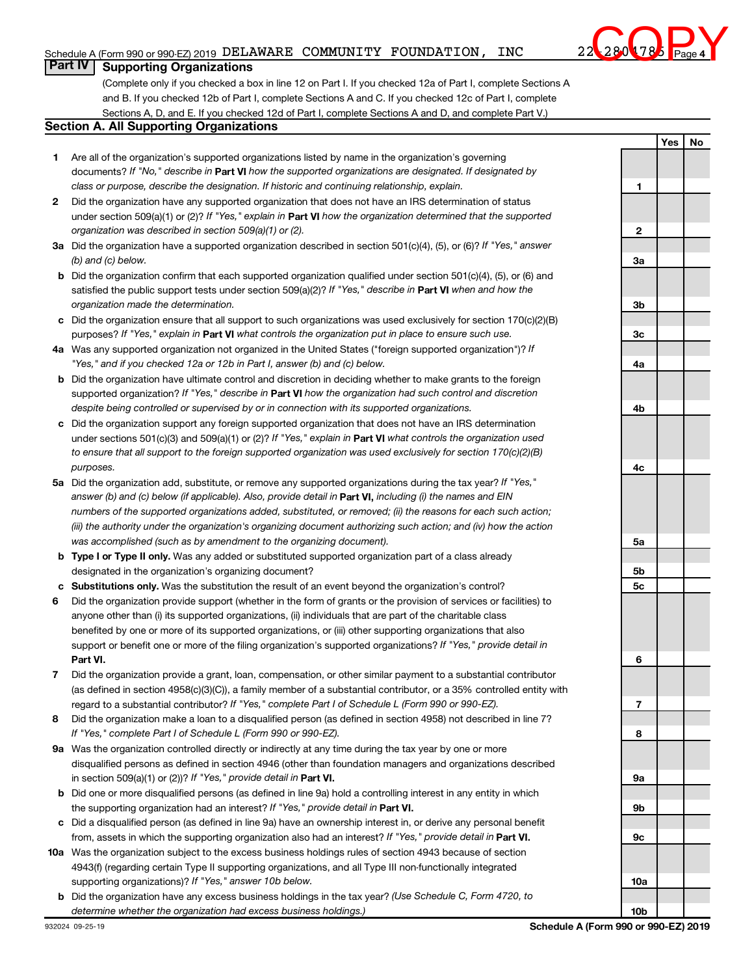# Schedule A (Form 990 or 990-EZ) 2019 DELAWARE COMMUNITY FOUNDATION, INC 22-2804785 Page



**1**

**Yes No**

# **Part IV** | Supporting Organizations

(Complete only if you checked a box in line 12 on Part I. If you checked 12a of Part I, complete Sections A and B. If you checked 12b of Part I, complete Sections A and C. If you checked 12c of Part I, complete Sections A, D, and E. If you checked 12d of Part I, complete Sections A and D, and complete Part V.)

## **Section A. All Supporting Organizations**

- **1** Are all of the organization's supported organizations listed by name in the organization's governing documents? If "No," describe in Part VI how the supported organizations are designated. If designated by *class or purpose, describe the designation. If historic and continuing relationship, explain.*
- **2** Did the organization have any supported organization that does not have an IRS determination of status under section 509(a)(1) or (2)? If "Yes," explain in Part **VI** how the organization determined that the supported *organization was described in section 509(a)(1) or (2).*
- **3a** Did the organization have a supported organization described in section 501(c)(4), (5), or (6)? If "Yes," answer *(b) and (c) below.*
- **b** Did the organization confirm that each supported organization qualified under section 501(c)(4), (5), or (6) and satisfied the public support tests under section 509(a)(2)? If "Yes," describe in Part VI when and how the *organization made the determination.*
- **c** Did the organization ensure that all support to such organizations was used exclusively for section 170(c)(2)(B) purposes? If "Yes," explain in Part VI what controls the organization put in place to ensure such use.
- **4 a** *If* Was any supported organization not organized in the United States ("foreign supported organization")? *"Yes," and if you checked 12a or 12b in Part I, answer (b) and (c) below.*
- **b** Did the organization have ultimate control and discretion in deciding whether to make grants to the foreign supported organization? If "Yes," describe in Part VI how the organization had such control and discretion *despite being controlled or supervised by or in connection with its supported organizations.*
- **c** Did the organization support any foreign supported organization that does not have an IRS determination under sections 501(c)(3) and 509(a)(1) or (2)? If "Yes," explain in Part VI what controls the organization used *to ensure that all support to the foreign supported organization was used exclusively for section 170(c)(2)(B) purposes.*
- **5a** Did the organization add, substitute, or remove any supported organizations during the tax year? If "Yes," answer (b) and (c) below (if applicable). Also, provide detail in **Part VI,** including (i) the names and EIN *numbers of the supported organizations added, substituted, or removed; (ii) the reasons for each such action; (iii) the authority under the organization's organizing document authorizing such action; and (iv) how the action was accomplished (such as by amendment to the organizing document).*
- **b Type I or Type II only.** Was any added or substituted supported organization part of a class already designated in the organization's organizing document?
- **c Substitutions only.**  Was the substitution the result of an event beyond the organization's control?
- **6** Did the organization provide support (whether in the form of grants or the provision of services or facilities) to **Part VI.** support or benefit one or more of the filing organization's supported organizations? If "Yes," provide detail in anyone other than (i) its supported organizations, (ii) individuals that are part of the charitable class benefited by one or more of its supported organizations, or (iii) other supporting organizations that also
- **7** Did the organization provide a grant, loan, compensation, or other similar payment to a substantial contributor regard to a substantial contributor? If "Yes," complete Part I of Schedule L (Form 990 or 990-EZ). (as defined in section 4958(c)(3)(C)), a family member of a substantial contributor, or a 35% controlled entity with
- **8** Did the organization make a loan to a disqualified person (as defined in section 4958) not described in line 7? *If "Yes," complete Part I of Schedule L (Form 990 or 990-EZ).*
- **9 a** Was the organization controlled directly or indirectly at any time during the tax year by one or more in section 509(a)(1) or (2))? If "Yes," provide detail in **Part VI.** disqualified persons as defined in section 4946 (other than foundation managers and organizations described
- **b** Did one or more disqualified persons (as defined in line 9a) hold a controlling interest in any entity in which the supporting organization had an interest? If "Yes," provide detail in Part VI.
- **c** Did a disqualified person (as defined in line 9a) have an ownership interest in, or derive any personal benefit from, assets in which the supporting organization also had an interest? If "Yes," provide detail in Part VI.
- **10 a** Was the organization subject to the excess business holdings rules of section 4943 because of section supporting organizations)? If "Yes," answer 10b below. 4943(f) (regarding certain Type II supporting organizations, and all Type III non-functionally integrated
	- **b** Did the organization have any excess business holdings in the tax year? (Use Schedule C, Form 4720, to *determine whether the organization had excess business holdings.)*

| 2          |  |  |
|------------|--|--|
|            |  |  |
| За         |  |  |
|            |  |  |
| 3b         |  |  |
|            |  |  |
| 3c         |  |  |
| 4a         |  |  |
|            |  |  |
|            |  |  |
| 4b         |  |  |
|            |  |  |
| 4c         |  |  |
|            |  |  |
|            |  |  |
|            |  |  |
| 5a         |  |  |
| 5b         |  |  |
| 5c         |  |  |
|            |  |  |
| 6          |  |  |
|            |  |  |
| 7          |  |  |
| 8          |  |  |
|            |  |  |
| 9a         |  |  |
| 9b         |  |  |
|            |  |  |
| 9с         |  |  |
|            |  |  |
| 10a        |  |  |
|            |  |  |
| <u>10b</u> |  |  |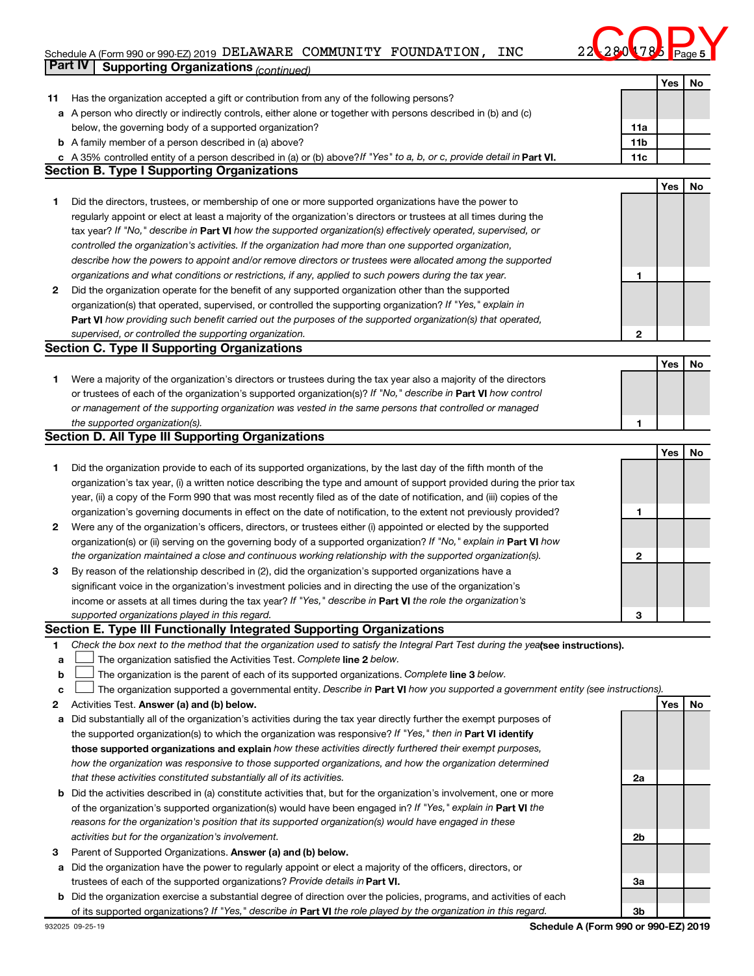# Schedule A (Form 990 or 990-EZ) 2019 DELAWARE COMMUNITY FOUNDATION, INC 22-2804785 Page **Part IV Supporting Organizations** *(continued)*



|    |                                                                                                                                                                                                                                              |     | Yes | No |
|----|----------------------------------------------------------------------------------------------------------------------------------------------------------------------------------------------------------------------------------------------|-----|-----|----|
| 11 | Has the organization accepted a gift or contribution from any of the following persons?                                                                                                                                                      |     |     |    |
|    | a A person who directly or indirectly controls, either alone or together with persons described in (b) and (c)                                                                                                                               |     |     |    |
|    | below, the governing body of a supported organization?                                                                                                                                                                                       | 11a |     |    |
|    | <b>b</b> A family member of a person described in (a) above?                                                                                                                                                                                 | 11b |     |    |
|    | c A 35% controlled entity of a person described in (a) or (b) above? If "Yes" to a, b, or c, provide detail in Part VI.                                                                                                                      | 11c |     |    |
|    | <b>Section B. Type I Supporting Organizations</b>                                                                                                                                                                                            |     |     |    |
|    |                                                                                                                                                                                                                                              |     | Yes | No |
| 1  | Did the directors, trustees, or membership of one or more supported organizations have the power to                                                                                                                                          |     |     |    |
|    | regularly appoint or elect at least a majority of the organization's directors or trustees at all times during the                                                                                                                           |     |     |    |
|    | tax year? If "No," describe in Part VI how the supported organization(s) effectively operated, supervised, or                                                                                                                                |     |     |    |
|    | controlled the organization's activities. If the organization had more than one supported organization,                                                                                                                                      |     |     |    |
|    | describe how the powers to appoint and/or remove directors or trustees were allocated among the supported                                                                                                                                    |     |     |    |
|    | organizations and what conditions or restrictions, if any, applied to such powers during the tax year.                                                                                                                                       | 1   |     |    |
| 2  | Did the organization operate for the benefit of any supported organization other than the supported                                                                                                                                          |     |     |    |
|    | organization(s) that operated, supervised, or controlled the supporting organization? If "Yes," explain in                                                                                                                                   |     |     |    |
|    | Part VI how providing such benefit carried out the purposes of the supported organization(s) that operated,                                                                                                                                  |     |     |    |
|    | supervised, or controlled the supporting organization.                                                                                                                                                                                       | 2   |     |    |
|    | <b>Section C. Type II Supporting Organizations</b>                                                                                                                                                                                           |     |     |    |
|    |                                                                                                                                                                                                                                              |     | Yes | No |
| 1  | Were a majority of the organization's directors or trustees during the tax year also a majority of the directors                                                                                                                             |     |     |    |
|    | or trustees of each of the organization's supported organization(s)? If "No," describe in Part VI how control                                                                                                                                |     |     |    |
|    | or management of the supporting organization was vested in the same persons that controlled or managed                                                                                                                                       |     |     |    |
|    | the supported organization(s).                                                                                                                                                                                                               | 1   |     |    |
|    | <b>Section D. All Type III Supporting Organizations</b>                                                                                                                                                                                      |     |     |    |
|    |                                                                                                                                                                                                                                              |     | Yes | No |
| 1  | Did the organization provide to each of its supported organizations, by the last day of the fifth month of the                                                                                                                               |     |     |    |
|    | organization's tax year, (i) a written notice describing the type and amount of support provided during the prior tax                                                                                                                        |     |     |    |
|    | year, (ii) a copy of the Form 990 that was most recently filed as of the date of notification, and (iii) copies of the                                                                                                                       |     |     |    |
|    | organization's governing documents in effect on the date of notification, to the extent not previously provided?                                                                                                                             | 1   |     |    |
| 2  | Were any of the organization's officers, directors, or trustees either (i) appointed or elected by the supported                                                                                                                             |     |     |    |
|    | organization(s) or (ii) serving on the governing body of a supported organization? If "No," explain in Part VI how                                                                                                                           |     |     |    |
|    | the organization maintained a close and continuous working relationship with the supported organization(s).                                                                                                                                  | 2   |     |    |
| 3  | By reason of the relationship described in (2), did the organization's supported organizations have a                                                                                                                                        |     |     |    |
|    | significant voice in the organization's investment policies and in directing the use of the organization's                                                                                                                                   |     |     |    |
|    | income or assets at all times during the tax year? If "Yes," describe in Part VI the role the organization's                                                                                                                                 |     |     |    |
|    | supported organizations played in this regard.                                                                                                                                                                                               | з   |     |    |
|    | Section E. Type III Functionally Integrated Supporting Organizations                                                                                                                                                                         |     |     |    |
| 1  | Check the box next to the method that the organization used to satisfy the Integral Part Test during the yealsee instructions).                                                                                                              |     |     |    |
| а  | The organization satisfied the Activities Test. Complete line 2 below.                                                                                                                                                                       |     |     |    |
| b  | The organization is the parent of each of its supported organizations. Complete line 3 below.                                                                                                                                                |     |     |    |
| с  | The organization supported a governmental entity. Describe in Part VI how you supported a government entity (see instructions).                                                                                                              |     |     |    |
| 2  | Activities Test. Answer (a) and (b) below.                                                                                                                                                                                                   |     | Yes | No |
| а  | Did substantially all of the organization's activities during the tax year directly further the exempt purposes of                                                                                                                           |     |     |    |
|    | the supported organization(s) to which the organization was responsive? If "Yes," then in Part VI identify<br>those supported organizations and explain how these activities directly furthered their exempt purposes,                       |     |     |    |
|    |                                                                                                                                                                                                                                              |     |     |    |
|    | how the organization was responsive to those supported organizations, and how the organization determined<br>that these activities constituted substantially all of its activities.                                                          |     |     |    |
|    |                                                                                                                                                                                                                                              | 2a  |     |    |
|    | <b>b</b> Did the activities described in (a) constitute activities that, but for the organization's involvement, one or more<br>of the organization's supported organization(s) would have been engaged in? If "Yes," explain in Part VI the |     |     |    |
|    |                                                                                                                                                                                                                                              |     |     |    |
|    | reasons for the organization's position that its supported organization(s) would have engaged in these                                                                                                                                       |     |     |    |
|    | activities but for the organization's involvement.                                                                                                                                                                                           | 2b  |     |    |
| З  | Parent of Supported Organizations. Answer (a) and (b) below.                                                                                                                                                                                 |     |     |    |
|    | a Did the organization have the power to regularly appoint or elect a majority of the officers, directors, or<br>trustees of each of the supported organizations? Provide details in Part VI.                                                |     |     |    |
| b  | Did the organization exercise a substantial degree of direction over the policies, programs, and activities of each                                                                                                                          | За  |     |    |
|    | of its supported organizations? If "Yes," describe in Part VI the role played by the organization in this regard.                                                                                                                            | 3b  |     |    |
|    |                                                                                                                                                                                                                                              |     |     |    |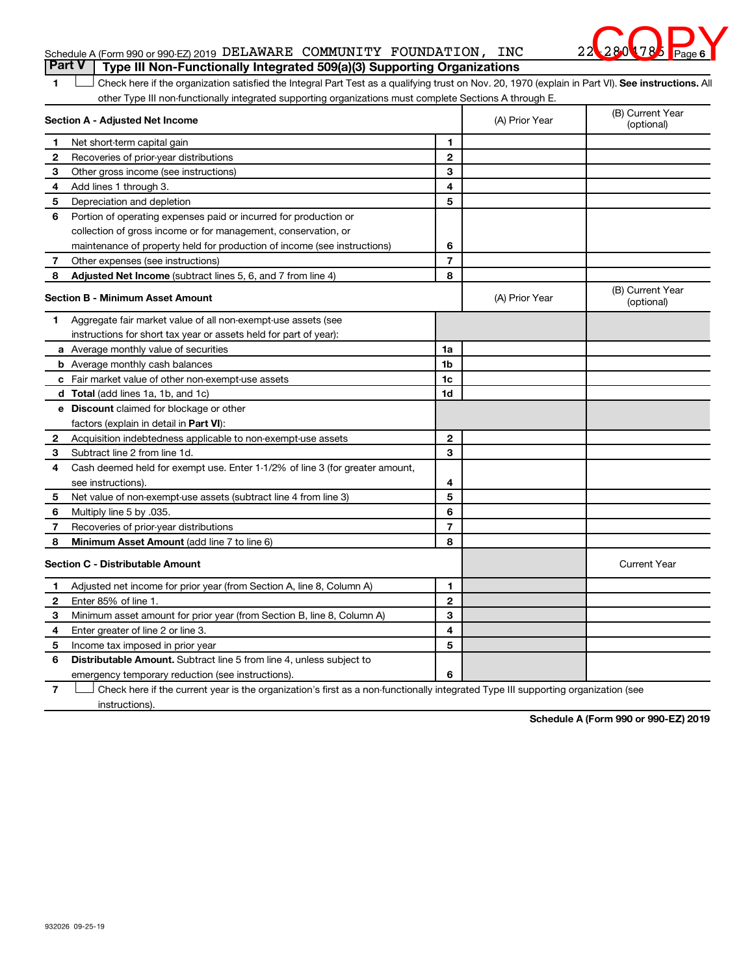# **6**  $280$  78

1 **Letter See instructions.** All Check here if the organization satisfied the Integral Part Test as a qualifying trust on Nov. 20, 1970 (explain in Part VI). See instructions. All other Type III non-functionally integrated supporting organizations must complete Sections A through E.

| Section A - Adjusted Net Income |                                                                              |                | (A) Prior Year | (B) Current Year<br>(optional) |
|---------------------------------|------------------------------------------------------------------------------|----------------|----------------|--------------------------------|
| 1                               | Net short-term capital gain                                                  | 1              |                |                                |
| 2                               | Recoveries of prior-year distributions                                       | 2              |                |                                |
| З                               | Other gross income (see instructions)                                        | 3              |                |                                |
| 4                               | Add lines 1 through 3.                                                       | 4              |                |                                |
| 5                               | Depreciation and depletion                                                   | 5              |                |                                |
| 6                               | Portion of operating expenses paid or incurred for production or             |                |                |                                |
|                                 | collection of gross income or for management, conservation, or               |                |                |                                |
|                                 | maintenance of property held for production of income (see instructions)     | 6              |                |                                |
| 7                               | Other expenses (see instructions)                                            | $\overline{7}$ |                |                                |
| 8                               | Adjusted Net Income (subtract lines 5, 6, and 7 from line 4)                 | 8              |                |                                |
|                                 | <b>Section B - Minimum Asset Amount</b>                                      |                | (A) Prior Year | (B) Current Year<br>(optional) |
| 1.                              | Aggregate fair market value of all non-exempt-use assets (see                |                |                |                                |
|                                 | instructions for short tax year or assets held for part of year):            |                |                |                                |
|                                 | a Average monthly value of securities                                        | 1a             |                |                                |
|                                 | <b>b</b> Average monthly cash balances                                       | 1 <sub>b</sub> |                |                                |
|                                 | c Fair market value of other non-exempt-use assets                           | 1c             |                |                                |
|                                 | <b>d</b> Total (add lines 1a, 1b, and 1c)                                    | 1d             |                |                                |
|                                 | <b>e</b> Discount claimed for blockage or other                              |                |                |                                |
|                                 | factors (explain in detail in Part VI):                                      |                |                |                                |
| 2                               | Acquisition indebtedness applicable to non-exempt-use assets                 | $\mathbf{2}$   |                |                                |
| З                               | Subtract line 2 from line 1d.                                                | 3              |                |                                |
| 4                               | Cash deemed held for exempt use. Enter 1-1/2% of line 3 (for greater amount, |                |                |                                |
|                                 | see instructions).                                                           | 4              |                |                                |
| 5                               | Net value of non-exempt-use assets (subtract line 4 from line 3)             | 5              |                |                                |
| 6                               | Multiply line 5 by .035.                                                     | 6              |                |                                |
| 7                               | Recoveries of prior-year distributions                                       | 7              |                |                                |
| 8                               | Minimum Asset Amount (add line 7 to line 6)                                  | 8              |                |                                |
|                                 | <b>Section C - Distributable Amount</b>                                      |                |                | <b>Current Year</b>            |
| 1                               | Adjusted net income for prior year (from Section A, line 8, Column A)        | 1              |                |                                |
| 2                               | Enter 85% of line 1.                                                         | $\overline{2}$ |                |                                |
| 3                               | Minimum asset amount for prior year (from Section B, line 8, Column A)       | 3              |                |                                |
| 4                               | Enter greater of line 2 or line 3.                                           | 4              |                |                                |
| 5                               | Income tax imposed in prior year                                             | 5              |                |                                |
| 6                               | <b>Distributable Amount.</b> Subtract line 5 from line 4, unless subject to  |                |                |                                |
|                                 | emergency temporary reduction (see instructions).                            | 6              |                |                                |

**7** Check here if the current year is the organization's first as a non-functionally integrated Type III supporting organization (see † instructions).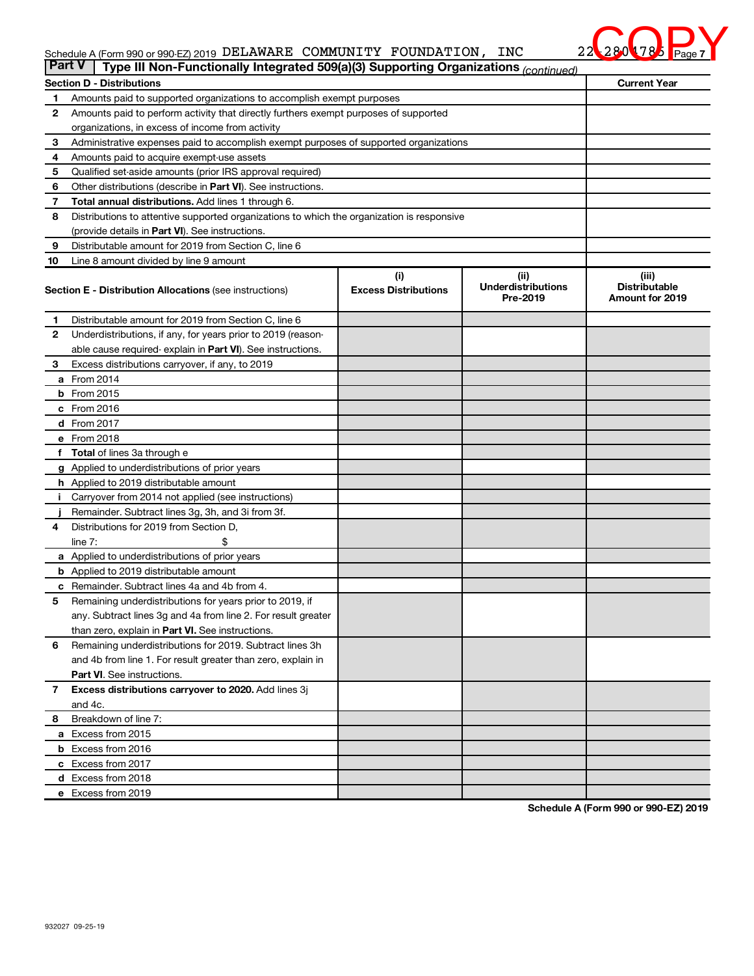# **7 COO 78** Page 7

## Schedule A (Form 990 or 990-EZ) 2019 DELLAWARE COMMUNITY FOUNDATION, INC ZA ZA V 78 Page DELAWARE COMMUNITY FOUNDATION, INC 22<mark>-280</mark>4785

| <b>Part V</b> | Type III Non-Functionally Integrated 509(a)(3) Supporting Organizations (continued)        |                                    |                                               |                                                         |  |  |  |
|---------------|--------------------------------------------------------------------------------------------|------------------------------------|-----------------------------------------------|---------------------------------------------------------|--|--|--|
|               | <b>Current Year</b><br><b>Section D - Distributions</b>                                    |                                    |                                               |                                                         |  |  |  |
| 1             | Amounts paid to supported organizations to accomplish exempt purposes                      |                                    |                                               |                                                         |  |  |  |
| $\mathbf{2}$  | Amounts paid to perform activity that directly furthers exempt purposes of supported       |                                    |                                               |                                                         |  |  |  |
|               | organizations, in excess of income from activity                                           |                                    |                                               |                                                         |  |  |  |
| 3             | Administrative expenses paid to accomplish exempt purposes of supported organizations      |                                    |                                               |                                                         |  |  |  |
| 4             | Amounts paid to acquire exempt-use assets                                                  |                                    |                                               |                                                         |  |  |  |
| 5             | Qualified set-aside amounts (prior IRS approval required)                                  |                                    |                                               |                                                         |  |  |  |
| 6             | Other distributions (describe in Part VI). See instructions.                               |                                    |                                               |                                                         |  |  |  |
| 7             | <b>Total annual distributions.</b> Add lines 1 through 6.                                  |                                    |                                               |                                                         |  |  |  |
| 8             | Distributions to attentive supported organizations to which the organization is responsive |                                    |                                               |                                                         |  |  |  |
|               | (provide details in Part VI). See instructions.                                            |                                    |                                               |                                                         |  |  |  |
| 9             | Distributable amount for 2019 from Section C, line 6                                       |                                    |                                               |                                                         |  |  |  |
| 10            | Line 8 amount divided by line 9 amount                                                     |                                    |                                               |                                                         |  |  |  |
|               | <b>Section E - Distribution Allocations (see instructions)</b>                             | (i)<br><b>Excess Distributions</b> | (ii)<br><b>Underdistributions</b><br>Pre-2019 | (iii)<br><b>Distributable</b><br><b>Amount for 2019</b> |  |  |  |
| 1             | Distributable amount for 2019 from Section C, line 6                                       |                                    |                                               |                                                         |  |  |  |
| $\mathbf{2}$  | Underdistributions, if any, for years prior to 2019 (reason-                               |                                    |                                               |                                                         |  |  |  |
|               | able cause required-explain in Part VI). See instructions.                                 |                                    |                                               |                                                         |  |  |  |
| 3             | Excess distributions carryover, if any, to 2019                                            |                                    |                                               |                                                         |  |  |  |
|               | a From 2014                                                                                |                                    |                                               |                                                         |  |  |  |
|               | <b>b</b> From 2015                                                                         |                                    |                                               |                                                         |  |  |  |
|               | c From 2016                                                                                |                                    |                                               |                                                         |  |  |  |
|               | <b>d</b> From 2017                                                                         |                                    |                                               |                                                         |  |  |  |
|               | e From 2018                                                                                |                                    |                                               |                                                         |  |  |  |
|               | f Total of lines 3a through e                                                              |                                    |                                               |                                                         |  |  |  |
|               | <b>g</b> Applied to underdistributions of prior years                                      |                                    |                                               |                                                         |  |  |  |
|               | h Applied to 2019 distributable amount                                                     |                                    |                                               |                                                         |  |  |  |
|               | Carryover from 2014 not applied (see instructions)                                         |                                    |                                               |                                                         |  |  |  |
|               | Remainder. Subtract lines 3g, 3h, and 3i from 3f.                                          |                                    |                                               |                                                         |  |  |  |
| 4             | Distributions for 2019 from Section D,                                                     |                                    |                                               |                                                         |  |  |  |
|               | line $7:$                                                                                  |                                    |                                               |                                                         |  |  |  |
|               | a Applied to underdistributions of prior years                                             |                                    |                                               |                                                         |  |  |  |
|               | <b>b</b> Applied to 2019 distributable amount                                              |                                    |                                               |                                                         |  |  |  |
| с             | Remainder. Subtract lines 4a and 4b from 4.                                                |                                    |                                               |                                                         |  |  |  |
| 5             | Remaining underdistributions for years prior to 2019, if                                   |                                    |                                               |                                                         |  |  |  |
|               | any. Subtract lines 3g and 4a from line 2. For result greater                              |                                    |                                               |                                                         |  |  |  |
|               | than zero, explain in Part VI. See instructions.                                           |                                    |                                               |                                                         |  |  |  |
| 6             | Remaining underdistributions for 2019. Subtract lines 3h                                   |                                    |                                               |                                                         |  |  |  |
|               | and 4b from line 1. For result greater than zero, explain in                               |                                    |                                               |                                                         |  |  |  |
|               | <b>Part VI.</b> See instructions.                                                          |                                    |                                               |                                                         |  |  |  |
| $\mathbf{7}$  | Excess distributions carryover to 2020. Add lines 3j                                       |                                    |                                               |                                                         |  |  |  |
|               | and 4c.                                                                                    |                                    |                                               |                                                         |  |  |  |
| 8             | Breakdown of line 7:                                                                       |                                    |                                               |                                                         |  |  |  |
|               | a Excess from 2015                                                                         |                                    |                                               |                                                         |  |  |  |
|               | <b>b</b> Excess from 2016                                                                  |                                    |                                               |                                                         |  |  |  |
|               | c Excess from 2017                                                                         |                                    |                                               |                                                         |  |  |  |
|               | d Excess from 2018                                                                         |                                    |                                               |                                                         |  |  |  |
|               | e Excess from 2019                                                                         |                                    |                                               |                                                         |  |  |  |
|               |                                                                                            |                                    |                                               |                                                         |  |  |  |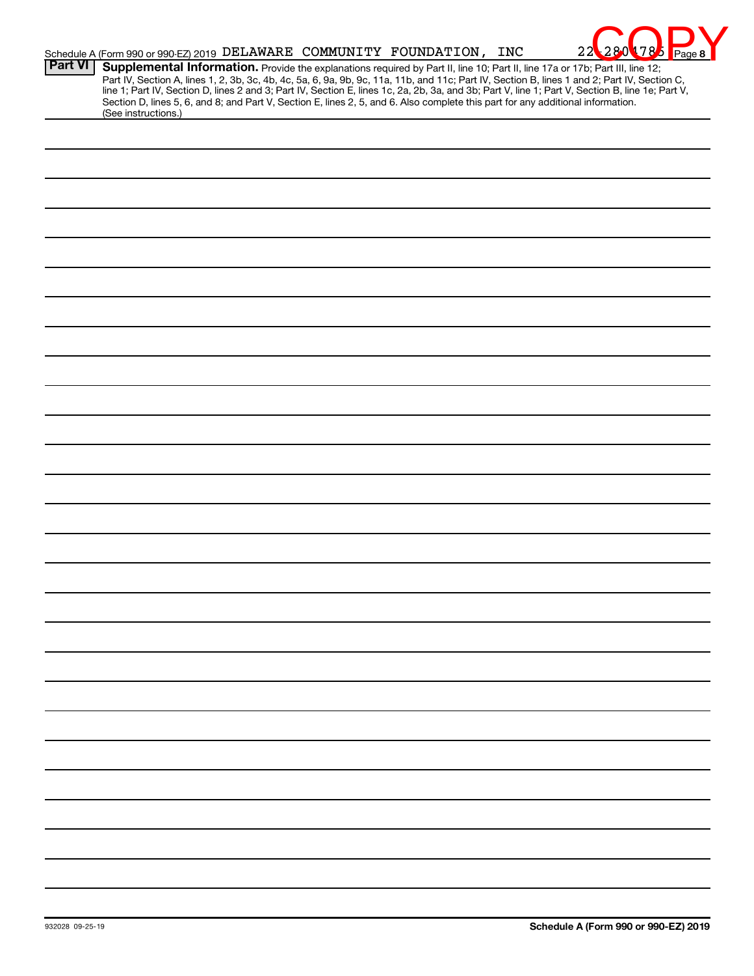|                | Schedule A (Form 990 or 990-EZ) 2019 DELAWARE COMMUNITY FOUNDATION, INC<br>22<br>280<br>1785<br>Page 8                                                                                                                                                                                                                                                                                                                                                                                                                                                                                      |
|----------------|---------------------------------------------------------------------------------------------------------------------------------------------------------------------------------------------------------------------------------------------------------------------------------------------------------------------------------------------------------------------------------------------------------------------------------------------------------------------------------------------------------------------------------------------------------------------------------------------|
| <b>Part VI</b> | Supplemental Information. Provide the explanations required by Part II, line 10; Part II, line 17a or 17b; Part III, line 12;<br>Part IV, Section A, lines 1, 2, 3b, 3c, 4b, 4c, 5a, 6, 9a, 9b, 9c, 11a, 11b, and 11c; Part IV, Section B, lines 1 and 2; Part IV, Section C,<br>line 1; Part IV, Section D, lines 2 and 3; Part IV, Section E, lines 1c, 2a, 2b, 3a, and 3b; Part V, line 1; Part V, Section B, line 1e; Part V,<br>Section D, lines 5, 6, and 8; and Part V, Section E, lines 2, 5, and 6. Also complete this part for any additional information.<br>(See instructions.) |
|                |                                                                                                                                                                                                                                                                                                                                                                                                                                                                                                                                                                                             |
|                |                                                                                                                                                                                                                                                                                                                                                                                                                                                                                                                                                                                             |
|                |                                                                                                                                                                                                                                                                                                                                                                                                                                                                                                                                                                                             |
|                |                                                                                                                                                                                                                                                                                                                                                                                                                                                                                                                                                                                             |
|                |                                                                                                                                                                                                                                                                                                                                                                                                                                                                                                                                                                                             |
|                |                                                                                                                                                                                                                                                                                                                                                                                                                                                                                                                                                                                             |
|                |                                                                                                                                                                                                                                                                                                                                                                                                                                                                                                                                                                                             |
|                |                                                                                                                                                                                                                                                                                                                                                                                                                                                                                                                                                                                             |
|                |                                                                                                                                                                                                                                                                                                                                                                                                                                                                                                                                                                                             |
|                |                                                                                                                                                                                                                                                                                                                                                                                                                                                                                                                                                                                             |
|                |                                                                                                                                                                                                                                                                                                                                                                                                                                                                                                                                                                                             |
|                |                                                                                                                                                                                                                                                                                                                                                                                                                                                                                                                                                                                             |
|                |                                                                                                                                                                                                                                                                                                                                                                                                                                                                                                                                                                                             |
|                |                                                                                                                                                                                                                                                                                                                                                                                                                                                                                                                                                                                             |
|                |                                                                                                                                                                                                                                                                                                                                                                                                                                                                                                                                                                                             |
|                |                                                                                                                                                                                                                                                                                                                                                                                                                                                                                                                                                                                             |
|                |                                                                                                                                                                                                                                                                                                                                                                                                                                                                                                                                                                                             |
|                |                                                                                                                                                                                                                                                                                                                                                                                                                                                                                                                                                                                             |
|                |                                                                                                                                                                                                                                                                                                                                                                                                                                                                                                                                                                                             |
|                |                                                                                                                                                                                                                                                                                                                                                                                                                                                                                                                                                                                             |
|                |                                                                                                                                                                                                                                                                                                                                                                                                                                                                                                                                                                                             |
|                |                                                                                                                                                                                                                                                                                                                                                                                                                                                                                                                                                                                             |
|                |                                                                                                                                                                                                                                                                                                                                                                                                                                                                                                                                                                                             |
|                |                                                                                                                                                                                                                                                                                                                                                                                                                                                                                                                                                                                             |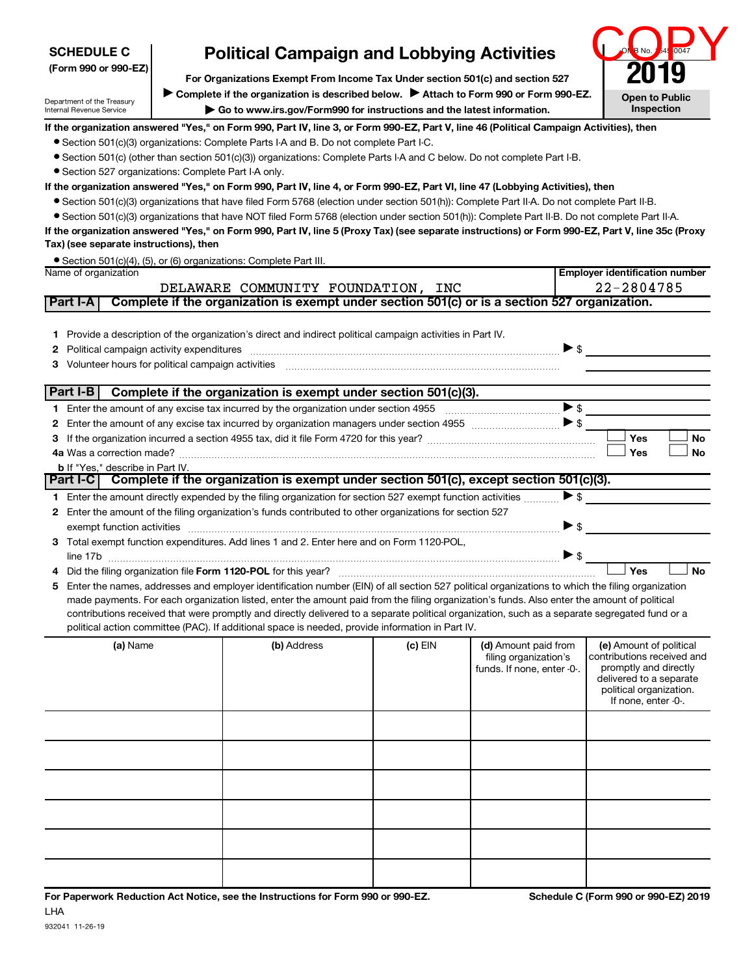| <b>SCHEDULE C</b>                                                                                                                                                                                                                                                |  | <b>Political Campaign and Lobbying Activities</b>                                                                                                                                                                                                                                             |           |                                               |                          | B No.                                                 | 0047      |  |  |
|------------------------------------------------------------------------------------------------------------------------------------------------------------------------------------------------------------------------------------------------------------------|--|-----------------------------------------------------------------------------------------------------------------------------------------------------------------------------------------------------------------------------------------------------------------------------------------------|-----------|-----------------------------------------------|--------------------------|-------------------------------------------------------|-----------|--|--|
| (Form 990 or 990-EZ)                                                                                                                                                                                                                                             |  |                                                                                                                                                                                                                                                                                               |           |                                               |                          |                                                       |           |  |  |
|                                                                                                                                                                                                                                                                  |  | For Organizations Exempt From Income Tax Under section 501(c) and section 527                                                                                                                                                                                                                 |           |                                               |                          |                                                       |           |  |  |
| Complete if the organization is described below. > Attach to Form 990 or Form 990-EZ.<br><b>Open to Public</b><br>Department of the Treasury<br>Inspection<br>Go to www.irs.gov/Form990 for instructions and the latest information.<br>Internal Revenue Service |  |                                                                                                                                                                                                                                                                                               |           |                                               |                          |                                                       |           |  |  |
| If the organization answered "Yes," on Form 990, Part IV, line 3, or Form 990-EZ, Part V, line 46 (Political Campaign Activities), then                                                                                                                          |  |                                                                                                                                                                                                                                                                                               |           |                                               |                          |                                                       |           |  |  |
|                                                                                                                                                                                                                                                                  |  | • Section 501(c)(3) organizations: Complete Parts I-A and B. Do not complete Part I-C.                                                                                                                                                                                                        |           |                                               |                          |                                                       |           |  |  |
|                                                                                                                                                                                                                                                                  |  | • Section 501(c) (other than section 501(c)(3)) organizations: Complete Parts I-A and C below. Do not complete Part I-B.                                                                                                                                                                      |           |                                               |                          |                                                       |           |  |  |
| • Section 527 organizations: Complete Part I-A only.                                                                                                                                                                                                             |  |                                                                                                                                                                                                                                                                                               |           |                                               |                          |                                                       |           |  |  |
|                                                                                                                                                                                                                                                                  |  | If the organization answered "Yes," on Form 990, Part IV, line 4, or Form 990-EZ, Part VI, line 47 (Lobbying Activities), then                                                                                                                                                                |           |                                               |                          |                                                       |           |  |  |
|                                                                                                                                                                                                                                                                  |  | • Section 501(c)(3) organizations that have filed Form 5768 (election under section 501(h)): Complete Part II-A. Do not complete Part II-B.                                                                                                                                                   |           |                                               |                          |                                                       |           |  |  |
|                                                                                                                                                                                                                                                                  |  | • Section 501(c)(3) organizations that have NOT filed Form 5768 (election under section 501(h)): Complete Part II-B. Do not complete Part II-A.                                                                                                                                               |           |                                               |                          |                                                       |           |  |  |
|                                                                                                                                                                                                                                                                  |  | If the organization answered "Yes," on Form 990, Part IV, line 5 (Proxy Tax) (see separate instructions) or Form 990-EZ, Part V, line 35c (Proxy                                                                                                                                              |           |                                               |                          |                                                       |           |  |  |
| Tax) (see separate instructions), then                                                                                                                                                                                                                           |  |                                                                                                                                                                                                                                                                                               |           |                                               |                          |                                                       |           |  |  |
|                                                                                                                                                                                                                                                                  |  | • Section 501(c)(4), (5), or (6) organizations: Complete Part III.                                                                                                                                                                                                                            |           |                                               |                          |                                                       |           |  |  |
| Name of organization                                                                                                                                                                                                                                             |  |                                                                                                                                                                                                                                                                                               |           |                                               |                          | <b>Employer identification number</b>                 |           |  |  |
| Part I-A                                                                                                                                                                                                                                                         |  | DELAWARE COMMUNITY FOUNDATION, INC<br>Complete if the organization is exempt under section 501(c) or is a section 527 organization.                                                                                                                                                           |           |                                               |                          | 22-2804785                                            |           |  |  |
|                                                                                                                                                                                                                                                                  |  |                                                                                                                                                                                                                                                                                               |           |                                               |                          |                                                       |           |  |  |
| 1.                                                                                                                                                                                                                                                               |  | Provide a description of the organization's direct and indirect political campaign activities in Part IV.                                                                                                                                                                                     |           |                                               |                          |                                                       |           |  |  |
| Political campaign activity expenditures<br>2                                                                                                                                                                                                                    |  |                                                                                                                                                                                                                                                                                               |           |                                               |                          | $\blacktriangleright$ \$                              |           |  |  |
| 3                                                                                                                                                                                                                                                                |  |                                                                                                                                                                                                                                                                                               |           |                                               |                          |                                                       |           |  |  |
|                                                                                                                                                                                                                                                                  |  |                                                                                                                                                                                                                                                                                               |           |                                               |                          |                                                       |           |  |  |
| Part I-B                                                                                                                                                                                                                                                         |  | Complete if the organization is exempt under section 501(c)(3).                                                                                                                                                                                                                               |           |                                               |                          |                                                       |           |  |  |
| 1.                                                                                                                                                                                                                                                               |  |                                                                                                                                                                                                                                                                                               |           |                                               | $\blacktriangleright$ \$ |                                                       |           |  |  |
| 2                                                                                                                                                                                                                                                                |  |                                                                                                                                                                                                                                                                                               |           |                                               | $\blacktriangleright$ \$ |                                                       |           |  |  |
| 3                                                                                                                                                                                                                                                                |  |                                                                                                                                                                                                                                                                                               |           |                                               |                          | Yes                                                   | <b>No</b> |  |  |
|                                                                                                                                                                                                                                                                  |  |                                                                                                                                                                                                                                                                                               |           |                                               |                          | Yes                                                   | No        |  |  |
| <b>b</b> If "Yes," describe in Part IV.                                                                                                                                                                                                                          |  |                                                                                                                                                                                                                                                                                               |           |                                               |                          |                                                       |           |  |  |
| Part I-C                                                                                                                                                                                                                                                         |  | Complete if the organization is exempt under section 501(c), except section 501(c)(3).                                                                                                                                                                                                        |           |                                               |                          |                                                       |           |  |  |
|                                                                                                                                                                                                                                                                  |  | 1 Enter the amount directly expended by the filing organization for section 527 exempt function activities                                                                                                                                                                                    |           |                                               | $\blacktriangleright$ \$ |                                                       |           |  |  |
|                                                                                                                                                                                                                                                                  |  | 2 Enter the amount of the filing organization's funds contributed to other organizations for section 527                                                                                                                                                                                      |           |                                               |                          |                                                       |           |  |  |
|                                                                                                                                                                                                                                                                  |  | exempt function activities with an activities and activities are activities and activities are activities and activities and activities and activities are activities and activities and activities and activities and activit                                                                |           |                                               | $\blacktriangleright$ \$ |                                                       |           |  |  |
|                                                                                                                                                                                                                                                                  |  | 3 Total exempt function expenditures. Add lines 1 and 2. Enter here and on Form 1120-POL,                                                                                                                                                                                                     |           |                                               |                          |                                                       |           |  |  |
|                                                                                                                                                                                                                                                                  |  |                                                                                                                                                                                                                                                                                               |           |                                               | $\blacktriangleright$ \$ |                                                       |           |  |  |
|                                                                                                                                                                                                                                                                  |  | 4 Did the filing organization file Form 1120-POL for this year?                                                                                                                                                                                                                               |           |                                               |                          | Yes                                                   | <b>No</b> |  |  |
| 5.                                                                                                                                                                                                                                                               |  | Enter the names, addresses and employer identification number (EIN) of all section 527 political organizations to which the filing organization                                                                                                                                               |           |                                               |                          |                                                       |           |  |  |
|                                                                                                                                                                                                                                                                  |  | made payments. For each organization listed, enter the amount paid from the filing organization's funds. Also enter the amount of political<br>contributions received that were promptly and directly delivered to a separate political organization, such as a separate segregated fund or a |           |                                               |                          |                                                       |           |  |  |
|                                                                                                                                                                                                                                                                  |  | political action committee (PAC). If additional space is needed, provide information in Part IV.                                                                                                                                                                                              |           |                                               |                          |                                                       |           |  |  |
| (a) Name                                                                                                                                                                                                                                                         |  | (b) Address                                                                                                                                                                                                                                                                                   | $(c)$ EIN |                                               |                          |                                                       |           |  |  |
|                                                                                                                                                                                                                                                                  |  |                                                                                                                                                                                                                                                                                               |           | (d) Amount paid from<br>filing organization's |                          | (e) Amount of political<br>contributions received and |           |  |  |
|                                                                                                                                                                                                                                                                  |  |                                                                                                                                                                                                                                                                                               |           | funds. If none, enter -0-.                    |                          | promptly and directly                                 |           |  |  |
|                                                                                                                                                                                                                                                                  |  |                                                                                                                                                                                                                                                                                               |           |                                               |                          | delivered to a separate                               |           |  |  |
| political organization.<br>If none, enter -0-.                                                                                                                                                                                                                   |  |                                                                                                                                                                                                                                                                                               |           |                                               |                          |                                                       |           |  |  |
|                                                                                                                                                                                                                                                                  |  |                                                                                                                                                                                                                                                                                               |           |                                               |                          |                                                       |           |  |  |
|                                                                                                                                                                                                                                                                  |  |                                                                                                                                                                                                                                                                                               |           |                                               |                          |                                                       |           |  |  |
|                                                                                                                                                                                                                                                                  |  |                                                                                                                                                                                                                                                                                               |           |                                               |                          |                                                       |           |  |  |
|                                                                                                                                                                                                                                                                  |  |                                                                                                                                                                                                                                                                                               |           |                                               |                          |                                                       |           |  |  |
|                                                                                                                                                                                                                                                                  |  |                                                                                                                                                                                                                                                                                               |           |                                               |                          |                                                       |           |  |  |
|                                                                                                                                                                                                                                                                  |  |                                                                                                                                                                                                                                                                                               |           |                                               |                          |                                                       |           |  |  |
|                                                                                                                                                                                                                                                                  |  |                                                                                                                                                                                                                                                                                               |           |                                               |                          |                                                       |           |  |  |
|                                                                                                                                                                                                                                                                  |  |                                                                                                                                                                                                                                                                                               |           |                                               |                          |                                                       |           |  |  |
|                                                                                                                                                                                                                                                                  |  |                                                                                                                                                                                                                                                                                               |           |                                               |                          |                                                       |           |  |  |
|                                                                                                                                                                                                                                                                  |  |                                                                                                                                                                                                                                                                                               |           |                                               |                          |                                                       |           |  |  |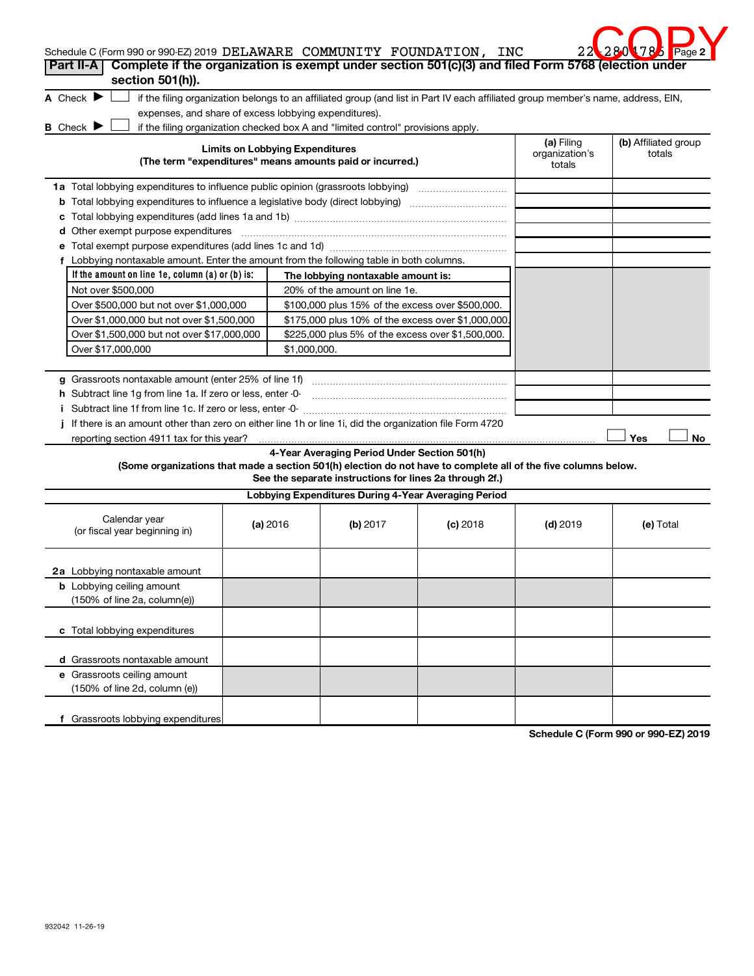| 2.2 |                      | $2801785$ Page 2 |  |
|-----|----------------------|------------------|--|
|     | 5768 (election under |                  |  |

| Schedule C (Form 990 or 990-EZ) 2019 DELAWARE COMMUNITY FOUNDATION, INC                                         |                                        |                                                                                                         |                                                                                                                                   |                                        | 22 28 0 178 Page 2             |
|-----------------------------------------------------------------------------------------------------------------|----------------------------------------|---------------------------------------------------------------------------------------------------------|-----------------------------------------------------------------------------------------------------------------------------------|----------------------------------------|--------------------------------|
| Complete if the organization is exempt under section 501(c)(3) and filed Form 5768 (election under<br>Part II-A |                                        |                                                                                                         |                                                                                                                                   |                                        |                                |
| section 501(h)).<br>A Check $\blacktriangleright$<br>expenses, and share of excess lobbying expenditures).      |                                        |                                                                                                         | if the filing organization belongs to an affiliated group (and list in Part IV each affiliated group member's name, address, EIN, |                                        |                                |
| <b>B</b> Check ▶                                                                                                |                                        | if the filing organization checked box A and "limited control" provisions apply.                        |                                                                                                                                   |                                        |                                |
|                                                                                                                 | <b>Limits on Lobbying Expenditures</b> | (The term "expenditures" means amounts paid or incurred.)                                               |                                                                                                                                   | (a) Filing<br>organization's<br>totals | (b) Affiliated group<br>totals |
|                                                                                                                 |                                        |                                                                                                         |                                                                                                                                   |                                        |                                |
|                                                                                                                 |                                        |                                                                                                         |                                                                                                                                   |                                        |                                |
|                                                                                                                 |                                        |                                                                                                         |                                                                                                                                   |                                        |                                |
| d Other exempt purpose expenditures                                                                             |                                        |                                                                                                         |                                                                                                                                   |                                        |                                |
|                                                                                                                 |                                        |                                                                                                         |                                                                                                                                   |                                        |                                |
| f Lobbying nontaxable amount. Enter the amount from the following table in both columns.                        |                                        |                                                                                                         |                                                                                                                                   |                                        |                                |
| If the amount on line 1e, column $(a)$ or $(b)$ is:                                                             |                                        | The lobbying nontaxable amount is:                                                                      |                                                                                                                                   |                                        |                                |
| Not over \$500,000                                                                                              |                                        | 20% of the amount on line 1e.                                                                           |                                                                                                                                   |                                        |                                |
| Over \$500,000 but not over \$1,000,000                                                                         |                                        | \$100,000 plus 15% of the excess over \$500,000.                                                        |                                                                                                                                   |                                        |                                |
| Over \$1,000,000 but not over \$1,500,000                                                                       |                                        | \$175,000 plus 10% of the excess over \$1,000,000                                                       |                                                                                                                                   |                                        |                                |
| Over \$1,500,000 but not over \$17,000,000                                                                      |                                        | \$225,000 plus 5% of the excess over \$1,500,000.                                                       |                                                                                                                                   |                                        |                                |
| Over \$17,000,000                                                                                               | \$1,000,000.                           |                                                                                                         |                                                                                                                                   |                                        |                                |
|                                                                                                                 |                                        |                                                                                                         |                                                                                                                                   |                                        |                                |
|                                                                                                                 |                                        |                                                                                                         |                                                                                                                                   |                                        |                                |
| h Subtract line 1q from line 1a. If zero or less, enter -0-                                                     |                                        |                                                                                                         |                                                                                                                                   |                                        |                                |
|                                                                                                                 |                                        |                                                                                                         |                                                                                                                                   |                                        |                                |
| If there is an amount other than zero on either line 1h or line 1i, did the organization file Form 4720         |                                        |                                                                                                         |                                                                                                                                   |                                        |                                |
|                                                                                                                 |                                        |                                                                                                         |                                                                                                                                   |                                        | Yes<br>No                      |
| (Some organizations that made a section 501(h) election do not have to complete all of the five columns below.  |                                        | 4-Year Averaging Period Under Section 501(h)<br>See the separate instructions for lines 2a through 2f.) |                                                                                                                                   |                                        |                                |
|                                                                                                                 |                                        | Lobbying Expenditures During 4-Year Averaging Period                                                    |                                                                                                                                   |                                        |                                |
| Calendar year<br>(or fiscal year beginning in)                                                                  | (a) 2016                               | (b) 2017                                                                                                | $(c)$ 2018                                                                                                                        | $(d)$ 2019                             | (e) Total                      |
| 2a Lobbying nontaxable amount                                                                                   |                                        |                                                                                                         |                                                                                                                                   |                                        |                                |
| <b>b</b> Lobbying ceiling amount<br>(150% of line 2a, column(e))                                                |                                        |                                                                                                         |                                                                                                                                   |                                        |                                |
| c Total lobbying expenditures                                                                                   |                                        |                                                                                                         |                                                                                                                                   |                                        |                                |
| d Grassroots nontaxable amount                                                                                  |                                        |                                                                                                         |                                                                                                                                   |                                        |                                |
| e Grassroots ceiling amount<br>(150% of line 2d, column (e))                                                    |                                        |                                                                                                         |                                                                                                                                   |                                        |                                |
| f Grassroots lobbying expenditures                                                                              |                                        |                                                                                                         |                                                                                                                                   |                                        |                                |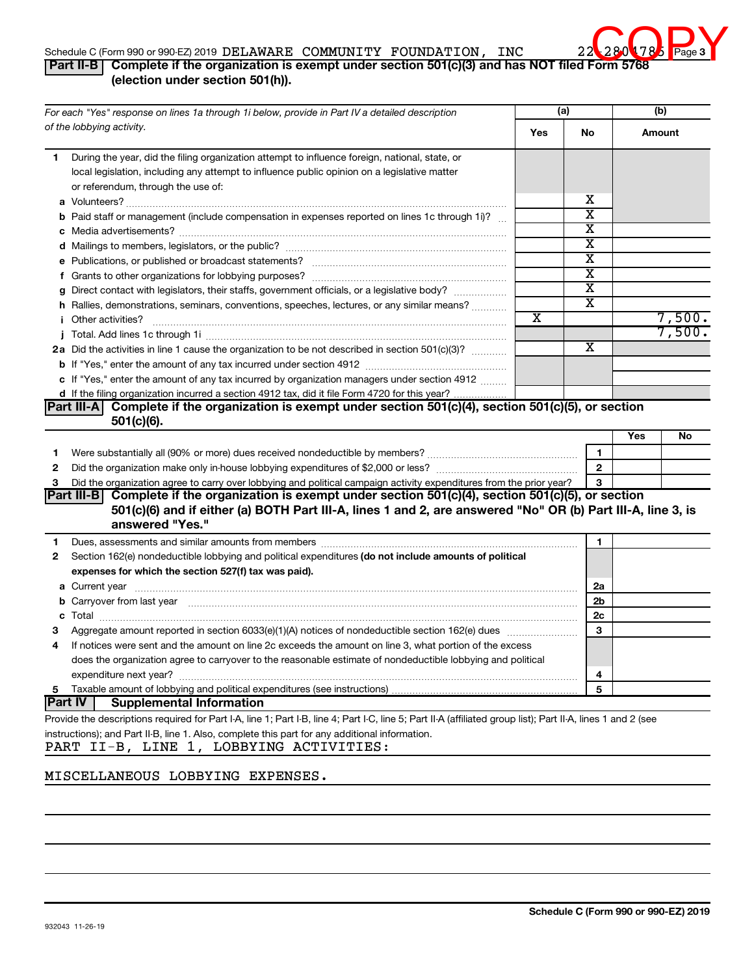# Page 3

## Schedule C (Form 990 or 990-EZ) 2019 DELAWARE COMMUNITY FOUNDATION, INC 22 260 1785 Page

# **Part II-B C (Form 990 or 990-EZ) 2019 DELAWARE COMMUNITY FOUNDATION, INC 22 280 1788**<br>Part II-B Complete if the organization is exempt under section 501(c)(3) and has NOT filed Form 5768 **(election under section 501(h)).**

| For each "Yes" response on lines 1a through 1i below, provide in Part IV a detailed description                                                                                                                                            |  | (a) |                         | (b)    |        |
|--------------------------------------------------------------------------------------------------------------------------------------------------------------------------------------------------------------------------------------------|--|-----|-------------------------|--------|--------|
| of the lobbying activity.                                                                                                                                                                                                                  |  | Yes | No                      | Amount |        |
| During the year, did the filing organization attempt to influence foreign, national, state, or<br>1<br>local legislation, including any attempt to influence public opinion on a legislative matter<br>or referendum, through the use of:  |  |     |                         |        |        |
|                                                                                                                                                                                                                                            |  |     | x                       |        |        |
| <b>b</b> Paid staff or management (include compensation in expenses reported on lines 1c through 1i)?                                                                                                                                      |  |     | $\overline{\text{x}}$   |        |        |
|                                                                                                                                                                                                                                            |  |     | $\overline{\text{x}}$   |        |        |
|                                                                                                                                                                                                                                            |  |     | $\overline{\textbf{x}}$ |        |        |
| e Publications, or published or broadcast statements?                                                                                                                                                                                      |  |     | $\overline{\text{x}}$   |        |        |
|                                                                                                                                                                                                                                            |  |     | $\overline{\text{x}}$   |        |        |
| g Direct contact with legislators, their staffs, government officials, or a legislative body?                                                                                                                                              |  |     | $\overline{\text{x}}$   |        |        |
| h Rallies, demonstrations, seminars, conventions, speeches, lectures, or any similar means?                                                                                                                                                |  |     | $\overline{\text{x}}$   |        |        |
| <i>i</i> Other activities?                                                                                                                                                                                                                 |  | X   |                         |        | 7,500. |
|                                                                                                                                                                                                                                            |  |     |                         |        | 7,500. |
| 2a Did the activities in line 1 cause the organization to be not described in section 501(c)(3)?                                                                                                                                           |  |     | X                       |        |        |
|                                                                                                                                                                                                                                            |  |     |                         |        |        |
| c If "Yes," enter the amount of any tax incurred by organization managers under section 4912                                                                                                                                               |  |     |                         |        |        |
| d If the filing organization incurred a section 4912 tax, did it file Form 4720 for this year?                                                                                                                                             |  |     |                         |        |        |
| $501(c)(6)$ .                                                                                                                                                                                                                              |  |     |                         | Yes    | No     |
| 1.                                                                                                                                                                                                                                         |  |     | 1                       |        |        |
| 2                                                                                                                                                                                                                                          |  |     | $\mathbf{2}$            |        |        |
| Did the organization agree to carry over lobbying and political campaign activity expenditures from the prior year?<br>3                                                                                                                   |  |     | 3                       |        |        |
| Part III-B Complete if the organization is exempt under section 501(c)(4), section 501(c)(5), or section<br>501(c)(6) and if either (a) BOTH Part III-A, lines 1 and 2, are answered "No" OR (b) Part III-A, line 3, is<br>answered "Yes." |  |     |                         |        |        |
| 1                                                                                                                                                                                                                                          |  |     | 1                       |        |        |
| Section 162(e) nondeductible lobbying and political expenditures (do not include amounts of political<br>$\mathbf{2}$                                                                                                                      |  |     |                         |        |        |
| expenses for which the section 527(f) tax was paid).                                                                                                                                                                                       |  |     |                         |        |        |
|                                                                                                                                                                                                                                            |  |     | 2a                      |        |        |
| b Carryover from last year manufactured and content to content the content of the content of the content of the content of the content of the content of the content of the content of the content of the content of the conte             |  |     | 2b                      |        |        |
|                                                                                                                                                                                                                                            |  |     | 2c                      |        |        |
| Aggregate amount reported in section 6033(e)(1)(A) notices of nondeductible section 162(e) dues manufactured                                                                                                                               |  |     | 3                       |        |        |
| If notices were sent and the amount on line 2c exceeds the amount on line 3, what portion of the excess<br>4                                                                                                                               |  |     |                         |        |        |
| does the organization agree to carryover to the reasonable estimate of nondeductible lobbying and political                                                                                                                                |  |     |                         |        |        |
|                                                                                                                                                                                                                                            |  |     | 4                       |        |        |
| 5                                                                                                                                                                                                                                          |  |     | 5                       |        |        |
| Part IV <br><b>Supplemental Information</b>                                                                                                                                                                                                |  |     |                         |        |        |
| Provide the descriptions required for Part I-A, line 1; Part I-B, line 4; Part I-C, line 5; Part II-A (affiliated group list); Part II-A, lines 1 and 2 (see                                                                               |  |     |                         |        |        |
| instructions); and Part II-B, line 1. Also, complete this part for any additional information.<br>PART II-B, LINE 1, LOBBYING ACTIVITIES:                                                                                                  |  |     |                         |        |        |

# MISCELLANEOUS LOBBYING EXPENSES.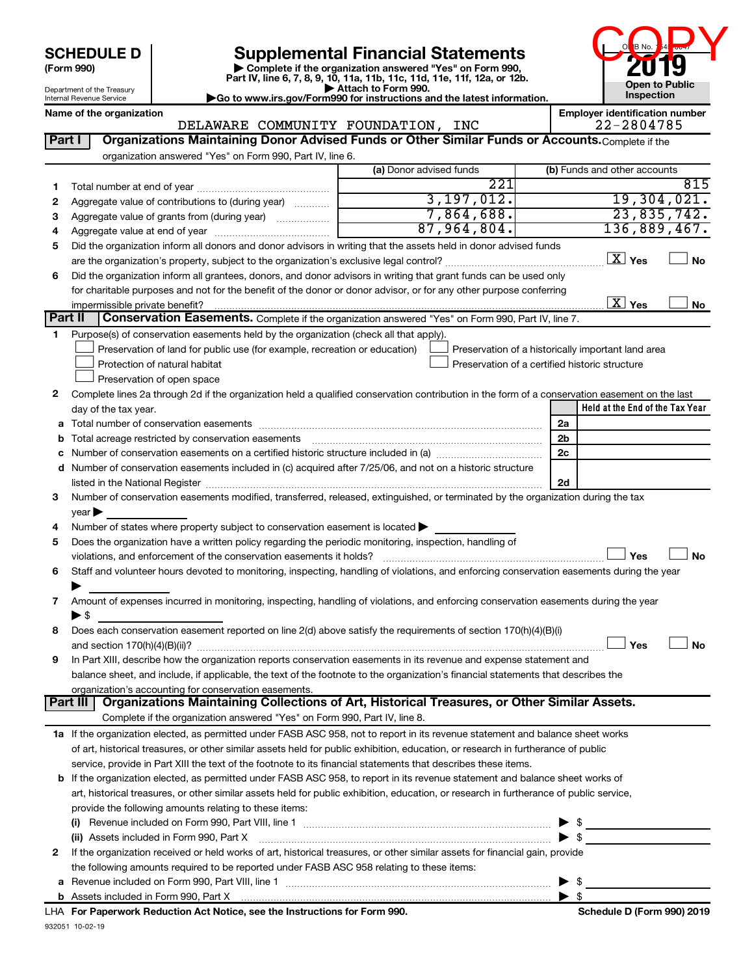| <b>SCHEDULE D</b> |  |
|-------------------|--|
|-------------------|--|

# **SCHEDULE D Supplemental Financial Statements 2019**

**(Form 990) | Complete if the organization answered "Yes" on Form 990, Part IV, line 6, 7, 8, 9, 10, 11a, 11b, 11c, 11d, 11e, 11f, 12a, or 12b.**



Department of the Treasury Internal Revenue Service

| Attach to Form 990.                                                                          |  |
|----------------------------------------------------------------------------------------------|--|
| $\blacktriangleright$ Go to www.irs.gov/Form990 for instructions and the latest information. |  |

|         | Name of the organization<br>DELAWARE COMMUNITY FOUNDATION, INC                                                                                 |                         | <b>Employer identification number</b><br>22-2804785 |
|---------|------------------------------------------------------------------------------------------------------------------------------------------------|-------------------------|-----------------------------------------------------|
| Part I  | Organizations Maintaining Donor Advised Funds or Other Similar Funds or Accounts. Complete if the                                              |                         |                                                     |
|         | organization answered "Yes" on Form 990, Part IV, line 6.                                                                                      |                         |                                                     |
|         |                                                                                                                                                | (a) Donor advised funds | (b) Funds and other accounts                        |
|         |                                                                                                                                                | 221                     | 815                                                 |
| 1.      |                                                                                                                                                | 3, 197, 012.            | 19,304,021.                                         |
| 2       | Aggregate value of contributions to (during year)                                                                                              | 7,864,688.              | 23,835,742.                                         |
| 3       | Aggregate value of grants from (during year)                                                                                                   | 87,964,804.             |                                                     |
| 4       |                                                                                                                                                |                         | 136,889,467.                                        |
| 5       | Did the organization inform all donors and donor advisors in writing that the assets held in donor advised funds                               |                         |                                                     |
|         |                                                                                                                                                |                         | $\boxed{\text{X}}$ Yes<br><b>No</b>                 |
| 6       | Did the organization inform all grantees, donors, and donor advisors in writing that grant funds can be used only                              |                         |                                                     |
|         | for charitable purposes and not for the benefit of the donor or donor advisor, or for any other purpose conferring                             |                         |                                                     |
|         | impermissible private benefit?                                                                                                                 |                         | $\boxed{\text{X}}$ Yes<br>No                        |
| Part II | <b>Conservation Easements.</b> Complete if the organization answered "Yes" on Form 990, Part IV, line 7.                                       |                         |                                                     |
| 1.      | Purpose(s) of conservation easements held by the organization (check all that apply).                                                          |                         |                                                     |
|         | Preservation of land for public use (for example, recreation or education)                                                                     |                         | Preservation of a historically important land area  |
|         | Protection of natural habitat                                                                                                                  |                         | Preservation of a certified historic structure      |
|         | Preservation of open space                                                                                                                     |                         |                                                     |
| 2       | Complete lines 2a through 2d if the organization held a qualified conservation contribution in the form of a conservation easement on the last |                         |                                                     |
|         | day of the tax year.                                                                                                                           |                         | Held at the End of the Tax Year                     |
|         | a Total number of conservation easements                                                                                                       |                         | 2a                                                  |
| b       |                                                                                                                                                |                         | 2b                                                  |
|         |                                                                                                                                                |                         | 2c                                                  |
|         | d Number of conservation easements included in (c) acquired after 7/25/06, and not on a historic structure                                     |                         |                                                     |
|         |                                                                                                                                                |                         | 2d                                                  |
| 3       | Number of conservation easements modified, transferred, released, extinguished, or terminated by the organization during the tax               |                         |                                                     |
|         | year                                                                                                                                           |                         |                                                     |
| 4       | Number of states where property subject to conservation easement is located $\blacktriangleright$                                              |                         |                                                     |
| 5       | Does the organization have a written policy regarding the periodic monitoring, inspection, handling of                                         |                         |                                                     |
|         | violations, and enforcement of the conservation easements it holds?                                                                            |                         | Yes<br><b>No</b>                                    |
| 6       | Staff and volunteer hours devoted to monitoring, inspecting, handling of violations, and enforcing conservation easements during the year      |                         |                                                     |
|         |                                                                                                                                                |                         |                                                     |
| 7       | Amount of expenses incurred in monitoring, inspecting, handling of violations, and enforcing conservation easements during the year            |                         |                                                     |
|         | $\blacktriangleright$ \$                                                                                                                       |                         |                                                     |
| 8       | Does each conservation easement reported on line 2(d) above satisfy the requirements of section 170(h)(4)(B)(i)                                |                         |                                                     |
|         |                                                                                                                                                |                         | Yes<br>No                                           |
|         | In Part XIII, describe how the organization reports conservation easements in its revenue and expense statement and                            |                         |                                                     |
|         | balance sheet, and include, if applicable, the text of the footnote to the organization's financial statements that describes the              |                         |                                                     |
|         | organization's accounting for conservation easements.                                                                                          |                         |                                                     |
|         | Organizations Maintaining Collections of Art, Historical Treasures, or Other Similar Assets.<br>Part III                                       |                         |                                                     |
|         | Complete if the organization answered "Yes" on Form 990, Part IV, line 8.                                                                      |                         |                                                     |
|         | 1a If the organization elected, as permitted under FASB ASC 958, not to report in its revenue statement and balance sheet works                |                         |                                                     |
|         | of art, historical treasures, or other similar assets held for public exhibition, education, or research in furtherance of public              |                         |                                                     |
|         | service, provide in Part XIII the text of the footnote to its financial statements that describes these items.                                 |                         |                                                     |
|         | b If the organization elected, as permitted under FASB ASC 958, to report in its revenue statement and balance sheet works of                  |                         |                                                     |
|         | art, historical treasures, or other similar assets held for public exhibition, education, or research in furtherance of public service,        |                         |                                                     |
|         | provide the following amounts relating to these items:                                                                                         |                         |                                                     |
|         |                                                                                                                                                |                         | $\blacktriangleright$ \$                            |
|         | (ii) Assets included in Form 990, Part X                                                                                                       |                         | $\blacktriangleright$ \$                            |
| 2       | If the organization received or held works of art, historical treasures, or other similar assets for financial gain, provide                   |                         |                                                     |
|         | the following amounts required to be reported under FASB ASC 958 relating to these items:                                                      |                         |                                                     |
|         |                                                                                                                                                |                         |                                                     |
|         |                                                                                                                                                |                         |                                                     |
|         | and the Instrumetions for Form 000<br>annould Display attack And Madress                                                                       |                         |                                                     |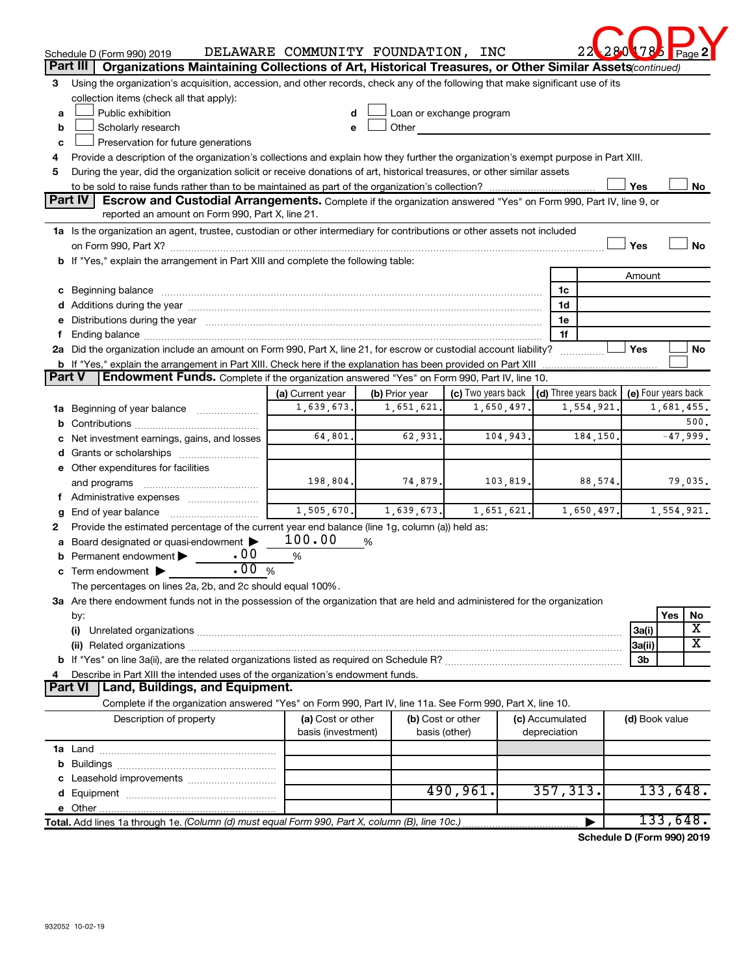|              | Schedule D (Form 990) 2019                                                                                                           | DELAWARE COMMUNITY FOUNDATION, INC      |                                    |                    |                 |              | 22                   | <b>178</b>     | Page 2              |
|--------------|--------------------------------------------------------------------------------------------------------------------------------------|-----------------------------------------|------------------------------------|--------------------|-----------------|--------------|----------------------|----------------|---------------------|
|              | Part III<br>Organizations Maintaining Collections of Art, Historical Treasures, or Other Similar Assets (continued)                  |                                         |                                    |                    |                 |              |                      |                |                     |
|              | 3 Using the organization's acquisition, accession, and other records, check any of the following that make significant use of its    |                                         |                                    |                    |                 |              |                      |                |                     |
|              | collection items (check all that apply):                                                                                             |                                         |                                    |                    |                 |              |                      |                |                     |
| a            | Public exhibition                                                                                                                    | d                                       | Loan or exchange program           |                    |                 |              |                      |                |                     |
| b            | Scholarly research                                                                                                                   | e                                       | Other                              |                    |                 |              |                      |                |                     |
| c            | Preservation for future generations                                                                                                  |                                         |                                    |                    |                 |              |                      |                |                     |
| 4            | Provide a description of the organization's collections and explain how they further the organization's exempt purpose in Part XIII. |                                         |                                    |                    |                 |              |                      |                |                     |
| 5            | During the year, did the organization solicit or receive donations of art, historical treasures, or other similar assets             |                                         |                                    |                    |                 |              |                      |                |                     |
|              |                                                                                                                                      |                                         |                                    |                    |                 |              |                      | Yes            | No                  |
|              | Part IV<br>Escrow and Custodial Arrangements. Complete if the organization answered "Yes" on Form 990, Part IV, line 9, or           |                                         |                                    |                    |                 |              |                      |                |                     |
|              | reported an amount on Form 990, Part X, line 21.                                                                                     |                                         |                                    |                    |                 |              |                      |                |                     |
|              | 1a Is the organization an agent, trustee, custodian or other intermediary for contributions or other assets not included             |                                         |                                    |                    |                 |              |                      |                |                     |
|              | on Form 990, Part X? [[[[[[[[[[[[[[[[[[]]]]]]]]]]] on Form 990, Part X?                                                              |                                         |                                    |                    |                 |              |                      | Yes            | No                  |
|              | b If "Yes," explain the arrangement in Part XIII and complete the following table:                                                   |                                         |                                    |                    |                 |              |                      |                |                     |
|              |                                                                                                                                      |                                         |                                    |                    |                 |              |                      | Amount         |                     |
|              |                                                                                                                                      |                                         |                                    |                    |                 | 1c           |                      |                |                     |
|              |                                                                                                                                      |                                         |                                    |                    |                 | 1d           |                      |                |                     |
|              | e Distributions during the year manufactured and a control of the year manufactured and a control of the year                        |                                         |                                    |                    |                 | 1e           |                      |                |                     |
| f            |                                                                                                                                      |                                         |                                    |                    |                 | 1f           |                      |                |                     |
|              | 2a Did the organization include an amount on Form 990, Part X, line 21, for escrow or custodial account liability?                   |                                         |                                    |                    |                 |              |                      | Yes            | <b>No</b>           |
|              | <b>b</b> If "Yes," explain the arrangement in Part XIII. Check here if the explanation has been provided on Part XIII                |                                         |                                    |                    |                 |              |                      |                |                     |
|              | Part V<br>Endowment Funds. Complete if the organization answered "Yes" on Form 990, Part IV, line 10.                                |                                         |                                    |                    |                 |              |                      |                |                     |
|              |                                                                                                                                      | (a) Current year                        | (b) Prior year                     | (c) Two years back |                 |              | (d) Three years back |                | (e) Four years back |
|              | 1a Beginning of year balance                                                                                                         | 1,639,673.                              | 1,651,621.                         |                    | 1,650,497.      |              | 1,554,921.           |                | 1,681,455.          |
| b            |                                                                                                                                      |                                         |                                    |                    |                 |              |                      |                | 500.                |
| с            | Net investment earnings, gains, and losses                                                                                           | 64,801.                                 | 62,931.                            |                    | 104,943.        |              | 184,150.             |                | $-47,999.$          |
| d            | Grants or scholarships                                                                                                               |                                         |                                    |                    |                 |              |                      |                |                     |
|              | e Other expenditures for facilities                                                                                                  |                                         |                                    |                    |                 |              |                      |                |                     |
|              | and programs                                                                                                                         | 198,804.                                | 74,879.                            |                    | 103,819.        |              | 88,574.              |                | 79,035.             |
| f            |                                                                                                                                      |                                         |                                    |                    |                 |              |                      |                |                     |
| g            | End of year balance                                                                                                                  | 1,505,670.                              | 1,639,673.                         |                    | 1,651,621.      |              | 1,650,497.           |                | 1,554,921.          |
| $\mathbf{2}$ | Provide the estimated percentage of the current year end balance (line 1g, column (a)) held as:                                      |                                         |                                    |                    |                 |              |                      |                |                     |
| a            | Board designated or quasi-endowment                                                                                                  | 100.00                                  | %                                  |                    |                 |              |                      |                |                     |
|              | .00<br>Permanent endowment                                                                                                           | %                                       |                                    |                    |                 |              |                      |                |                     |
|              | .00<br>c Term endowment $\blacktriangleright$                                                                                        | $\%$                                    |                                    |                    |                 |              |                      |                |                     |
|              | The percentages on lines 2a, 2b, and 2c should equal 100%.                                                                           |                                         |                                    |                    |                 |              |                      |                |                     |
|              | 3a Are there endowment funds not in the possession of the organization that are held and administered for the organization           |                                         |                                    |                    |                 |              |                      |                |                     |
|              | by:                                                                                                                                  |                                         |                                    |                    |                 |              |                      |                | Yes<br>No           |
|              | (i)                                                                                                                                  |                                         |                                    |                    |                 |              |                      | 3a(i)          | х                   |
|              |                                                                                                                                      |                                         |                                    |                    |                 |              |                      | 3a(ii)         | х                   |
|              |                                                                                                                                      |                                         |                                    |                    |                 |              |                      | 3b             |                     |
|              | Describe in Part XIII the intended uses of the organization's endowment funds.                                                       |                                         |                                    |                    |                 |              |                      |                |                     |
|              | Part VI   Land, Buildings, and Equipment.                                                                                            |                                         |                                    |                    |                 |              |                      |                |                     |
|              | Complete if the organization answered "Yes" on Form 990, Part IV, line 11a. See Form 990, Part X, line 10.                           |                                         |                                    |                    |                 |              |                      |                |                     |
|              | Description of property                                                                                                              | (a) Cost or other<br>basis (investment) | (b) Cost or other<br>basis (other) |                    | (c) Accumulated | depreciation |                      | (d) Book value |                     |
|              |                                                                                                                                      |                                         |                                    |                    |                 |              |                      |                |                     |
|              |                                                                                                                                      |                                         |                                    |                    |                 |              |                      |                |                     |
|              |                                                                                                                                      |                                         |                                    |                    |                 |              |                      |                |                     |
| d            |                                                                                                                                      |                                         |                                    | 490,961.           |                 | 357, 313.    |                      |                | 133,648.            |
|              |                                                                                                                                      |                                         |                                    |                    |                 |              |                      |                |                     |
|              |                                                                                                                                      |                                         |                                    |                    |                 |              | ▶                    |                | 133,648.            |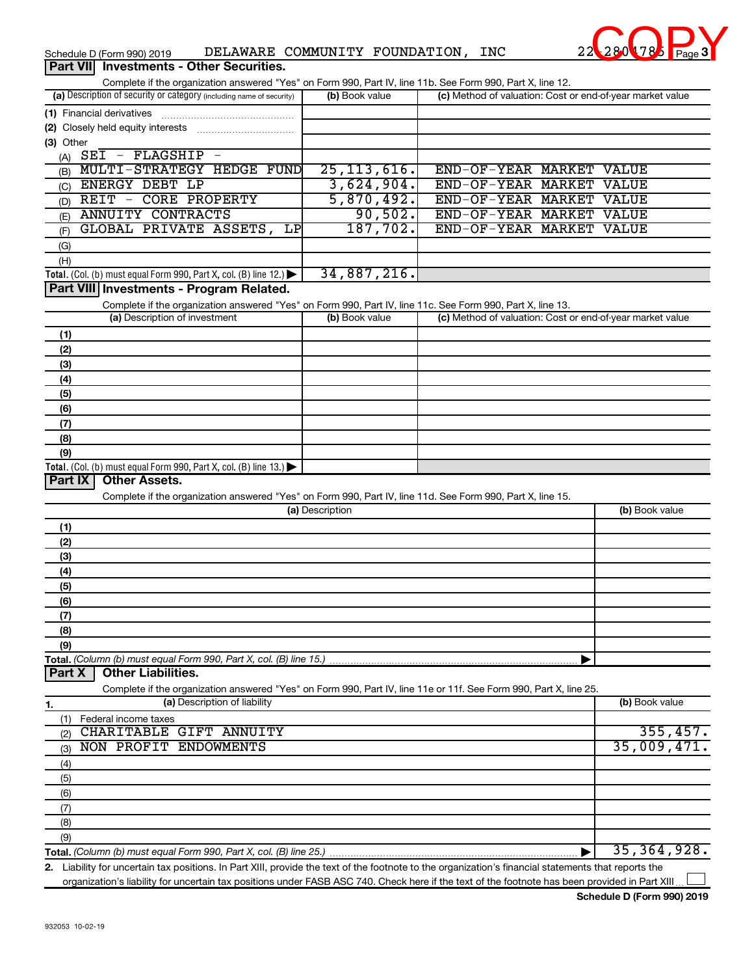| DELAWARE COMMUNITY FOUNDATION,<br>Schedule D (Form 990) 2019                                                                                         |                 |            | <b>INC</b>               | 22 28 0 178 Page 3                                        |
|------------------------------------------------------------------------------------------------------------------------------------------------------|-----------------|------------|--------------------------|-----------------------------------------------------------|
| Part VII Investments - Other Securities.                                                                                                             |                 |            |                          |                                                           |
| Complete if the organization answered "Yes" on Form 990, Part IV, line 11b. See Form 990, Part X, line 12.                                           |                 |            |                          |                                                           |
| (a) Description of security or category (including name of security)                                                                                 | (b) Book value  |            |                          | (c) Method of valuation: Cost or end-of-year market value |
| (1) Financial derivatives                                                                                                                            |                 |            |                          |                                                           |
|                                                                                                                                                      |                 |            |                          |                                                           |
| (3) Other                                                                                                                                            |                 |            |                          |                                                           |
| (A) $SEI - FLAGSHIP -$                                                                                                                               |                 |            |                          |                                                           |
| MULTI-STRATEGY HEDGE FUND<br>(B)                                                                                                                     | 25, 113, 616.   |            | END-OF-YEAR MARKET VALUE |                                                           |
| <b>ENERGY DEBT LP</b><br>(C)                                                                                                                         |                 | 3,624,904. | END-OF-YEAR MARKET VALUE |                                                           |
| REIT - CORE PROPERTY<br>(D)                                                                                                                          |                 | 5,870,492. | END-OF-YEAR MARKET VALUE |                                                           |
| <b>ANNUITY CONTRACTS</b><br>(E)                                                                                                                      |                 | 90,502.    | END-OF-YEAR MARKET VALUE |                                                           |
| GLOBAL PRIVATE ASSETS,<br>LP<br>(F)                                                                                                                  |                 | 187,702.   | END-OF-YEAR MARKET VALUE |                                                           |
| (G)                                                                                                                                                  |                 |            |                          |                                                           |
| (H)                                                                                                                                                  |                 |            |                          |                                                           |
| Total. (Col. (b) must equal Form 990, Part X, col. (B) line 12.)                                                                                     | 34,887,216.     |            |                          |                                                           |
| Part VIII Investments - Program Related.                                                                                                             |                 |            |                          |                                                           |
| Complete if the organization answered "Yes" on Form 990, Part IV, line 11c. See Form 990, Part X, line 13.                                           |                 |            |                          |                                                           |
| (a) Description of investment                                                                                                                        | (b) Book value  |            |                          | (c) Method of valuation: Cost or end-of-year market value |
| (1)                                                                                                                                                  |                 |            |                          |                                                           |
| (2)                                                                                                                                                  |                 |            |                          |                                                           |
| (3)                                                                                                                                                  |                 |            |                          |                                                           |
| (4)                                                                                                                                                  |                 |            |                          |                                                           |
| (5)                                                                                                                                                  |                 |            |                          |                                                           |
| (6)                                                                                                                                                  |                 |            |                          |                                                           |
| (7)                                                                                                                                                  |                 |            |                          |                                                           |
| (8)                                                                                                                                                  |                 |            |                          |                                                           |
| (9)                                                                                                                                                  |                 |            |                          |                                                           |
| Total. (Col. (b) must equal Form 990, Part X, col. (B) line 13.) $\blacktriangleright$                                                               |                 |            |                          |                                                           |
| Part IX<br><b>Other Assets.</b>                                                                                                                      |                 |            |                          |                                                           |
| Complete if the organization answered "Yes" on Form 990, Part IV, line 11d. See Form 990, Part X, line 15.                                           |                 |            |                          |                                                           |
|                                                                                                                                                      | (a) Description |            |                          | (b) Book value                                            |
| (1)                                                                                                                                                  |                 |            |                          |                                                           |
| (2)                                                                                                                                                  |                 |            |                          |                                                           |
| (3)                                                                                                                                                  |                 |            |                          |                                                           |
| (4)                                                                                                                                                  |                 |            |                          |                                                           |
| (5)                                                                                                                                                  |                 |            |                          |                                                           |
| (6)                                                                                                                                                  |                 |            |                          |                                                           |
| (7)                                                                                                                                                  |                 |            |                          |                                                           |
| (8)                                                                                                                                                  |                 |            |                          |                                                           |
| (9)                                                                                                                                                  |                 |            |                          |                                                           |
| Total. (Column (b) must equal Form 990, Part X, col. (B) line 15.)                                                                                   |                 |            |                          |                                                           |
| <b>Other Liabilities.</b><br>Part X                                                                                                                  |                 |            |                          |                                                           |
| Complete if the organization answered "Yes" on Form 990, Part IV, line 11e or 11f. See Form 990, Part X, line 25.                                    |                 |            |                          |                                                           |
| (a) Description of liability<br>1.                                                                                                                   |                 |            |                          | (b) Book value                                            |
| Federal income taxes<br>(1)                                                                                                                          |                 |            |                          |                                                           |
| CHARITABLE GIFT ANNUITY<br>(2)                                                                                                                       |                 |            |                          | 355,457.                                                  |
| NON PROFIT ENDOWMENTS<br>(3)                                                                                                                         |                 |            |                          | 35,009,471.                                               |
| (4)                                                                                                                                                  |                 |            |                          |                                                           |
| (5)                                                                                                                                                  |                 |            |                          |                                                           |
| (6)                                                                                                                                                  |                 |            |                          |                                                           |
| (7)                                                                                                                                                  |                 |            |                          |                                                           |
| (8)                                                                                                                                                  |                 |            |                          |                                                           |
| (9)                                                                                                                                                  |                 |            |                          |                                                           |
|                                                                                                                                                      |                 |            |                          | 35, 364, 928.                                             |
| 2. Liability for uncertain tax positions. In Part XIII, provide the text of the footnote to the organization's financial statements that reports the |                 |            |                          |                                                           |
|                                                                                                                                                      |                 |            |                          |                                                           |

organization's liability for uncertain tax positions under FASB ASC 740. Check here if the text of the footnote has been provided in Part XIII...

# **3**  $280$   $78$   $Page3$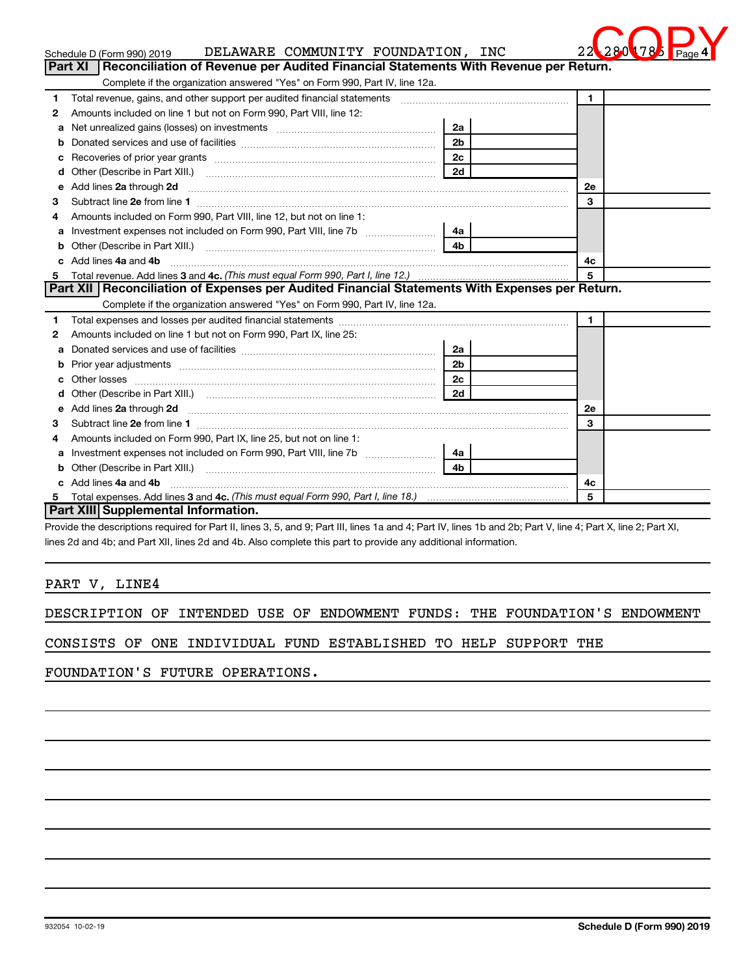| Schedule D (Form 990) 2019<br>Reconciliation of Revenue per Audited Financial Statements With Revenue per Return.<br>Part XI                                                                                                              | DELAWARE COMMUNITY FOUNDATION, INC |              |
|-------------------------------------------------------------------------------------------------------------------------------------------------------------------------------------------------------------------------------------------|------------------------------------|--------------|
| Complete if the organization answered "Yes" on Form 990, Part IV, line 12a.                                                                                                                                                               |                                    |              |
| 1                                                                                                                                                                                                                                         |                                    | 1            |
| Amounts included on line 1 but not on Form 990, Part VIII, line 12:<br>2                                                                                                                                                                  |                                    |              |
| Net unrealized gains (losses) on investments [11] matter contracts and the unrealized gains (losses) on investments<br>а                                                                                                                  | 2a                                 |              |
| b                                                                                                                                                                                                                                         | 2 <sub>b</sub>                     |              |
| с                                                                                                                                                                                                                                         | 2 <sub>c</sub>                     |              |
| d                                                                                                                                                                                                                                         | 2d                                 |              |
| Add lines 2a through 2d<br>е                                                                                                                                                                                                              |                                    | <b>2e</b>    |
| з                                                                                                                                                                                                                                         |                                    | 3            |
| Amounts included on Form 990, Part VIII, line 12, but not on line 1:<br>4                                                                                                                                                                 |                                    |              |
| Investment expenses not included on Form 990, Part VIII, line 7b<br>a                                                                                                                                                                     | 4a                                 |              |
| b                                                                                                                                                                                                                                         |                                    |              |
| Add lines 4a and 4b<br>c                                                                                                                                                                                                                  |                                    | 4c           |
| 5                                                                                                                                                                                                                                         |                                    | 5            |
| Part XII Reconciliation of Expenses per Audited Financial Statements With Expenses per Return.                                                                                                                                            |                                    |              |
|                                                                                                                                                                                                                                           |                                    |              |
| Complete if the organization answered "Yes" on Form 990, Part IV, line 12a.                                                                                                                                                               |                                    |              |
|                                                                                                                                                                                                                                           |                                    | $\mathbf{1}$ |
| Amounts included on line 1 but not on Form 990, Part IX, line 25:                                                                                                                                                                         |                                    |              |
| a                                                                                                                                                                                                                                         | 2a                                 |              |
| b                                                                                                                                                                                                                                         | 2 <sub>b</sub>                     |              |
| c.                                                                                                                                                                                                                                        | 2c                                 |              |
| 1<br>d                                                                                                                                                                                                                                    | 2d                                 |              |
| Add lines 2a through 2d <b>continuum continuum contract and all the contract of the contract of the contract of the contract of the contract of the contract of the contract of the contract of the contract of the contract of </b><br>е |                                    | 2e           |
|                                                                                                                                                                                                                                           |                                    | 3            |
| Amounts included on Form 990, Part IX, line 25, but not on line 1:                                                                                                                                                                        |                                    |              |
| Investment expenses not included on Form 990, Part VIII, line 7b<br>а                                                                                                                                                                     | 4a                                 |              |
| Other (Describe in Part XIII.) <b>Construction Contract Construction</b> [100]<br>b                                                                                                                                                       | 4 <sub>b</sub>                     |              |
| 2<br>3<br>4<br>c Add lines 4a and 4b                                                                                                                                                                                                      |                                    | 4c           |

Provide the descriptions required for Part II, lines 3, 5, and 9; Part III, lines 1a and 4; Part IV, lines 1b and 2b; Part V, line 4; Part X, line 2; Part XI, lines 2d and 4b; and Part XII, lines 2d and 4b. Also complete this part to provide any additional information.

# PART V, LINE4

DESCRIPTION OF INTENDED USE OF ENDOWMENT FUNDS: THE FOUNDATION'S ENDOWMENT

CONSISTS OF ONE INDIVIDUAL FUND ESTABLISHED TO HELP SUPPORT THE

FOUNDATION'S FUTURE OPERATIONS.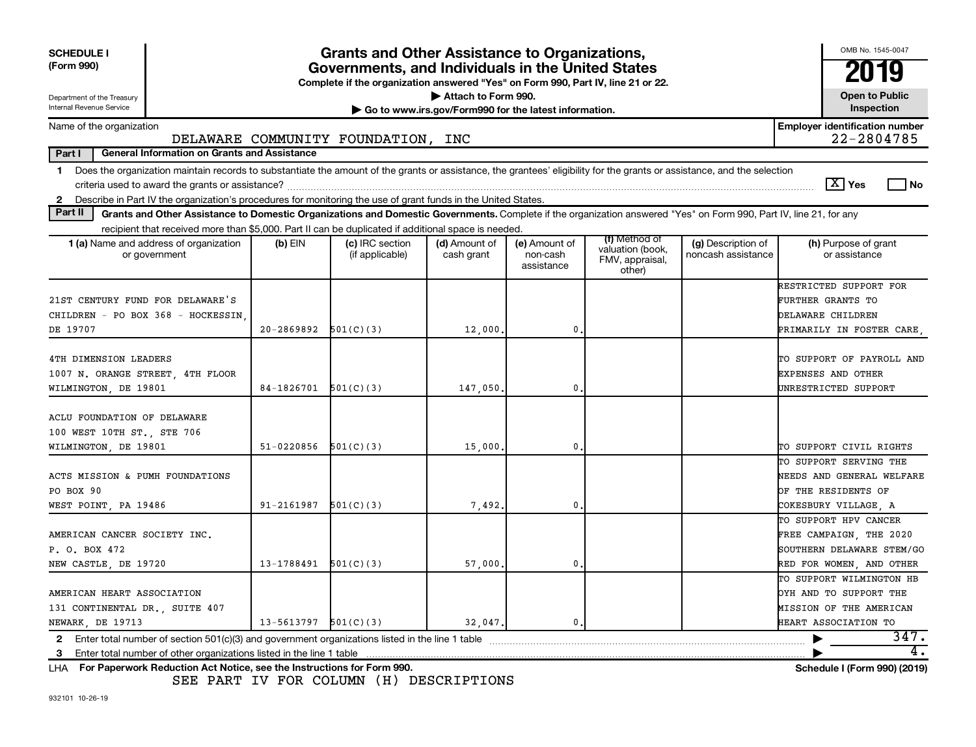| <b>SCHEDULE I</b><br>(Form 990)                                                                                                                                                                                                                                                                                |                            | Grants and Other Assistance to Organizations,<br>Governments, and Individuals in the United States<br>Complete if the organization answered "Yes" on Form 990, Part IV, line 21 or 22. |                             |                                                                              |                                                                |                                          | OMB No. 1545-0047<br>2019                                                                                                                                                                                                                                                                                                                                                                          |  |  |  |
|----------------------------------------------------------------------------------------------------------------------------------------------------------------------------------------------------------------------------------------------------------------------------------------------------------------|----------------------------|----------------------------------------------------------------------------------------------------------------------------------------------------------------------------------------|-----------------------------|------------------------------------------------------------------------------|----------------------------------------------------------------|------------------------------------------|----------------------------------------------------------------------------------------------------------------------------------------------------------------------------------------------------------------------------------------------------------------------------------------------------------------------------------------------------------------------------------------------------|--|--|--|
| Department of the Treasury<br>Internal Revenue Service                                                                                                                                                                                                                                                         |                            |                                                                                                                                                                                        |                             | Attach to Form 990.<br>Go to www.irs.gov/Form990 for the latest information. |                                                                |                                          |                                                                                                                                                                                                                                                                                                                                                                                                    |  |  |  |
| Name of the organization                                                                                                                                                                                                                                                                                       |                            | DELAWARE COMMUNITY FOUNDATION, INC                                                                                                                                                     |                             |                                                                              |                                                                |                                          | <b>Employer identification number</b><br>22-2804785                                                                                                                                                                                                                                                                                                                                                |  |  |  |
| Part I<br><b>General Information on Grants and Assistance</b>                                                                                                                                                                                                                                                  |                            |                                                                                                                                                                                        |                             |                                                                              |                                                                |                                          |                                                                                                                                                                                                                                                                                                                                                                                                    |  |  |  |
| Does the organization maintain records to substantiate the amount of the grants or assistance, the grantees' eligibility for the grants or assistance, and the selection<br>$\mathbf 1$                                                                                                                        |                            |                                                                                                                                                                                        |                             |                                                                              |                                                                |                                          | $\boxed{\text{X}}$ Yes<br><b>No</b>                                                                                                                                                                                                                                                                                                                                                                |  |  |  |
| Describe in Part IV the organization's procedures for monitoring the use of grant funds in the United States.<br>$\mathbf{2}$<br>Part II<br>Grants and Other Assistance to Domestic Organizations and Domestic Governments. Complete if the organization answered "Yes" on Form 990, Part IV, line 21, for any |                            |                                                                                                                                                                                        |                             |                                                                              |                                                                |                                          |                                                                                                                                                                                                                                                                                                                                                                                                    |  |  |  |
| recipient that received more than \$5,000. Part II can be duplicated if additional space is needed.                                                                                                                                                                                                            |                            |                                                                                                                                                                                        |                             |                                                                              |                                                                |                                          |                                                                                                                                                                                                                                                                                                                                                                                                    |  |  |  |
| 1 (a) Name and address of organization<br>or government                                                                                                                                                                                                                                                        | $(b)$ EIN                  | (c) IRC section<br>(if applicable)                                                                                                                                                     | (d) Amount of<br>cash grant | (e) Amount of<br>non-cash<br>assistance                                      | (f) Method of<br>valuation (book,<br>FMV, appraisal,<br>other) | (g) Description of<br>noncash assistance | (h) Purpose of grant<br>or assistance                                                                                                                                                                                                                                                                                                                                                              |  |  |  |
| 21ST CENTURY FUND FOR DELAWARE'S<br>CHILDREN - PO BOX 368 - HOCKESSIN<br>DE 19707                                                                                                                                                                                                                              | $20-2869892$ $501(C)(3)$   |                                                                                                                                                                                        | 12,000.                     | 0.                                                                           |                                                                |                                          | RESTRICTED SUPPORT FOR<br>FURTHER GRANTS TO<br>DELAWARE CHILDREN<br>PRIMARILY IN FOSTER CARE                                                                                                                                                                                                                                                                                                       |  |  |  |
|                                                                                                                                                                                                                                                                                                                |                            |                                                                                                                                                                                        |                             |                                                                              |                                                                |                                          |                                                                                                                                                                                                                                                                                                                                                                                                    |  |  |  |
| 4TH DIMENSION LEADERS<br>1007 N. ORANGE STREET, 4TH FLOOR<br>WILMINGTON, DE 19801                                                                                                                                                                                                                              | $84-1826701$ $501(C)(3)$   |                                                                                                                                                                                        | 147,050,                    | 0.                                                                           |                                                                |                                          | TO SUPPORT OF PAYROLL AND<br><b>EXPENSES AND OTHER</b><br>UNRESTRICTED SUPPORT                                                                                                                                                                                                                                                                                                                     |  |  |  |
| ACLU FOUNDATION OF DELAWARE<br>100 WEST 10TH ST., STE 706<br>WILMINGTON, DE 19801                                                                                                                                                                                                                              | $51-0220856$ $501(C)(3)$   |                                                                                                                                                                                        | 15,000                      | 0                                                                            |                                                                |                                          | TO SUPPORT CIVIL RIGHTS                                                                                                                                                                                                                                                                                                                                                                            |  |  |  |
| ACTS MISSION & PUMH FOUNDATIONS<br>PO BOX 90<br>WEST POINT, PA 19486                                                                                                                                                                                                                                           | $91 - 2161987$ $501(C)(3)$ |                                                                                                                                                                                        | 7,492.                      | 0                                                                            |                                                                |                                          | TO SUPPORT SERVING THE<br>NEEDS AND GENERAL WELFARE<br>OF THE RESIDENTS OF<br>COKESBURY VILLAGE, A                                                                                                                                                                                                                                                                                                 |  |  |  |
| AMERICAN CANCER SOCIETY INC.<br>P. O. BOX 472<br>NEW CASTLE, DE 19720                                                                                                                                                                                                                                          | $13-1788491$ $501(C)(3)$   |                                                                                                                                                                                        | 57,000                      | 0                                                                            |                                                                |                                          | TO SUPPORT HPV CANCER<br>FREE CAMPAIGN, THE 2020<br>SOUTHERN DELAWARE STEM/GO<br>RED FOR WOMEN, AND OTHER                                                                                                                                                                                                                                                                                          |  |  |  |
| AMERICAN HEART ASSOCIATION<br>131 CONTINENTAL DR., SUITE 407<br>NEWARK, DE 19713                                                                                                                                                                                                                               | $13 - 5613797$ $501(C)(3)$ |                                                                                                                                                                                        | 32,047.                     | 0.                                                                           |                                                                |                                          | TO SUPPORT WILMINGTON HB<br>OYH AND TO SUPPORT THE<br>MISSION OF THE AMERICAN<br>HEART ASSOCIATION TO                                                                                                                                                                                                                                                                                              |  |  |  |
| $\mathbf{a}$ . The contract of the contract of the contract of the contract of the contract of the contract of the contract of the contract of the contract of the contract of the contract of the contract of the contract of th                                                                              |                            | $\sim$ $\sim$ $\sim$ $\sim$                                                                                                                                                            |                             |                                                                              |                                                                |                                          | 347.<br>4.<br>$\overline{1}$ $\overline{1}$ $\overline{1}$ $\overline{1}$ $\overline{1}$ $\overline{1}$ $\overline{1}$ $\overline{1}$ $\overline{1}$ $\overline{1}$ $\overline{1}$ $\overline{1}$ $\overline{1}$ $\overline{1}$ $\overline{1}$ $\overline{1}$ $\overline{1}$ $\overline{1}$ $\overline{1}$ $\overline{1}$ $\overline{1}$ $\overline{1}$ $\overline{1}$ $\overline{1}$ $\overline{$ |  |  |  |

**For Paperwork Reduction Act Notice, see the Instructions for Form 990. Schedule I (Form 990) (2019)** LHA

SEE PART IV FOR COLUMN (H) DESCRIPTIONS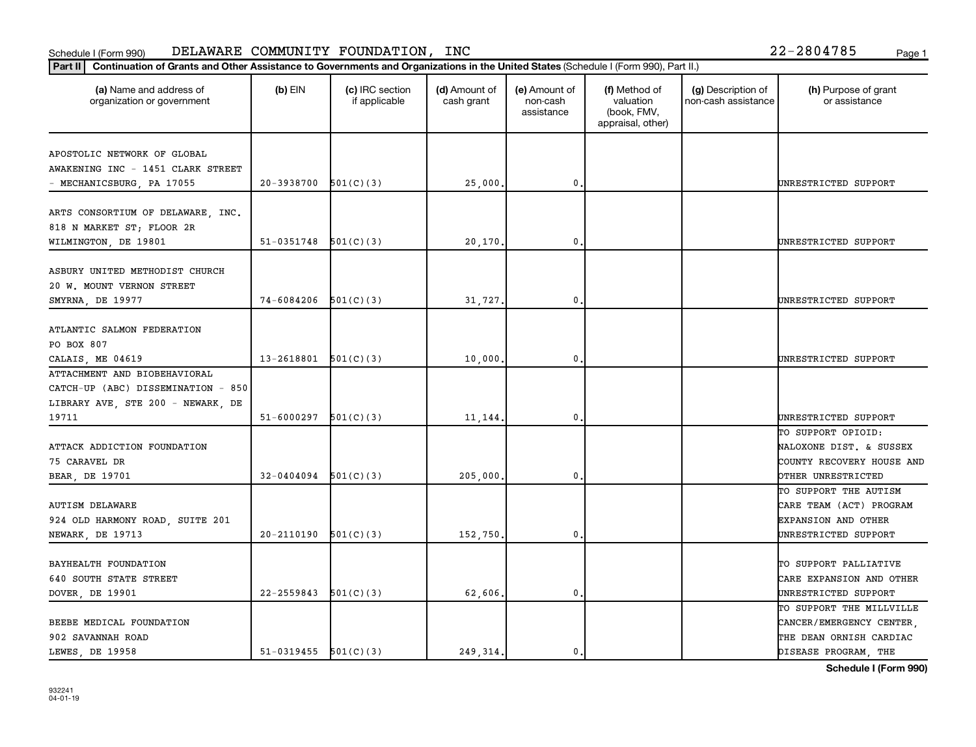| APOSTOLIC NETWORK OF GLOBAL<br>AWAKENING INC - 1451 CLARK STREET<br>20-3938700<br>$\mathbf 0$<br>501(C)(3)<br>25,000.<br>- MECHANICSBURG, PA 17055<br>ARTS CONSORTIUM OF DELAWARE, INC.<br>818 N MARKET ST; FLOOR 2R<br>WILMINGTON, DE 19801<br>51-0351748<br>20,170.<br>501(C)(3)<br>$\mathbf 0$<br>ASBURY UNITED METHODIST CHURCH<br>20 W. MOUNT VERNON STREET<br>74-6084206<br>501(C)(3)<br>SMYRNA, DE 19977<br>31,727.<br>$\mathbf 0$<br>ATLANTIC SALMON FEDERATION<br>PO BOX 807<br>13-2618801<br>501(C)(3)<br>$\mathbf{0}$<br>10,000.<br>CALAIS, ME 04619<br>ATTACHMENT AND BIOBEHAVIORAL<br>CATCH-UP (ABC) DISSEMINATION - 850<br>LIBRARY AVE, STE 200 - NEWARK, DE<br>19711<br>51-6000297<br>501(C)(3)<br>11,144.<br>$\mathbf 0$<br>ATTACK ADDICTION FOUNDATION<br>75 CARAVEL DR<br>32-0404094<br>501(C)(3)<br>205,000<br>BEAR, DE 19701<br>$\mathbf 0$<br><b>AUTISM DELAWARE</b><br>924 OLD HARMONY ROAD, SUITE 201<br>20-2110190<br>501(C)(3)<br>$\mathbf 0$<br>NEWARK, DE 19713<br>152,750.<br>TO SUPPORT PALLIATIVE<br>BAYHEALTH FOUNDATION<br>640 SOUTH STATE STREET<br>22-2559843<br>62,606.<br>501(C)(3)<br>$\mathbf{0}$<br>UNRESTRICTED SUPPORT<br>DOVER, DE 19901<br>TO SUPPORT THE MILLVILLE | (a) Name and address of<br>organization or government | $(b)$ EIN | (c) IRC section<br>if applicable | (d) Amount of<br>cash grant | (e) Amount of<br>non-cash<br>assistance | (f) Method of<br>valuation<br>(book, FMV,<br>appraisal, other) | (g) Description of<br>non-cash assistance | (h) Purpose of grant<br>or assistance               |
|----------------------------------------------------------------------------------------------------------------------------------------------------------------------------------------------------------------------------------------------------------------------------------------------------------------------------------------------------------------------------------------------------------------------------------------------------------------------------------------------------------------------------------------------------------------------------------------------------------------------------------------------------------------------------------------------------------------------------------------------------------------------------------------------------------------------------------------------------------------------------------------------------------------------------------------------------------------------------------------------------------------------------------------------------------------------------------------------------------------------------------------------------------------------------------------------------------------|-------------------------------------------------------|-----------|----------------------------------|-----------------------------|-----------------------------------------|----------------------------------------------------------------|-------------------------------------------|-----------------------------------------------------|
|                                                                                                                                                                                                                                                                                                                                                                                                                                                                                                                                                                                                                                                                                                                                                                                                                                                                                                                                                                                                                                                                                                                                                                                                                |                                                       |           |                                  |                             |                                         |                                                                |                                           |                                                     |
|                                                                                                                                                                                                                                                                                                                                                                                                                                                                                                                                                                                                                                                                                                                                                                                                                                                                                                                                                                                                                                                                                                                                                                                                                |                                                       |           |                                  |                             |                                         |                                                                |                                           |                                                     |
|                                                                                                                                                                                                                                                                                                                                                                                                                                                                                                                                                                                                                                                                                                                                                                                                                                                                                                                                                                                                                                                                                                                                                                                                                |                                                       |           |                                  |                             |                                         |                                                                |                                           | UNRESTRICTED SUPPORT                                |
|                                                                                                                                                                                                                                                                                                                                                                                                                                                                                                                                                                                                                                                                                                                                                                                                                                                                                                                                                                                                                                                                                                                                                                                                                |                                                       |           |                                  |                             |                                         |                                                                |                                           |                                                     |
|                                                                                                                                                                                                                                                                                                                                                                                                                                                                                                                                                                                                                                                                                                                                                                                                                                                                                                                                                                                                                                                                                                                                                                                                                |                                                       |           |                                  |                             |                                         |                                                                |                                           |                                                     |
|                                                                                                                                                                                                                                                                                                                                                                                                                                                                                                                                                                                                                                                                                                                                                                                                                                                                                                                                                                                                                                                                                                                                                                                                                |                                                       |           |                                  |                             |                                         |                                                                |                                           |                                                     |
|                                                                                                                                                                                                                                                                                                                                                                                                                                                                                                                                                                                                                                                                                                                                                                                                                                                                                                                                                                                                                                                                                                                                                                                                                |                                                       |           |                                  |                             |                                         |                                                                |                                           | UNRESTRICTED SUPPORT                                |
|                                                                                                                                                                                                                                                                                                                                                                                                                                                                                                                                                                                                                                                                                                                                                                                                                                                                                                                                                                                                                                                                                                                                                                                                                |                                                       |           |                                  |                             |                                         |                                                                |                                           |                                                     |
|                                                                                                                                                                                                                                                                                                                                                                                                                                                                                                                                                                                                                                                                                                                                                                                                                                                                                                                                                                                                                                                                                                                                                                                                                |                                                       |           |                                  |                             |                                         |                                                                |                                           |                                                     |
|                                                                                                                                                                                                                                                                                                                                                                                                                                                                                                                                                                                                                                                                                                                                                                                                                                                                                                                                                                                                                                                                                                                                                                                                                |                                                       |           |                                  |                             |                                         |                                                                |                                           | UNRESTRICTED SUPPORT                                |
|                                                                                                                                                                                                                                                                                                                                                                                                                                                                                                                                                                                                                                                                                                                                                                                                                                                                                                                                                                                                                                                                                                                                                                                                                |                                                       |           |                                  |                             |                                         |                                                                |                                           |                                                     |
|                                                                                                                                                                                                                                                                                                                                                                                                                                                                                                                                                                                                                                                                                                                                                                                                                                                                                                                                                                                                                                                                                                                                                                                                                |                                                       |           |                                  |                             |                                         |                                                                |                                           |                                                     |
|                                                                                                                                                                                                                                                                                                                                                                                                                                                                                                                                                                                                                                                                                                                                                                                                                                                                                                                                                                                                                                                                                                                                                                                                                |                                                       |           |                                  |                             |                                         |                                                                |                                           |                                                     |
|                                                                                                                                                                                                                                                                                                                                                                                                                                                                                                                                                                                                                                                                                                                                                                                                                                                                                                                                                                                                                                                                                                                                                                                                                |                                                       |           |                                  |                             |                                         |                                                                |                                           | UNRESTRICTED SUPPORT                                |
|                                                                                                                                                                                                                                                                                                                                                                                                                                                                                                                                                                                                                                                                                                                                                                                                                                                                                                                                                                                                                                                                                                                                                                                                                |                                                       |           |                                  |                             |                                         |                                                                |                                           |                                                     |
|                                                                                                                                                                                                                                                                                                                                                                                                                                                                                                                                                                                                                                                                                                                                                                                                                                                                                                                                                                                                                                                                                                                                                                                                                |                                                       |           |                                  |                             |                                         |                                                                |                                           |                                                     |
|                                                                                                                                                                                                                                                                                                                                                                                                                                                                                                                                                                                                                                                                                                                                                                                                                                                                                                                                                                                                                                                                                                                                                                                                                |                                                       |           |                                  |                             |                                         |                                                                |                                           |                                                     |
|                                                                                                                                                                                                                                                                                                                                                                                                                                                                                                                                                                                                                                                                                                                                                                                                                                                                                                                                                                                                                                                                                                                                                                                                                |                                                       |           |                                  |                             |                                         |                                                                |                                           | UNRESTRICTED SUPPORT                                |
|                                                                                                                                                                                                                                                                                                                                                                                                                                                                                                                                                                                                                                                                                                                                                                                                                                                                                                                                                                                                                                                                                                                                                                                                                |                                                       |           |                                  |                             |                                         |                                                                |                                           | TO SUPPORT OPIOID:                                  |
|                                                                                                                                                                                                                                                                                                                                                                                                                                                                                                                                                                                                                                                                                                                                                                                                                                                                                                                                                                                                                                                                                                                                                                                                                |                                                       |           |                                  |                             |                                         |                                                                |                                           | NALOXONE DIST. & SUSSEX                             |
|                                                                                                                                                                                                                                                                                                                                                                                                                                                                                                                                                                                                                                                                                                                                                                                                                                                                                                                                                                                                                                                                                                                                                                                                                |                                                       |           |                                  |                             |                                         |                                                                |                                           | COUNTY RECOVERY HOUSE AND                           |
|                                                                                                                                                                                                                                                                                                                                                                                                                                                                                                                                                                                                                                                                                                                                                                                                                                                                                                                                                                                                                                                                                                                                                                                                                |                                                       |           |                                  |                             |                                         |                                                                |                                           | OTHER UNRESTRICTED                                  |
|                                                                                                                                                                                                                                                                                                                                                                                                                                                                                                                                                                                                                                                                                                                                                                                                                                                                                                                                                                                                                                                                                                                                                                                                                |                                                       |           |                                  |                             |                                         |                                                                |                                           | TO SUPPORT THE AUTISM                               |
|                                                                                                                                                                                                                                                                                                                                                                                                                                                                                                                                                                                                                                                                                                                                                                                                                                                                                                                                                                                                                                                                                                                                                                                                                |                                                       |           |                                  |                             |                                         |                                                                |                                           | CARE TEAM (ACT) PROGRAM                             |
|                                                                                                                                                                                                                                                                                                                                                                                                                                                                                                                                                                                                                                                                                                                                                                                                                                                                                                                                                                                                                                                                                                                                                                                                                |                                                       |           |                                  |                             |                                         |                                                                |                                           | <b>EXPANSION AND OTHER</b>                          |
|                                                                                                                                                                                                                                                                                                                                                                                                                                                                                                                                                                                                                                                                                                                                                                                                                                                                                                                                                                                                                                                                                                                                                                                                                |                                                       |           |                                  |                             |                                         |                                                                |                                           | UNRESTRICTED SUPPORT                                |
|                                                                                                                                                                                                                                                                                                                                                                                                                                                                                                                                                                                                                                                                                                                                                                                                                                                                                                                                                                                                                                                                                                                                                                                                                |                                                       |           |                                  |                             |                                         |                                                                |                                           |                                                     |
|                                                                                                                                                                                                                                                                                                                                                                                                                                                                                                                                                                                                                                                                                                                                                                                                                                                                                                                                                                                                                                                                                                                                                                                                                |                                                       |           |                                  |                             |                                         |                                                                |                                           |                                                     |
|                                                                                                                                                                                                                                                                                                                                                                                                                                                                                                                                                                                                                                                                                                                                                                                                                                                                                                                                                                                                                                                                                                                                                                                                                |                                                       |           |                                  |                             |                                         |                                                                |                                           | CARE EXPANSION AND OTHER                            |
|                                                                                                                                                                                                                                                                                                                                                                                                                                                                                                                                                                                                                                                                                                                                                                                                                                                                                                                                                                                                                                                                                                                                                                                                                |                                                       |           |                                  |                             |                                         |                                                                |                                           |                                                     |
|                                                                                                                                                                                                                                                                                                                                                                                                                                                                                                                                                                                                                                                                                                                                                                                                                                                                                                                                                                                                                                                                                                                                                                                                                |                                                       |           |                                  |                             |                                         |                                                                |                                           |                                                     |
|                                                                                                                                                                                                                                                                                                                                                                                                                                                                                                                                                                                                                                                                                                                                                                                                                                                                                                                                                                                                                                                                                                                                                                                                                | BEEBE MEDICAL FOUNDATION                              |           |                                  |                             |                                         |                                                                |                                           | CANCER/EMERGENCY CENTER,<br>THE DEAN ORNISH CARDIAC |
| 902 SAVANNAH ROAD<br>LEWES, DE 19958<br>$51-0319455$ $501(C)(3)$<br>249, 314.<br>$\mathbf{0}$                                                                                                                                                                                                                                                                                                                                                                                                                                                                                                                                                                                                                                                                                                                                                                                                                                                                                                                                                                                                                                                                                                                  |                                                       |           |                                  |                             |                                         |                                                                |                                           | DISEASE PROGRAM, THE                                |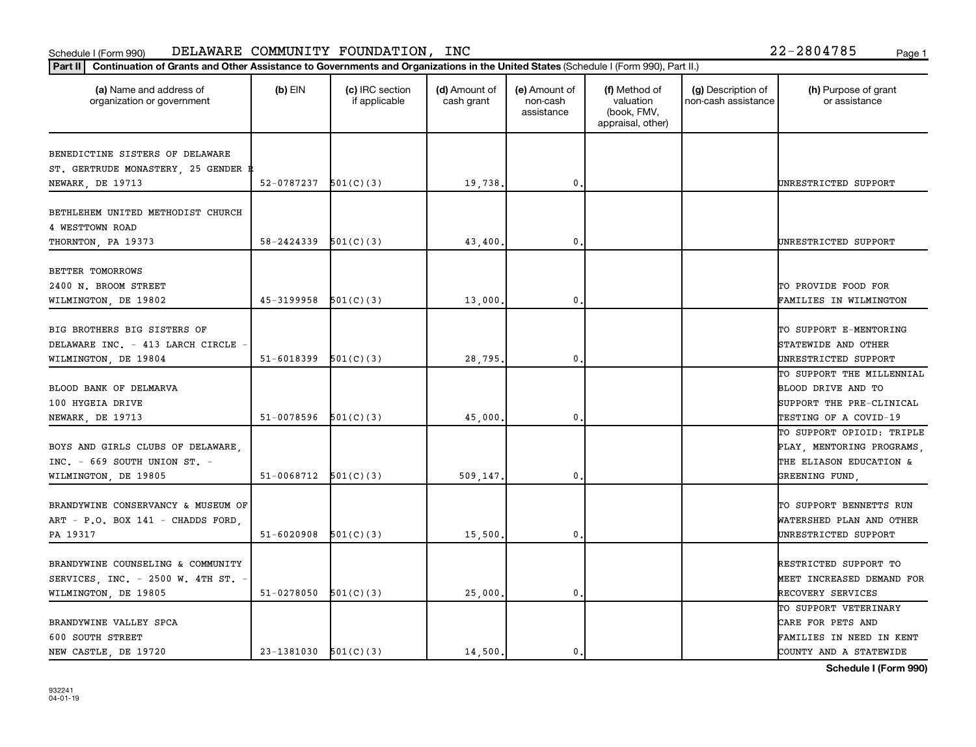| Part II   Continuation of Grants and Other Assistance to Governments and Organizations in the United States (Schedule I (Form 990), Part II.) |                          |                                  |                             |                                         |                                                                |                                           |                                       |
|-----------------------------------------------------------------------------------------------------------------------------------------------|--------------------------|----------------------------------|-----------------------------|-----------------------------------------|----------------------------------------------------------------|-------------------------------------------|---------------------------------------|
| (a) Name and address of<br>organization or government                                                                                         | $(b)$ EIN                | (c) IRC section<br>if applicable | (d) Amount of<br>cash grant | (e) Amount of<br>non-cash<br>assistance | (f) Method of<br>valuation<br>(book, FMV,<br>appraisal, other) | (g) Description of<br>non-cash assistance | (h) Purpose of grant<br>or assistance |
| BENEDICTINE SISTERS OF DELAWARE                                                                                                               |                          |                                  |                             |                                         |                                                                |                                           |                                       |
| ST. GERTRUDE MONASTERY, 25 GENDER R                                                                                                           |                          |                                  |                             |                                         |                                                                |                                           |                                       |
| NEWARK, DE 19713                                                                                                                              | 52-0787237               | 501(C)(3)                        | 19,738.                     | 0                                       |                                                                |                                           | UNRESTRICTED SUPPORT                  |
|                                                                                                                                               |                          |                                  |                             |                                         |                                                                |                                           |                                       |
| BETHLEHEM UNITED METHODIST CHURCH                                                                                                             |                          |                                  |                             |                                         |                                                                |                                           |                                       |
| 4 WESTTOWN ROAD                                                                                                                               |                          |                                  |                             |                                         |                                                                |                                           |                                       |
| THORNTON, PA 19373                                                                                                                            | 58-2424339               | 501(C)(3)                        | 43,400.                     | 0                                       |                                                                |                                           | UNRESTRICTED SUPPORT                  |
| BETTER TOMORROWS                                                                                                                              |                          |                                  |                             |                                         |                                                                |                                           |                                       |
| 2400 N. BROOM STREET                                                                                                                          |                          |                                  |                             |                                         |                                                                |                                           | TO PROVIDE FOOD FOR                   |
| WILMINGTON, DE 19802                                                                                                                          | 45-3199958               | 501(C)(3)                        | 13,000                      | 0                                       |                                                                |                                           | FAMILIES IN WILMINGTON                |
|                                                                                                                                               |                          |                                  |                             |                                         |                                                                |                                           |                                       |
| BIG BROTHERS BIG SISTERS OF                                                                                                                   |                          |                                  |                             |                                         |                                                                |                                           | TO SUPPORT E-MENTORING                |
| DELAWARE INC. - 413 LARCH CIRCLE                                                                                                              |                          |                                  |                             |                                         |                                                                |                                           | STATEWIDE AND OTHER                   |
| WILMINGTON, DE 19804                                                                                                                          | $51-6018399$ $501(C)(3)$ |                                  | 28,795.                     | 0                                       |                                                                |                                           | UNRESTRICTED SUPPORT                  |
|                                                                                                                                               |                          |                                  |                             |                                         |                                                                |                                           | TO SUPPORT THE MILLENNIAL             |
| BLOOD BANK OF DELMARVA                                                                                                                        |                          |                                  |                             |                                         |                                                                |                                           | BLOOD DRIVE AND TO                    |
| 100 HYGEIA DRIVE                                                                                                                              |                          |                                  |                             |                                         |                                                                |                                           | SUPPORT THE PRE-CLINICAL              |
| NEWARK, DE 19713                                                                                                                              | 51-0078596               | 501(C)(3)                        | 45,000,                     | 0                                       |                                                                |                                           | TESTING OF A COVID-19                 |
|                                                                                                                                               |                          |                                  |                             |                                         |                                                                |                                           | TO SUPPORT OPIOID: TRIPLE             |
| BOYS AND GIRLS CLUBS OF DELAWARE,                                                                                                             |                          |                                  |                             |                                         |                                                                |                                           | PLAY, MENTORING PROGRAMS,             |
| INC. $-669$ SOUTH UNION ST. $-$                                                                                                               |                          |                                  |                             |                                         |                                                                |                                           | THE ELIASON EDUCATION &               |
| WILMINGTON, DE 19805                                                                                                                          | 51-0068712               | 501(C)(3)                        | 509,147.                    | 0                                       |                                                                |                                           | GREENING FUND,                        |
|                                                                                                                                               |                          |                                  |                             |                                         |                                                                |                                           |                                       |
| BRANDYWINE CONSERVANCY & MUSEUM OF                                                                                                            |                          |                                  |                             |                                         |                                                                |                                           | TO SUPPORT BENNETTS RUN               |
| ART - P.O. BOX 141 - CHADDS FORD,                                                                                                             | $51-6020908$ $501(C)(3)$ |                                  | 15,500.                     | 0                                       |                                                                |                                           | WATERSHED PLAN AND OTHER              |
| PA 19317                                                                                                                                      |                          |                                  |                             |                                         |                                                                |                                           | UNRESTRICTED SUPPORT                  |
| BRANDYWINE COUNSELING & COMMUNITY                                                                                                             |                          |                                  |                             |                                         |                                                                |                                           | RESTRICTED SUPPORT TO                 |
| SERVICES, INC. - 2500 W. 4TH ST. -                                                                                                            |                          |                                  |                             |                                         |                                                                |                                           | MEET INCREASED DEMAND FOR             |
| WILMINGTON, DE 19805                                                                                                                          | 51-0278050               | 501(C)(3)                        | 25,000,                     | $\mathbf{0}$                            |                                                                |                                           | RECOVERY SERVICES                     |
|                                                                                                                                               |                          |                                  |                             |                                         |                                                                |                                           | TO SUPPORT VETERINARY                 |
| BRANDYWINE VALLEY SPCA                                                                                                                        |                          |                                  |                             |                                         |                                                                |                                           | CARE FOR PETS AND                     |
| 600 SOUTH STREET                                                                                                                              |                          |                                  |                             |                                         |                                                                |                                           | FAMILIES IN NEED IN KENT              |
| NEW CASTLE, DE 19720                                                                                                                          | $23-1381030$ $501(C)(3)$ |                                  | 14,500.                     | $\mathbf{0}$                            |                                                                |                                           | COUNTY AND A STATEWIDE                |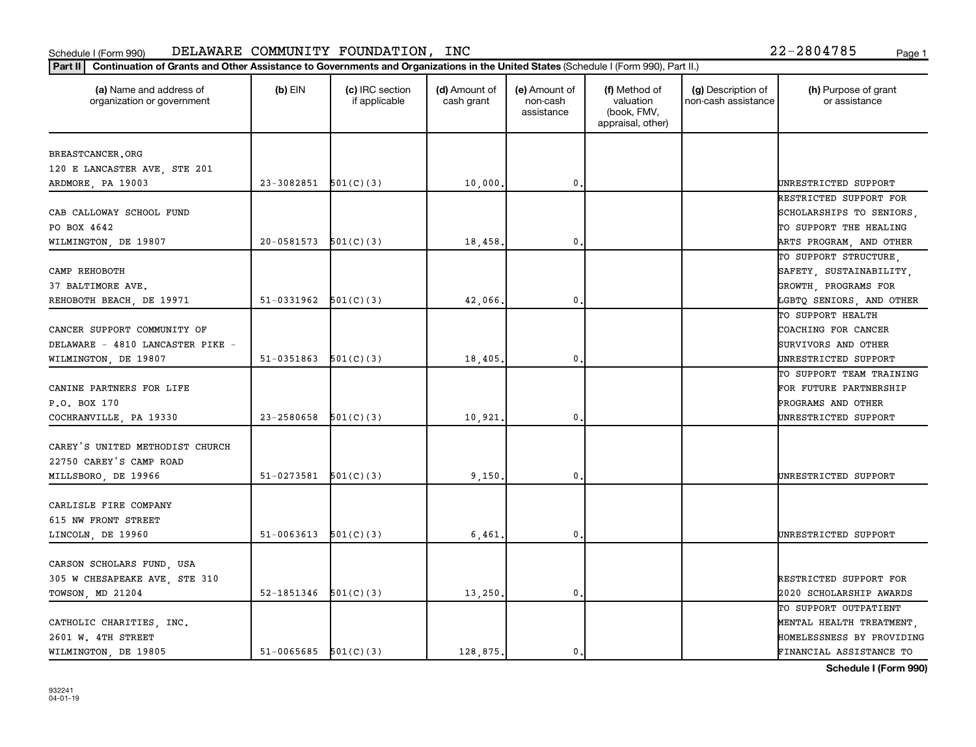| Part II   Continuation of Grants and Other Assistance to Governments and Organizations in the United States (Schedule I (Form 990), Part II.) |                          |                                  |                             |                                         |                                                                |                                           |                                                 |
|-----------------------------------------------------------------------------------------------------------------------------------------------|--------------------------|----------------------------------|-----------------------------|-----------------------------------------|----------------------------------------------------------------|-------------------------------------------|-------------------------------------------------|
| (a) Name and address of<br>organization or government                                                                                         | $(b)$ EIN                | (c) IRC section<br>if applicable | (d) Amount of<br>cash grant | (e) Amount of<br>non-cash<br>assistance | (f) Method of<br>valuation<br>(book, FMV,<br>appraisal, other) | (g) Description of<br>non-cash assistance | (h) Purpose of grant<br>or assistance           |
| BREASTCANCER.ORG                                                                                                                              |                          |                                  |                             |                                         |                                                                |                                           |                                                 |
| 120 E LANCASTER AVE, STE 201                                                                                                                  |                          |                                  |                             |                                         |                                                                |                                           |                                                 |
| ARDMORE, PA 19003                                                                                                                             | $23-3082851$ $501(C)(3)$ |                                  | 10,000.                     | $\mathbf{0}$                            |                                                                |                                           | UNRESTRICTED SUPPORT                            |
|                                                                                                                                               |                          |                                  |                             |                                         |                                                                |                                           | RESTRICTED SUPPORT FOR                          |
| CAB CALLOWAY SCHOOL FUND                                                                                                                      |                          |                                  |                             |                                         |                                                                |                                           | SCHOLARSHIPS TO SENIORS,                        |
| PO BOX 4642                                                                                                                                   |                          |                                  |                             |                                         |                                                                |                                           | TO SUPPORT THE HEALING                          |
| WILMINGTON, DE 19807                                                                                                                          | 20-0581573               | 501(C)(3)                        | 18,458.                     | 0.                                      |                                                                |                                           | ARTS PROGRAM, AND OTHER                         |
|                                                                                                                                               |                          |                                  |                             |                                         |                                                                |                                           | TO SUPPORT STRUCTURE.                           |
| CAMP REHOBOTH                                                                                                                                 |                          |                                  |                             |                                         |                                                                |                                           |                                                 |
| 37 BALTIMORE AVE.                                                                                                                             |                          |                                  |                             |                                         |                                                                |                                           | SAFETY, SUSTAINABILITY,<br>GROWTH, PROGRAMS FOR |
| REHOBOTH BEACH, DE 19971                                                                                                                      | $51-0331962$ $501(C)(3)$ |                                  | 42,066                      | $\mathbf{0}$                            |                                                                |                                           |                                                 |
|                                                                                                                                               |                          |                                  |                             |                                         |                                                                |                                           | LGBTQ SENIORS, AND OTHER<br>TO SUPPORT HEALTH   |
| CANCER SUPPORT COMMUNITY OF                                                                                                                   |                          |                                  |                             |                                         |                                                                |                                           | COACHING FOR CANCER                             |
| DELAWARE - 4810 LANCASTER PIKE -                                                                                                              |                          |                                  |                             |                                         |                                                                |                                           |                                                 |
|                                                                                                                                               |                          |                                  |                             | 0                                       |                                                                |                                           | SURVIVORS AND OTHER                             |
| WILMINGTON, DE 19807                                                                                                                          | $51-0351863$ $501(C)(3)$ |                                  | 18,405.                     |                                         |                                                                |                                           | UNRESTRICTED SUPPORT                            |
|                                                                                                                                               |                          |                                  |                             |                                         |                                                                |                                           | TO SUPPORT TEAM TRAINING                        |
| CANINE PARTNERS FOR LIFE                                                                                                                      |                          |                                  |                             |                                         |                                                                |                                           | FOR FUTURE PARTNERSHIP                          |
| P.O. BOX 170                                                                                                                                  |                          |                                  |                             |                                         |                                                                |                                           | PROGRAMS AND OTHER                              |
| COCHRANVILLE, PA 19330                                                                                                                        | 23-2580658               | 501(C)(3)                        | 10,921                      | $\mathbf{0}$                            |                                                                |                                           | UNRESTRICTED SUPPORT                            |
| CAREY'S UNITED METHODIST CHURCH                                                                                                               |                          |                                  |                             |                                         |                                                                |                                           |                                                 |
| 22750 CAREY'S CAMP ROAD                                                                                                                       |                          |                                  |                             |                                         |                                                                |                                           |                                                 |
| MILLSBORO, DE 19966                                                                                                                           | $51-0273581$ $501(C)(3)$ |                                  | 9,150                       | 0.                                      |                                                                |                                           | UNRESTRICTED SUPPORT                            |
|                                                                                                                                               |                          |                                  |                             |                                         |                                                                |                                           |                                                 |
| CARLISLE FIRE COMPANY                                                                                                                         |                          |                                  |                             |                                         |                                                                |                                           |                                                 |
| 615 NW FRONT STREET                                                                                                                           |                          |                                  |                             |                                         |                                                                |                                           |                                                 |
| LINCOLN, DE 19960                                                                                                                             | $51-0063613$ $501(C)(3)$ |                                  | 6,461                       | $\mathbf{0}$                            |                                                                |                                           | UNRESTRICTED SUPPORT                            |
|                                                                                                                                               |                          |                                  |                             |                                         |                                                                |                                           |                                                 |
| CARSON SCHOLARS FUND, USA                                                                                                                     |                          |                                  |                             |                                         |                                                                |                                           |                                                 |
| 305 W CHESAPEAKE AVE, STE 310                                                                                                                 |                          |                                  |                             |                                         |                                                                |                                           | RESTRICTED SUPPORT FOR                          |
| TOWSON, MD 21204                                                                                                                              | 52-1851346               | 501(C)(3)                        | 13,250.                     | 0.                                      |                                                                |                                           | 2020 SCHOLARSHIP AWARDS                         |
|                                                                                                                                               |                          |                                  |                             |                                         |                                                                |                                           | TO SUPPORT OUTPATIENT                           |
| CATHOLIC CHARITIES, INC.                                                                                                                      |                          |                                  |                             |                                         |                                                                |                                           | MENTAL HEALTH TREATMENT,                        |
| 2601 W. 4TH STREET                                                                                                                            |                          |                                  |                             |                                         |                                                                |                                           | HOMELESSNESS BY PROVIDING                       |
| WILMINGTON, DE 19805                                                                                                                          | $51-0065685$ $501(C)(3)$ |                                  | 128,875.                    | 0.                                      |                                                                |                                           | FINANCIAL ASSISTANCE TO                         |
|                                                                                                                                               |                          |                                  |                             |                                         |                                                                |                                           |                                                 |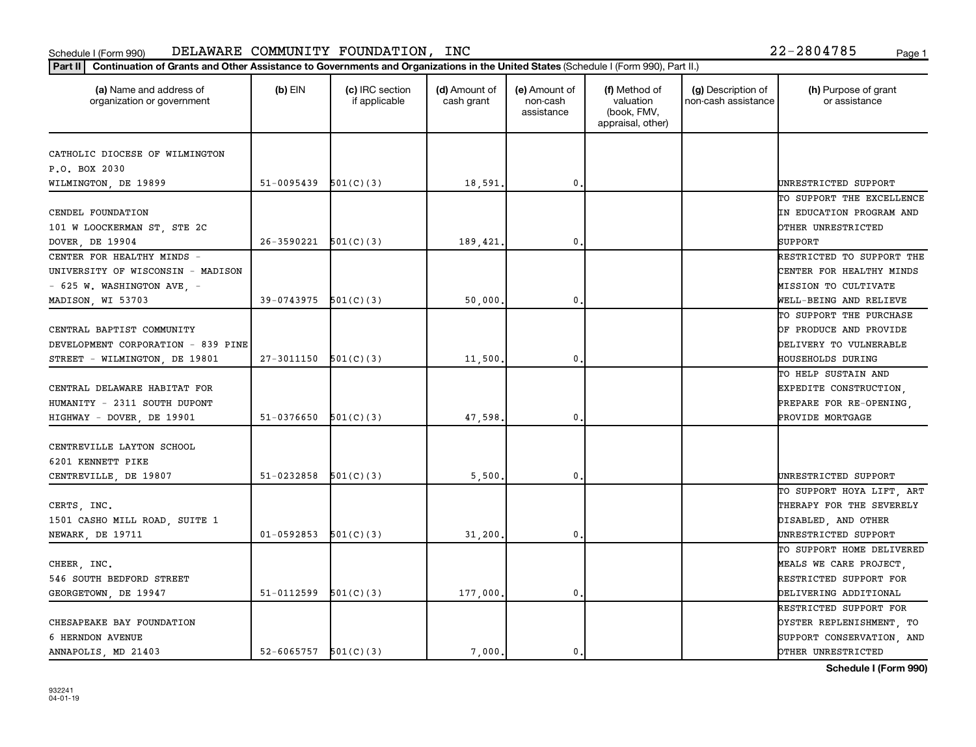| (a) Name and address of<br>organization or government | $(b)$ EIN                  | (c) IRC section<br>if applicable | (d) Amount of<br>cash grant | (e) Amount of<br>non-cash<br>assistance | (f) Method of<br>valuation<br>(book, FMV,<br>appraisal, other) | (g) Description of<br>non-cash assistance | (h) Purpose of grant<br>or assistance |
|-------------------------------------------------------|----------------------------|----------------------------------|-----------------------------|-----------------------------------------|----------------------------------------------------------------|-------------------------------------------|---------------------------------------|
| CATHOLIC DIOCESE OF WILMINGTON                        |                            |                                  |                             |                                         |                                                                |                                           |                                       |
| P.O. BOX 2030                                         |                            |                                  |                             |                                         |                                                                |                                           |                                       |
| WILMINGTON, DE 19899                                  | $51-0095439$ $501(C)(3)$   |                                  | 18,591.                     | 0                                       |                                                                |                                           | UNRESTRICTED SUPPORT                  |
|                                                       |                            |                                  |                             |                                         |                                                                |                                           | TO SUPPORT THE EXCELLENCE             |
| CENDEL FOUNDATION                                     |                            |                                  |                             |                                         |                                                                |                                           | IN EDUCATION PROGRAM AND              |
| 101 W LOOCKERMAN ST, STE 2C                           |                            |                                  |                             |                                         |                                                                |                                           | OTHER UNRESTRICTED                    |
| DOVER, DE 19904                                       | 26-3590221                 | 501(C)(3)                        | 189,421                     | 0                                       |                                                                |                                           | <b>SUPPORT</b>                        |
| CENTER FOR HEALTHY MINDS -                            |                            |                                  |                             |                                         |                                                                |                                           | RESTRICTED TO SUPPORT THE             |
| UNIVERSITY OF WISCONSIN - MADISON                     |                            |                                  |                             |                                         |                                                                |                                           | CENTER FOR HEALTHY MINDS              |
| $-$ 625 W. WASHINGTON AVE, $-$                        |                            |                                  |                             |                                         |                                                                |                                           | MISSION TO CULTIVATE                  |
| MADISON, WI 53703                                     | 39-0743975                 | 501(C)(3)                        | 50,000,                     | $\mathbf{0}$                            |                                                                |                                           | WELL-BEING AND RELIEVE                |
|                                                       |                            |                                  |                             |                                         |                                                                |                                           | TO SUPPORT THE PURCHASE               |
| CENTRAL BAPTIST COMMUNITY                             |                            |                                  |                             |                                         |                                                                |                                           | OF PRODUCE AND PROVIDE                |
| DEVELOPMENT CORPORATION - 839 PINE                    |                            |                                  |                             |                                         |                                                                |                                           | DELIVERY TO VULNERABLE                |
| STREET - WILMINGTON, DE 19801                         | $27-3011150$ $501(C)(3)$   |                                  | 11,500                      | 0                                       |                                                                |                                           | <b>HOUSEHOLDS DURING</b>              |
|                                                       |                            |                                  |                             |                                         |                                                                |                                           | TO HELP SUSTAIN AND                   |
| CENTRAL DELAWARE HABITAT FOR                          |                            |                                  |                             |                                         |                                                                |                                           | EXPEDITE CONSTRUCTION,                |
| HUMANITY - 2311 SOUTH DUPONT                          |                            |                                  |                             |                                         |                                                                |                                           | PREPARE FOR RE-OPENING,               |
| HIGHWAY - DOVER, DE 19901                             | 51-0376650                 | 501(C)(3)                        | 47,598                      | 0                                       |                                                                |                                           | PROVIDE MORTGAGE                      |
| CENTREVILLE LAYTON SCHOOL                             |                            |                                  |                             |                                         |                                                                |                                           |                                       |
| 6201 KENNETT PIKE                                     |                            |                                  |                             |                                         |                                                                |                                           |                                       |
| CENTREVILLE, DE 19807                                 | 51-0232858                 | 501(C)(3)                        | 5,500                       | $\mathbf{0}$                            |                                                                |                                           | UNRESTRICTED SUPPORT                  |
|                                                       |                            |                                  |                             |                                         |                                                                |                                           | TO SUPPORT HOYA LIFT, ART             |
| CERTS, INC.                                           |                            |                                  |                             |                                         |                                                                |                                           | THERAPY FOR THE SEVERELY              |
| 1501 CASHO MILL ROAD, SUITE 1                         |                            |                                  |                             |                                         |                                                                |                                           | DISABLED, AND OTHER                   |
| NEWARK, DE 19711                                      | $01 - 0592853$             | 501(C)(3)                        | 31,200                      | $\mathbf{0}$                            |                                                                |                                           | UNRESTRICTED SUPPORT                  |
|                                                       |                            |                                  |                             |                                         |                                                                |                                           | TO SUPPORT HOME DELIVERED             |
| CHEER, INC.                                           |                            |                                  |                             |                                         |                                                                |                                           | MEALS WE CARE PROJECT,                |
| 546 SOUTH BEDFORD STREET                              |                            |                                  |                             |                                         |                                                                |                                           | RESTRICTED SUPPORT FOR                |
| GEORGETOWN, DE 19947                                  | 51-0112599                 | 501(C)(3)                        | 177,000,                    | 0                                       |                                                                |                                           | DELIVERING ADDITIONAL                 |
|                                                       |                            |                                  |                             |                                         |                                                                |                                           | RESTRICTED SUPPORT FOR                |
| CHESAPEAKE BAY FOUNDATION                             |                            |                                  |                             |                                         |                                                                |                                           | <b>DYSTER REPLENISHMENT, TO</b>       |
| 6 HERNDON AVENUE                                      |                            |                                  |                             |                                         |                                                                |                                           | SUPPORT CONSERVATION, AND             |
| ANNAPOLIS, MD 21403                                   | $52 - 6065757$ $501(C)(3)$ |                                  | 7,000.                      | $\mathbf{0}$                            |                                                                |                                           | OTHER UNRESTRICTED                    |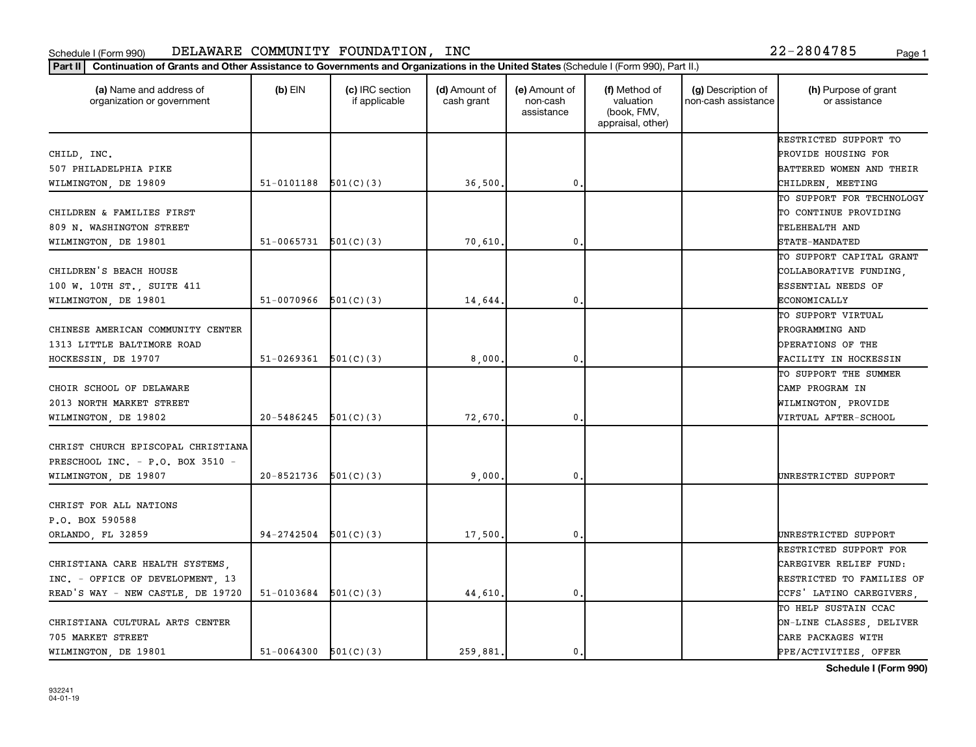| (a) Name and address of<br>organization or government | $(b)$ EIN                  | (c) IRC section<br>if applicable | (d) Amount of<br>cash grant | (e) Amount of<br>non-cash<br>assistance | (f) Method of<br>valuation<br>(book, FMV,<br>appraisal, other) | (g) Description of<br>non-cash assistance | (h) Purpose of grant<br>or assistance            |
|-------------------------------------------------------|----------------------------|----------------------------------|-----------------------------|-----------------------------------------|----------------------------------------------------------------|-------------------------------------------|--------------------------------------------------|
|                                                       |                            |                                  |                             |                                         |                                                                |                                           | RESTRICTED SUPPORT TO                            |
| CHILD, INC.                                           |                            |                                  |                             |                                         |                                                                |                                           | PROVIDE HOUSING FOR                              |
| 507 PHILADELPHIA PIKE                                 |                            |                                  |                             |                                         |                                                                |                                           | BATTERED WOMEN AND THEIR                         |
| WILMINGTON, DE 19809                                  | $51-0101188$ $501(C)(3)$   |                                  | 36,500.                     | 0                                       |                                                                |                                           | CHILDREN, MEETING                                |
|                                                       |                            |                                  |                             |                                         |                                                                |                                           | TO SUPPORT FOR TECHNOLOGY                        |
| CHILDREN & FAMILIES FIRST                             |                            |                                  |                             |                                         |                                                                |                                           | TO CONTINUE PROVIDING                            |
| 809 N. WASHINGTON STREET                              |                            |                                  |                             |                                         |                                                                |                                           | TELEHEALTH AND                                   |
| WILMINGTON, DE 19801                                  | $51-0065731$ $501(C)(3)$   |                                  | 70,610,                     | $\mathbf{0}$ .                          |                                                                |                                           | <b>STATE-MANDATED</b>                            |
|                                                       |                            |                                  |                             |                                         |                                                                |                                           | TO SUPPORT CAPITAL GRANT                         |
| CHILDREN'S BEACH HOUSE                                |                            |                                  |                             |                                         |                                                                |                                           | COLLABORATIVE FUNDING,                           |
| 100 W. 10TH ST., SUITE 411                            |                            |                                  |                             |                                         |                                                                |                                           | <b>ESSENTIAL NEEDS OF</b>                        |
| WILMINGTON, DE 19801                                  | $51-0070966$ $501(C)(3)$   |                                  | 14,644.                     | 0.                                      |                                                                |                                           | ECONOMICALLY                                     |
|                                                       |                            |                                  |                             |                                         |                                                                |                                           | TO SUPPORT VIRTUAL                               |
| CHINESE AMERICAN COMMUNITY CENTER                     |                            |                                  |                             |                                         |                                                                |                                           | PROGRAMMING AND                                  |
| 1313 LITTLE BALTIMORE ROAD                            |                            |                                  |                             |                                         |                                                                |                                           | OPERATIONS OF THE                                |
| HOCKESSIN, DE 19707                                   | $51-0269361$ $501(C)(3)$   |                                  | 8,000                       | 0                                       |                                                                |                                           | FACILITY IN HOCKESSIN                            |
|                                                       |                            |                                  |                             |                                         |                                                                |                                           | TO SUPPORT THE SUMMER                            |
| CHOIR SCHOOL OF DELAWARE                              |                            |                                  |                             |                                         |                                                                |                                           | CAMP PROGRAM IN                                  |
| 2013 NORTH MARKET STREET                              |                            |                                  |                             |                                         |                                                                |                                           | WILMINGTON, PROVIDE                              |
| WILMINGTON, DE 19802                                  | 20-5486245                 | 501(C)(3)                        | 72,670                      | $\mathbf{0}$                            |                                                                |                                           | VIRTUAL AFTER-SCHOOL                             |
| CHRIST CHURCH EPISCOPAL CHRISTIANA                    |                            |                                  |                             |                                         |                                                                |                                           |                                                  |
| PRESCHOOL INC. - P.O. BOX 3510 -                      |                            |                                  |                             |                                         |                                                                |                                           |                                                  |
| WILMINGTON, DE 19807                                  | $20 - 8521736$ $501(C)(3)$ |                                  | 9.000                       | $\mathbf{0}$                            |                                                                |                                           | UNRESTRICTED SUPPORT                             |
| CHRIST FOR ALL NATIONS                                |                            |                                  |                             |                                         |                                                                |                                           |                                                  |
| P.O. BOX 590588                                       |                            |                                  |                             |                                         |                                                                |                                           |                                                  |
| ORLANDO, FL 32859                                     | $94-2742504$ $501(C)(3)$   |                                  | 17,500                      | $\mathbf{0}$                            |                                                                |                                           | UNRESTRICTED SUPPORT                             |
|                                                       |                            |                                  |                             |                                         |                                                                |                                           | RESTRICTED SUPPORT FOR                           |
| CHRISTIANA CARE HEALTH SYSTEMS,                       |                            |                                  |                             |                                         |                                                                |                                           | CAREGIVER RELIEF FUND:                           |
| INC. - OFFICE OF DEVELOPMENT, 13                      |                            |                                  |                             |                                         |                                                                |                                           | RESTRICTED TO FAMILIES OF                        |
|                                                       | $51-0103684$ $501(C)(3)$   |                                  |                             | $\mathbf{0}$                            |                                                                |                                           |                                                  |
| READ'S WAY - NEW CASTLE, DE 19720                     |                            |                                  | 44,610.                     |                                         |                                                                |                                           | CCFS' LATINO CAREGIVERS,<br>TO HELP SUSTAIN CCAC |
|                                                       |                            |                                  |                             |                                         |                                                                |                                           |                                                  |
| CHRISTIANA CULTURAL ARTS CENTER                       |                            |                                  |                             |                                         |                                                                |                                           | ON-LINE CLASSES, DELIVER                         |
| 705 MARKET STREET                                     |                            |                                  |                             |                                         |                                                                |                                           | CARE PACKAGES WITH                               |
| WILMINGTON, DE 19801                                  | $51-0064300$ $501(C)(3)$   |                                  | 259.881.                    | 0.                                      |                                                                |                                           | PPE/ACTIVITIES OFFER                             |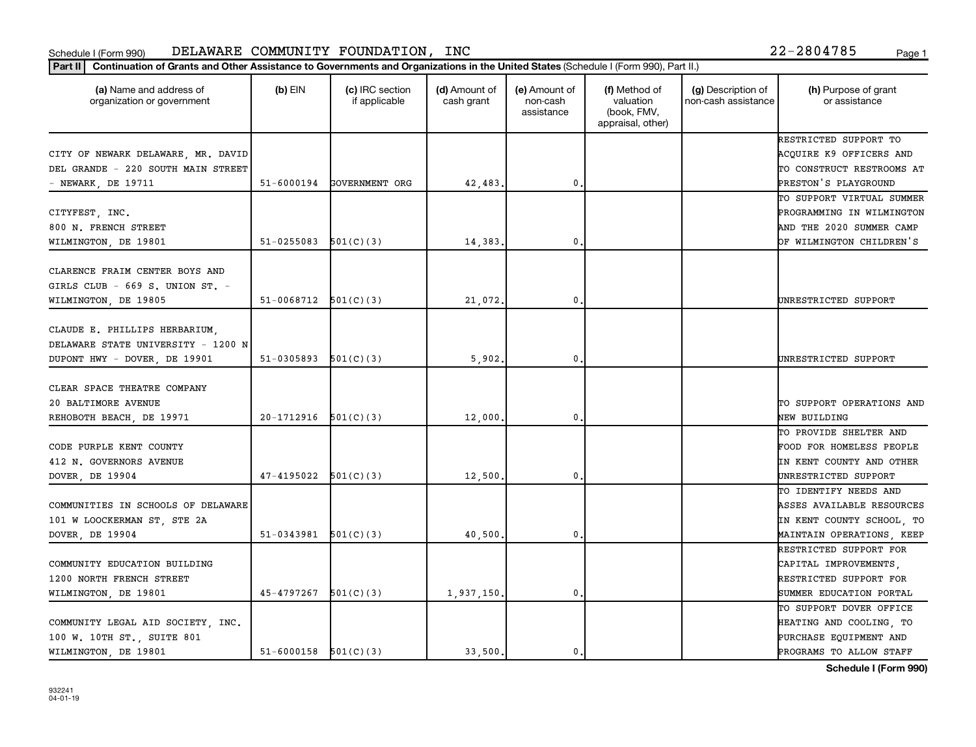|  | 22-2804785 |  |  |  |  |  |  |  | Page |
|--|------------|--|--|--|--|--|--|--|------|
|--|------------|--|--|--|--|--|--|--|------|

| Continuation of Grants and Other Assistance to Governments and Organizations in the United States (Schedule I (Form 990), Part II.)<br>Part II |            |                                  |                             |                                         |                                                                |                                           |                                        |
|------------------------------------------------------------------------------------------------------------------------------------------------|------------|----------------------------------|-----------------------------|-----------------------------------------|----------------------------------------------------------------|-------------------------------------------|----------------------------------------|
| (a) Name and address of<br>organization or government                                                                                          | $(b)$ EIN  | (c) IRC section<br>if applicable | (d) Amount of<br>cash grant | (e) Amount of<br>non-cash<br>assistance | (f) Method of<br>valuation<br>(book, FMV,<br>appraisal, other) | (g) Description of<br>non-cash assistance | (h) Purpose of grant<br>or assistance  |
|                                                                                                                                                |            |                                  |                             |                                         |                                                                |                                           | RESTRICTED SUPPORT TO                  |
| CITY OF NEWARK DELAWARE, MR. DAVID                                                                                                             |            |                                  |                             |                                         |                                                                |                                           | ACQUIRE K9 OFFICERS AND                |
| DEL GRANDE - 220 SOUTH MAIN STREET                                                                                                             |            |                                  |                             |                                         |                                                                |                                           | TO CONSTRUCT RESTROOMS AT              |
| - NEWARK, DE 19711                                                                                                                             | 51-6000194 | GOVERNMENT ORG                   | 42,483.                     | 0.                                      |                                                                |                                           | PRESTON'S PLAYGROUND                   |
|                                                                                                                                                |            |                                  |                             |                                         |                                                                |                                           | TO SUPPORT VIRTUAL SUMMER              |
| CITYFEST, INC.                                                                                                                                 |            |                                  |                             |                                         |                                                                |                                           | PROGRAMMING IN WILMINGTON              |
| 800 N. FRENCH STREET                                                                                                                           |            |                                  |                             |                                         |                                                                |                                           | AND THE 2020 SUMMER CAMP               |
| WILMINGTON, DE 19801                                                                                                                           | 51-0255083 | 501(C)(3)                        | 14,383.                     | 0                                       |                                                                |                                           | OF WILMINGTON CHILDREN'S               |
| CLARENCE FRAIM CENTER BOYS AND<br>GIRLS CLUB - 669 S. UNION ST. -                                                                              |            |                                  |                             |                                         |                                                                |                                           |                                        |
| WILMINGTON, DE 19805                                                                                                                           | 51-0068712 | 501(C)(3)                        | 21,072.                     | $\mathbf 0$                             |                                                                |                                           | UNRESTRICTED SUPPORT                   |
| CLAUDE E. PHILLIPS HERBARIUM,<br>DELAWARE STATE UNIVERSITY - 1200 N<br>DUPONT HWY - DOVER, DE 19901                                            | 51-0305893 | 501(C)(3)                        | 5,902.                      | 0                                       |                                                                |                                           | UNRESTRICTED SUPPORT                   |
| CLEAR SPACE THEATRE COMPANY<br>20 BALTIMORE AVENUE                                                                                             | 20-1712916 |                                  |                             |                                         |                                                                |                                           | TO SUPPORT OPERATIONS AND              |
| REHOBOTH BEACH, DE 19971                                                                                                                       |            | 501(C)(3)                        | 12,000                      | 0                                       |                                                                |                                           | NEW BUILDING<br>TO PROVIDE SHELTER AND |
|                                                                                                                                                |            |                                  |                             |                                         |                                                                |                                           |                                        |
| CODE PURPLE KENT COUNTY                                                                                                                        |            |                                  |                             |                                         |                                                                |                                           | FOOD FOR HOMELESS PEOPLE               |
| 412 N. GOVERNORS AVENUE                                                                                                                        |            |                                  |                             |                                         |                                                                |                                           | IN KENT COUNTY AND OTHER               |
| DOVER, DE 19904                                                                                                                                | 47-4195022 | 501(C)(3)                        | 12,500                      | 0.                                      |                                                                |                                           | UNRESTRICTED SUPPORT                   |
|                                                                                                                                                |            |                                  |                             |                                         |                                                                |                                           | TO IDENTIFY NEEDS AND                  |
| COMMUNITIES IN SCHOOLS OF DELAWARE                                                                                                             |            |                                  |                             |                                         |                                                                |                                           | ASSES AVAILABLE RESOURCES              |
| 101 W LOOCKERMAN ST, STE 2A                                                                                                                    |            |                                  |                             |                                         |                                                                |                                           | IN KENT COUNTY SCHOOL, TO              |
| DOVER DE 19904                                                                                                                                 | 51-0343981 | 501(C)(3)                        | 40,500,                     | 0                                       |                                                                |                                           | MAINTAIN OPERATIONS, KEEP              |
|                                                                                                                                                |            |                                  |                             |                                         |                                                                |                                           | RESTRICTED SUPPORT FOR                 |
| COMMUNITY EDUCATION BUILDING                                                                                                                   |            |                                  |                             |                                         |                                                                |                                           | CAPITAL IMPROVEMENTS,                  |
| 1200 NORTH FRENCH STREET                                                                                                                       |            |                                  |                             |                                         |                                                                |                                           | RESTRICTED SUPPORT FOR                 |
| WILMINGTON, DE 19801                                                                                                                           | 45-4797267 | 501(C)(3)                        | 1,937,150.                  | $\mathbf{0}$                            |                                                                |                                           | SUMMER EDUCATION PORTAL                |
|                                                                                                                                                |            |                                  |                             |                                         |                                                                |                                           | TO SUPPORT DOVER OFFICE                |
| COMMUNITY LEGAL AID SOCIETY, INC.                                                                                                              |            |                                  |                             |                                         |                                                                |                                           | HEATING AND COOLING, TO                |
| 100 W. 10TH ST., SUITE 801                                                                                                                     |            |                                  |                             |                                         |                                                                |                                           | PURCHASE EQUIPMENT AND                 |
| WILMINGTON, DE 19801                                                                                                                           | 51-6000158 | 501(C)(3)                        | 33,500.                     | $\mathbf 0$                             |                                                                |                                           | PROGRAMS TO ALLOW STAFF                |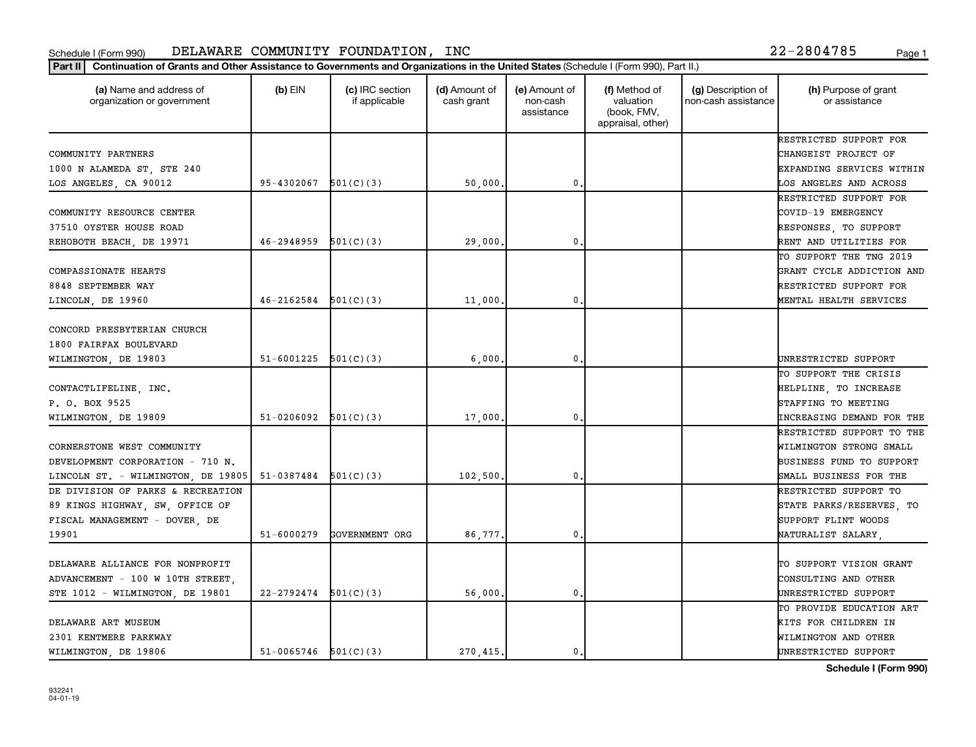| (a) Name and address of<br>organization or government | $(b)$ EIN                | (c) IRC section<br>if applicable | (d) Amount of<br>cash grant | (e) Amount of<br>non-cash<br>assistance | (f) Method of<br>valuation<br>(book, FMV,<br>appraisal, other) | (g) Description of<br>non-cash assistance | (h) Purpose of grant<br>or assistance |
|-------------------------------------------------------|--------------------------|----------------------------------|-----------------------------|-----------------------------------------|----------------------------------------------------------------|-------------------------------------------|---------------------------------------|
|                                                       |                          |                                  |                             |                                         |                                                                |                                           | RESTRICTED SUPPORT FOR                |
| COMMUNITY PARTNERS                                    |                          |                                  |                             |                                         |                                                                |                                           | CHANGEIST PROJECT OF                  |
| 1000 N ALAMEDA ST, STE 240                            |                          |                                  |                             |                                         |                                                                |                                           | EXPANDING SERVICES WITHIN             |
| LOS ANGELES, CA 90012                                 | 95-4302067               | 501(C)(3)                        | 50,000                      | 0                                       |                                                                |                                           | LOS ANGELES AND ACROSS                |
|                                                       |                          |                                  |                             |                                         |                                                                |                                           | RESTRICTED SUPPORT FOR                |
| COMMUNITY RESOURCE CENTER                             |                          |                                  |                             |                                         |                                                                |                                           | COVID-19 EMERGENCY                    |
| 37510 OYSTER HOUSE ROAD                               |                          |                                  |                             |                                         |                                                                |                                           | RESPONSES, TO SUPPORT                 |
| REHOBOTH BEACH, DE 19971                              | 46-2948959               | 501(C)(3)                        | 29,000                      | 0                                       |                                                                |                                           | RENT AND UTILITIES FOR                |
|                                                       |                          |                                  |                             |                                         |                                                                |                                           | TO SUPPORT THE TNG 2019               |
| COMPASSIONATE HEARTS                                  |                          |                                  |                             |                                         |                                                                |                                           | GRANT CYCLE ADDICTION AND             |
| 8848 SEPTEMBER WAY                                    |                          |                                  |                             |                                         |                                                                |                                           | RESTRICTED SUPPORT FOR                |
| LINCOLN, DE 19960                                     | 46-2162584               | 501(C)(3)                        | 11,000                      | 0                                       |                                                                |                                           | MENTAL HEALTH SERVICES                |
| CONCORD PRESBYTERIAN CHURCH<br>1800 FAIRFAX BOULEVARD |                          |                                  |                             |                                         |                                                                |                                           |                                       |
| WILMINGTON, DE 19803                                  | 51-6001225               | 501(C)(3)                        | 6,000                       | 0                                       |                                                                |                                           | UNRESTRICTED SUPPORT                  |
|                                                       |                          |                                  |                             |                                         |                                                                |                                           | TO SUPPORT THE CRISIS                 |
| CONTACTLIFELINE, INC.                                 |                          |                                  |                             |                                         |                                                                |                                           | HELPLINE, TO INCREASE                 |
| P. O. BOX 9525                                        |                          |                                  |                             |                                         |                                                                |                                           | STAFFING TO MEETING                   |
| WILMINGTON, DE 19809                                  | 51-0206092               | 501(C)(3)                        | 17,000                      | 0                                       |                                                                |                                           | INCREASING DEMAND FOR THE             |
|                                                       |                          |                                  |                             |                                         |                                                                |                                           | RESTRICTED SUPPORT TO THE             |
| CORNERSTONE WEST COMMUNITY                            |                          |                                  |                             |                                         |                                                                |                                           | WILMINGTON STRONG SMALL               |
| DEVELOPMENT CORPORATION - 710 N.                      |                          |                                  |                             |                                         |                                                                |                                           | BUSINESS FUND TO SUPPORT              |
| LINCOLN ST. - WILMINGTON, DE 19805                    | 51-0387484               | 501(C)(3)                        | 102,500,                    | 0                                       |                                                                |                                           | SMALL BUSINESS FOR THE                |
| DE DIVISION OF PARKS & RECREATION                     |                          |                                  |                             |                                         |                                                                |                                           | RESTRICTED SUPPORT TO                 |
| 89 KINGS HIGHWAY, SW, OFFICE OF                       |                          |                                  |                             |                                         |                                                                |                                           | STATE PARKS/RESERVES, TO              |
| FISCAL MANAGEMENT - DOVER, DE                         |                          |                                  |                             |                                         |                                                                |                                           | SUPPORT FLINT WOODS                   |
| 19901                                                 | $51 - 6000279$           | GOVERNMENT ORG                   | 86,777.                     | 0                                       |                                                                |                                           | NATURALIST SALARY                     |
|                                                       |                          |                                  |                             |                                         |                                                                |                                           |                                       |
| DELAWARE ALLIANCE FOR NONPROFIT                       |                          |                                  |                             |                                         |                                                                |                                           | TO SUPPORT VISION GRANT               |
| ADVANCEMENT - 100 W 10TH STREET,                      |                          |                                  |                             |                                         |                                                                |                                           | CONSULTING AND OTHER                  |
| STE 1012 - WILMINGTON, DE 19801                       | 22-2792474               | 501(C)(3)                        | 56,000                      | 0                                       |                                                                |                                           | UNRESTRICTED SUPPORT                  |
|                                                       |                          |                                  |                             |                                         |                                                                |                                           | TO PROVIDE EDUCATION ART              |
| DELAWARE ART MUSEUM                                   |                          |                                  |                             |                                         |                                                                |                                           | KITS FOR CHILDREN IN                  |
| 2301 KENTMERE PARKWAY                                 |                          |                                  |                             |                                         |                                                                |                                           | WILMINGTON AND OTHER                  |
| WILMINGTON, DE 19806                                  | $51-0065746$ $501(C)(3)$ |                                  | 270.415                     | $\mathbf{0}$                            |                                                                |                                           | UNRESTRICTED SUPPORT                  |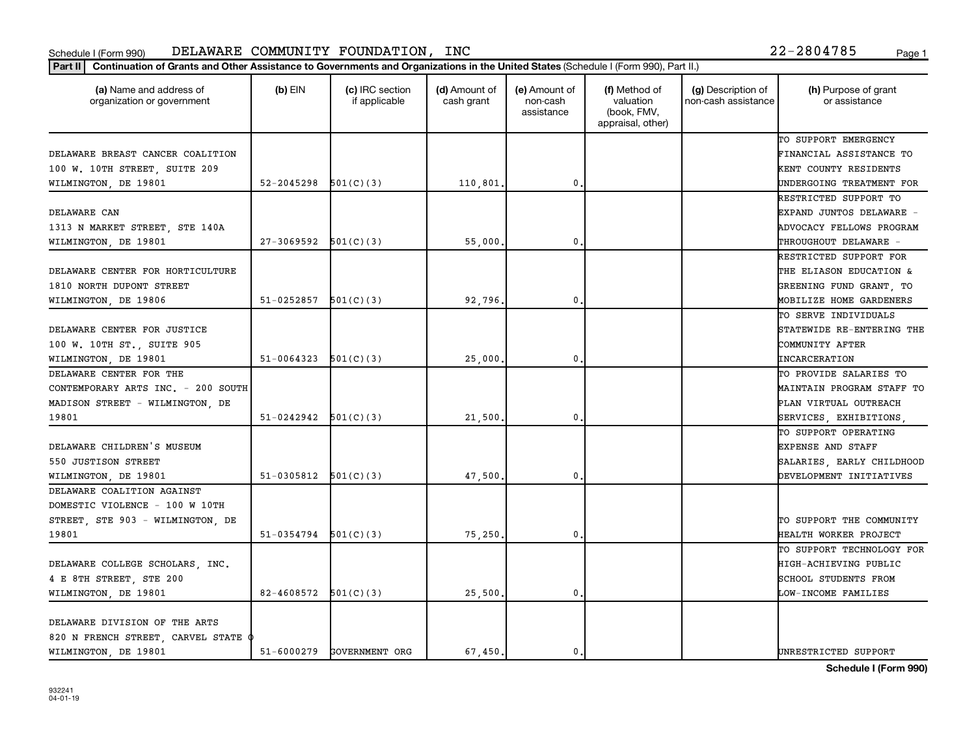| (a) Name and address of<br>organization or government | $(b)$ EIN                  | (c) IRC section<br>if applicable | (d) Amount of<br>cash grant | (e) Amount of<br>non-cash<br>assistance | (f) Method of<br>valuation<br>(book, FMV,<br>appraisal, other) | (g) Description of<br>non-cash assistance | (h) Purpose of grant<br>or assistance |
|-------------------------------------------------------|----------------------------|----------------------------------|-----------------------------|-----------------------------------------|----------------------------------------------------------------|-------------------------------------------|---------------------------------------|
|                                                       |                            |                                  |                             |                                         |                                                                |                                           | TO SUPPORT EMERGENCY                  |
| DELAWARE BREAST CANCER COALITION                      |                            |                                  |                             |                                         |                                                                |                                           | FINANCIAL ASSISTANCE TO               |
| 100 W. 10TH STREET, SUITE 209                         |                            |                                  |                             |                                         |                                                                |                                           | KENT COUNTY RESIDENTS                 |
| WILMINGTON, DE 19801                                  | $52 - 2045298$ $501(C)(3)$ |                                  | 110,801                     | $\mathbf 0$                             |                                                                |                                           | UNDERGOING TREATMENT FOR              |
|                                                       |                            |                                  |                             |                                         |                                                                |                                           | RESTRICTED SUPPORT TO                 |
| DELAWARE CAN                                          |                            |                                  |                             |                                         |                                                                |                                           | EXPAND JUNTOS DELAWARE -              |
| 1313 N MARKET STREET, STE 140A                        |                            |                                  |                             |                                         |                                                                |                                           | ADVOCACY FELLOWS PROGRAM              |
| WILMINGTON, DE 19801                                  | $27 - 3069592$             | 501(C)(3)                        | 55,000                      | $\mathbf{0}$                            |                                                                |                                           | THROUGHOUT DELAWARE -                 |
|                                                       |                            |                                  |                             |                                         |                                                                |                                           | RESTRICTED SUPPORT FOR                |
| DELAWARE CENTER FOR HORTICULTURE                      |                            |                                  |                             |                                         |                                                                |                                           | THE ELIASON EDUCATION &               |
| 1810 NORTH DUPONT STREET                              |                            |                                  |                             |                                         |                                                                |                                           | GREENING FUND GRANT, TO               |
| WILMINGTON, DE 19806                                  | $51-0252857$ $501(C)(3)$   |                                  | 92,796.                     | $\mathbf{0}$                            |                                                                |                                           | MOBILIZE HOME GARDENERS               |
|                                                       |                            |                                  |                             |                                         |                                                                |                                           | TO SERVE INDIVIDUALS                  |
| DELAWARE CENTER FOR JUSTICE                           |                            |                                  |                             |                                         |                                                                |                                           | STATEWIDE RE-ENTERING THE             |
| 100 W. 10TH ST., SUITE 905                            |                            |                                  |                             |                                         |                                                                |                                           | COMMUNITY AFTER                       |
| WILMINGTON, DE 19801                                  | 51-0064323                 | 501(C)(3)                        | 25,000                      | $\mathbf 0$                             |                                                                |                                           | <b>INCARCERATION</b>                  |
| DELAWARE CENTER FOR THE                               |                            |                                  |                             |                                         |                                                                |                                           | TO PROVIDE SALARIES TO                |
| CONTEMPORARY ARTS INC. - 200 SOUTH                    |                            |                                  |                             |                                         |                                                                |                                           | <b>MAINTAIN PROGRAM STAFF TO</b>      |
| MADISON STREET - WILMINGTON, DE                       |                            |                                  |                             |                                         |                                                                |                                           | PLAN VIRTUAL OUTREACH                 |
| 19801                                                 | $51-0242942$ $501(C)(3)$   |                                  | 21,500                      | $\mathbf{0}$                            |                                                                |                                           | SERVICES, EXHIBITIONS                 |
|                                                       |                            |                                  |                             |                                         |                                                                |                                           | TO SUPPORT OPERATING                  |
| DELAWARE CHILDREN'S MUSEUM                            |                            |                                  |                             |                                         |                                                                |                                           | EXPENSE AND STAFF                     |
| 550 JUSTISON STREET                                   |                            |                                  |                             |                                         |                                                                |                                           | SALARIES, EARLY CHILDHOOD             |
| WILMINGTON, DE 19801                                  | 51-0305812                 | 501(C)(3)                        | 47,500.                     | $\mathbf{0}$                            |                                                                |                                           | DEVELOPMENT INITIATIVES               |
| DELAWARE COALITION AGAINST                            |                            |                                  |                             |                                         |                                                                |                                           |                                       |
| DOMESTIC VIOLENCE - 100 W 10TH                        |                            |                                  |                             |                                         |                                                                |                                           |                                       |
| STREET, STE 903 - WILMINGTON, DE                      |                            |                                  |                             |                                         |                                                                |                                           | TO SUPPORT THE COMMUNITY              |
| 19801                                                 | $51-0354794$ $501(C)(3)$   |                                  | 75,250                      | 0.                                      |                                                                |                                           | HEALTH WORKER PROJECT                 |
|                                                       |                            |                                  |                             |                                         |                                                                |                                           | TO SUPPORT TECHNOLOGY FOR             |
| DELAWARE COLLEGE SCHOLARS, INC.                       |                            |                                  |                             |                                         |                                                                |                                           | HIGH-ACHIEVING PUBLIC                 |
| 4 E 8TH STREET, STE 200                               |                            |                                  |                             |                                         |                                                                |                                           | SCHOOL STUDENTS FROM                  |
| WILMINGTON, DE 19801                                  | $82 - 4608572$ $501(C)(3)$ |                                  | 25,500                      | $\mathbf 0$                             |                                                                |                                           | LOW-INCOME FAMILIES                   |
|                                                       |                            |                                  |                             |                                         |                                                                |                                           |                                       |
| DELAWARE DIVISION OF THE ARTS                         |                            |                                  |                             |                                         |                                                                |                                           |                                       |
| 820 N FRENCH STREET, CARVEL STATE $\phi$              |                            |                                  |                             |                                         |                                                                |                                           |                                       |
| WILMINGTON, DE 19801                                  | 51-6000279                 | GOVERNMENT ORG                   | 67.450.                     | 0.                                      |                                                                |                                           | UNRESTRICTED SUPPORT                  |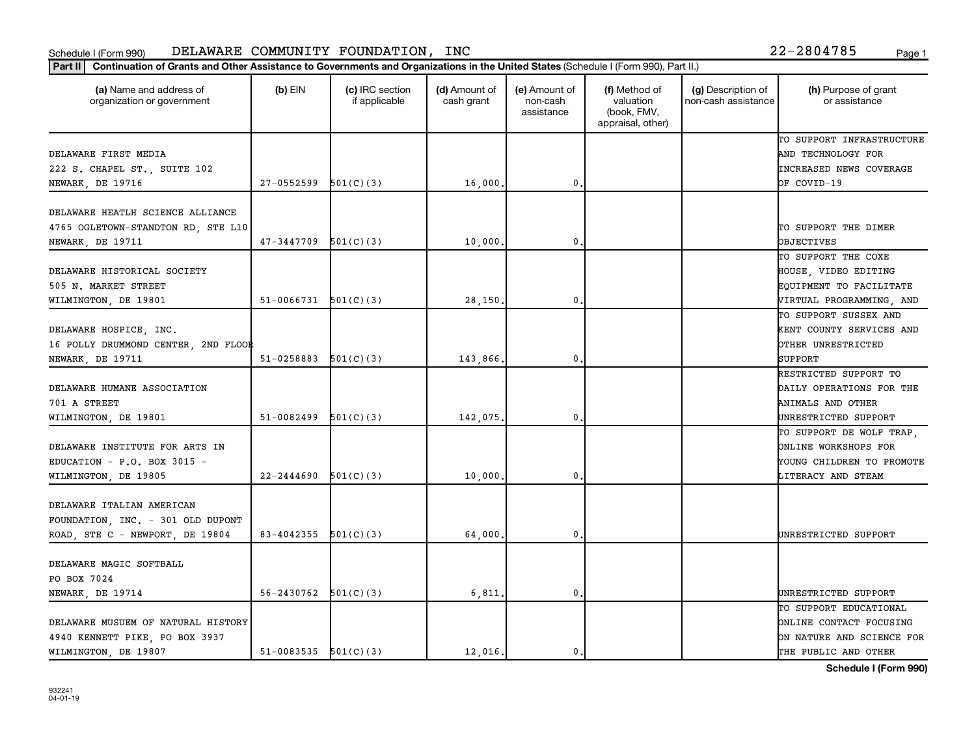| (a) Name and address of<br>organization or government | $(b)$ EIN                | (c) IRC section<br>if applicable | (d) Amount of<br>cash grant | (e) Amount of<br>non-cash<br>assistance | (f) Method of<br>valuation<br>(book, FMV,<br>appraisal, other) | (g) Description of<br>non-cash assistance | (h) Purpose of grant<br>or assistance |
|-------------------------------------------------------|--------------------------|----------------------------------|-----------------------------|-----------------------------------------|----------------------------------------------------------------|-------------------------------------------|---------------------------------------|
|                                                       |                          |                                  |                             |                                         |                                                                |                                           | TO SUPPORT INFRASTRUCTURE             |
| DELAWARE FIRST MEDIA                                  |                          |                                  |                             |                                         |                                                                |                                           | AND TECHNOLOGY FOR                    |
| 222 S. CHAPEL ST., SUITE 102                          |                          |                                  |                             |                                         |                                                                |                                           | <b>INCREASED NEWS COVERAGE</b>        |
| NEWARK, DE 19716                                      | 27-0552599               | 501(C)(3)                        | 16,000                      | $\mathbf 0$                             |                                                                |                                           | OF COVID-19                           |
| DELAWARE HEATLH SCIENCE ALLIANCE                      |                          |                                  |                             |                                         |                                                                |                                           |                                       |
| 4765 OGLETOWN-STANDTON RD, STE L10                    |                          |                                  |                             |                                         |                                                                |                                           | TO SUPPORT THE DIMER                  |
| NEWARK, DE 19711                                      | 47-3447709               | 501(C)(3)                        | 10,000                      | $\mathbf 0$                             |                                                                |                                           | <b>OBJECTIVES</b>                     |
|                                                       |                          |                                  |                             |                                         |                                                                |                                           | TO SUPPORT THE COXE                   |
| DELAWARE HISTORICAL SOCIETY                           |                          |                                  |                             |                                         |                                                                |                                           | HOUSE, VIDEO EDITING                  |
| 505 N. MARKET STREET                                  |                          |                                  |                             |                                         |                                                                |                                           | EQUIPMENT TO FACILITATE               |
| WILMINGTON, DE 19801                                  | $51-0066731$ $501(C)(3)$ |                                  | 28,150                      | $\mathbf 0$                             |                                                                |                                           | VIRTUAL PROGRAMMING, AND              |
|                                                       |                          |                                  |                             |                                         |                                                                |                                           | TO SUPPORT SUSSEX AND                 |
| DELAWARE HOSPICE, INC.                                |                          |                                  |                             |                                         |                                                                |                                           | KENT COUNTY SERVICES AND              |
| 16 POLLY DRUMMOND CENTER, 2ND FLOOR                   |                          |                                  |                             |                                         |                                                                |                                           | OTHER UNRESTRICTED                    |
| NEWARK, DE 19711                                      | 51-0258883               | 501(C)(3)                        | 143,866.                    | $\mathbf 0$                             |                                                                |                                           | SUPPORT                               |
|                                                       |                          |                                  |                             |                                         |                                                                |                                           | RESTRICTED SUPPORT TO                 |
| DELAWARE HUMANE ASSOCIATION                           |                          |                                  |                             |                                         |                                                                |                                           | DAILY OPERATIONS FOR THE              |
| 701 A STREET                                          |                          |                                  |                             |                                         |                                                                |                                           | ANIMALS AND OTHER                     |
| WILMINGTON, DE 19801                                  | 51-0082499               | 501(C)(3)                        | 142,075.                    | $\mathbf 0$                             |                                                                |                                           | UNRESTRICTED SUPPORT                  |
|                                                       |                          |                                  |                             |                                         |                                                                |                                           | TO SUPPORT DE WOLF TRAP,              |
| DELAWARE INSTITUTE FOR ARTS IN                        |                          |                                  |                             |                                         |                                                                |                                           | ONLINE WORKSHOPS FOR                  |
| EDUCATION - P.O. BOX 3015 -                           |                          |                                  |                             |                                         |                                                                |                                           | YOUNG CHILDREN TO PROMOTE             |
| WILMINGTON, DE 19805                                  | 22-2444690               | 501(C)(3)                        | 10,000                      | $\mathbf 0$                             |                                                                |                                           | LITERACY AND STEAM                    |
|                                                       |                          |                                  |                             |                                         |                                                                |                                           |                                       |
| DELAWARE ITALIAN AMERICAN                             |                          |                                  |                             |                                         |                                                                |                                           |                                       |
| FOUNDATION, INC. - 301 OLD DUPONT                     |                          |                                  |                             |                                         |                                                                |                                           |                                       |
| ROAD, STE C - NEWPORT, DE 19804                       | $83-4042355$ $501(C)(3)$ |                                  | 64,000                      | $\mathbf{0}$                            |                                                                |                                           | UNRESTRICTED SUPPORT                  |
| DELAWARE MAGIC SOFTBALL                               |                          |                                  |                             |                                         |                                                                |                                           |                                       |
| PO BOX 7024                                           |                          |                                  |                             |                                         |                                                                |                                           |                                       |
| NEWARK, DE 19714                                      | 56-2430762               | 501(C)(3)                        | 6,811                       | $\mathbf 0$                             |                                                                |                                           | UNRESTRICTED SUPPORT                  |
|                                                       |                          |                                  |                             |                                         |                                                                |                                           | TO SUPPORT EDUCATIONAL                |
| DELAWARE MUSUEM OF NATURAL HISTORY                    |                          |                                  |                             |                                         |                                                                |                                           | ONLINE CONTACT FOCUSING               |
| 4940 KENNETT PIKE, PO BOX 3937                        |                          |                                  |                             |                                         |                                                                |                                           | ON NATURE AND SCIENCE FOR             |
| WILMINGTON, DE 19807                                  | $51-0083535$ $501(C)(3)$ |                                  | 12,016.                     | $\mathbf{0}$                            |                                                                |                                           | THE PUBLIC AND OTHER                  |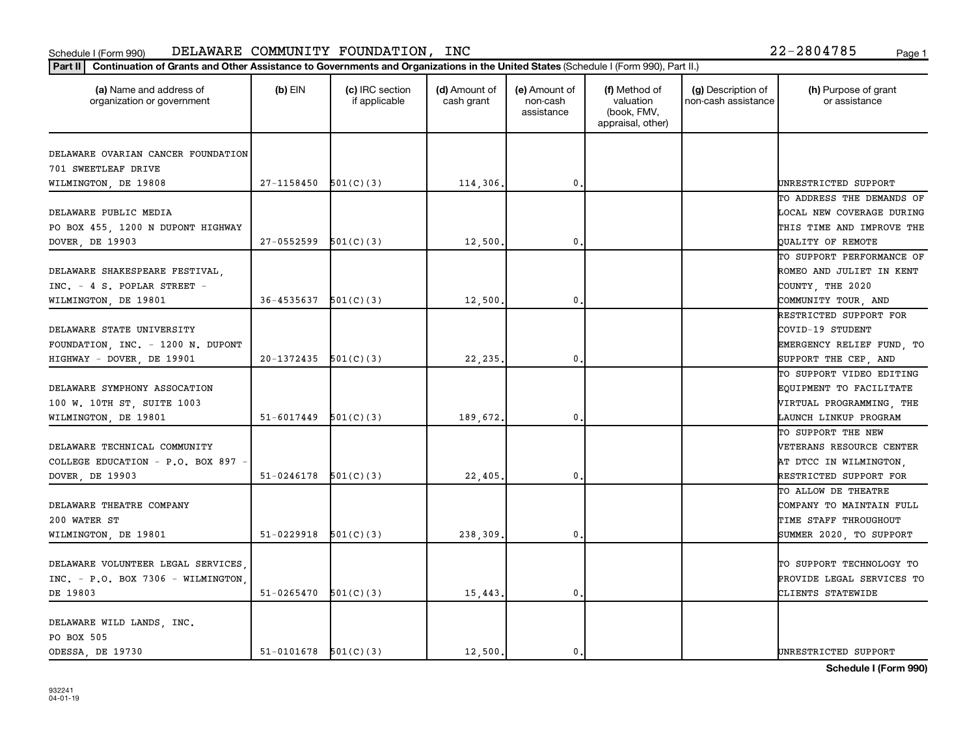|                                         |                            |           |          |              | appraisal, other) |                           |
|-----------------------------------------|----------------------------|-----------|----------|--------------|-------------------|---------------------------|
| DELAWARE OVARIAN CANCER FOUNDATION      |                            |           |          |              |                   |                           |
| 701 SWEETLEAF DRIVE                     |                            |           |          |              |                   |                           |
| WILMINGTON, DE 19808                    | $27-1158450$ $501(C)(3)$   |           | 114,306. | 0            |                   | UNRESTRICTED SUPPORT      |
|                                         |                            |           |          |              |                   | TO ADDRESS THE DEMANDS OF |
| DELAWARE PUBLIC MEDIA                   |                            |           |          |              |                   | LOCAL NEW COVERAGE DURING |
| PO BOX 455, 1200 N DUPONT HIGHWAY       |                            |           |          |              |                   | THIS TIME AND IMPROVE THE |
| DOVER, DE 19903                         | 27-0552599                 | 501(C)(3) | 12,500   | $\mathbf{0}$ |                   | QUALITY OF REMOTE         |
|                                         |                            |           |          |              |                   | TO SUPPORT PERFORMANCE OF |
| DELAWARE SHAKESPEARE FESTIVAL,          |                            |           |          |              |                   | ROMEO AND JULIET IN KENT  |
| INC. - 4 S. POPLAR STREET -             |                            |           |          |              |                   | COUNTY, THE 2020          |
| WILMINGTON, DE 19801                    | $36 - 4535637$ $501(C)(3)$ |           | 12,500.  | 0.           |                   | COMMUNITY TOUR, AND       |
|                                         |                            |           |          |              |                   | RESTRICTED SUPPORT FOR    |
| DELAWARE STATE UNIVERSITY               |                            |           |          |              |                   | COVID-19 STUDENT          |
| FOUNDATION, INC. - 1200 N. DUPONT       |                            |           |          |              |                   | EMERGENCY RELIEF FUND, TO |
| HIGHWAY - DOVER, DE 19901               | $20-1372435$ $501(C)(3)$   |           | 22,235.  | 0            |                   | SUPPORT THE CEP, AND      |
|                                         |                            |           |          |              |                   | TO SUPPORT VIDEO EDITING  |
| DELAWARE SYMPHONY ASSOCATION            |                            |           |          |              |                   | EQUIPMENT TO FACILITATE   |
| 100 W. 10TH ST, SUITE 1003              |                            |           |          |              |                   | VIRTUAL PROGRAMMING, THE  |
| WILMINGTON, DE 19801                    | $51 - 6017449$             | 501(C)(3) | 189,672. | $\mathbf{0}$ |                   | LAUNCH LINKUP PROGRAM     |
|                                         |                            |           |          |              |                   | TO SUPPORT THE NEW        |
| DELAWARE TECHNICAL COMMUNITY            |                            |           |          |              |                   | VETERANS RESOURCE CENTER  |
| COLLEGE EDUCATION - P.O. BOX 897        |                            |           |          |              |                   | AT DTCC IN WILMINGTON,    |
| DOVER, DE 19903                         | $51-0246178$ $501(C)(3)$   |           | 22,405   | $\mathbf{0}$ |                   | RESTRICTED SUPPORT FOR    |
|                                         |                            |           |          |              |                   | TO ALLOW DE THEATRE       |
| DELAWARE THEATRE COMPANY                |                            |           |          |              |                   | COMPANY TO MAINTAIN FULL  |
| 200 WATER ST                            |                            |           |          |              |                   | TIME STAFF THROUGHOUT     |
| WILMINGTON, DE 19801                    | $51-0229918$ $501(C)(3)$   |           | 238,309  | 0            |                   | SUMMER 2020, TO SUPPORT   |
|                                         |                            |           |          |              |                   |                           |
| DELAWARE VOLUNTEER LEGAL SERVICES.      |                            |           |          |              |                   | TO SUPPORT TECHNOLOGY TO  |
| $INC. - P.0. BOX 7306 - WILLMINGTON$    |                            |           |          |              |                   | PROVIDE LEGAL SERVICES TO |
| DE 19803                                | $51 - 0265470$             | 501(C)(3) | 15,443.  | $\mathbf{0}$ |                   | CLIENTS STATEWIDE         |
|                                         |                            |           |          |              |                   |                           |
| DELAWARE WILD LANDS, INC.<br>PO BOX 505 |                            |           |          |              |                   |                           |
| ODESSA, DE 19730                        | $51-0101678$ $501(C)(3)$   |           | 12,500.  | 0.           |                   | UNRESTRICTED SUPPORT      |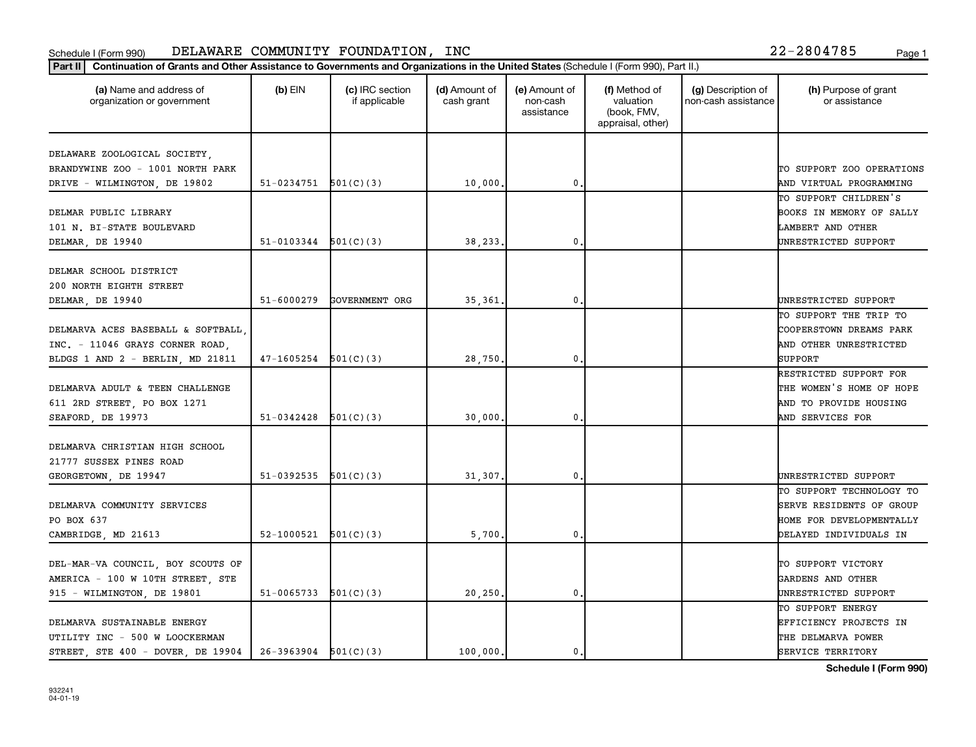| Part II   Continuation of Grants and Other Assistance to Governments and Organizations in the United States (Schedule I (Form 990), Part II.) |                          |                                  |                             |                                         |                                                                |                                           |                                       |
|-----------------------------------------------------------------------------------------------------------------------------------------------|--------------------------|----------------------------------|-----------------------------|-----------------------------------------|----------------------------------------------------------------|-------------------------------------------|---------------------------------------|
| (a) Name and address of<br>organization or government                                                                                         | $(b)$ EIN                | (c) IRC section<br>if applicable | (d) Amount of<br>cash grant | (e) Amount of<br>non-cash<br>assistance | (f) Method of<br>valuation<br>(book, FMV,<br>appraisal, other) | (g) Description of<br>non-cash assistance | (h) Purpose of grant<br>or assistance |
| DELAWARE ZOOLOGICAL SOCIETY,                                                                                                                  |                          |                                  |                             |                                         |                                                                |                                           |                                       |
| BRANDYWINE ZOO - 1001 NORTH PARK                                                                                                              |                          |                                  |                             |                                         |                                                                |                                           | TO SUPPORT ZOO OPERATIONS             |
| DRIVE - WILMINGTON, DE 19802                                                                                                                  | $51-0234751$ $501(C)(3)$ |                                  | 10,000.                     | $\mathbf 0$                             |                                                                |                                           | AND VIRTUAL PROGRAMMING               |
|                                                                                                                                               |                          |                                  |                             |                                         |                                                                |                                           | TO SUPPORT CHILDREN'S                 |
| DELMAR PUBLIC LIBRARY                                                                                                                         |                          |                                  |                             |                                         |                                                                |                                           | BOOKS IN MEMORY OF SALLY              |
| 101 N. BI-STATE BOULEVARD                                                                                                                     |                          |                                  |                             |                                         |                                                                |                                           | LAMBERT AND OTHER                     |
| DELMAR, DE 19940                                                                                                                              | 51-0103344               | 501(C)(3)                        | 38,233                      | $\mathbf 0$                             |                                                                |                                           | UNRESTRICTED SUPPORT                  |
|                                                                                                                                               |                          |                                  |                             |                                         |                                                                |                                           |                                       |
| DELMAR SCHOOL DISTRICT                                                                                                                        |                          |                                  |                             |                                         |                                                                |                                           |                                       |
| 200 NORTH EIGHTH STREET                                                                                                                       |                          |                                  |                             |                                         |                                                                |                                           |                                       |
| DELMAR, DE 19940                                                                                                                              | 51-6000279               | GOVERNMENT ORG                   | 35,361                      | 0                                       |                                                                |                                           | UNRESTRICTED SUPPORT                  |
|                                                                                                                                               |                          |                                  |                             |                                         |                                                                |                                           | TO SUPPORT THE TRIP TO                |
| DELMARVA ACES BASEBALL & SOFTBALL                                                                                                             |                          |                                  |                             |                                         |                                                                |                                           | COOPERSTOWN DREAMS PARK               |
| INC. - 11046 GRAYS CORNER ROAD,                                                                                                               |                          |                                  |                             |                                         |                                                                |                                           | AND OTHER UNRESTRICTED                |
| BLDGS 1 AND 2 - BERLIN, MD 21811                                                                                                              | $47-1605254$ $501(C)(3)$ |                                  | 28,750.                     | $\mathbf{0}$                            |                                                                |                                           | SUPPORT                               |
|                                                                                                                                               |                          |                                  |                             |                                         |                                                                |                                           | RESTRICTED SUPPORT FOR                |
| DELMARVA ADULT & TEEN CHALLENGE                                                                                                               |                          |                                  |                             |                                         |                                                                |                                           | THE WOMEN'S HOME OF HOPE              |
| 611 2RD STREET, PO BOX 1271                                                                                                                   |                          |                                  |                             |                                         |                                                                |                                           | AND TO PROVIDE HOUSING                |
| SEAFORD, DE 19973                                                                                                                             | $51 - 0342428$           | 501(C)(3)                        | 30,000                      | $\mathbf 0$                             |                                                                |                                           | AND SERVICES FOR                      |
|                                                                                                                                               |                          |                                  |                             |                                         |                                                                |                                           |                                       |
| DELMARVA CHRISTIAN HIGH SCHOOL                                                                                                                |                          |                                  |                             |                                         |                                                                |                                           |                                       |
| 21777 SUSSEX PINES ROAD                                                                                                                       |                          |                                  |                             |                                         |                                                                |                                           |                                       |
| GEORGETOWN, DE 19947                                                                                                                          | 51-0392535               | 501(C)(3)                        | 31,307                      | 0                                       |                                                                |                                           | UNRESTRICTED SUPPORT                  |
|                                                                                                                                               |                          |                                  |                             |                                         |                                                                |                                           | TO SUPPORT TECHNOLOGY TO              |
| DELMARVA COMMUNITY SERVICES                                                                                                                   |                          |                                  |                             |                                         |                                                                |                                           | <b>SERVE RESIDENTS OF GROUP</b>       |
| PO BOX 637                                                                                                                                    |                          |                                  |                             |                                         |                                                                |                                           | HOME FOR DEVELOPMENTALLY              |
| CAMBRIDGE, MD 21613                                                                                                                           | $52-1000521$ $501(C)(3)$ |                                  | 5,700                       | 0.                                      |                                                                |                                           | DELAYED INDIVIDUALS IN                |
|                                                                                                                                               |                          |                                  |                             |                                         |                                                                |                                           |                                       |
| DEL-MAR-VA COUNCIL, BOY SCOUTS OF                                                                                                             |                          |                                  |                             |                                         |                                                                |                                           | TO SUPPORT VICTORY                    |
| AMERICA - 100 W 10TH STREET, STE                                                                                                              |                          |                                  |                             |                                         |                                                                |                                           | GARDENS AND OTHER                     |
| 915 - WILMINGTON, DE 19801                                                                                                                    | 51-0065733               |                                  | 20,250                      | $\mathbf 0$                             |                                                                |                                           | UNRESTRICTED SUPPORT                  |
|                                                                                                                                               |                          | 501(C)(3)                        |                             |                                         |                                                                |                                           | TO SUPPORT ENERGY                     |
| DELMARVA SUSTAINABLE ENERGY                                                                                                                   |                          |                                  |                             |                                         |                                                                |                                           | EFFICIENCY PROJECTS IN                |
|                                                                                                                                               |                          |                                  |                             |                                         |                                                                |                                           |                                       |
| UTILITY INC - 500 W LOOCKERMAN                                                                                                                |                          |                                  |                             |                                         |                                                                |                                           | THE DELMARVA POWER                    |
| STREET, STE 400 - DOVER, DE 19904                                                                                                             | $26-3963904$ $501(C)(3)$ |                                  | 100,000.                    | 0.                                      |                                                                |                                           | SERVICE TERRITORY                     |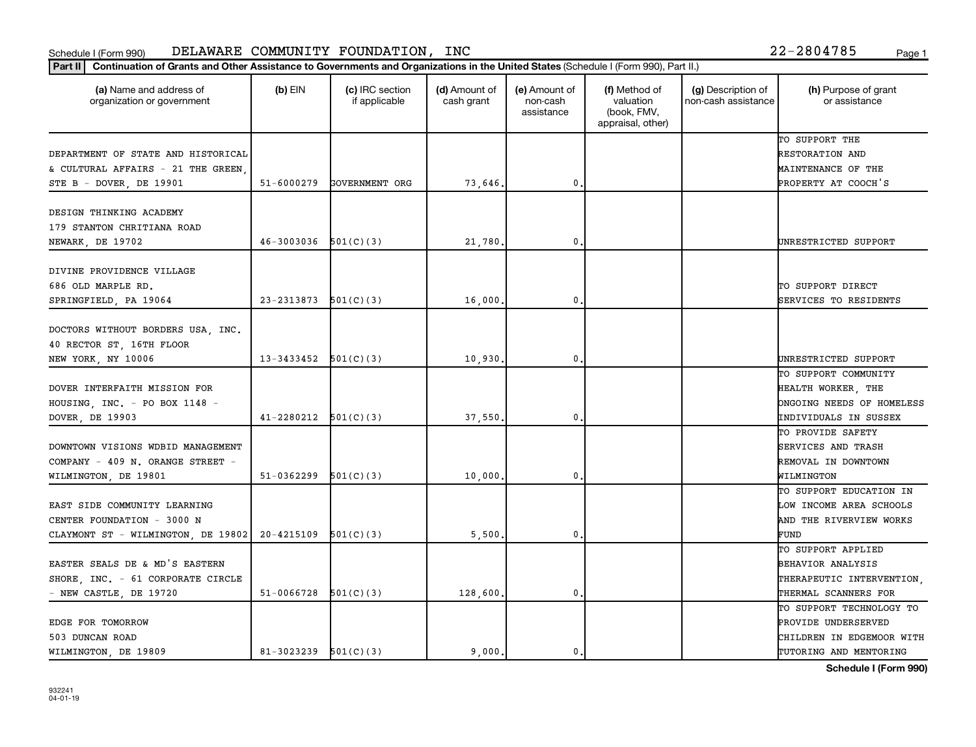| TO SUPPORT THE<br>DEPARTMENT OF STATE AND HISTORICAL<br>RESTORATION AND<br>& CULTURAL AFFAIRS - 21 THE GREEN<br>MAINTENANCE OF THE<br>$51 - 6000279$<br>GOVERNMENT ORG<br>73,646.<br>$\mathbf 0$<br>PROPERTY AT COOCH'S<br>STE B - DOVER, DE 19901<br>DESIGN THINKING ACADEMY<br>179 STANTON CHRITIANA ROAD<br>46-3003036<br>501(C)(3)<br>21,780.<br>$\mathbf 0$<br>NEWARK, DE 19702<br>UNRESTRICTED SUPPORT<br>DIVINE PROVIDENCE VILLAGE<br>686 OLD MARPLE RD.<br>TO SUPPORT DIRECT<br>23-2313873<br>501(C)(3)<br>16,000<br>$\mathbf 0$<br>SPRINGFIELD, PA 19064<br>DOCTORS WITHOUT BORDERS USA, INC.<br>40 RECTOR ST, 16TH FLOOR<br>13-3433452<br>501(C)(3)<br>$\mathbf{0}$<br>NEW YORK, NY 10006<br>10,930.<br>DOVER INTERFAITH MISSION FOR<br>HEALTH WORKER, THE<br>HOUSING, INC. - PO BOX 1148 -<br>DOVER, DE 19903<br>41-2280212<br>501(C)(3)<br>37,550.<br>$\mathbf{0}$<br>TO PROVIDE SAFETY<br>SERVICES AND TRASH<br>DOWNTOWN VISIONS WDBID MANAGEMENT<br>REMOVAL IN DOWNTOWN<br>COMPANY - 409 N. ORANGE STREET -<br>51-0362299<br>501(C)(3)<br>10,000<br>$\mathbf 0$<br>WILMINGTON, DE 19801<br>WILMINGTON<br>EAST SIDE COMMUNITY LEARNING<br>CENTER FOUNDATION - 3000 N | (a) Name and address of<br>organization or government | (c) IRC section<br>$(b)$ EIN<br>if applicable | (d) Amount of<br>cash grant | (e) Amount of<br>non-cash<br>assistance | (f) Method of<br>valuation<br>(book, FMV,<br>appraisal, other) | (g) Description of<br>non-cash assistance | (h) Purpose of grant<br>or assistance           |
|-----------------------------------------------------------------------------------------------------------------------------------------------------------------------------------------------------------------------------------------------------------------------------------------------------------------------------------------------------------------------------------------------------------------------------------------------------------------------------------------------------------------------------------------------------------------------------------------------------------------------------------------------------------------------------------------------------------------------------------------------------------------------------------------------------------------------------------------------------------------------------------------------------------------------------------------------------------------------------------------------------------------------------------------------------------------------------------------------------------------------------------------------------------------------------------|-------------------------------------------------------|-----------------------------------------------|-----------------------------|-----------------------------------------|----------------------------------------------------------------|-------------------------------------------|-------------------------------------------------|
|                                                                                                                                                                                                                                                                                                                                                                                                                                                                                                                                                                                                                                                                                                                                                                                                                                                                                                                                                                                                                                                                                                                                                                                   |                                                       |                                               |                             |                                         |                                                                |                                           |                                                 |
|                                                                                                                                                                                                                                                                                                                                                                                                                                                                                                                                                                                                                                                                                                                                                                                                                                                                                                                                                                                                                                                                                                                                                                                   |                                                       |                                               |                             |                                         |                                                                |                                           |                                                 |
|                                                                                                                                                                                                                                                                                                                                                                                                                                                                                                                                                                                                                                                                                                                                                                                                                                                                                                                                                                                                                                                                                                                                                                                   |                                                       |                                               |                             |                                         |                                                                |                                           |                                                 |
|                                                                                                                                                                                                                                                                                                                                                                                                                                                                                                                                                                                                                                                                                                                                                                                                                                                                                                                                                                                                                                                                                                                                                                                   |                                                       |                                               |                             |                                         |                                                                |                                           |                                                 |
|                                                                                                                                                                                                                                                                                                                                                                                                                                                                                                                                                                                                                                                                                                                                                                                                                                                                                                                                                                                                                                                                                                                                                                                   |                                                       |                                               |                             |                                         |                                                                |                                           |                                                 |
|                                                                                                                                                                                                                                                                                                                                                                                                                                                                                                                                                                                                                                                                                                                                                                                                                                                                                                                                                                                                                                                                                                                                                                                   |                                                       |                                               |                             |                                         |                                                                |                                           |                                                 |
|                                                                                                                                                                                                                                                                                                                                                                                                                                                                                                                                                                                                                                                                                                                                                                                                                                                                                                                                                                                                                                                                                                                                                                                   |                                                       |                                               |                             |                                         |                                                                |                                           |                                                 |
|                                                                                                                                                                                                                                                                                                                                                                                                                                                                                                                                                                                                                                                                                                                                                                                                                                                                                                                                                                                                                                                                                                                                                                                   |                                                       |                                               |                             |                                         |                                                                |                                           |                                                 |
|                                                                                                                                                                                                                                                                                                                                                                                                                                                                                                                                                                                                                                                                                                                                                                                                                                                                                                                                                                                                                                                                                                                                                                                   |                                                       |                                               |                             |                                         |                                                                |                                           |                                                 |
|                                                                                                                                                                                                                                                                                                                                                                                                                                                                                                                                                                                                                                                                                                                                                                                                                                                                                                                                                                                                                                                                                                                                                                                   |                                                       |                                               |                             |                                         |                                                                |                                           |                                                 |
|                                                                                                                                                                                                                                                                                                                                                                                                                                                                                                                                                                                                                                                                                                                                                                                                                                                                                                                                                                                                                                                                                                                                                                                   |                                                       |                                               |                             |                                         |                                                                |                                           | SERVICES TO RESIDENTS                           |
|                                                                                                                                                                                                                                                                                                                                                                                                                                                                                                                                                                                                                                                                                                                                                                                                                                                                                                                                                                                                                                                                                                                                                                                   |                                                       |                                               |                             |                                         |                                                                |                                           |                                                 |
|                                                                                                                                                                                                                                                                                                                                                                                                                                                                                                                                                                                                                                                                                                                                                                                                                                                                                                                                                                                                                                                                                                                                                                                   |                                                       |                                               |                             |                                         |                                                                |                                           |                                                 |
|                                                                                                                                                                                                                                                                                                                                                                                                                                                                                                                                                                                                                                                                                                                                                                                                                                                                                                                                                                                                                                                                                                                                                                                   |                                                       |                                               |                             |                                         |                                                                |                                           |                                                 |
|                                                                                                                                                                                                                                                                                                                                                                                                                                                                                                                                                                                                                                                                                                                                                                                                                                                                                                                                                                                                                                                                                                                                                                                   |                                                       |                                               |                             |                                         |                                                                |                                           | UNRESTRICTED SUPPORT                            |
|                                                                                                                                                                                                                                                                                                                                                                                                                                                                                                                                                                                                                                                                                                                                                                                                                                                                                                                                                                                                                                                                                                                                                                                   |                                                       |                                               |                             |                                         |                                                                |                                           | TO SUPPORT COMMUNITY                            |
|                                                                                                                                                                                                                                                                                                                                                                                                                                                                                                                                                                                                                                                                                                                                                                                                                                                                                                                                                                                                                                                                                                                                                                                   |                                                       |                                               |                             |                                         |                                                                |                                           |                                                 |
|                                                                                                                                                                                                                                                                                                                                                                                                                                                                                                                                                                                                                                                                                                                                                                                                                                                                                                                                                                                                                                                                                                                                                                                   |                                                       |                                               |                             |                                         |                                                                |                                           | ONGOING NEEDS OF HOMELESS                       |
|                                                                                                                                                                                                                                                                                                                                                                                                                                                                                                                                                                                                                                                                                                                                                                                                                                                                                                                                                                                                                                                                                                                                                                                   |                                                       |                                               |                             |                                         |                                                                |                                           | <b>INDIVIDUALS IN SUSSEX</b>                    |
|                                                                                                                                                                                                                                                                                                                                                                                                                                                                                                                                                                                                                                                                                                                                                                                                                                                                                                                                                                                                                                                                                                                                                                                   |                                                       |                                               |                             |                                         |                                                                |                                           |                                                 |
|                                                                                                                                                                                                                                                                                                                                                                                                                                                                                                                                                                                                                                                                                                                                                                                                                                                                                                                                                                                                                                                                                                                                                                                   |                                                       |                                               |                             |                                         |                                                                |                                           |                                                 |
|                                                                                                                                                                                                                                                                                                                                                                                                                                                                                                                                                                                                                                                                                                                                                                                                                                                                                                                                                                                                                                                                                                                                                                                   |                                                       |                                               |                             |                                         |                                                                |                                           |                                                 |
|                                                                                                                                                                                                                                                                                                                                                                                                                                                                                                                                                                                                                                                                                                                                                                                                                                                                                                                                                                                                                                                                                                                                                                                   |                                                       |                                               |                             |                                         |                                                                |                                           |                                                 |
|                                                                                                                                                                                                                                                                                                                                                                                                                                                                                                                                                                                                                                                                                                                                                                                                                                                                                                                                                                                                                                                                                                                                                                                   |                                                       |                                               |                             |                                         |                                                                |                                           | TO SUPPORT EDUCATION IN                         |
|                                                                                                                                                                                                                                                                                                                                                                                                                                                                                                                                                                                                                                                                                                                                                                                                                                                                                                                                                                                                                                                                                                                                                                                   |                                                       |                                               |                             |                                         |                                                                |                                           | LOW INCOME AREA SCHOOLS                         |
|                                                                                                                                                                                                                                                                                                                                                                                                                                                                                                                                                                                                                                                                                                                                                                                                                                                                                                                                                                                                                                                                                                                                                                                   |                                                       |                                               |                             |                                         |                                                                |                                           | AND THE RIVERVIEW WORKS                         |
|                                                                                                                                                                                                                                                                                                                                                                                                                                                                                                                                                                                                                                                                                                                                                                                                                                                                                                                                                                                                                                                                                                                                                                                   | CLAYMONT ST - WILMINGTON, DE 19802                    | 20-4215109<br>501(C)(3)                       | 5,500.                      | $\mathbf 0$                             |                                                                |                                           | FUND                                            |
| TO SUPPORT APPLIED                                                                                                                                                                                                                                                                                                                                                                                                                                                                                                                                                                                                                                                                                                                                                                                                                                                                                                                                                                                                                                                                                                                                                                |                                                       |                                               |                             |                                         |                                                                |                                           |                                                 |
| EASTER SEALS DE & MD'S EASTERN<br>BEHAVIOR ANALYSIS                                                                                                                                                                                                                                                                                                                                                                                                                                                                                                                                                                                                                                                                                                                                                                                                                                                                                                                                                                                                                                                                                                                               |                                                       |                                               |                             |                                         |                                                                |                                           |                                                 |
| SHORE, INC. - 61 CORPORATE CIRCLE                                                                                                                                                                                                                                                                                                                                                                                                                                                                                                                                                                                                                                                                                                                                                                                                                                                                                                                                                                                                                                                                                                                                                 |                                                       |                                               |                             |                                         |                                                                |                                           | THERAPEUTIC INTERVENTION.                       |
| 51-0066728<br>128,600.<br>- NEW CASTLE, DE 19720<br>501(C)(3)<br>$\mathbf 0$                                                                                                                                                                                                                                                                                                                                                                                                                                                                                                                                                                                                                                                                                                                                                                                                                                                                                                                                                                                                                                                                                                      |                                                       |                                               |                             |                                         |                                                                |                                           | THERMAL SCANNERS FOR                            |
|                                                                                                                                                                                                                                                                                                                                                                                                                                                                                                                                                                                                                                                                                                                                                                                                                                                                                                                                                                                                                                                                                                                                                                                   |                                                       |                                               |                             |                                         |                                                                |                                           | TO SUPPORT TECHNOLOGY TO<br>PROVIDE UNDERSERVED |
| EDGE FOR TOMORROW<br>503 DUNCAN ROAD                                                                                                                                                                                                                                                                                                                                                                                                                                                                                                                                                                                                                                                                                                                                                                                                                                                                                                                                                                                                                                                                                                                                              |                                                       |                                               |                             |                                         |                                                                |                                           | CHILDREN IN EDGEMOOR WITH                       |
| WILMINGTON, DE 19809<br>81-3023239<br>501(C)(3)<br>9,000.<br>0.                                                                                                                                                                                                                                                                                                                                                                                                                                                                                                                                                                                                                                                                                                                                                                                                                                                                                                                                                                                                                                                                                                                   |                                                       |                                               |                             |                                         |                                                                |                                           | TUTORING AND MENTORING                          |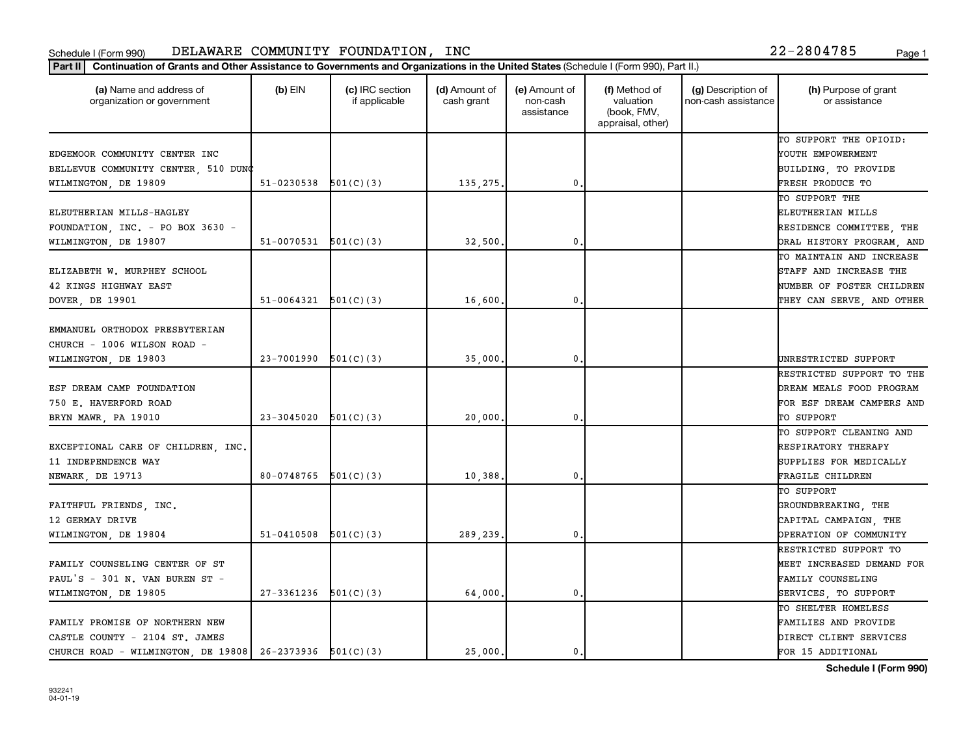| (a) Name and address of<br>organization or government       | $(b)$ EIN                | (c) IRC section<br>if applicable | (d) Amount of<br>cash grant | (e) Amount of<br>non-cash<br>assistance | (f) Method of<br>valuation<br>(book, FMV,<br>appraisal, other) | (g) Description of<br>non-cash assistance | (h) Purpose of grant<br>or assistance                 |
|-------------------------------------------------------------|--------------------------|----------------------------------|-----------------------------|-----------------------------------------|----------------------------------------------------------------|-------------------------------------------|-------------------------------------------------------|
|                                                             |                          |                                  |                             |                                         |                                                                |                                           | TO SUPPORT THE OPIOID:                                |
| EDGEMOOR COMMUNITY CENTER INC                               |                          |                                  |                             |                                         |                                                                |                                           | YOUTH EMPOWERMENT                                     |
| BELLEVUE COMMUNITY CENTER, 510 DUNC                         |                          |                                  |                             | 0                                       |                                                                |                                           | BUILDING, TO PROVIDE                                  |
| WILMINGTON, DE 19809                                        | $51-0230538$ $501(C)(3)$ |                                  | 135,275.                    |                                         |                                                                |                                           | FRESH PRODUCE TO                                      |
|                                                             |                          |                                  |                             |                                         |                                                                |                                           | TO SUPPORT THE                                        |
| ELEUTHERIAN MILLS-HAGLEY                                    |                          |                                  |                             |                                         |                                                                |                                           | ELEUTHERIAN MILLS                                     |
| FOUNDATION, INC. - PO BOX 3630 -                            | 51-0070531               | 501(C)(3)                        | 32,500                      | 0                                       |                                                                |                                           | RESIDENCE COMMITTEE, THE                              |
| WILMINGTON, DE 19807                                        |                          |                                  |                             |                                         |                                                                |                                           | ORAL HISTORY PROGRAM, AND<br>TO MAINTAIN AND INCREASE |
| ELIZABETH W. MURPHEY SCHOOL                                 |                          |                                  |                             |                                         |                                                                |                                           | STAFF AND INCREASE THE                                |
| 42 KINGS HIGHWAY EAST                                       |                          |                                  |                             |                                         |                                                                |                                           | NUMBER OF FOSTER CHILDREN                             |
| DOVER, DE 19901                                             | 51-0064321               | 501(C)(3)                        | 16,600                      | $\mathbf{0}$                            |                                                                |                                           | THEY CAN SERVE, AND OTHER                             |
|                                                             |                          |                                  |                             |                                         |                                                                |                                           |                                                       |
| EMMANUEL ORTHODOX PRESBYTERIAN                              |                          |                                  |                             |                                         |                                                                |                                           |                                                       |
| CHURCH - 1006 WILSON ROAD -                                 |                          |                                  |                             |                                         |                                                                |                                           |                                                       |
| WILMINGTON, DE 19803                                        | 23-7001990               | 501(C)(3)                        | 35,000                      | 0                                       |                                                                |                                           | UNRESTRICTED SUPPORT                                  |
|                                                             |                          |                                  |                             |                                         |                                                                |                                           | RESTRICTED SUPPORT TO THE                             |
| ESF DREAM CAMP FOUNDATION                                   |                          |                                  |                             |                                         |                                                                |                                           | DREAM MEALS FOOD PROGRAM                              |
| 750 E. HAVERFORD ROAD                                       |                          |                                  |                             |                                         |                                                                |                                           | FOR ESF DREAM CAMPERS AND                             |
| BRYN MAWR, PA 19010                                         | 23-3045020               | 501(C)(3)                        | 20,000                      | 0                                       |                                                                |                                           | TO SUPPORT                                            |
|                                                             |                          |                                  |                             |                                         |                                                                |                                           | TO SUPPORT CLEANING AND                               |
| EXCEPTIONAL CARE OF CHILDREN, INC.                          |                          |                                  |                             |                                         |                                                                |                                           | RESPIRATORY THERAPY                                   |
| 11 INDEPENDENCE WAY                                         |                          |                                  |                             |                                         |                                                                |                                           | SUPPLIES FOR MEDICALLY                                |
| <b>NEWARK, DE 19713</b>                                     | 80-0748765               | 501(C)(3)                        | 10,388.                     | $\mathbf{0}$                            |                                                                |                                           | FRAGILE CHILDREN                                      |
|                                                             |                          |                                  |                             |                                         |                                                                |                                           | TO SUPPORT                                            |
| FAITHFUL FRIENDS, INC.                                      |                          |                                  |                             |                                         |                                                                |                                           | GROUNDBREAKING, THE                                   |
| 12 GERMAY DRIVE                                             |                          |                                  |                             |                                         |                                                                |                                           | CAPITAL CAMPAIGN, THE                                 |
| WILMINGTON, DE 19804                                        | 51-0410508               | 501(C)(3)                        | 289,239                     | 0                                       |                                                                |                                           | OPERATION OF COMMUNITY                                |
|                                                             |                          |                                  |                             |                                         |                                                                |                                           | RESTRICTED SUPPORT TO                                 |
| FAMILY COUNSELING CENTER OF ST                              |                          |                                  |                             |                                         |                                                                |                                           | MEET INCREASED DEMAND FOR                             |
| PAUL'S - 301 N. VAN BUREN ST -                              |                          |                                  |                             |                                         |                                                                |                                           | FAMILY COUNSELING                                     |
| WILMINGTON, DE 19805                                        | 27-3361236               | 501(C)(3)                        | 64,000                      | 0                                       |                                                                |                                           | SERVICES, TO SUPPORT                                  |
|                                                             |                          |                                  |                             |                                         |                                                                |                                           | TO SHELTER HOMELESS                                   |
| FAMILY PROMISE OF NORTHERN NEW                              |                          |                                  |                             |                                         |                                                                |                                           | FAMILIES AND PROVIDE                                  |
| CASTLE COUNTY - 2104 ST. JAMES                              |                          |                                  |                             |                                         |                                                                |                                           | DIRECT CLIENT SERVICES                                |
| CHURCH ROAD - WILMINGTON, DE 19808   26-2373936   501(C)(3) |                          |                                  | 25,000.                     | 0.                                      |                                                                |                                           | FOR 15 ADDITIONAL                                     |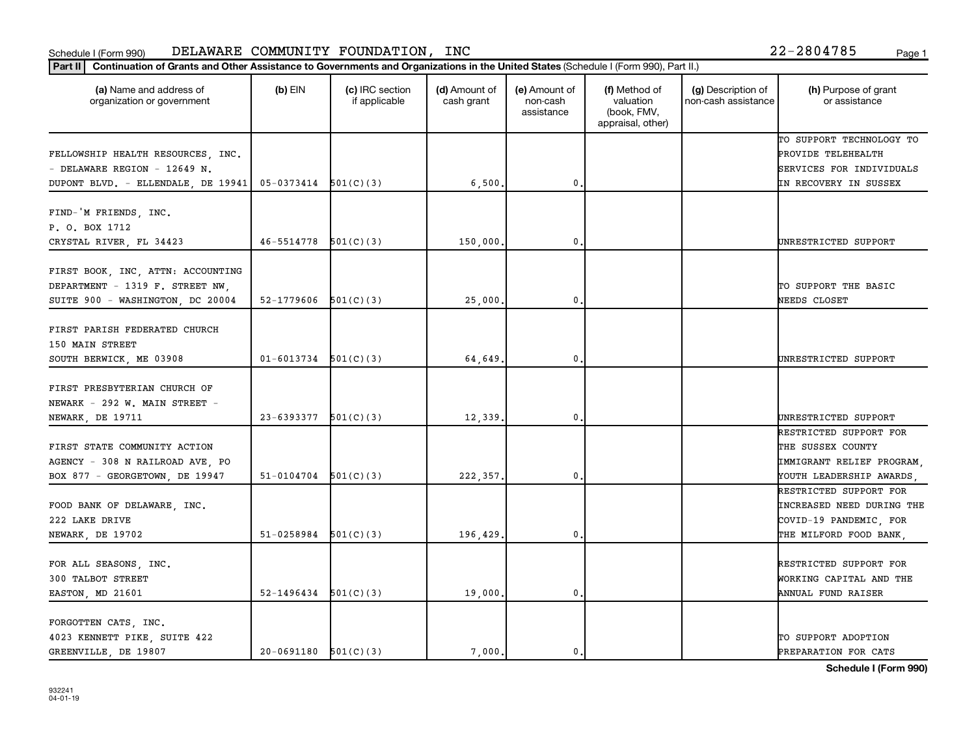|  |  |  | 22-2804785 |  |  | Page |
|--|--|--|------------|--|--|------|
|--|--|--|------------|--|--|------|

| Continuation of Grants and Other Assistance to Governments and Organizations in the United States (Schedule I (Form 990), Part II.)<br>Part II |                            |                                  |                             |                                         |                                                                |                                           |                                                                                                         |
|------------------------------------------------------------------------------------------------------------------------------------------------|----------------------------|----------------------------------|-----------------------------|-----------------------------------------|----------------------------------------------------------------|-------------------------------------------|---------------------------------------------------------------------------------------------------------|
| (a) Name and address of<br>organization or government                                                                                          | $(b)$ EIN                  | (c) IRC section<br>if applicable | (d) Amount of<br>cash grant | (e) Amount of<br>non-cash<br>assistance | (f) Method of<br>valuation<br>(book, FMV,<br>appraisal, other) | (g) Description of<br>non-cash assistance | (h) Purpose of grant<br>or assistance                                                                   |
| FELLOWSHIP HEALTH RESOURCES, INC.<br>- DELAWARE REGION - 12649 N.<br>DUPONT BLVD. - ELLENDALE, DE 19941                                        | $05-0373414$ $501(C)(3)$   |                                  | 6,500,                      | 0.                                      |                                                                |                                           | TO SUPPORT TECHNOLOGY TO<br>PROVIDE TELEHEALTH<br>SERVICES FOR INDIVIDUALS<br>IN RECOVERY IN SUSSEX     |
| FIND-'M FRIENDS, INC.<br>P. O. BOX 1712<br>CRYSTAL RIVER, FL 34423                                                                             | $46 - 5514778$ $501(C)(3)$ |                                  | 150,000                     | $\mathbf 0$                             |                                                                |                                           | UNRESTRICTED SUPPORT                                                                                    |
| FIRST BOOK, INC, ATTN: ACCOUNTING<br>DEPARTMENT - 1319 F. STREET NW.<br>SUITE 900 - WASHINGTON, DC 20004                                       | 52-1779606                 | 501(C)(3)                        | 25,000                      | $\mathbf 0$                             |                                                                |                                           | TO SUPPORT THE BASIC<br>NEEDS CLOSET                                                                    |
| FIRST PARISH FEDERATED CHURCH<br>150 MAIN STREET<br>SOUTH BERWICK, ME 03908                                                                    | $01 - 6013734$             | 501(C)(3)                        | 64,649.                     | 0.                                      |                                                                |                                           | UNRESTRICTED SUPPORT                                                                                    |
| FIRST PRESBYTERIAN CHURCH OF<br>NEWARK - 292 W. MAIN STREET -<br>NEWARK, DE 19711                                                              | 23-6393377                 | 501(C)(3)                        | 12,339.                     | $\mathbf 0$                             |                                                                |                                           | UNRESTRICTED SUPPORT                                                                                    |
| FIRST STATE COMMUNITY ACTION<br>AGENCY - 308 N RAILROAD AVE, PO<br>BOX 877 - GEORGETOWN, DE 19947                                              | 51-0104704                 | 501(C)(3)                        | 222, 357.                   | $\mathbf 0$                             |                                                                |                                           | RESTRICTED SUPPORT FOR<br>THE SUSSEX COUNTY<br>IMMIGRANT RELIEF PROGRAM<br>YOUTH LEADERSHIP AWARDS      |
| FOOD BANK OF DELAWARE, INC.<br>222 LAKE DRIVE<br>NEWARK, DE 19702                                                                              | 51-0258984                 | 501(C)(3)                        | 196,429                     | $\mathbf 0$                             |                                                                |                                           | RESTRICTED SUPPORT FOR<br>INCREASED NEED DURING THE<br>COVID-19 PANDEMIC, FOR<br>THE MILFORD FOOD BANK, |
| FOR ALL SEASONS, INC.<br>300 TALBOT STREET<br>EASTON, MD 21601                                                                                 | 52-1496434                 | 501(C)(3)                        | 19,000.                     | $\mathbf 0$                             |                                                                |                                           | RESTRICTED SUPPORT FOR<br>WORKING CAPITAL AND THE<br>ANNUAL FUND RAISER                                 |
| FORGOTTEN CATS, INC.<br>4023 KENNETT PIKE, SUITE 422<br>GREENVILLE, DE 19807                                                                   | $20-0691180$ $501(C)(3)$   |                                  | 7,000.                      | $\mathbf{0}$ .                          |                                                                |                                           | TO SUPPORT ADOPTION<br>PREPARATION FOR CATS                                                             |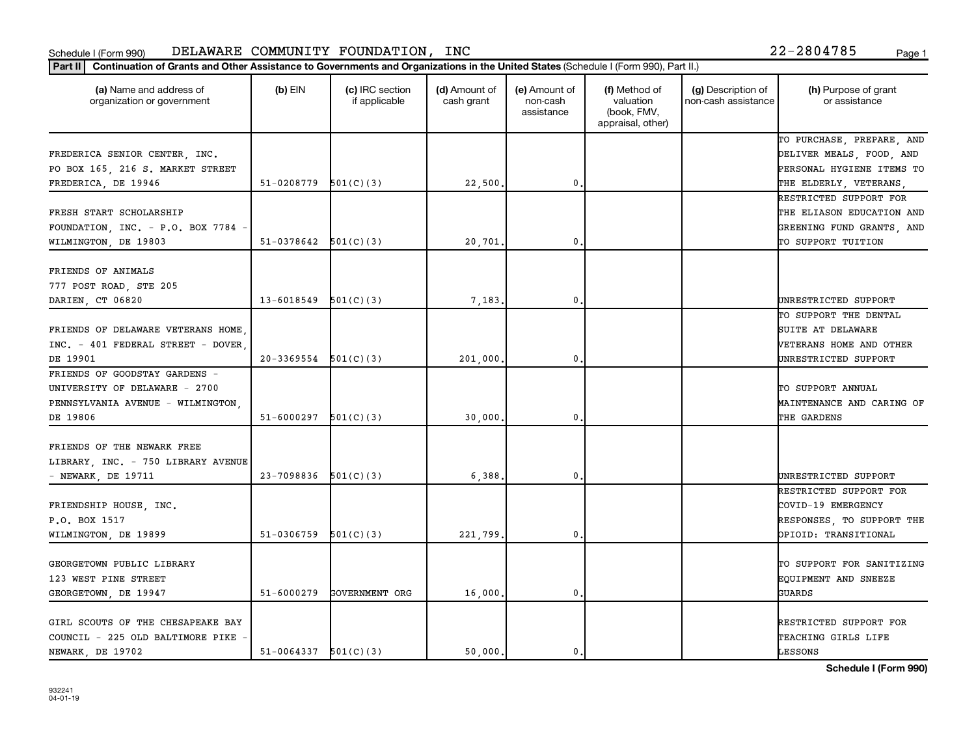| (a) Name and address of<br>organization or government                                                           | $(b)$ EIN                | (c) IRC section<br>if applicable | (d) Amount of<br>cash grant | (e) Amount of<br>non-cash<br>assistance | (f) Method of<br>valuation<br>(book, FMV,<br>appraisal, other) | (g) Description of<br>non-cash assistance | (h) Purpose of grant<br>or assistance                                                                  |
|-----------------------------------------------------------------------------------------------------------------|--------------------------|----------------------------------|-----------------------------|-----------------------------------------|----------------------------------------------------------------|-------------------------------------------|--------------------------------------------------------------------------------------------------------|
| FREDERICA SENIOR CENTER, INC.<br>PO BOX 165, 216 S. MARKET STREET                                               |                          |                                  |                             |                                         |                                                                |                                           | TO PURCHASE, PREPARE, AND<br>DELIVER MEALS, FOOD, AND<br>PERSONAL HYGIENE ITEMS TO                     |
| FREDERICA, DE 19946                                                                                             | 51-0208779               | 501(C)(3)                        | 22,500.                     | $\mathbf 0$                             |                                                                |                                           | THE ELDERLY, VETERANS,                                                                                 |
| FRESH START SCHOLARSHIP<br>FOUNDATION, INC. - P.O. BOX 7784<br>WILMINGTON, DE 19803                             | 51-0378642               | 501(C)(3)                        | 20,701                      | $\mathbf 0$                             |                                                                |                                           | RESTRICTED SUPPORT FOR<br>THE ELIASON EDUCATION AND<br>GREENING FUND GRANTS, AND<br>TO SUPPORT TUITION |
| FRIENDS OF ANIMALS<br>777 POST ROAD, STE 205                                                                    |                          |                                  |                             |                                         |                                                                |                                           |                                                                                                        |
| DARIEN, CT 06820<br>FRIENDS OF DELAWARE VETERANS HOME,<br>INC. - 401 FEDERAL STREET - DOVER                     | 13-6018549               | 501(C)(3)                        | 7,183                       | 0.                                      |                                                                |                                           | UNRESTRICTED SUPPORT<br>TO SUPPORT THE DENTAL<br>SUITE AT DELAWARE<br>VETERANS HOME AND OTHER          |
| DE 19901<br>FRIENDS OF GOODSTAY GARDENS -<br>UNIVERSITY OF DELAWARE - 2700<br>PENNSYLVANIA AVENUE - WILMINGTON, | $20-3369554$ $501(C)(3)$ |                                  | 201,000                     | 0                                       |                                                                |                                           | UNRESTRICTED SUPPORT<br>TO SUPPORT ANNUAL<br>MAINTENANCE AND CARING OF                                 |
| DE 19806<br>FRIENDS OF THE NEWARK FREE<br>LIBRARY, INC. - 750 LIBRARY AVENUE<br>$-$ NEWARK, DE 19711            | 51-6000297<br>23-7098836 | 501(C)(3)<br>501(C)(3)           | 30,000<br>6,388             | $\mathbf{0}$<br>$\mathbf 0$             |                                                                |                                           | THE GARDENS<br>UNRESTRICTED SUPPORT                                                                    |
| FRIENDSHIP HOUSE, INC.<br>P.O. BOX 1517<br>WILMINGTON, DE 19899                                                 | 51-0306759               | 501(C)(3)                        | 221,799                     | $\mathbf 0$                             |                                                                |                                           | RESTRICTED SUPPORT FOR<br>COVID-19 EMERGENCY<br>RESPONSES, TO SUPPORT THE<br>OPIOID: TRANSITIONAL      |
| GEORGETOWN PUBLIC LIBRARY<br>123 WEST PINE STREET<br>GEORGETOWN, DE 19947                                       | 51-6000279               | GOVERNMENT ORG                   | 16,000                      | $\mathbf{0}$                            |                                                                |                                           | TO SUPPORT FOR SANITIZING<br>EQUIPMENT AND SNEEZE<br>GUARDS                                            |
| GIRL SCOUTS OF THE CHESAPEAKE BAY<br>COUNCIL - 225 OLD BALTIMORE PIKE<br>NEWARK, DE 19702                       | $51-0064337$ $501(C)(3)$ |                                  | 50,000.                     | 0.                                      |                                                                |                                           | RESTRICTED SUPPORT FOR<br>TEACHING GIRLS LIFE<br>LESSONS                                               |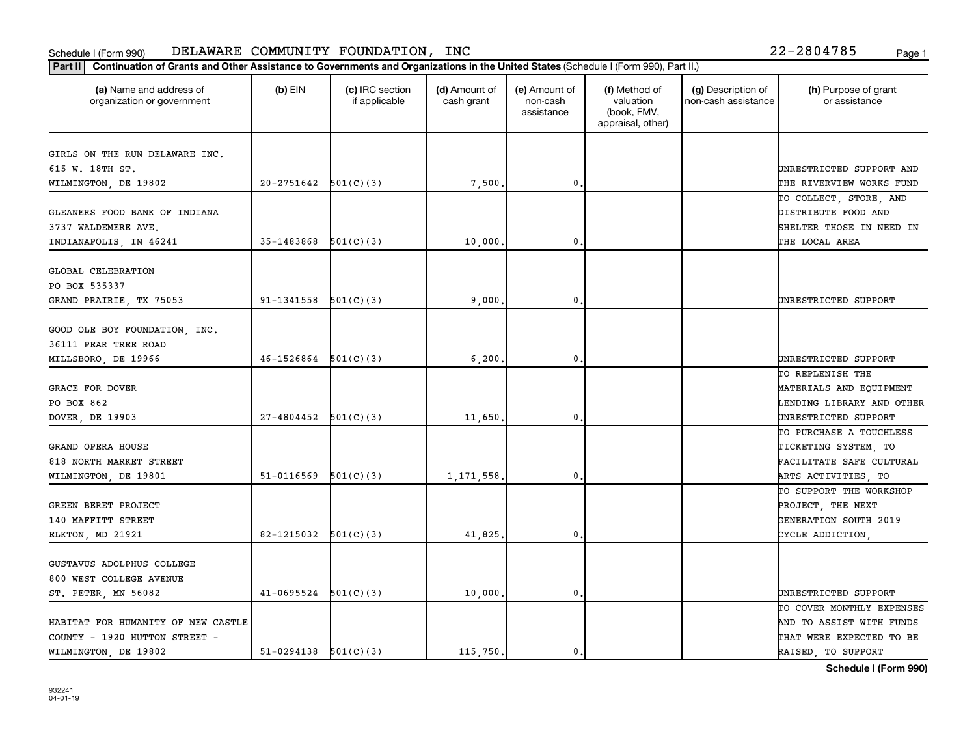| (a) Name and address of<br>organization or government | $(b)$ EIN                  | (c) IRC section<br>if applicable | (d) Amount of<br>cash grant | (e) Amount of<br>non-cash<br>assistance | (f) Method of<br>valuation<br>(book, FMV,<br>appraisal, other) | (g) Description of<br>non-cash assistance | (h) Purpose of grant<br>or assistance    |
|-------------------------------------------------------|----------------------------|----------------------------------|-----------------------------|-----------------------------------------|----------------------------------------------------------------|-------------------------------------------|------------------------------------------|
| GIRLS ON THE RUN DELAWARE INC.                        |                            |                                  |                             |                                         |                                                                |                                           |                                          |
| 615 W. 18TH ST.                                       |                            |                                  |                             |                                         |                                                                |                                           | UNRESTRICTED SUPPORT AND                 |
| WILMINGTON, DE 19802                                  | $20-2751642$ $501(C)(3)$   |                                  | 7,500.                      | $\mathbf 0$                             |                                                                |                                           | THE RIVERVIEW WORKS FUND                 |
|                                                       |                            |                                  |                             |                                         |                                                                |                                           | TO COLLECT, STORE, AND                   |
| GLEANERS FOOD BANK OF INDIANA                         |                            |                                  |                             |                                         |                                                                |                                           | DISTRIBUTE FOOD AND                      |
| 3737 WALDEMERE AVE.                                   |                            |                                  |                             |                                         |                                                                |                                           | SHELTER THOSE IN NEED IN                 |
| INDIANAPOLIS, IN 46241                                | 35-1483868                 | 501(C)(3)                        | 10,000.                     | $\mathbf 0$                             |                                                                |                                           | THE LOCAL AREA                           |
| GLOBAL CELEBRATION                                    |                            |                                  |                             |                                         |                                                                |                                           |                                          |
| PO BOX 535337                                         |                            |                                  |                             |                                         |                                                                |                                           |                                          |
| GRAND PRAIRIE, TX 75053                               | $91-1341558$ $501(C)(3)$   |                                  | 9,000                       | 0.                                      |                                                                |                                           | UNRESTRICTED SUPPORT                     |
|                                                       |                            |                                  |                             |                                         |                                                                |                                           |                                          |
| GOOD OLE BOY FOUNDATION, INC.                         |                            |                                  |                             |                                         |                                                                |                                           |                                          |
| 36111 PEAR TREE ROAD                                  | $46 - 1526864$ $501(C)(3)$ |                                  |                             | $\mathbf{0}$                            |                                                                |                                           |                                          |
| MILLSBORO, DE 19966                                   |                            |                                  | 6, 200.                     |                                         |                                                                |                                           | UNRESTRICTED SUPPORT<br>TO REPLENISH THE |
| <b>GRACE FOR DOVER</b>                                |                            |                                  |                             |                                         |                                                                |                                           | MATERIALS AND EQUIPMENT                  |
| PO BOX 862                                            |                            |                                  |                             |                                         |                                                                |                                           | LENDING LIBRARY AND OTHER                |
| DOVER, DE 19903                                       | 27-4804452                 | 501(C)(3)                        | 11,650.                     | $\mathbf 0$                             |                                                                |                                           | UNRESTRICTED SUPPORT                     |
|                                                       |                            |                                  |                             |                                         |                                                                |                                           | TO PURCHASE A TOUCHLESS                  |
| GRAND OPERA HOUSE                                     |                            |                                  |                             |                                         |                                                                |                                           | TICKETING SYSTEM, TO                     |
| 818 NORTH MARKET STREET                               |                            |                                  |                             |                                         |                                                                |                                           | FACILITATE SAFE CULTURAL                 |
| WILMINGTON, DE 19801                                  | 51-0116569                 | 501(C)(3)                        | 1,171,558.                  | 0.                                      |                                                                |                                           | ARTS ACTIVITIES, TO                      |
|                                                       |                            |                                  |                             |                                         |                                                                |                                           | TO SUPPORT THE WORKSHOP                  |
| GREEN BERET PROJECT                                   |                            |                                  |                             |                                         |                                                                |                                           | PROJECT, THE NEXT                        |
| 140 MAFFITT STREET                                    |                            |                                  |                             |                                         |                                                                |                                           | GENERATION SOUTH 2019                    |
| ELKTON, MD 21921                                      | 82-1215032 $501(C)(3)$     |                                  | 41,825.                     | $\mathbf 0$                             |                                                                |                                           | CYCLE ADDICTION,                         |
| GUSTAVUS ADOLPHUS COLLEGE                             |                            |                                  |                             |                                         |                                                                |                                           |                                          |
| 800 WEST COLLEGE AVENUE                               |                            |                                  |                             |                                         |                                                                |                                           |                                          |
| ST. PETER, MN 56082                                   | 41-0695524                 | 501(C)(3)                        | 10,000.                     | 0.                                      |                                                                |                                           | UNRESTRICTED SUPPORT                     |
|                                                       |                            |                                  |                             |                                         |                                                                |                                           | TO COVER MONTHLY EXPENSES                |
| HABITAT FOR HUMANITY OF NEW CASTLE                    |                            |                                  |                             |                                         |                                                                |                                           | AND TO ASSIST WITH FUNDS                 |
| COUNTY - 1920 HUTTON STREET -                         |                            |                                  |                             |                                         |                                                                |                                           | THAT WERE EXPECTED TO BE                 |
| WILMINGTON, DE 19802                                  | $51-0294138$ $501(C)(3)$   |                                  | 115,750.                    | 0.                                      |                                                                |                                           | RAISED, TO SUPPORT                       |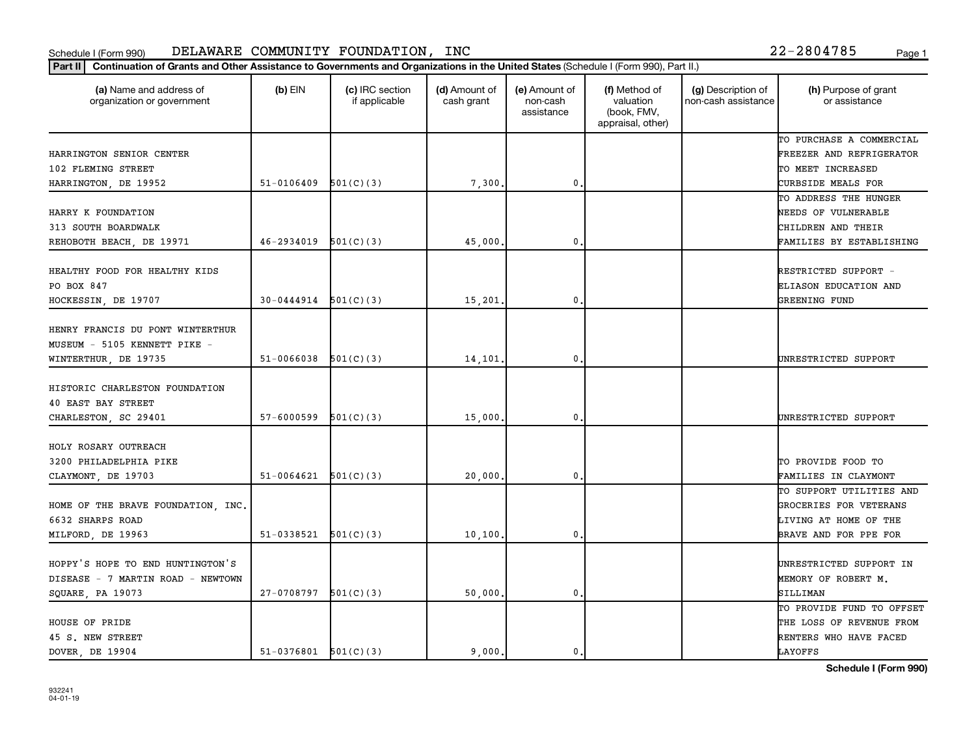| Part II   Continuation of Grants and Other Assistance to Governments and Organizations in the United States (Schedule I (Form 990), Part II.) |                          |                                  |                             |                                         |                                                                |                                           |                                       |
|-----------------------------------------------------------------------------------------------------------------------------------------------|--------------------------|----------------------------------|-----------------------------|-----------------------------------------|----------------------------------------------------------------|-------------------------------------------|---------------------------------------|
| (a) Name and address of<br>organization or government                                                                                         | $(b)$ EIN                | (c) IRC section<br>if applicable | (d) Amount of<br>cash grant | (e) Amount of<br>non-cash<br>assistance | (f) Method of<br>valuation<br>(book, FMV,<br>appraisal, other) | (g) Description of<br>non-cash assistance | (h) Purpose of grant<br>or assistance |
|                                                                                                                                               |                          |                                  |                             |                                         |                                                                |                                           | TO PURCHASE A COMMERCIAL              |
| HARRINGTON SENIOR CENTER                                                                                                                      |                          |                                  |                             |                                         |                                                                |                                           | FREEZER AND REFRIGERATOR              |
| 102 FLEMING STREET                                                                                                                            |                          |                                  |                             |                                         |                                                                |                                           | TO MEET INCREASED                     |
| HARRINGTON, DE 19952                                                                                                                          | 51-0106409               | 501(C)(3)                        | 7,300                       | $\mathbf 0$                             |                                                                |                                           | CURBSIDE MEALS FOR                    |
|                                                                                                                                               |                          |                                  |                             |                                         |                                                                |                                           | TO ADDRESS THE HUNGER                 |
| HARRY K FOUNDATION                                                                                                                            |                          |                                  |                             |                                         |                                                                |                                           | NEEDS OF VULNERABLE                   |
| 313 SOUTH BOARDWALK                                                                                                                           |                          |                                  |                             |                                         |                                                                |                                           | CHILDREN AND THEIR                    |
| REHOBOTH BEACH, DE 19971                                                                                                                      | 46-2934019               | 501(C)(3)                        | 45,000                      | $\mathbf 0$                             |                                                                |                                           | FAMILIES BY ESTABLISHING              |
| HEALTHY FOOD FOR HEALTHY KIDS                                                                                                                 |                          |                                  |                             |                                         |                                                                |                                           | RESTRICTED SUPPORT -                  |
| PO BOX 847                                                                                                                                    |                          |                                  |                             |                                         |                                                                |                                           | ELIASON EDUCATION AND                 |
| HOCKESSIN, DE 19707                                                                                                                           | $30-0444914$ $501(C)(3)$ |                                  | 15,201                      | $\mathbf 0$                             |                                                                |                                           | GREENING FUND                         |
|                                                                                                                                               |                          |                                  |                             |                                         |                                                                |                                           |                                       |
| HENRY FRANCIS DU PONT WINTERTHUR                                                                                                              |                          |                                  |                             |                                         |                                                                |                                           |                                       |
| MUSEUM - 5105 KENNETT PIKE -                                                                                                                  |                          |                                  |                             |                                         |                                                                |                                           |                                       |
| WINTERTHUR, DE 19735                                                                                                                          | 51-0066038               | 501(C)(3)                        | 14,101                      | $\mathbf{0}$                            |                                                                |                                           | UNRESTRICTED SUPPORT                  |
|                                                                                                                                               |                          |                                  |                             |                                         |                                                                |                                           |                                       |
| HISTORIC CHARLESTON FOUNDATION                                                                                                                |                          |                                  |                             |                                         |                                                                |                                           |                                       |
| 40 EAST BAY STREET                                                                                                                            |                          |                                  |                             |                                         |                                                                |                                           |                                       |
| CHARLESTON, SC 29401                                                                                                                          | 57-6000599               | 501(C)(3)                        | 15,000                      | $\mathbf{0}$                            |                                                                |                                           | UNRESTRICTED SUPPORT                  |
|                                                                                                                                               |                          |                                  |                             |                                         |                                                                |                                           |                                       |
| HOLY ROSARY OUTREACH                                                                                                                          |                          |                                  |                             |                                         |                                                                |                                           |                                       |
| 3200 PHILADELPHIA PIKE                                                                                                                        |                          |                                  |                             |                                         |                                                                |                                           | TO PROVIDE FOOD TO                    |
| CLAYMONT, DE 19703                                                                                                                            | $51-0064621$ $501(C)(3)$ |                                  | 20,000                      | $\mathbf 0$                             |                                                                |                                           | FAMILIES IN CLAYMONT                  |
|                                                                                                                                               |                          |                                  |                             |                                         |                                                                |                                           | TO SUPPORT UTILITIES AND              |
| HOME OF THE BRAVE FOUNDATION, INC.                                                                                                            |                          |                                  |                             |                                         |                                                                |                                           | GROCERIES FOR VETERANS                |
| 6632 SHARPS ROAD                                                                                                                              |                          |                                  |                             |                                         |                                                                |                                           | LIVING AT HOME OF THE                 |
| MILFORD, DE 19963                                                                                                                             | 51-0338521               | 501(C)(3)                        | 10,100                      | $\mathbf{0}$                            |                                                                |                                           | BRAVE AND FOR PPE FOR                 |
|                                                                                                                                               |                          |                                  |                             |                                         |                                                                |                                           |                                       |
| HOPPY'S HOPE TO END HUNTINGTON'S                                                                                                              |                          |                                  |                             |                                         |                                                                |                                           | UNRESTRICTED SUPPORT IN               |
| DISEASE - 7 MARTIN ROAD - NEWTOWN                                                                                                             |                          |                                  |                             |                                         |                                                                |                                           | MEMORY OF ROBERT M.                   |
| SQUARE, PA 19073                                                                                                                              | 27-0708797               | 501(C)(3)                        | 50,000                      | $\mathbf 0$                             |                                                                |                                           | SILLIMAN                              |
|                                                                                                                                               |                          |                                  |                             |                                         |                                                                |                                           | TO PROVIDE FUND TO OFFSET             |
| HOUSE OF PRIDE                                                                                                                                |                          |                                  |                             |                                         |                                                                |                                           | THE LOSS OF REVENUE FROM              |
| 45 S. NEW STREET                                                                                                                              |                          |                                  |                             |                                         |                                                                |                                           | RENTERS WHO HAVE FACED                |
| DOVER, DE 19904                                                                                                                               | $51-0376801$ $501(C)(3)$ |                                  | 9,000.                      | 0.                                      |                                                                |                                           | LAYOFFS                               |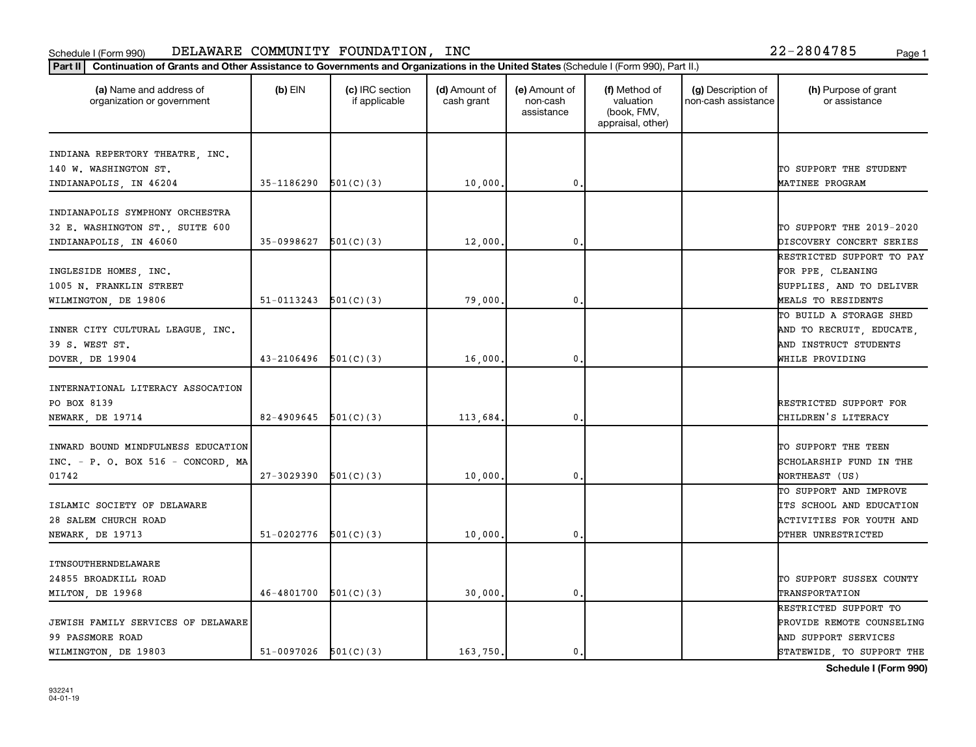| (a) Name and address of<br>organization or government                                        | $(b)$ EIN                  | (c) IRC section<br>if applicable | (d) Amount of<br>cash grant | (e) Amount of<br>non-cash<br>assistance | (f) Method of<br>valuation<br>(book, FMV,<br>appraisal, other) | (g) Description of<br>non-cash assistance | (h) Purpose of grant<br>or assistance                                                                   |
|----------------------------------------------------------------------------------------------|----------------------------|----------------------------------|-----------------------------|-----------------------------------------|----------------------------------------------------------------|-------------------------------------------|---------------------------------------------------------------------------------------------------------|
| INDIANA REPERTORY THEATRE, INC.<br>140 W. WASHINGTON ST.<br>INDIANAPOLIS, IN 46204           | 35-1186290                 | 501(C)(3)                        | 10,000                      | $\mathbf{0}$                            |                                                                |                                           | TO SUPPORT THE STUDENT<br>MATINEE PROGRAM                                                               |
| INDIANAPOLIS SYMPHONY ORCHESTRA<br>32 E. WASHINGTON ST., SUITE 600<br>INDIANAPOLIS, IN 46060 | 35-0998627                 | 501(C)(3)                        | 12,000                      | $\mathbf{0}$                            |                                                                |                                           | TO SUPPORT THE 2019-2020<br>DISCOVERY CONCERT SERIES                                                    |
| INGLESIDE HOMES, INC.<br>1005 N. FRANKLIN STREET<br>WILMINGTON, DE 19806                     | 51-0113243                 | 501(C)(3)                        | 79,000                      | $\mathbf{0}$                            |                                                                |                                           | RESTRICTED SUPPORT TO PAY<br>FOR PPE, CLEANING<br>SUPPLIES, AND TO DELIVER<br>MEALS TO RESIDENTS        |
| INNER CITY CULTURAL LEAGUE, INC.<br>39 S. WEST ST.<br>DOVER, DE 19904                        | $43 - 2106496$ $501(C)(3)$ |                                  | 16,000.                     | $\mathbf 0$                             |                                                                |                                           | TO BUILD A STORAGE SHED<br>AND TO RECRUIT, EDUCATE,<br>AND INSTRUCT STUDENTS<br>WHILE PROVIDING         |
| INTERNATIONAL LITERACY ASSOCATION<br>PO BOX 8139<br>NEWARK, DE 19714                         | 82-4909645                 | 501(C)(3)                        | 113,684.                    | $\mathbf 0$                             |                                                                |                                           | RESTRICTED SUPPORT FOR<br>CHILDREN'S LITERACY                                                           |
| INWARD BOUND MINDFULNESS EDUCATION<br>INC. - P. O. BOX 516 - CONCORD, MA<br>01742            | $27 - 3029390$             | 501(C)(3)                        | 10,000                      | $\mathbf 0$                             |                                                                |                                           | TO SUPPORT THE TEEN<br>SCHOLARSHIP FUND IN THE<br>NORTHEAST (US)                                        |
| ISLAMIC SOCIETY OF DELAWARE<br>28 SALEM CHURCH ROAD<br>NEWARK, DE 19713                      | 51-0202776                 | 501(C)(3)                        | 10,000.                     | $\mathbf 0$                             |                                                                |                                           | TO SUPPORT AND IMPROVE<br>ITS SCHOOL AND EDUCATION<br>ACTIVITIES FOR YOUTH AND<br>OTHER UNRESTRICTED    |
| ITNSOUTHERNDELAWARE<br>24855 BROADKILL ROAD<br>MILTON, DE 19968                              | $46 - 4801700$             | 501(C)(3)                        | 30,000                      | $\mathbf{0}$                            |                                                                |                                           | TO SUPPORT SUSSEX COUNTY<br>TRANSPORTATION                                                              |
| JEWISH FAMILY SERVICES OF DELAWARE<br>99 PASSMORE ROAD<br>WILMINGTON, DE 19803               | $51-0097026$ $501(C)(3)$   |                                  | 163,750                     | $\mathbf{0}$                            |                                                                |                                           | RESTRICTED SUPPORT TO<br>PROVIDE REMOTE COUNSELING<br>AND SUPPORT SERVICES<br>STATEWIDE, TO SUPPORT THE |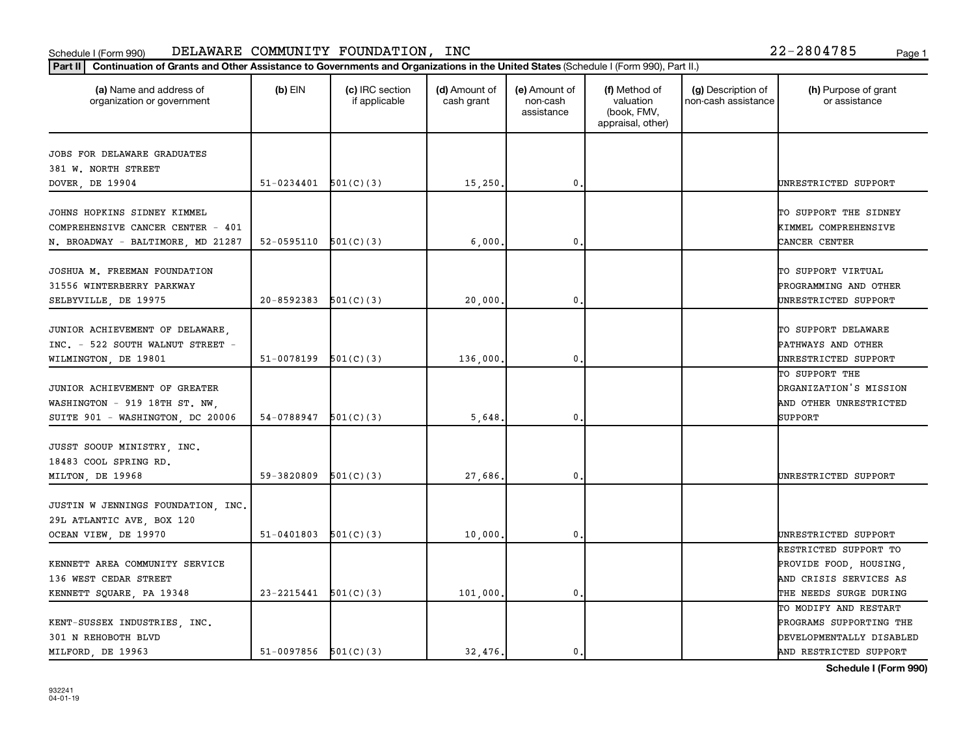| (a) Name and address of<br>organization or government     | $(b)$ EIN                | (c) IRC section<br>if applicable | (d) Amount of<br>cash grant | (e) Amount of<br>non-cash<br>assistance | (f) Method of<br>valuation<br>(book, FMV,<br>appraisal, other) | (g) Description of<br>non-cash assistance | (h) Purpose of grant<br>or assistance       |
|-----------------------------------------------------------|--------------------------|----------------------------------|-----------------------------|-----------------------------------------|----------------------------------------------------------------|-------------------------------------------|---------------------------------------------|
| JOBS FOR DELAWARE GRADUATES                               |                          |                                  |                             |                                         |                                                                |                                           |                                             |
| 381 W. NORTH STREET                                       |                          |                                  |                             |                                         |                                                                |                                           |                                             |
| DOVER, DE 19904                                           | $51-0234401$ $501(C)(3)$ |                                  | 15, 250.                    | 0                                       |                                                                |                                           | UNRESTRICTED SUPPORT                        |
| JOHNS HOPKINS SIDNEY KIMMEL                               |                          |                                  |                             |                                         |                                                                |                                           | TO SUPPORT THE SIDNEY                       |
| COMPREHENSIVE CANCER CENTER - 401                         |                          |                                  |                             |                                         |                                                                |                                           | KIMMEL COMPREHENSIVE                        |
| N. BROADWAY - BALTIMORE, MD 21287                         | 52-0595110               | 501(C)(3)                        | 6,000,                      | 0                                       |                                                                |                                           | CANCER CENTER                               |
|                                                           |                          |                                  |                             |                                         |                                                                |                                           |                                             |
| JOSHUA M. FREEMAN FOUNDATION<br>31556 WINTERBERRY PARKWAY |                          |                                  |                             |                                         |                                                                |                                           | TO SUPPORT VIRTUAL<br>PROGRAMMING AND OTHER |
|                                                           | 20-8592383               | 501(C)(3)                        |                             | 0                                       |                                                                |                                           | UNRESTRICTED SUPPORT                        |
| SELBYVILLE, DE 19975                                      |                          |                                  | 20,000                      |                                         |                                                                |                                           |                                             |
| JUNIOR ACHIEVEMENT OF DELAWARE,                           |                          |                                  |                             |                                         |                                                                |                                           | TO SUPPORT DELAWARE                         |
| INC. - 522 SOUTH WALNUT STREET -                          |                          |                                  |                             |                                         |                                                                |                                           | PATHWAYS AND OTHER                          |
| WILMINGTON, DE 19801                                      | 51-0078199               | 501(C)(3)                        | 136,000.                    | 0                                       |                                                                |                                           | UNRESTRICTED SUPPORT                        |
|                                                           |                          |                                  |                             |                                         |                                                                |                                           | TO SUPPORT THE                              |
| JUNIOR ACHIEVEMENT OF GREATER                             |                          |                                  |                             |                                         |                                                                |                                           | <b>DRGANIZATION'S MISSION</b>               |
| WASHINGTON - 919 18TH ST. NW.                             |                          |                                  |                             |                                         |                                                                |                                           | AND OTHER UNRESTRICTED                      |
| SUITE 901 - WASHINGTON, DC 20006                          | 54-0788947               | 501(C)(3)                        | 5,648                       | 0                                       |                                                                |                                           | SUPPORT                                     |
|                                                           |                          |                                  |                             |                                         |                                                                |                                           |                                             |
| JUSST SOOUP MINISTRY, INC.<br>18483 COOL SPRING RD.       |                          |                                  |                             |                                         |                                                                |                                           |                                             |
|                                                           | 59-3820809               | 501(C)(3)                        | 27,686.                     | $\mathbf{0}$                            |                                                                |                                           | UNRESTRICTED SUPPORT                        |
| MILTON, DE 19968                                          |                          |                                  |                             |                                         |                                                                |                                           |                                             |
| JUSTIN W JENNINGS FOUNDATION, INC.                        |                          |                                  |                             |                                         |                                                                |                                           |                                             |
| 29L ATLANTIC AVE, BOX 120                                 |                          |                                  |                             |                                         |                                                                |                                           |                                             |
| OCEAN VIEW, DE 19970                                      | 51-0401803               | 501(C)(3)                        | 10,000                      | $\mathbf 0$                             |                                                                |                                           | UNRESTRICTED SUPPORT                        |
|                                                           |                          |                                  |                             |                                         |                                                                |                                           | RESTRICTED SUPPORT TO                       |
| KENNETT AREA COMMUNITY SERVICE                            |                          |                                  |                             |                                         |                                                                |                                           | PROVIDE FOOD, HOUSING,                      |
| 136 WEST CEDAR STREET                                     |                          |                                  |                             |                                         |                                                                |                                           | AND CRISIS SERVICES AS                      |
| KENNETT SQUARE, PA 19348                                  | 23-2215441               | 501(C)(3)                        | 101,000,                    | 0                                       |                                                                |                                           | THE NEEDS SURGE DURING                      |
|                                                           |                          |                                  |                             |                                         |                                                                |                                           | TO MODIFY AND RESTART                       |
| KENT-SUSSEX INDUSTRIES, INC.                              |                          |                                  |                             |                                         |                                                                |                                           | PROGRAMS SUPPORTING THE                     |
| 301 N REHOBOTH BLVD                                       |                          |                                  |                             |                                         |                                                                |                                           | DEVELOPMENTALLY DISABLED                    |
| MILFORD, DE 19963                                         | $51-0097856$ $501(C)(3)$ |                                  | 32,476.                     | 0.                                      |                                                                |                                           | AND RESTRICTED SUPPORT                      |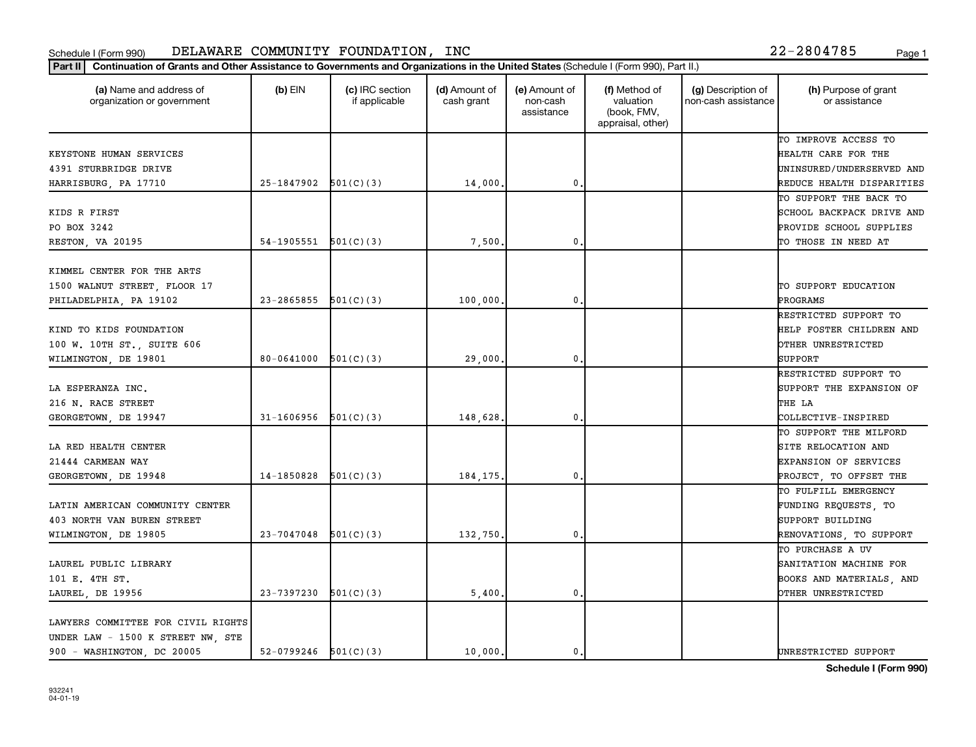| (a) Name and address of<br>organization or government | $(b)$ EIN                | (c) IRC section<br>if applicable | (d) Amount of<br>cash grant | (e) Amount of<br>non-cash<br>assistance | (f) Method of<br>valuation<br>(book, FMV,<br>appraisal, other) | (g) Description of<br>non-cash assistance | (h) Purpose of grant<br>or assistance |
|-------------------------------------------------------|--------------------------|----------------------------------|-----------------------------|-----------------------------------------|----------------------------------------------------------------|-------------------------------------------|---------------------------------------|
|                                                       |                          |                                  |                             |                                         |                                                                |                                           | TO IMPROVE ACCESS TO                  |
| KEYSTONE HUMAN SERVICES                               |                          |                                  |                             |                                         |                                                                |                                           | HEALTH CARE FOR THE                   |
| 4391 STURBRIDGE DRIVE                                 |                          |                                  |                             |                                         |                                                                |                                           | UNINSURED/UNDERSERVED AND             |
| HARRISBURG, PA 17710                                  | $25-1847902$ $501(C)(3)$ |                                  | 14,000                      | $\mathbf 0$ .                           |                                                                |                                           | REDUCE HEALTH DISPARITIES             |
|                                                       |                          |                                  |                             |                                         |                                                                |                                           | TO SUPPORT THE BACK TO                |
| KIDS R FIRST                                          |                          |                                  |                             |                                         |                                                                |                                           | SCHOOL BACKPACK DRIVE AND             |
| PO BOX 3242                                           |                          |                                  |                             |                                         |                                                                |                                           | PROVIDE SCHOOL SUPPLIES               |
| RESTON, VA 20195                                      | 54-1905551               | 501(C)(3)                        | 7,500                       | 0.                                      |                                                                |                                           | TO THOSE IN NEED AT                   |
| KIMMEL CENTER FOR THE ARTS                            |                          |                                  |                             |                                         |                                                                |                                           |                                       |
| 1500 WALNUT STREET, FLOOR 17                          |                          |                                  |                             |                                         |                                                                |                                           | TO SUPPORT EDUCATION                  |
| PHILADELPHIA, PA 19102                                | 23-2865855               | 501(C)(3)                        | 100,000                     | $\mathbf{0}$ .                          |                                                                |                                           | PROGRAMS                              |
|                                                       |                          |                                  |                             |                                         |                                                                |                                           | RESTRICTED SUPPORT TO                 |
| KIND TO KIDS FOUNDATION                               |                          |                                  |                             |                                         |                                                                |                                           | HELP FOSTER CHILDREN AND              |
| 100 W. 10TH ST., SUITE 606                            |                          |                                  |                             |                                         |                                                                |                                           | OTHER UNRESTRICTED                    |
| WILMINGTON, DE 19801                                  | 80-0641000               | 501(C)(3)                        | 29,000                      | 0.                                      |                                                                |                                           | SUPPORT                               |
|                                                       |                          |                                  |                             |                                         |                                                                |                                           | RESTRICTED SUPPORT TO                 |
| LA ESPERANZA INC.                                     |                          |                                  |                             |                                         |                                                                |                                           | SUPPORT THE EXPANSION OF              |
| 216 N. RACE STREET                                    |                          |                                  |                             |                                         |                                                                |                                           | THE LA                                |
| GEORGETOWN, DE 19947                                  | 31-1606956               | 501(C)(3)                        | 148,628                     | 0.                                      |                                                                |                                           | COLLECTIVE-INSPIRED                   |
|                                                       |                          |                                  |                             |                                         |                                                                |                                           | TO SUPPORT THE MILFORD                |
| LA RED HEALTH CENTER                                  |                          |                                  |                             |                                         |                                                                |                                           | SITE RELOCATION AND                   |
| 21444 CARMEAN WAY                                     |                          |                                  |                             |                                         |                                                                |                                           |                                       |
|                                                       | 14-1850828               | 501(C)(3)                        |                             | $\mathbf{0}$ .                          |                                                                |                                           | <b>EXPANSION OF SERVICES</b>          |
| GEORGETOWN, DE 19948                                  |                          |                                  | 184,175                     |                                         |                                                                |                                           | PROJECT, TO OFFSET THE                |
|                                                       |                          |                                  |                             |                                         |                                                                |                                           | TO FULFILL EMERGENCY                  |
| LATIN AMERICAN COMMUNITY CENTER                       |                          |                                  |                             |                                         |                                                                |                                           | FUNDING REQUESTS, TO                  |
| 403 NORTH VAN BUREN STREET                            |                          |                                  |                             |                                         |                                                                |                                           | SUPPORT BUILDING                      |
| WILMINGTON, DE 19805                                  | $23-7047048$ 501(C)(3)   |                                  | 132,750                     | $\mathbf{0}$ .                          |                                                                |                                           | RENOVATIONS, TO SUPPORT               |
|                                                       |                          |                                  |                             |                                         |                                                                |                                           | TO PURCHASE A UV                      |
| LAUREL PUBLIC LIBRARY                                 |                          |                                  |                             |                                         |                                                                |                                           | SANITATION MACHINE FOR                |
| 101 E. 4TH ST.                                        |                          |                                  |                             |                                         |                                                                |                                           | BOOKS AND MATERIALS, AND              |
| LAUREL, DE 19956                                      | 23-7397230               | 501(C)(3)                        | 5,400                       | $\mathbf 0$ .                           |                                                                |                                           | OTHER UNRESTRICTED                    |
| LAWYERS COMMITTEE FOR CIVIL RIGHTS                    |                          |                                  |                             |                                         |                                                                |                                           |                                       |
| UNDER LAW - 1500 K STREET NW, STE                     |                          |                                  |                             |                                         |                                                                |                                           |                                       |
| 900 - WASHINGTON, DC 20005                            | $52-0799246$ $501(C)(3)$ |                                  | 10,000.                     | $\mathbf{0}$ .                          |                                                                |                                           | UNRESTRICTED SUPPORT                  |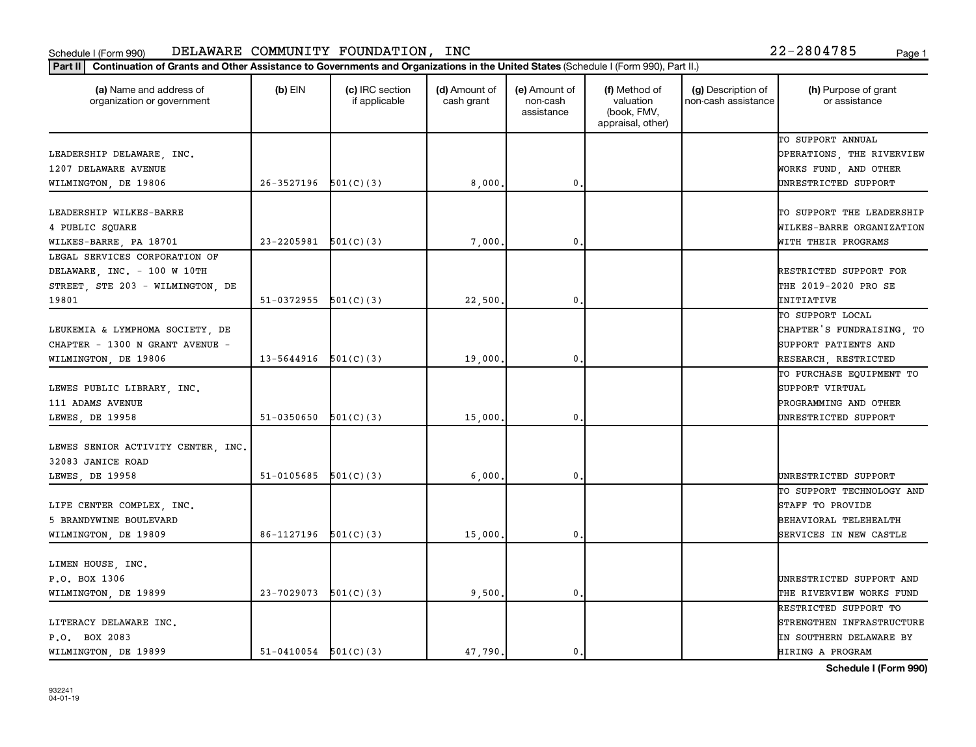| Continuation of Grants and Other Assistance to Governments and Organizations in the United States (Schedule I (Form 990), Part II.)<br>Part II |                          |                                  |                             |                                         |                                                                |                                           |                                       |
|------------------------------------------------------------------------------------------------------------------------------------------------|--------------------------|----------------------------------|-----------------------------|-----------------------------------------|----------------------------------------------------------------|-------------------------------------------|---------------------------------------|
| (a) Name and address of<br>organization or government                                                                                          | $(b)$ EIN                | (c) IRC section<br>if applicable | (d) Amount of<br>cash grant | (e) Amount of<br>non-cash<br>assistance | (f) Method of<br>valuation<br>(book, FMV,<br>appraisal, other) | (g) Description of<br>non-cash assistance | (h) Purpose of grant<br>or assistance |
|                                                                                                                                                |                          |                                  |                             |                                         |                                                                |                                           | TO SUPPORT ANNUAL                     |
| LEADERSHIP DELAWARE, INC.                                                                                                                      |                          |                                  |                             |                                         |                                                                |                                           | OPERATIONS, THE RIVERVIEW             |
| 1207 DELAWARE AVENUE                                                                                                                           |                          |                                  |                             |                                         |                                                                |                                           | WORKS FUND, AND OTHER                 |
| WILMINGTON, DE 19806                                                                                                                           | 26-3527196               | 501(C)(3)                        | 8,000                       | $\mathbf 0$ .                           |                                                                |                                           | UNRESTRICTED SUPPORT                  |
| LEADERSHIP WILKES-BARRE                                                                                                                        |                          |                                  |                             |                                         |                                                                |                                           | TO SUPPORT THE LEADERSHIP             |
| 4 PUBLIC SOUARE                                                                                                                                |                          |                                  |                             |                                         |                                                                |                                           | WILKES-BARRE ORGANIZATION             |
| WILKES-BARRE, PA 18701                                                                                                                         | 23-2205981               | 501(C)(3)                        | 7,000                       | $\mathbf{0}$ .                          |                                                                |                                           | WITH THEIR PROGRAMS                   |
| LEGAL SERVICES CORPORATION OF                                                                                                                  |                          |                                  |                             |                                         |                                                                |                                           |                                       |
| DELAWARE, INC. - 100 W 10TH                                                                                                                    |                          |                                  |                             |                                         |                                                                |                                           | RESTRICTED SUPPORT FOR                |
| STREET, STE 203 - WILMINGTON, DE                                                                                                               |                          |                                  |                             |                                         |                                                                |                                           | THE 2019-2020 PRO SE                  |
| 19801                                                                                                                                          | 51-0372955               | 501(C)(3)                        | 22,500                      | 0.                                      |                                                                |                                           | INITIATIVE                            |
|                                                                                                                                                |                          |                                  |                             |                                         |                                                                |                                           | TO SUPPORT LOCAL                      |
| LEUKEMIA & LYMPHOMA SOCIETY, DE                                                                                                                |                          |                                  |                             |                                         |                                                                |                                           | CHAPTER'S FUNDRAISING, TO             |
| CHAPTER - 1300 N GRANT AVENUE -                                                                                                                |                          |                                  |                             |                                         |                                                                |                                           | SUPPORT PATIENTS AND                  |
|                                                                                                                                                | 13-5644916               |                                  |                             | $\mathbf 0$ .                           |                                                                |                                           |                                       |
| WILMINGTON, DE 19806                                                                                                                           |                          | 501(C)(3)                        | 19,000                      |                                         |                                                                |                                           | RESEARCH, RESTRICTED                  |
|                                                                                                                                                |                          |                                  |                             |                                         |                                                                |                                           | TO PURCHASE EQUIPMENT TO              |
| LEWES PUBLIC LIBRARY, INC.                                                                                                                     |                          |                                  |                             |                                         |                                                                |                                           | SUPPORT VIRTUAL                       |
| 111 ADAMS AVENUE                                                                                                                               |                          |                                  |                             |                                         |                                                                |                                           | PROGRAMMING AND OTHER                 |
| LEWES, DE 19958                                                                                                                                | 51-0350650               | 501(C)(3)                        | 15,000                      | $\mathbf{0}$ .                          |                                                                |                                           | UNRESTRICTED SUPPORT                  |
| LEWES SENIOR ACTIVITY CENTER, INC.                                                                                                             |                          |                                  |                             |                                         |                                                                |                                           |                                       |
| 32083 JANICE ROAD                                                                                                                              |                          |                                  |                             |                                         |                                                                |                                           |                                       |
| LEWES, DE 19958                                                                                                                                | 51-0105685               | 501(C)(3)                        | 6,000                       | 0.                                      |                                                                |                                           | UNRESTRICTED SUPPORT                  |
|                                                                                                                                                |                          |                                  |                             |                                         |                                                                |                                           | TO SUPPORT TECHNOLOGY AND             |
| LIFE CENTER COMPLEX, INC.                                                                                                                      |                          |                                  |                             |                                         |                                                                |                                           | STAFF TO PROVIDE                      |
| 5 BRANDYWINE BOULEVARD                                                                                                                         |                          |                                  |                             |                                         |                                                                |                                           | BEHAVIORAL TELEHEALTH                 |
| WILMINGTON, DE 19809                                                                                                                           | 86-1127196               | 501(C)(3)                        | 15,000                      | $\mathbf{0}$ .                          |                                                                |                                           | <b>SERVICES IN NEW CASTLE</b>         |
|                                                                                                                                                |                          |                                  |                             |                                         |                                                                |                                           |                                       |
| LIMEN HOUSE, INC.                                                                                                                              |                          |                                  |                             |                                         |                                                                |                                           |                                       |
| P.O. BOX 1306                                                                                                                                  |                          |                                  |                             |                                         |                                                                |                                           | UNRESTRICTED SUPPORT AND              |
| WILMINGTON, DE 19899                                                                                                                           | 23-7029073               | 501(C)(3)                        | 9,500                       | $\mathbf{0}$ .                          |                                                                |                                           | THE RIVERVIEW WORKS FUND              |
|                                                                                                                                                |                          |                                  |                             |                                         |                                                                |                                           | RESTRICTED SUPPORT TO                 |
| LITERACY DELAWARE INC.                                                                                                                         |                          |                                  |                             |                                         |                                                                |                                           | STRENGTHEN INFRASTRUCTURE             |
| P.O. BOX 2083                                                                                                                                  |                          |                                  |                             |                                         |                                                                |                                           | IN SOUTHERN DELAWARE BY               |
| WILMINGTON, DE 19899                                                                                                                           | $51-0410054$ $501(C)(3)$ |                                  | 47,790                      | $\mathbf{0}$ .                          |                                                                |                                           | HIRING A PROGRAM                      |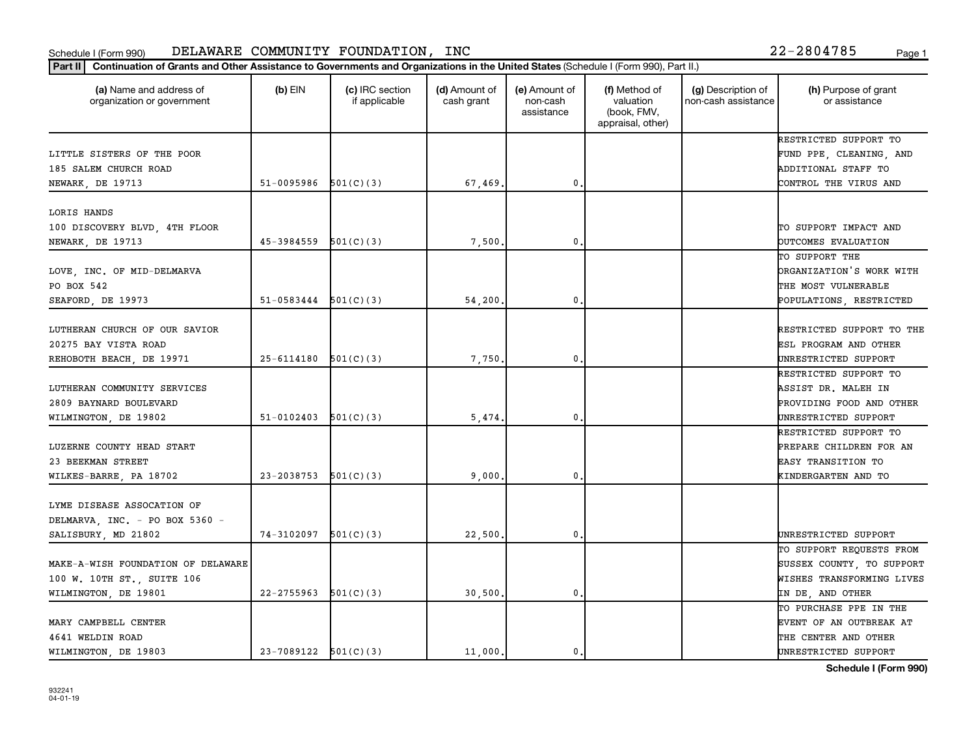| Part II   Continuation of Grants and Other Assistance to Governments and Organizations in the United States (Schedule I (Form 990), Part II.) |                          |                                  |                             |                                         |                                                                |                                           |                                       |
|-----------------------------------------------------------------------------------------------------------------------------------------------|--------------------------|----------------------------------|-----------------------------|-----------------------------------------|----------------------------------------------------------------|-------------------------------------------|---------------------------------------|
| (a) Name and address of<br>organization or government                                                                                         | $(b)$ EIN                | (c) IRC section<br>if applicable | (d) Amount of<br>cash grant | (e) Amount of<br>non-cash<br>assistance | (f) Method of<br>valuation<br>(book, FMV,<br>appraisal, other) | (g) Description of<br>non-cash assistance | (h) Purpose of grant<br>or assistance |
|                                                                                                                                               |                          |                                  |                             |                                         |                                                                |                                           | RESTRICTED SUPPORT TO                 |
| LITTLE SISTERS OF THE POOR                                                                                                                    |                          |                                  |                             |                                         |                                                                |                                           | FUND PPE, CLEANING, AND               |
| 185 SALEM CHURCH ROAD                                                                                                                         |                          |                                  |                             |                                         |                                                                |                                           | ADDITIONAL STAFF TO                   |
| NEWARK, DE 19713                                                                                                                              | 51-0095986 $501(C)(3)$   |                                  | 67,469.                     | 0.                                      |                                                                |                                           | CONTROL THE VIRUS AND                 |
| LORIS HANDS                                                                                                                                   |                          |                                  |                             |                                         |                                                                |                                           |                                       |
| 100 DISCOVERY BLVD, 4TH FLOOR                                                                                                                 |                          |                                  |                             |                                         |                                                                |                                           | TO SUPPORT IMPACT AND                 |
| NEWARK, DE 19713                                                                                                                              | 45-3984559               | 501(C)(3)                        | 7,500                       | 0.                                      |                                                                |                                           | OUTCOMES EVALUATION                   |
|                                                                                                                                               |                          |                                  |                             |                                         |                                                                |                                           | TO SUPPORT THE                        |
| LOVE, INC. OF MID-DELMARVA                                                                                                                    |                          |                                  |                             |                                         |                                                                |                                           | ORGANIZATION'S WORK WITH              |
| PO BOX 542                                                                                                                                    |                          |                                  |                             |                                         |                                                                |                                           | THE MOST VULNERABLE                   |
| SEAFORD, DE 19973                                                                                                                             | $51-0583444$ $501(C)(3)$ |                                  | 54,200                      | $\mathbf 0$                             |                                                                |                                           | POPULATIONS, RESTRICTED               |
|                                                                                                                                               |                          |                                  |                             |                                         |                                                                |                                           |                                       |
| LUTHERAN CHURCH OF OUR SAVIOR                                                                                                                 |                          |                                  |                             |                                         |                                                                |                                           | RESTRICTED SUPPORT TO THE             |
| 20275 BAY VISTA ROAD                                                                                                                          |                          |                                  |                             |                                         |                                                                |                                           | ESL PROGRAM AND OTHER                 |
| REHOBOTH BEACH, DE 19971                                                                                                                      | $25-6114180$ $501(C)(3)$ |                                  | 7,750                       | $\mathbf{0}$                            |                                                                |                                           | UNRESTRICTED SUPPORT                  |
|                                                                                                                                               |                          |                                  |                             |                                         |                                                                |                                           | RESTRICTED SUPPORT TO                 |
| LUTHERAN COMMUNITY SERVICES                                                                                                                   |                          |                                  |                             |                                         |                                                                |                                           | ASSIST DR. MALEH IN                   |
| 2809 BAYNARD BOULEVARD                                                                                                                        |                          |                                  |                             |                                         |                                                                |                                           | PROVIDING FOOD AND OTHER              |
| WILMINGTON, DE 19802                                                                                                                          | 51-0102403               | 501(C)(3)                        | 5.474                       | $\mathbf{0}$ .                          |                                                                |                                           | UNRESTRICTED SUPPORT                  |
|                                                                                                                                               |                          |                                  |                             |                                         |                                                                |                                           | RESTRICTED SUPPORT TO                 |
| LUZERNE COUNTY HEAD START                                                                                                                     |                          |                                  |                             |                                         |                                                                |                                           | PREPARE CHILDREN FOR AN               |
| 23 BEEKMAN STREET                                                                                                                             |                          |                                  |                             |                                         |                                                                |                                           | EASY TRANSITION TO                    |
| WILKES-BARRE, PA 18702                                                                                                                        | 23-2038753               | 501(C)(3)                        | 9,000                       | $\mathbf{0}$                            |                                                                |                                           | KINDERGARTEN AND TO                   |
|                                                                                                                                               |                          |                                  |                             |                                         |                                                                |                                           |                                       |
| LYME DISEASE ASSOCATION OF                                                                                                                    |                          |                                  |                             |                                         |                                                                |                                           |                                       |
| DELMARVA, INC. - PO BOX 5360 -                                                                                                                |                          |                                  |                             |                                         |                                                                |                                           |                                       |
| SALISBURY, MD 21802                                                                                                                           | $74-3102097$ $501(C)(3)$ |                                  | 22,500                      | $\mathbf 0$                             |                                                                |                                           | UNRESTRICTED SUPPORT                  |
|                                                                                                                                               |                          |                                  |                             |                                         |                                                                |                                           | TO SUPPORT REQUESTS FROM              |
| MAKE-A-WISH FOUNDATION OF DELAWARE                                                                                                            |                          |                                  |                             |                                         |                                                                |                                           | SUSSEX COUNTY, TO SUPPORT             |
| 100 W. 10TH ST., SUITE 106                                                                                                                    |                          |                                  |                             |                                         |                                                                |                                           | WISHES TRANSFORMING LIVES             |
| WILMINGTON, DE 19801                                                                                                                          | 22-2755963               | 501(C)(3)                        | 30,500                      | 0.                                      |                                                                |                                           | IN DE, AND OTHER                      |
|                                                                                                                                               |                          |                                  |                             |                                         |                                                                |                                           | TO PURCHASE PPE IN THE                |
| MARY CAMPBELL CENTER                                                                                                                          |                          |                                  |                             |                                         |                                                                |                                           | EVENT OF AN OUTBREAK AT               |
| 4641 WELDIN ROAD                                                                                                                              |                          |                                  |                             |                                         |                                                                |                                           | THE CENTER AND OTHER                  |
| WILMINGTON, DE 19803                                                                                                                          | $23-7089122$ $501(C)(3)$ |                                  | 11,000.                     | 0.                                      |                                                                |                                           | UNRESTRICTED SUPPORT                  |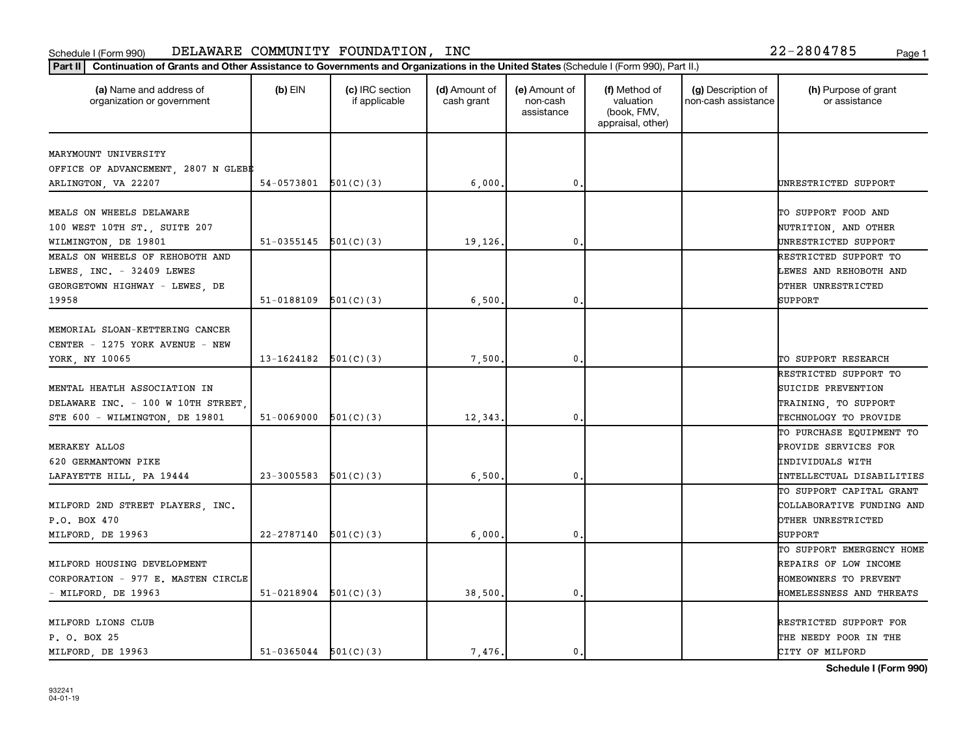| (a) Name and address of<br>organization or government | $(b)$ EIN                | (c) IRC section<br>if applicable | (d) Amount of<br>cash grant | (e) Amount of<br>non-cash<br>assistance | (f) Method of<br>valuation<br>(book, FMV,<br>appraisal, other) | (g) Description of<br>non-cash assistance | (h) Purpose of grant<br>or assistance        |
|-------------------------------------------------------|--------------------------|----------------------------------|-----------------------------|-----------------------------------------|----------------------------------------------------------------|-------------------------------------------|----------------------------------------------|
| MARYMOUNT UNIVERSITY                                  |                          |                                  |                             |                                         |                                                                |                                           |                                              |
| OFFICE OF ADVANCEMENT, 2807 N GLEB#                   |                          |                                  |                             |                                         |                                                                |                                           |                                              |
| ARLINGTON, VA 22207                                   | $54-0573801$ $501(C)(3)$ |                                  | 6,000                       | $\mathbf{0}$                            |                                                                |                                           | UNRESTRICTED SUPPORT                         |
| MEALS ON WHEELS DELAWARE                              |                          |                                  |                             |                                         |                                                                |                                           | TO SUPPORT FOOD AND                          |
|                                                       |                          |                                  |                             |                                         |                                                                |                                           |                                              |
| 100 WEST 10TH ST., SUITE 207<br>WILMINGTON, DE 19801  | 51-0355145               | 501(C)(3)                        | 19,126.                     | 0.                                      |                                                                |                                           | NUTRITION, AND OTHER<br>UNRESTRICTED SUPPORT |
| MEALS ON WHEELS OF REHOBOTH AND                       |                          |                                  |                             |                                         |                                                                |                                           | RESTRICTED SUPPORT TO                        |
| LEWES, INC. - 32409 LEWES                             |                          |                                  |                             |                                         |                                                                |                                           | LEWES AND REHOBOTH AND                       |
| GEORGETOWN HIGHWAY - LEWES, DE                        |                          |                                  |                             |                                         |                                                                |                                           | OTHER UNRESTRICTED                           |
| 19958                                                 | $51-0188109$ $501(C)(3)$ |                                  | 6,500                       | $\mathbf{0}$                            |                                                                |                                           | SUPPORT                                      |
|                                                       |                          |                                  |                             |                                         |                                                                |                                           |                                              |
| MEMORIAL SLOAN-KETTERING CANCER                       |                          |                                  |                             |                                         |                                                                |                                           |                                              |
| CENTER - 1275 YORK AVENUE - NEW                       |                          |                                  |                             |                                         |                                                                |                                           |                                              |
| YORK, NY 10065                                        | $13-1624182$ $501(C)(3)$ |                                  | 7,500                       | 0                                       |                                                                |                                           | TO SUPPORT RESEARCH                          |
|                                                       |                          |                                  |                             |                                         |                                                                |                                           | RESTRICTED SUPPORT TO                        |
| MENTAL HEATLH ASSOCIATION IN                          |                          |                                  |                             |                                         |                                                                |                                           | SUICIDE PREVENTION                           |
| DELAWARE INC. - 100 W 10TH STREET                     |                          |                                  |                             |                                         |                                                                |                                           | TRAINING, TO SUPPORT                         |
| STE 600 - WILMINGTON, DE 19801                        | 51-0069000               | 501(C)(3)                        | 12,343                      | $\mathbf{0}$                            |                                                                |                                           | TECHNOLOGY TO PROVIDE                        |
|                                                       |                          |                                  |                             |                                         |                                                                |                                           | TO PURCHASE EQUIPMENT TO                     |
| MERAKEY ALLOS                                         |                          |                                  |                             |                                         |                                                                |                                           | PROVIDE SERVICES FOR                         |
| 620 GERMANTOWN PIKE                                   |                          |                                  |                             |                                         |                                                                |                                           | INDIVIDUALS WITH                             |
| LAFAYETTE HILL, PA 19444                              | $23-3005583$ $501(C)(3)$ |                                  | 6,500                       | 0.                                      |                                                                |                                           | INTELLECTUAL DISABILITIES                    |
|                                                       |                          |                                  |                             |                                         |                                                                |                                           | TO SUPPORT CAPITAL GRANT                     |
| MILFORD 2ND STREET PLAYERS, INC.                      |                          |                                  |                             |                                         |                                                                |                                           | COLLABORATIVE FUNDING AND                    |
| P.O. BOX 470                                          |                          |                                  |                             |                                         |                                                                |                                           | OTHER UNRESTRICTED                           |
| MILFORD, DE 19963                                     | 22-2787140               | 501(C)(3)                        | 6,000                       | $\mathbf{0}$                            |                                                                |                                           | SUPPORT                                      |
|                                                       |                          |                                  |                             |                                         |                                                                |                                           | TO SUPPORT EMERGENCY HOME                    |
| MILFORD HOUSING DEVELOPMENT                           |                          |                                  |                             |                                         |                                                                |                                           | REPAIRS OF LOW INCOME                        |
| CORPORATION - 977 E. MASTEN CIRCLE                    |                          |                                  |                             |                                         |                                                                |                                           | HOMEOWNERS TO PREVENT                        |
| - MILFORD, DE 19963                                   | $51-0218904$ $501(C)(3)$ |                                  | 38,500,                     | 0.                                      |                                                                |                                           | HOMELESSNESS AND THREATS                     |
| MILFORD LIONS CLUB                                    |                          |                                  |                             |                                         |                                                                |                                           | RESTRICTED SUPPORT FOR                       |
| P. O. BOX 25                                          |                          |                                  |                             |                                         |                                                                |                                           | THE NEEDY POOR IN THE                        |
| MILFORD, DE 19963                                     | $51-0365044$ $501(C)(3)$ |                                  | 7,476.                      | 0.                                      |                                                                |                                           | CITY OF MILFORD                              |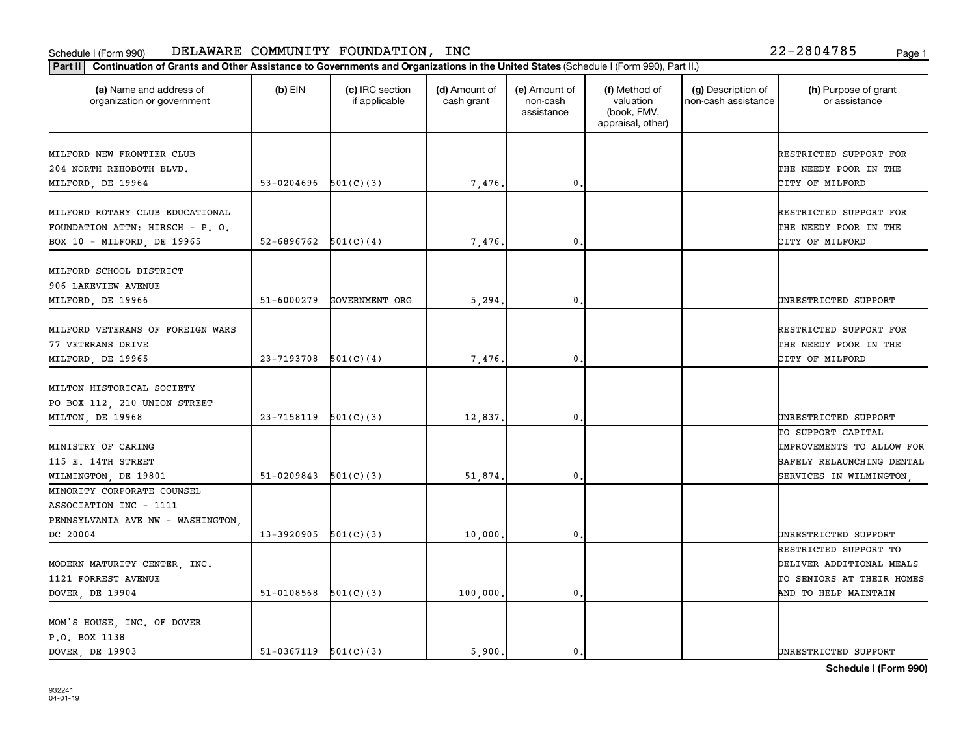| (a) Name and address of<br>organization or government                                                 | $(b)$ EIN                | (c) IRC section<br>if applicable | (d) Amount of<br>cash grant | (e) Amount of<br>non-cash<br>assistance | (f) Method of<br>valuation<br>(book, FMV,<br>appraisal, other) | (g) Description of<br>non-cash assistance | (h) Purpose of grant<br>or assistance                                                                          |
|-------------------------------------------------------------------------------------------------------|--------------------------|----------------------------------|-----------------------------|-----------------------------------------|----------------------------------------------------------------|-------------------------------------------|----------------------------------------------------------------------------------------------------------------|
| MILFORD NEW FRONTIER CLUB<br>204 NORTH REHOBOTH BLVD.<br>MILFORD, DE 19964                            | 53-0204696               | 501(C)(3)                        | 7,476.                      | $\pmb{0}$                               |                                                                |                                           | RESTRICTED SUPPORT FOR<br>THE NEEDY POOR IN THE<br>CITY OF MILFORD                                             |
| MILFORD ROTARY CLUB EDUCATIONAL<br>FOUNDATION ATTN: HIRSCH - P. O.<br>BOX 10 - MILFORD, DE 19965      | 52-6896762               | 501(C)(4)                        | 7,476.                      | 0                                       |                                                                |                                           | RESTRICTED SUPPORT FOR<br>THE NEEDY POOR IN THE<br>CITY OF MILFORD                                             |
| MILFORD SCHOOL DISTRICT<br>906 LAKEVIEW AVENUE<br>MILFORD, DE 19966                                   | $51 - 6000279$           | GOVERNMENT ORG                   | 5, 294.                     | 0.                                      |                                                                |                                           | UNRESTRICTED SUPPORT                                                                                           |
| MILFORD VETERANS OF FOREIGN WARS<br>77 VETERANS DRIVE<br>MILFORD, DE 19965                            | 23-7193708               | 501(C)(4)                        | 7,476.                      | $\mathbf 0$                             |                                                                |                                           | RESTRICTED SUPPORT FOR<br>THE NEEDY POOR IN THE<br>CITY OF MILFORD                                             |
| MILTON HISTORICAL SOCIETY<br>PO BOX 112, 210 UNION STREET<br>MILTON, DE 19968                         | 23-7158119               | 501(C)(3)                        | 12,837.                     | $\mathbf 0$                             |                                                                |                                           | UNRESTRICTED SUPPORT                                                                                           |
| MINISTRY OF CARING<br>115 E. 14TH STREET<br>WILMINGTON, DE 19801                                      | 51-0209843               | 501(C)(3)                        | 51,874.                     | $\mathbf 0$                             |                                                                |                                           | TO SUPPORT CAPITAL<br><b>IMPROVEMENTS TO ALLOW FOR</b><br>SAFELY RELAUNCHING DENTAL<br>SERVICES IN WILMINGTON, |
| MINORITY CORPORATE COUNSEL<br>ASSOCIATION INC - 1111<br>PENNSYLVANIA AVE NW - WASHINGTON,<br>DC 20004 | 13-3920905               | 501(C)(3)                        | 10,000                      | $\mathbf 0$                             |                                                                |                                           | UNRESTRICTED SUPPORT                                                                                           |
| MODERN MATURITY CENTER, INC.<br>1121 FORREST AVENUE<br>DOVER, DE 19904                                | 51-0108568               | 501(C)(3)                        | 100,000.                    | $\mathbf 0$                             |                                                                |                                           | RESTRICTED SUPPORT TO<br>DELIVER ADDITIONAL MEALS<br>TO SENIORS AT THEIR HOMES<br>AND TO HELP MAINTAIN         |
| MOM'S HOUSE, INC. OF DOVER<br>P.O. BOX 1138<br>DOVER DE 19903                                         | $51-0367119$ $501(C)(3)$ |                                  | 5.900.                      | 0.                                      |                                                                |                                           | UNRESTRICTED SUPPORT                                                                                           |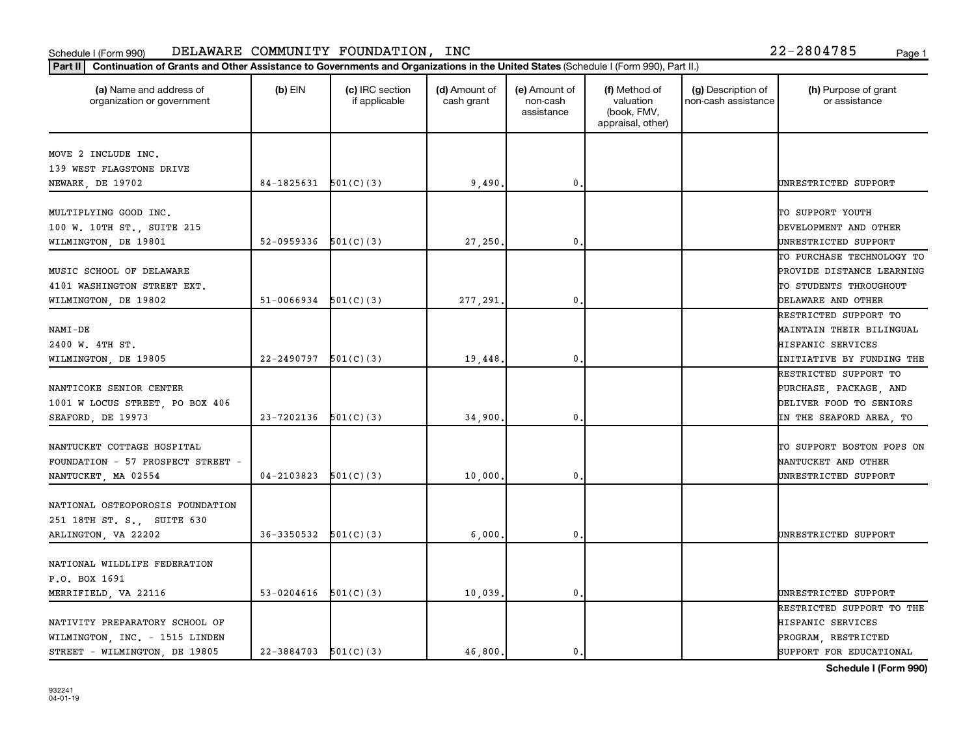| (a) Name and address of<br>organization or government | $(b)$ EIN                | (c) IRC section<br>if applicable | (d) Amount of<br>cash grant | (e) Amount of<br>non-cash<br>assistance | (f) Method of<br>valuation<br>(book, FMV,<br>appraisal, other) | (g) Description of<br>non-cash assistance | (h) Purpose of grant<br>or assistance             |
|-------------------------------------------------------|--------------------------|----------------------------------|-----------------------------|-----------------------------------------|----------------------------------------------------------------|-------------------------------------------|---------------------------------------------------|
| MOVE 2 INCLUDE INC.                                   |                          |                                  |                             |                                         |                                                                |                                           |                                                   |
| 139 WEST FLAGSTONE DRIVE                              |                          |                                  |                             |                                         |                                                                |                                           |                                                   |
| NEWARK, DE 19702                                      | $84-1825631$ $501(C)(3)$ |                                  | 9,490.                      | $\mathbf 0$                             |                                                                |                                           | UNRESTRICTED SUPPORT                              |
|                                                       |                          |                                  |                             |                                         |                                                                |                                           |                                                   |
| MULTIPLYING GOOD INC.                                 |                          |                                  |                             |                                         |                                                                |                                           | TO SUPPORT YOUTH<br>DEVELOPMENT AND OTHER         |
| 100 W. 10TH ST., SUITE 215<br>WILMINGTON, DE 19801    | 52-0959336               | 501(C)(3)                        | 27,250                      | $\mathbf 0$                             |                                                                |                                           | UNRESTRICTED SUPPORT                              |
|                                                       |                          |                                  |                             |                                         |                                                                |                                           | TO PURCHASE TECHNOLOGY TO                         |
| MUSIC SCHOOL OF DELAWARE                              |                          |                                  |                             |                                         |                                                                |                                           | PROVIDE DISTANCE LEARNING                         |
| 4101 WASHINGTON STREET EXT.                           |                          |                                  |                             |                                         |                                                                |                                           | TO STUDENTS THROUGHOUT                            |
| WILMINGTON, DE 19802                                  | $51-0066934$ $501(C)(3)$ |                                  | 277,291                     | $\mathbf 0$                             |                                                                |                                           | DELAWARE AND OTHER                                |
|                                                       |                          |                                  |                             |                                         |                                                                |                                           | RESTRICTED SUPPORT TO                             |
| NAMI-DE                                               |                          |                                  |                             |                                         |                                                                |                                           | MAINTAIN THEIR BILINGUAL                          |
| 2400 W. 4TH ST.                                       |                          |                                  |                             |                                         |                                                                |                                           | HISPANIC SERVICES                                 |
| WILMINGTON, DE 19805                                  | 22-2490797               | 501(C)(3)                        | 19,448.                     | $\mathbf{0}$ .                          |                                                                |                                           | INITIATIVE BY FUNDING THE                         |
|                                                       |                          |                                  |                             |                                         |                                                                |                                           | RESTRICTED SUPPORT TO                             |
| NANTICOKE SENIOR CENTER                               |                          |                                  |                             |                                         |                                                                |                                           | PURCHASE, PACKAGE, AND                            |
| 1001 W LOCUS STREET, PO BOX 406                       |                          |                                  |                             |                                         |                                                                |                                           | DELIVER FOOD TO SENIORS                           |
| SEAFORD, DE 19973                                     | 23-7202136               | 501(C)(3)                        | 34,900                      | $\mathbf 0$                             |                                                                |                                           | IN THE SEAFORD AREA, TO                           |
| NANTUCKET COTTAGE HOSPITAL                            |                          |                                  |                             |                                         |                                                                |                                           | TO SUPPORT BOSTON POPS ON                         |
| FOUNDATION - 57 PROSPECT STREET -                     |                          |                                  |                             |                                         |                                                                |                                           | NANTUCKET AND OTHER                               |
| NANTUCKET, MA 02554                                   | 04-2103823               | 501(C)(3)                        | 10,000                      | 0                                       |                                                                |                                           | UNRESTRICTED SUPPORT                              |
|                                                       |                          |                                  |                             |                                         |                                                                |                                           |                                                   |
| NATIONAL OSTEOPOROSIS FOUNDATION                      |                          |                                  |                             |                                         |                                                                |                                           |                                                   |
| 251 18TH ST. S., SUITE 630                            |                          |                                  |                             |                                         |                                                                |                                           |                                                   |
| ARLINGTON, VA 22202                                   | $36-3350532$ $501(C)(3)$ |                                  | 6,000                       | 0.                                      |                                                                |                                           | UNRESTRICTED SUPPORT                              |
|                                                       |                          |                                  |                             |                                         |                                                                |                                           |                                                   |
| NATIONAL WILDLIFE FEDERATION                          |                          |                                  |                             |                                         |                                                                |                                           |                                                   |
| P.O. BOX 1691                                         | 53-0204616               |                                  | 10,039                      | $\mathbf 0$                             |                                                                |                                           |                                                   |
| MERRIFIELD, VA 22116                                  |                          | 501(C)(3)                        |                             |                                         |                                                                |                                           | UNRESTRICTED SUPPORT<br>RESTRICTED SUPPORT TO THE |
| NATIVITY PREPARATORY SCHOOL OF                        |                          |                                  |                             |                                         |                                                                |                                           | HISPANIC SERVICES                                 |
| WILMINGTON, INC. - 1515 LINDEN                        |                          |                                  |                             |                                         |                                                                |                                           | PROGRAM, RESTRICTED                               |
| STREET - WILMINGTON, DE 19805                         | $22-3884703$ 501(C)(3)   |                                  | 46,800.                     | 0.                                      |                                                                |                                           | SUPPORT FOR EDUCATIONAL                           |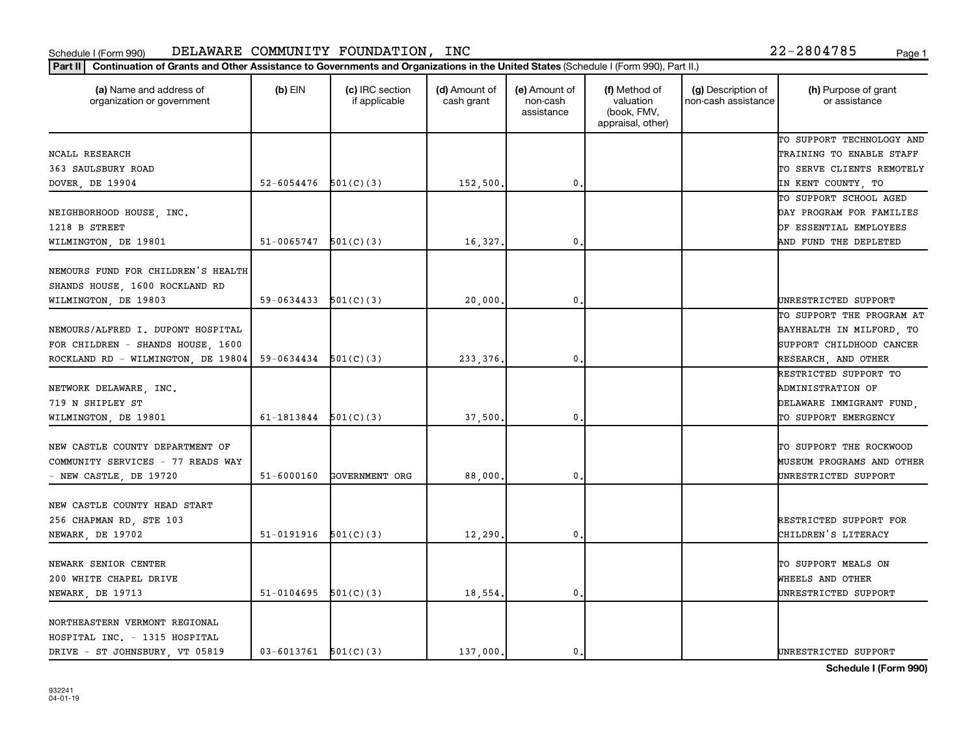| (a) Name and address of<br>organization or government | $(b)$ EIN                  | (c) IRC section<br>if applicable | (d) Amount of<br>cash grant | (e) Amount of<br>non-cash<br>assistance | (f) Method of<br>valuation<br>(book, FMV,<br>appraisal, other) | (g) Description of<br>non-cash assistance | (h) Purpose of grant<br>or assistance |
|-------------------------------------------------------|----------------------------|----------------------------------|-----------------------------|-----------------------------------------|----------------------------------------------------------------|-------------------------------------------|---------------------------------------|
|                                                       |                            |                                  |                             |                                         |                                                                |                                           | TO SUPPORT TECHNOLOGY AND             |
| NCALL RESEARCH                                        |                            |                                  |                             |                                         |                                                                |                                           | TRAINING TO ENABLE STAFF              |
| 363 SAULSBURY ROAD                                    |                            |                                  |                             |                                         |                                                                |                                           | TO SERVE CLIENTS REMOTELY             |
| DOVER, DE 19904                                       | $52 - 6054476$ $501(C)(3)$ |                                  | 152,500.                    | 0.                                      |                                                                |                                           | IN KENT COUNTY, TO                    |
|                                                       |                            |                                  |                             |                                         |                                                                |                                           | TO SUPPORT SCHOOL AGED                |
| NEIGHBORHOOD HOUSE, INC.                              |                            |                                  |                             |                                         |                                                                |                                           | DAY PROGRAM FOR FAMILIES              |
| 1218 B STREET                                         |                            |                                  |                             |                                         |                                                                |                                           | OF ESSENTIAL EMPLOYEES                |
| WILMINGTON, DE 19801                                  | 51-0065747                 | 501(C)(3)                        | 16,327.                     | 0.                                      |                                                                |                                           | AND FUND THE DEPLETED                 |
| NEMOURS FUND FOR CHILDREN'S HEALTH                    |                            |                                  |                             |                                         |                                                                |                                           |                                       |
| SHANDS HOUSE, 1600 ROCKLAND RD                        |                            |                                  |                             |                                         |                                                                |                                           |                                       |
| WILMINGTON, DE 19803                                  | $59-0634433$ $501(C)(3)$   |                                  | 20,000                      | $\mathbf 0$                             |                                                                |                                           | UNRESTRICTED SUPPORT                  |
|                                                       |                            |                                  |                             |                                         |                                                                |                                           | TO SUPPORT THE PROGRAM AT             |
| NEMOURS/ALFRED I. DUPONT HOSPITAL                     |                            |                                  |                             |                                         |                                                                |                                           | BAYHEALTH IN MILFORD, TO              |
| FOR CHILDREN - SHANDS HOUSE, 1600                     |                            |                                  |                             |                                         |                                                                |                                           | SUPPORT CHILDHOOD CANCER              |
| ROCKLAND RD - WILMINGTON, DE 19804                    | $59-0634434$ $501(C)(3)$   |                                  | 233, 376.                   | $\mathbf{0}$ .                          |                                                                |                                           | RESEARCH, AND OTHER                   |
|                                                       |                            |                                  |                             |                                         |                                                                |                                           | RESTRICTED SUPPORT TO                 |
| NETWORK DELAWARE, INC.                                |                            |                                  |                             |                                         |                                                                |                                           | <b>ADMINISTRATION OF</b>              |
| 719 N SHIPLEY ST                                      |                            |                                  |                             |                                         |                                                                |                                           | DELAWARE IMMIGRANT FUND,              |
| WILMINGTON, DE 19801                                  | 61-1813844                 | 501(C)(3)                        | 37,500.                     | 0.                                      |                                                                |                                           | TO SUPPORT EMERGENCY                  |
|                                                       |                            |                                  |                             |                                         |                                                                |                                           |                                       |
| NEW CASTLE COUNTY DEPARTMENT OF                       |                            |                                  |                             |                                         |                                                                |                                           | TO SUPPORT THE ROCKWOOD               |
| COMMUNITY SERVICES - 77 READS WAY                     |                            |                                  |                             |                                         |                                                                |                                           | <b>MUSEUM PROGRAMS AND OTHER</b>      |
| - NEW CASTLE, DE 19720                                | 51-6000160                 | GOVERNMENT ORG                   | 88,000                      | $\mathbf{0}$                            |                                                                |                                           | UNRESTRICTED SUPPORT                  |
| NEW CASTLE COUNTY HEAD START                          |                            |                                  |                             |                                         |                                                                |                                           |                                       |
| 256 CHAPMAN RD, STE 103                               |                            |                                  |                             |                                         |                                                                |                                           | RESTRICTED SUPPORT FOR                |
| NEWARK, DE 19702                                      | $51-0191916$ $501(C)(3)$   |                                  | 12,290.                     | 0.                                      |                                                                |                                           | CHILDREN'S LITERACY                   |
|                                                       |                            |                                  |                             |                                         |                                                                |                                           |                                       |
| NEWARK SENIOR CENTER                                  |                            |                                  |                             |                                         |                                                                |                                           | TO SUPPORT MEALS ON                   |
| 200 WHITE CHAPEL DRIVE                                |                            |                                  |                             |                                         |                                                                |                                           | WHEELS AND OTHER                      |
| NEWARK, DE 19713                                      | 51-0104695                 | 501(C)(3)                        | 18,554.                     | $\mathfrak o$ .                         |                                                                |                                           | UNRESTRICTED SUPPORT                  |
| NORTHEASTERN VERMONT REGIONAL                         |                            |                                  |                             |                                         |                                                                |                                           |                                       |
| HOSPITAL INC. - 1315 HOSPITAL                         |                            |                                  |                             |                                         |                                                                |                                           |                                       |
| DRIVE - ST JOHNSBURY, VT 05819                        | $03 - 6013761$ $501(C)(3)$ |                                  | 137,000.                    | 0.                                      |                                                                |                                           | UNRESTRICTED SUPPORT                  |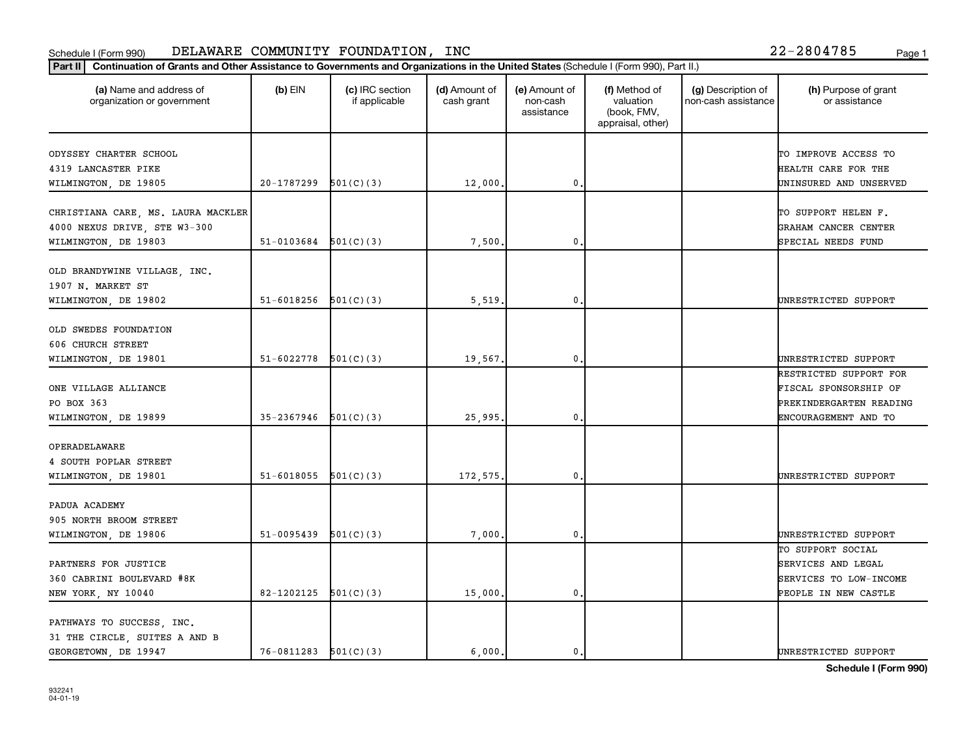| Part II   Continuation of Grants and Other Assistance to Governments and Organizations in the United States (Schedule I (Form 990), Part II.) |                          |                                  |                             |                                         |                                                                |                                           |                                       |
|-----------------------------------------------------------------------------------------------------------------------------------------------|--------------------------|----------------------------------|-----------------------------|-----------------------------------------|----------------------------------------------------------------|-------------------------------------------|---------------------------------------|
| (a) Name and address of<br>organization or government                                                                                         | $(b)$ EIN                | (c) IRC section<br>if applicable | (d) Amount of<br>cash grant | (e) Amount of<br>non-cash<br>assistance | (f) Method of<br>valuation<br>(book, FMV,<br>appraisal, other) | (g) Description of<br>non-cash assistance | (h) Purpose of grant<br>or assistance |
| ODYSSEY CHARTER SCHOOL                                                                                                                        |                          |                                  |                             |                                         |                                                                |                                           | TO IMPROVE ACCESS TO                  |
| 4319 LANCASTER PIKE                                                                                                                           |                          |                                  |                             |                                         |                                                                |                                           | HEALTH CARE FOR THE                   |
| WILMINGTON, DE 19805                                                                                                                          | 20-1787299               | 501(C)(3)                        | 12,000                      | 0.                                      |                                                                |                                           | UNINSURED AND UNSERVED                |
|                                                                                                                                               |                          |                                  |                             |                                         |                                                                |                                           |                                       |
| CHRISTIANA CARE, MS. LAURA MACKLER                                                                                                            |                          |                                  |                             |                                         |                                                                |                                           | TO SUPPORT HELEN F.                   |
| 4000 NEXUS DRIVE, STE W3-300                                                                                                                  |                          |                                  |                             |                                         |                                                                |                                           | GRAHAM CANCER CENTER                  |
| WILMINGTON, DE 19803                                                                                                                          | $51-0103684$ $501(C)(3)$ |                                  | 7,500                       | 0.                                      |                                                                |                                           | SPECIAL NEEDS FUND                    |
|                                                                                                                                               |                          |                                  |                             |                                         |                                                                |                                           |                                       |
| OLD BRANDYWINE VILLAGE, INC.                                                                                                                  |                          |                                  |                             |                                         |                                                                |                                           |                                       |
| 1907 N. MARKET ST                                                                                                                             |                          |                                  |                             |                                         |                                                                |                                           |                                       |
| WILMINGTON, DE 19802                                                                                                                          | 51-6018256               | 501(C)(3)                        | 5,519                       | $\mathbf 0$                             |                                                                |                                           | UNRESTRICTED SUPPORT                  |
|                                                                                                                                               |                          |                                  |                             |                                         |                                                                |                                           |                                       |
| OLD SWEDES FOUNDATION                                                                                                                         |                          |                                  |                             |                                         |                                                                |                                           |                                       |
| 606 CHURCH STREET                                                                                                                             |                          |                                  |                             |                                         |                                                                |                                           |                                       |
| WILMINGTON, DE 19801                                                                                                                          | 51-6022778               | 501(C)(3)                        | 19,567.                     | $\mathfrak o$ .                         |                                                                |                                           | UNRESTRICTED SUPPORT                  |
|                                                                                                                                               |                          |                                  |                             |                                         |                                                                |                                           | RESTRICTED SUPPORT FOR                |
| ONE VILLAGE ALLIANCE                                                                                                                          |                          |                                  |                             |                                         |                                                                |                                           | FISCAL SPONSORSHIP OF                 |
| PO BOX 363                                                                                                                                    |                          |                                  |                             |                                         |                                                                |                                           | PREKINDERGARTEN READING               |
| WILMINGTON, DE 19899                                                                                                                          | 35-2367946               | 501(C)(3)                        | 25,995                      | 0.                                      |                                                                |                                           | ENCOURAGEMENT AND TO                  |
| OPERADELAWARE                                                                                                                                 |                          |                                  |                             |                                         |                                                                |                                           |                                       |
| 4 SOUTH POPLAR STREET                                                                                                                         |                          |                                  |                             |                                         |                                                                |                                           |                                       |
| WILMINGTON, DE 19801                                                                                                                          | 51-6018055               | 501(C)(3)                        | 172,575.                    | $\mathbf 0$ .                           |                                                                |                                           | UNRESTRICTED SUPPORT                  |
|                                                                                                                                               |                          |                                  |                             |                                         |                                                                |                                           |                                       |
| PADUA ACADEMY                                                                                                                                 |                          |                                  |                             |                                         |                                                                |                                           |                                       |
| 905 NORTH BROOM STREET                                                                                                                        |                          |                                  |                             |                                         |                                                                |                                           |                                       |
| WILMINGTON, DE 19806                                                                                                                          | 51-0095439               | 501(C)(3)                        | 7,000                       | 0.                                      |                                                                |                                           | UNRESTRICTED SUPPORT                  |
|                                                                                                                                               |                          |                                  |                             |                                         |                                                                |                                           | TO SUPPORT SOCIAL                     |
| PARTNERS FOR JUSTICE                                                                                                                          |                          |                                  |                             |                                         |                                                                |                                           | SERVICES AND LEGAL                    |
| 360 CABRINI BOULEVARD #8K                                                                                                                     |                          |                                  |                             |                                         |                                                                |                                           | SERVICES TO LOW-INCOME                |
| NEW YORK, NY 10040                                                                                                                            | 82-1202125               | 501(C)(3)                        | 15,000                      | 0.                                      |                                                                |                                           | PEOPLE IN NEW CASTLE                  |
|                                                                                                                                               |                          |                                  |                             |                                         |                                                                |                                           |                                       |
| PATHWAYS TO SUCCESS, INC.                                                                                                                     |                          |                                  |                             |                                         |                                                                |                                           |                                       |
| 31 THE CIRCLE, SUITES A AND B                                                                                                                 |                          |                                  |                             |                                         |                                                                |                                           |                                       |
| GEORGETOWN, DE 19947                                                                                                                          | $76-0811283$ $501(C)(3)$ |                                  | 6,000                       | 0.                                      |                                                                |                                           | UNRESTRICTED SUPPORT                  |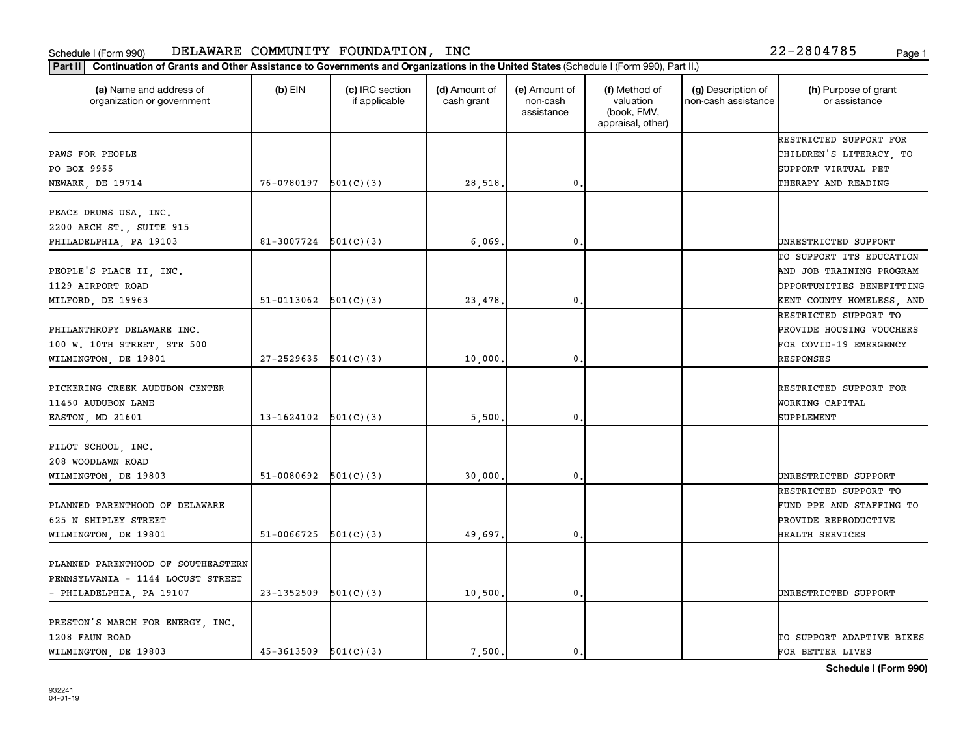### Schedule I (Form 990) DELAWARE COMMUNITY FOUNDATION, INC Page 1

organization or government

Part II | Continuation of Grants and Other Assistance to Governments and Organizations in the United States (Schedule I (Form 990), Part II.)

if applicable

 $(b)$  EIN  $(c)$  IRC section

**(a) (b) (c) (d) (e) (f) (g) (h)** Name and address of

(d) Amount of cash grant

(e) Amount of non-cash assistance

(f) Method of valuation (book, FMV,

(g) Description of non-cash assistance (h) Purpose of grant or assistance

|                                    |                          |           |         |              | appraisal, other) |                           |
|------------------------------------|--------------------------|-----------|---------|--------------|-------------------|---------------------------|
|                                    |                          |           |         |              |                   | RESTRICTED SUPPORT FOR    |
| PAWS FOR PEOPLE                    |                          |           |         |              |                   | CHILDREN'S LITERACY, TO   |
| PO BOX 9955                        |                          |           |         |              |                   | SUPPORT VIRTUAL PET       |
| NEWARK, DE 19714                   | $76-0780197$ $501(C)(3)$ |           | 28,518. | $\mathbf{0}$ |                   | THERAPY AND READING       |
| PEACE DRUMS USA, INC.              |                          |           |         |              |                   |                           |
| 2200 ARCH ST., SUITE 915           |                          |           |         |              |                   |                           |
| PHILADELPHIA, PA 19103             | $81-3007724$ $501(C)(3)$ |           | 6,069   | $\mathbf{0}$ |                   | UNRESTRICTED SUPPORT      |
|                                    |                          |           |         |              |                   | TO SUPPORT ITS EDUCATION  |
| PEOPLE'S PLACE II, INC.            |                          |           |         |              |                   | AND JOB TRAINING PROGRAM  |
| 1129 AIRPORT ROAD                  |                          |           |         |              |                   | OPPORTUNITIES BENEFITTING |
| MILFORD, DE 19963                  | $51-0113062$ $501(C)(3)$ |           | 23,478  | $\mathbf 0$  |                   | KENT COUNTY HOMELESS, AND |
|                                    |                          |           |         |              |                   | RESTRICTED SUPPORT TO     |
| PHILANTHROPY DELAWARE INC.         |                          |           |         |              |                   | PROVIDE HOUSING VOUCHERS  |
| 100 W. 10TH STREET, STE 500        |                          |           |         |              |                   | FOR COVID-19 EMERGENCY    |
| WILMINGTON, DE 19801               | $27-2529635$ $501(C)(3)$ |           | 10,000  | 0            |                   | RESPONSES                 |
|                                    |                          |           |         |              |                   |                           |
| PICKERING CREEK AUDUBON CENTER     |                          |           |         |              |                   | RESTRICTED SUPPORT FOR    |
| 11450 AUDUBON LANE                 |                          |           |         |              |                   | WORKING CAPITAL           |
| EASTON, MD 21601                   | $13-1624102$ $501(C)(3)$ |           | 5,500   | 0            |                   | SUPPLEMENT                |
|                                    |                          |           |         |              |                   |                           |
| PILOT SCHOOL, INC.                 |                          |           |         |              |                   |                           |
| 208 WOODLAWN ROAD                  |                          |           |         |              |                   |                           |
| WILMINGTON, DE 19803               | 51-0080692               | 501(C)(3) | 30,000. | $\mathbf{0}$ |                   | UNRESTRICTED SUPPORT      |
|                                    |                          |           |         |              |                   | RESTRICTED SUPPORT TO     |
| PLANNED PARENTHOOD OF DELAWARE     |                          |           |         |              |                   | FUND PPE AND STAFFING TO  |
| 625 N SHIPLEY STREET               |                          |           |         |              |                   | PROVIDE REPRODUCTIVE      |
| WILMINGTON, DE 19801               | 51-0066725               | 501(C)(3) | 49,697. | $\mathbf{0}$ |                   | HEALTH SERVICES           |
|                                    |                          |           |         |              |                   |                           |
| PLANNED PARENTHOOD OF SOUTHEASTERN |                          |           |         |              |                   |                           |
| PENNSYLVANIA - 1144 LOCUST STREET  |                          |           |         |              |                   |                           |
| - PHILADELPHIA, PA 19107           | 23-1352509               | 501(C)(3) | 10,500. | $\mathbf 0$  |                   | UNRESTRICTED SUPPORT      |
|                                    |                          |           |         |              |                   |                           |
| PRESTON'S MARCH FOR ENERGY, INC.   |                          |           |         |              |                   |                           |
| 1208 FAUN ROAD                     |                          |           |         |              |                   | TO SUPPORT ADAPTIVE BIKES |
| WILMINGTON, DE 19803               | $45-3613509$ $501(C)(3)$ |           | 7,500.  | $\mathbf{0}$ |                   | FOR BETTER LIVES          |
|                                    |                          |           |         |              |                   |                           |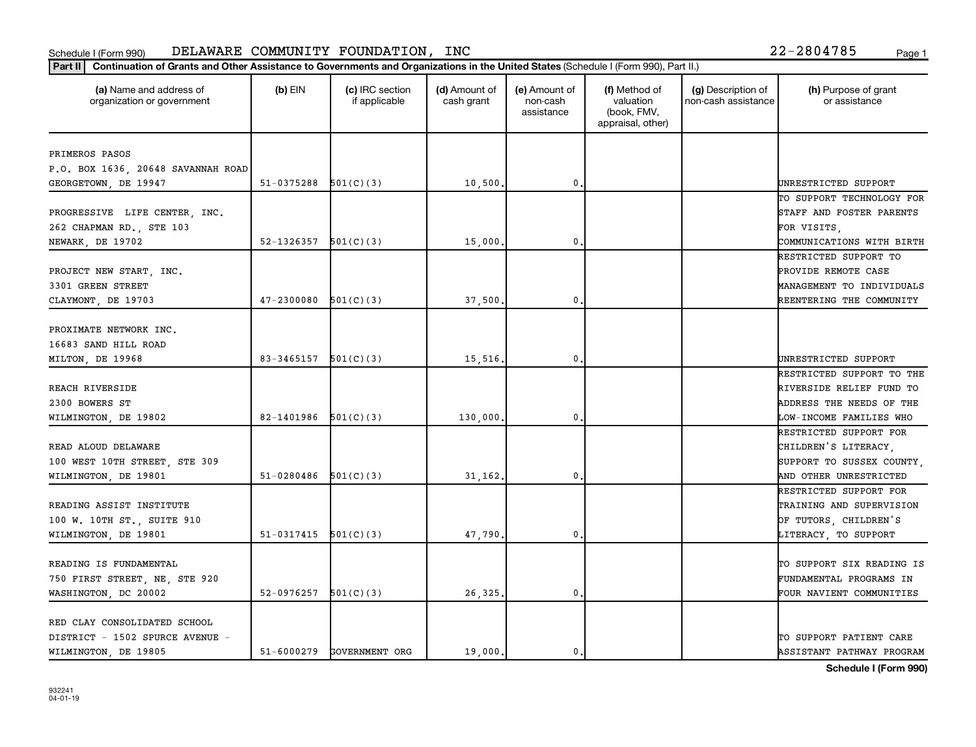| (a) Name and address of<br>organization or government                                   | $(b)$ EIN                | (c) IRC section<br>if applicable | (d) Amount of<br>cash grant | (e) Amount of<br>non-cash<br>assistance | (f) Method of<br>valuation<br>(book, FMV,<br>appraisal, other) | (g) Description of<br>non-cash assistance | (h) Purpose of grant<br>or assistance                                            |
|-----------------------------------------------------------------------------------------|--------------------------|----------------------------------|-----------------------------|-----------------------------------------|----------------------------------------------------------------|-------------------------------------------|----------------------------------------------------------------------------------|
| PRIMEROS PASOS                                                                          |                          |                                  |                             |                                         |                                                                |                                           |                                                                                  |
| P.O. BOX 1636, 20648 SAVANNAH ROAD                                                      |                          |                                  |                             |                                         |                                                                |                                           |                                                                                  |
| GEORGETOWN, DE 19947                                                                    | 51-0375288               | 501(C)(3)                        | 10,500.                     | 0                                       |                                                                |                                           | UNRESTRICTED SUPPORT                                                             |
|                                                                                         |                          |                                  |                             |                                         |                                                                |                                           | TO SUPPORT TECHNOLOGY FOR                                                        |
| PROGRESSIVE LIFE CENTER, INC.                                                           |                          |                                  |                             |                                         |                                                                |                                           | STAFF AND FOSTER PARENTS                                                         |
| 262 CHAPMAN RD., STE 103                                                                |                          |                                  |                             |                                         |                                                                |                                           | FOR VISITS,                                                                      |
| NEWARK, DE 19702                                                                        | 52-1326357               | 501(C)(3)                        | 15,000.                     | 0                                       |                                                                |                                           | COMMUNICATIONS WITH BIRTH                                                        |
|                                                                                         |                          |                                  |                             |                                         |                                                                |                                           | RESTRICTED SUPPORT TO                                                            |
| PROJECT NEW START, INC.                                                                 |                          |                                  |                             |                                         |                                                                |                                           | PROVIDE REMOTE CASE                                                              |
| 3301 GREEN STREET                                                                       |                          |                                  |                             |                                         |                                                                |                                           | MANAGEMENT TO INDIVIDUALS                                                        |
| CLAYMONT, DE 19703                                                                      | 47-2300080               | 501(C)(3)                        | 37,500                      | $\mathbf{0}$                            |                                                                |                                           | REENTERING THE COMMUNITY                                                         |
| PROXIMATE NETWORK INC.<br>16683 SAND HILL ROAD<br>MILTON, DE 19968                      | 83-3465157               | 501(C)(3)                        | 15,516.                     | 0                                       |                                                                |                                           | UNRESTRICTED SUPPORT                                                             |
|                                                                                         |                          |                                  |                             |                                         |                                                                |                                           | RESTRICTED SUPPORT TO THE                                                        |
| REACH RIVERSIDE                                                                         |                          |                                  |                             |                                         |                                                                |                                           | RIVERSIDE RELIEF FUND TO                                                         |
| 2300 BOWERS ST                                                                          |                          |                                  |                             |                                         |                                                                |                                           | ADDRESS THE NEEDS OF THE                                                         |
| WILMINGTON, DE 19802                                                                    | 82-1401986               | 501(C)(3)                        | 130,000.                    | 0                                       |                                                                |                                           | LOW-INCOME FAMILIES WHO                                                          |
|                                                                                         |                          |                                  |                             |                                         |                                                                |                                           | RESTRICTED SUPPORT FOR                                                           |
| READ ALOUD DELAWARE                                                                     |                          |                                  |                             |                                         |                                                                |                                           | CHILDREN'S LITERACY,                                                             |
| 100 WEST 10TH STREET, STE 309                                                           |                          |                                  |                             |                                         |                                                                |                                           | SUPPORT TO SUSSEX COUNTY,                                                        |
| WILMINGTON, DE 19801                                                                    | 51-0280486               | 501(C)(3)                        | 31,162.                     | $\mathbf{0}$                            |                                                                |                                           | AND OTHER UNRESTRICTED                                                           |
|                                                                                         |                          |                                  |                             |                                         |                                                                |                                           | RESTRICTED SUPPORT FOR                                                           |
| READING ASSIST INSTITUTE                                                                |                          |                                  |                             |                                         |                                                                |                                           | TRAINING AND SUPERVISION                                                         |
| 100 W. 10TH ST., SUITE 910                                                              |                          |                                  |                             |                                         |                                                                |                                           | OF TUTORS, CHILDREN'S                                                            |
| WILMINGTON, DE 19801                                                                    | $51-0317415$ $501(C)(3)$ |                                  | 47,790                      | 0                                       |                                                                |                                           | LITERACY, TO SUPPORT                                                             |
| READING IS FUNDAMENTAL<br>750 FIRST STREET, NE, STE 920<br>WASHINGTON, DC 20002         | 52-0976257               | 501(C)(3)                        | 26,325                      | 0                                       |                                                                |                                           | TO SUPPORT SIX READING IS<br>FUNDAMENTAL PROGRAMS IN<br>FOUR NAVIENT COMMUNITIES |
| RED CLAY CONSOLIDATED SCHOOL<br>DISTRICT - 1502 SPURCE AVENUE -<br>WILMINGTON, DE 19805 | 51-6000279               | GOVERNMENT ORG                   | 19,000.                     | 0.                                      |                                                                |                                           | TO SUPPORT PATIENT CARE<br>ASSISTANT PATHWAY PROGRAM                             |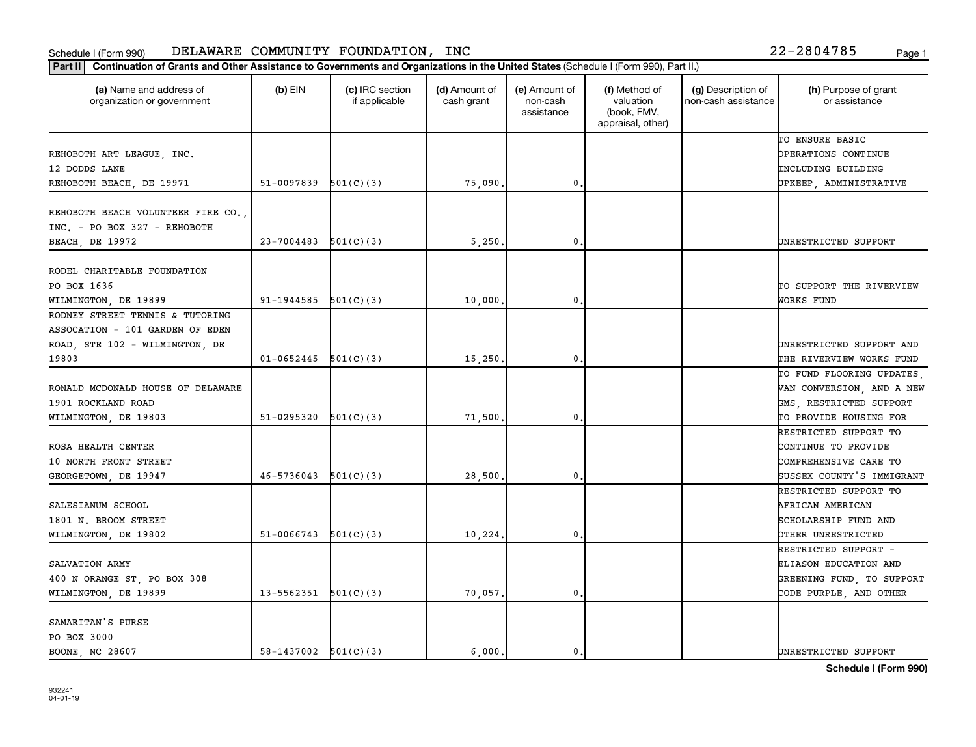| (a) Name and address of<br>organization or government                                 | $(b)$ EIN                | (c) IRC section<br>if applicable | (d) Amount of<br>cash grant | (e) Amount of<br>non-cash<br>assistance | (f) Method of<br>valuation<br>(book, FMV,<br>appraisal, other) | (g) Description of<br>non-cash assistance | (h) Purpose of grant<br>or assistance                               |
|---------------------------------------------------------------------------------------|--------------------------|----------------------------------|-----------------------------|-----------------------------------------|----------------------------------------------------------------|-------------------------------------------|---------------------------------------------------------------------|
| REHOBOTH ART LEAGUE, INC.<br>12 DODDS LANE                                            |                          |                                  |                             |                                         |                                                                |                                           | TO ENSURE BASIC<br>OPERATIONS CONTINUE<br><b>INCLUDING BUILDING</b> |
| REHOBOTH BEACH, DE 19971                                                              | 51-0097839               | 501(C)(3)                        | 75,090.                     | 0                                       |                                                                |                                           | UPKEEP, ADMINISTRATIVE                                              |
| REHOBOTH BEACH VOLUNTEER FIRE CO.,<br>INC. - PO BOX 327 - REHOBOTH<br>BEACH, DE 19972 | $23 - 7004483$           | 501(C)(3)                        | 5,250.                      | 0                                       |                                                                |                                           | UNRESTRICTED SUPPORT                                                |
|                                                                                       |                          |                                  |                             |                                         |                                                                |                                           |                                                                     |
| RODEL CHARITABLE FOUNDATION<br>PO BOX 1636                                            |                          |                                  |                             |                                         |                                                                |                                           | TO SUPPORT THE RIVERVIEW                                            |
| WILMINGTON, DE 19899<br>RODNEY STREET TENNIS & TUTORING                               | 91-1944585               | 501(C)(3)                        | 10,000.                     | 0                                       |                                                                |                                           | WORKS FUND                                                          |
| ASSOCATION - 101 GARDEN OF EDEN                                                       |                          |                                  |                             |                                         |                                                                |                                           |                                                                     |
| ROAD, STE 102 - WILMINGTON, DE<br>19803                                               | $01 - 0652445$           | 501(C)(3)                        | 15,250.                     | 0                                       |                                                                |                                           | UNRESTRICTED SUPPORT AND<br>THE RIVERVIEW WORKS FUND                |
| RONALD MCDONALD HOUSE OF DELAWARE                                                     |                          |                                  |                             |                                         |                                                                |                                           | TO FUND FLOORING UPDATES,<br>VAN CONVERSION, AND A NEW              |
| 1901 ROCKLAND ROAD                                                                    |                          |                                  |                             |                                         |                                                                |                                           | GMS, RESTRICTED SUPPORT                                             |
| WILMINGTON, DE 19803                                                                  | 51-0295320               | 501(C)(3)                        | 71,500                      | 0                                       |                                                                |                                           | TO PROVIDE HOUSING FOR                                              |
|                                                                                       |                          |                                  |                             |                                         |                                                                |                                           | RESTRICTED SUPPORT TO                                               |
| ROSA HEALTH CENTER                                                                    |                          |                                  |                             |                                         |                                                                |                                           | CONTINUE TO PROVIDE                                                 |
| 10 NORTH FRONT STREET<br>GEORGETOWN, DE 19947                                         | 46-5736043               | 501(C)(3)                        | 28,500.                     | 0                                       |                                                                |                                           | COMPREHENSIVE CARE TO<br>SUSSEX COUNTY'S IMMIGRANT                  |
|                                                                                       |                          |                                  |                             |                                         |                                                                |                                           | RESTRICTED SUPPORT TO                                               |
| SALESIANUM SCHOOL                                                                     |                          |                                  |                             |                                         |                                                                |                                           | AFRICAN AMERICAN                                                    |
| 1801 N. BROOM STREET                                                                  |                          |                                  |                             |                                         |                                                                |                                           | SCHOLARSHIP FUND AND                                                |
| WILMINGTON, DE 19802                                                                  | 51-0066743               | 501(C)(3)                        | 10,224.                     | 0                                       |                                                                |                                           | OTHER UNRESTRICTED                                                  |
|                                                                                       |                          |                                  |                             |                                         |                                                                |                                           | RESTRICTED SUPPORT -                                                |
| SALVATION ARMY                                                                        |                          |                                  |                             |                                         |                                                                |                                           | ELIASON EDUCATION AND                                               |
| 400 N ORANGE ST, PO BOX 308                                                           |                          |                                  |                             |                                         |                                                                |                                           | GREENING FUND, TO SUPPORT                                           |
| WILMINGTON, DE 19899                                                                  | 13-5562351               | 501(C)(3)                        | 70,057.                     | 0                                       |                                                                |                                           | CODE PURPLE, AND OTHER                                              |
| SAMARITAN'S PURSE                                                                     |                          |                                  |                             |                                         |                                                                |                                           |                                                                     |
| PO BOX 3000                                                                           |                          |                                  |                             |                                         |                                                                |                                           |                                                                     |
| <b>BOONE, NC 28607</b>                                                                | $58-1437002$ $501(C)(3)$ |                                  | 6.000.                      | 0.                                      |                                                                |                                           | UNRESTRICTED SUPPORT                                                |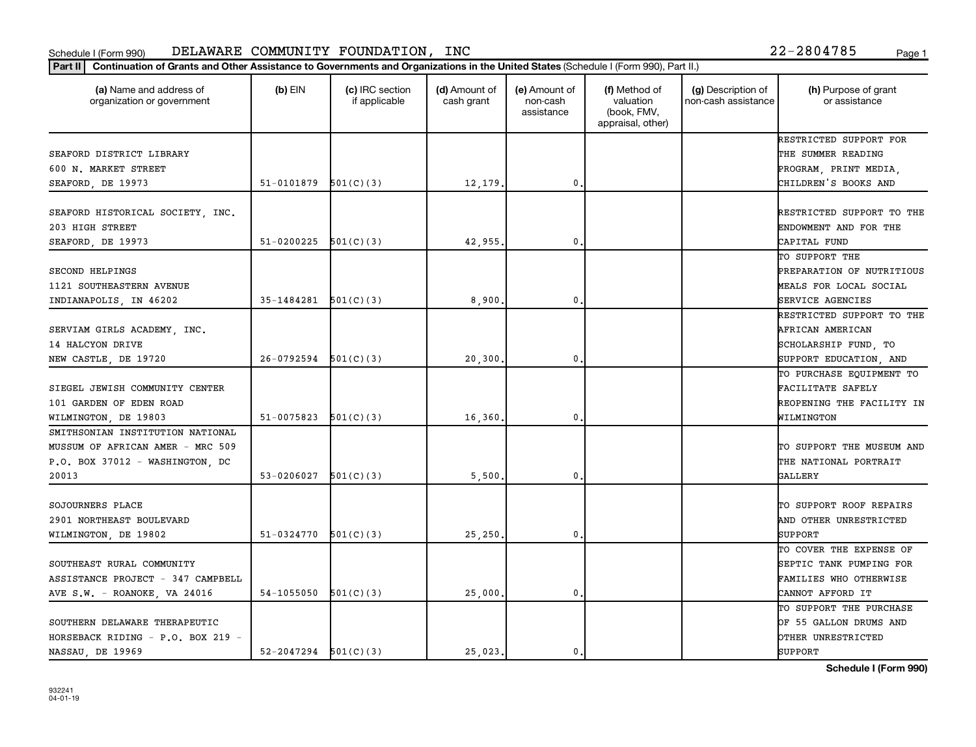| Part II   Continuation of Grants and Other Assistance to Governments and Organizations in the United States (Schedule I (Form 990), Part II.) |                            |                                  |                             |                                         |                                                                |                                           |                                       |
|-----------------------------------------------------------------------------------------------------------------------------------------------|----------------------------|----------------------------------|-----------------------------|-----------------------------------------|----------------------------------------------------------------|-------------------------------------------|---------------------------------------|
| (a) Name and address of<br>organization or government                                                                                         | $(b)$ EIN                  | (c) IRC section<br>if applicable | (d) Amount of<br>cash grant | (e) Amount of<br>non-cash<br>assistance | (f) Method of<br>valuation<br>(book, FMV,<br>appraisal, other) | (g) Description of<br>non-cash assistance | (h) Purpose of grant<br>or assistance |
|                                                                                                                                               |                            |                                  |                             |                                         |                                                                |                                           | RESTRICTED SUPPORT FOR                |
| SEAFORD DISTRICT LIBRARY                                                                                                                      |                            |                                  |                             |                                         |                                                                |                                           | THE SUMMER READING                    |
| 600 N. MARKET STREET                                                                                                                          |                            |                                  |                             |                                         |                                                                |                                           | PROGRAM, PRINT MEDIA,                 |
| SEAFORD, DE 19973                                                                                                                             | $51-0101879$ $501(C)(3)$   |                                  | 12,179.                     | $\mathbf{0}$                            |                                                                |                                           | CHILDREN'S BOOKS AND                  |
| SEAFORD HISTORICAL SOCIETY, INC.                                                                                                              |                            |                                  |                             |                                         |                                                                |                                           | RESTRICTED SUPPORT TO THE             |
| 203 HIGH STREET                                                                                                                               |                            |                                  |                             |                                         |                                                                |                                           | ENDOWMENT AND FOR THE                 |
| SEAFORD, DE 19973                                                                                                                             | 51-0200225                 | 501(C)(3)                        | 42,955.                     | $\mathbf{0}$                            |                                                                |                                           | CAPITAL FUND                          |
|                                                                                                                                               |                            |                                  |                             |                                         |                                                                |                                           | TO SUPPORT THE                        |
| SECOND HELPINGS                                                                                                                               |                            |                                  |                             |                                         |                                                                |                                           | PREPARATION OF NUTRITIOUS             |
| 1121 SOUTHEASTERN AVENUE                                                                                                                      |                            |                                  |                             |                                         |                                                                |                                           | MEALS FOR LOCAL SOCIAL                |
| INDIANAPOLIS, IN 46202                                                                                                                        | $35-1484281$ $501(C)(3)$   |                                  | 8,900                       | $\mathbf{0}$                            |                                                                |                                           | SERVICE AGENCIES                      |
|                                                                                                                                               |                            |                                  |                             |                                         |                                                                |                                           | RESTRICTED SUPPORT TO THE             |
| SERVIAM GIRLS ACADEMY, INC.                                                                                                                   |                            |                                  |                             |                                         |                                                                |                                           | AFRICAN AMERICAN                      |
| 14 HALCYON DRIVE                                                                                                                              |                            |                                  |                             |                                         |                                                                |                                           | SCHOLARSHIP FUND, TO                  |
| NEW CASTLE, DE 19720                                                                                                                          | $26-0792594$ $501(C)(3)$   |                                  | 20,300                      | 0                                       |                                                                |                                           | SUPPORT EDUCATION, AND                |
|                                                                                                                                               |                            |                                  |                             |                                         |                                                                |                                           | TO PURCHASE EQUIPMENT TO              |
| SIEGEL JEWISH COMMUNITY CENTER                                                                                                                |                            |                                  |                             |                                         |                                                                |                                           | FACILITATE SAFELY                     |
| 101 GARDEN OF EDEN ROAD                                                                                                                       |                            |                                  |                             |                                         |                                                                |                                           | REOPENING THE FACILITY IN             |
| WILMINGTON, DE 19803                                                                                                                          | 51-0075823                 | 501(C)(3)                        | 16,360                      | $\mathbf{0}$                            |                                                                |                                           | WILMINGTON                            |
| SMITHSONIAN INSTITUTION NATIONAL                                                                                                              |                            |                                  |                             |                                         |                                                                |                                           |                                       |
| MUSSUM OF AFRICAN AMER - MRC 509                                                                                                              |                            |                                  |                             |                                         |                                                                |                                           | TO SUPPORT THE MUSEUM AND             |
| P.O. BOX 37012 - WASHINGTON, DC                                                                                                               |                            |                                  |                             |                                         |                                                                |                                           | THE NATIONAL PORTRAIT                 |
| 20013                                                                                                                                         | $53-0206027$ $501(C)(3)$   |                                  | 5,500                       | 0.                                      |                                                                |                                           | GALLERY                               |
|                                                                                                                                               |                            |                                  |                             |                                         |                                                                |                                           |                                       |
| SOJOURNERS PLACE                                                                                                                              |                            |                                  |                             |                                         |                                                                |                                           | TO SUPPORT ROOF REPAIRS               |
| 2901 NORTHEAST BOULEVARD                                                                                                                      |                            |                                  |                             |                                         |                                                                |                                           | AND OTHER UNRESTRICTED                |
| WILMINGTON, DE 19802                                                                                                                          | 51-0324770                 | 501(C)(3)                        | 25,250.                     | $\mathbf{0}$                            |                                                                |                                           | <b>SUPPORT</b>                        |
|                                                                                                                                               |                            |                                  |                             |                                         |                                                                |                                           | TO COVER THE EXPENSE OF               |
| SOUTHEAST RURAL COMMUNITY                                                                                                                     |                            |                                  |                             |                                         |                                                                |                                           | SEPTIC TANK PUMPING FOR               |
| ASSISTANCE PROJECT - 347 CAMPBELL                                                                                                             |                            |                                  |                             |                                         |                                                                |                                           | FAMILIES WHO OTHERWISE                |
| AVE S.W. - ROANOKE, VA 24016                                                                                                                  | 54-1055050                 | 501(C)(3)                        | 25,000                      | 0.                                      |                                                                |                                           | CANNOT AFFORD IT                      |
|                                                                                                                                               |                            |                                  |                             |                                         |                                                                |                                           | TO SUPPORT THE PURCHASE               |
| SOUTHERN DELAWARE THERAPEUTIC                                                                                                                 |                            |                                  |                             |                                         |                                                                |                                           | OF 55 GALLON DRUMS AND                |
| HORSEBACK RIDING - P.O. BOX 219 -                                                                                                             |                            |                                  |                             |                                         |                                                                |                                           | OTHER UNRESTRICTED                    |
| NASSAU, DE 19969                                                                                                                              | $52 - 2047294$ $501(C)(3)$ |                                  | 25,023.                     | 0.                                      |                                                                |                                           | SUPPORT                               |
|                                                                                                                                               |                            |                                  |                             |                                         |                                                                |                                           |                                       |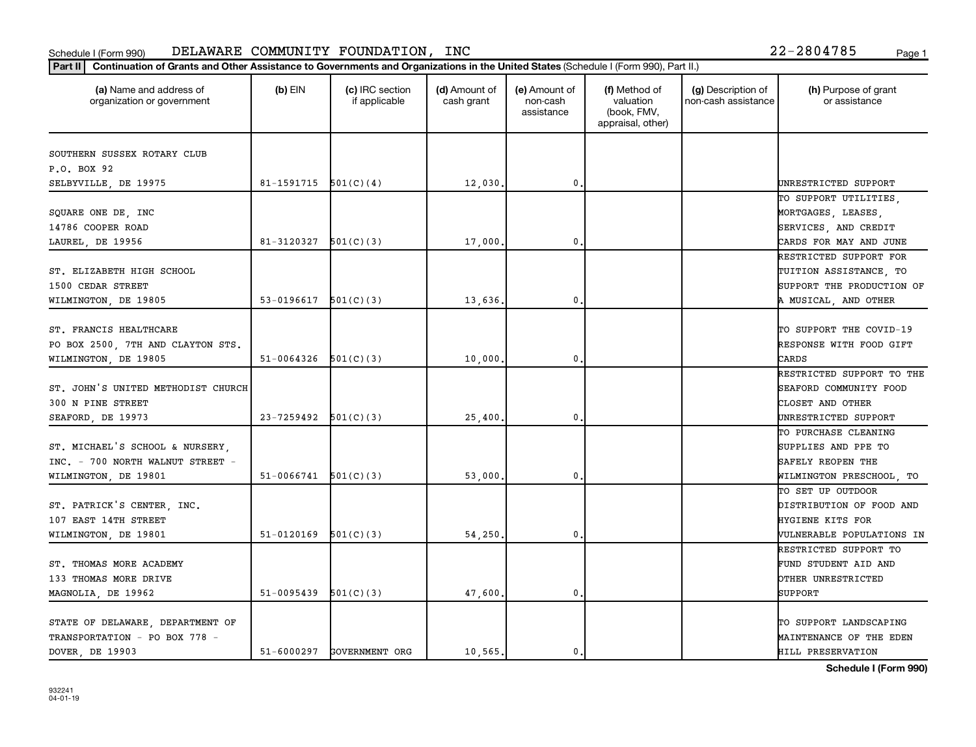| (a) Name and address of<br>organization or government | $(b)$ EIN  | (c) IRC section<br>if applicable | (d) Amount of<br>cash grant | (e) Amount of<br>non-cash<br>assistance | (f) Method of<br>valuation<br>(book, FMV,<br>appraisal, other) | (g) Description of<br>non-cash assistance | (h) Purpose of grant<br>or assistance |
|-------------------------------------------------------|------------|----------------------------------|-----------------------------|-----------------------------------------|----------------------------------------------------------------|-------------------------------------------|---------------------------------------|
| SOUTHERN SUSSEX ROTARY CLUB                           |            |                                  |                             |                                         |                                                                |                                           |                                       |
| P.O. BOX 92                                           |            |                                  |                             |                                         |                                                                |                                           |                                       |
| SELBYVILLE, DE 19975                                  | 81-1591715 | 501(C)(4)                        | 12,030.                     | $\pmb{0}$                               |                                                                |                                           | UNRESTRICTED SUPPORT                  |
|                                                       |            |                                  |                             |                                         |                                                                |                                           | TO SUPPORT UTILITIES,                 |
| SQUARE ONE DE, INC                                    |            |                                  |                             |                                         |                                                                |                                           | MORTGAGES, LEASES,                    |
| 14786 COOPER ROAD                                     |            |                                  |                             |                                         |                                                                |                                           | SERVICES, AND CREDIT                  |
| LAUREL, DE 19956                                      | 81-3120327 | 501(C)(3)                        | 17,000.                     | 0                                       |                                                                |                                           | CARDS FOR MAY AND JUNE                |
|                                                       |            |                                  |                             |                                         |                                                                |                                           | RESTRICTED SUPPORT FOR                |
| ST. ELIZABETH HIGH SCHOOL                             |            |                                  |                             |                                         |                                                                |                                           | TUITION ASSISTANCE, TO                |
| 1500 CEDAR STREET                                     |            |                                  |                             |                                         |                                                                |                                           | SUPPORT THE PRODUCTION OF             |
| WILMINGTON, DE 19805                                  | 53-0196617 | 501(C)(3)                        | 13,636.                     | 0.                                      |                                                                |                                           | A MUSICAL, AND OTHER                  |
|                                                       |            |                                  |                             |                                         |                                                                |                                           |                                       |
| ST. FRANCIS HEALTHCARE                                |            |                                  |                             |                                         |                                                                |                                           | TO SUPPORT THE COVID-19               |
| PO BOX 2500, 7TH AND CLAYTON STS.                     |            |                                  |                             |                                         |                                                                |                                           | RESPONSE WITH FOOD GIFT               |
| WILMINGTON, DE 19805                                  | 51-0064326 | 501(C)(3)                        | 10,000.                     | $\mathbf 0$                             |                                                                |                                           | CARDS                                 |
|                                                       |            |                                  |                             |                                         |                                                                |                                           | RESTRICTED SUPPORT TO THE             |
| ST. JOHN'S UNITED METHODIST CHURCH                    |            |                                  |                             |                                         |                                                                |                                           | SEAFORD COMMUNITY FOOD                |
| 300 N PINE STREET                                     |            |                                  |                             |                                         |                                                                |                                           | CLOSET AND OTHER                      |
| SEAFORD, DE 19973                                     | 23-7259492 | 501(C)(3)                        | 25,400                      | $\mathbf 0$                             |                                                                |                                           | UNRESTRICTED SUPPORT                  |
|                                                       |            |                                  |                             |                                         |                                                                |                                           | TO PURCHASE CLEANING                  |
| ST. MICHAEL'S SCHOOL & NURSERY,                       |            |                                  |                             |                                         |                                                                |                                           | SUPPLIES AND PPE TO                   |
| INC. - 700 NORTH WALNUT STREET -                      |            |                                  |                             |                                         |                                                                |                                           | SAFELY REOPEN THE                     |
| WILMINGTON, DE 19801                                  | 51-0066741 | 501(C)(3)                        | 53,000.                     | $\mathbf 0$                             |                                                                |                                           | WILMINGTON PRESCHOOL, TO              |
|                                                       |            |                                  |                             |                                         |                                                                |                                           | TO SET UP OUTDOOR                     |
| ST. PATRICK'S CENTER, INC.                            |            |                                  |                             |                                         |                                                                |                                           | DISTRIBUTION OF FOOD AND              |
| 107 EAST 14TH STREET                                  |            |                                  |                             |                                         |                                                                |                                           | HYGIENE KITS FOR                      |
| WILMINGTON, DE 19801                                  | 51-0120169 | 501(C)(3)                        | 54,250.                     | $\mathbf 0$                             |                                                                |                                           | VULNERABLE POPULATIONS IN             |
|                                                       |            |                                  |                             |                                         |                                                                |                                           | RESTRICTED SUPPORT TO                 |
| ST. THOMAS MORE ACADEMY                               |            |                                  |                             |                                         |                                                                |                                           | FUND STUDENT AID AND                  |
| 133 THOMAS MORE DRIVE                                 |            |                                  |                             |                                         |                                                                |                                           | OTHER UNRESTRICTED                    |
| MAGNOLIA, DE 19962                                    | 51-0095439 | 501(C)(3)                        | 47,600.                     | $\mathbf 0$                             |                                                                |                                           | <b>SUPPORT</b>                        |
|                                                       |            |                                  |                             |                                         |                                                                |                                           |                                       |
| STATE OF DELAWARE, DEPARTMENT OF                      |            |                                  |                             |                                         |                                                                |                                           | TO SUPPORT LANDSCAPING                |
| TRANSPORTATION - PO BOX 778 -                         |            |                                  |                             |                                         |                                                                |                                           | MAINTENANCE OF THE EDEN               |
| DOVER DE 19903                                        | 51-6000297 | GOVERNMENT ORG                   | 10,565.                     | 0.                                      |                                                                |                                           | HILL PRESERVATION                     |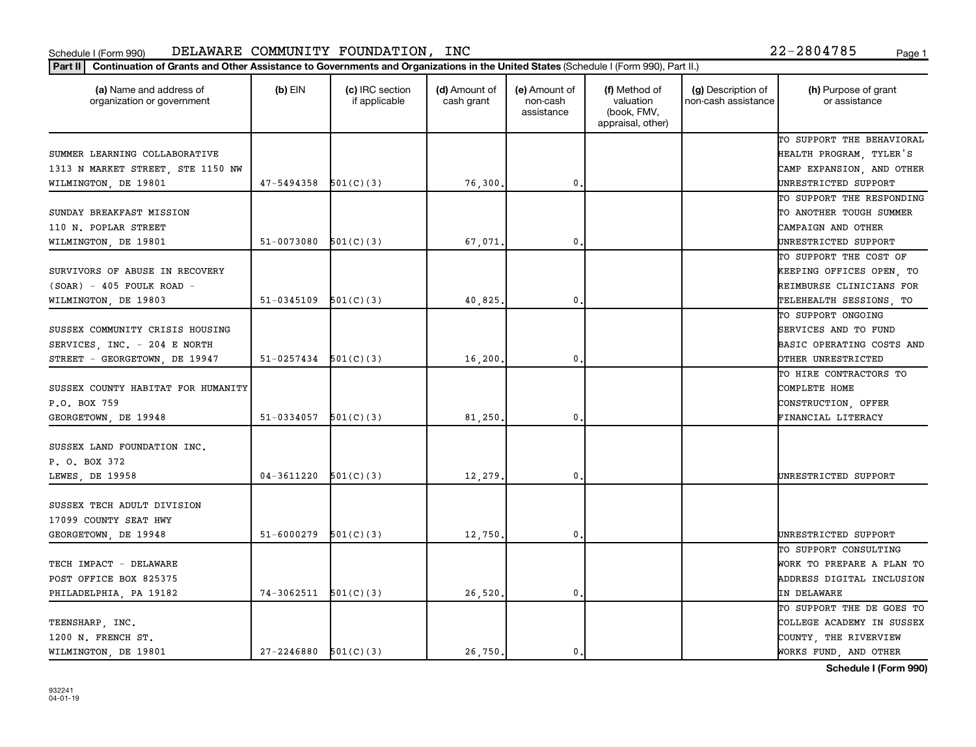| (a) Name and address of<br>organization or government | $(b)$ EIN                  | (c) IRC section<br>if applicable | (d) Amount of<br>cash grant | (e) Amount of<br>non-cash<br>assistance | (f) Method of<br>valuation<br>(book, FMV,<br>appraisal, other) | (g) Description of<br>non-cash assistance | (h) Purpose of grant<br>or assistance |
|-------------------------------------------------------|----------------------------|----------------------------------|-----------------------------|-----------------------------------------|----------------------------------------------------------------|-------------------------------------------|---------------------------------------|
|                                                       |                            |                                  |                             |                                         |                                                                |                                           | TO SUPPORT THE BEHAVIORAL             |
| SUMMER LEARNING COLLABORATIVE                         |                            |                                  |                             |                                         |                                                                |                                           | HEALTH PROGRAM, TYLER'S               |
| 1313 N MARKET STREET, STE 1150 NW                     |                            |                                  |                             |                                         |                                                                |                                           | CAMP EXPANSION, AND OTHER             |
| WILMINGTON, DE 19801                                  | $47 - 5494358$ $501(C)(3)$ |                                  | 76,300                      | $\mathbf{0}$                            |                                                                |                                           | UNRESTRICTED SUPPORT                  |
|                                                       |                            |                                  |                             |                                         |                                                                |                                           | TO SUPPORT THE RESPONDING             |
| SUNDAY BREAKFAST MISSION                              |                            |                                  |                             |                                         |                                                                |                                           | TO ANOTHER TOUGH SUMMER               |
| 110 N. POPLAR STREET                                  |                            |                                  |                             |                                         |                                                                |                                           | CAMPAIGN AND OTHER                    |
| WILMINGTON, DE 19801                                  | 51-0073080                 | 501(C)(3)                        | 67,071                      | 0.                                      |                                                                |                                           | UNRESTRICTED SUPPORT                  |
|                                                       |                            |                                  |                             |                                         |                                                                |                                           | TO SUPPORT THE COST OF                |
| SURVIVORS OF ABUSE IN RECOVERY                        |                            |                                  |                             |                                         |                                                                |                                           | KEEPING OFFICES OPEN, TO              |
| $(SOAR) - 405$ FOULK ROAD -                           |                            |                                  |                             |                                         |                                                                |                                           | REIMBURSE CLINICIANS FOR              |
| WILMINGTON, DE 19803                                  | 51-0345109                 | 501(C)(3)                        | 40,825                      | $\mathbf{0}$ .                          |                                                                |                                           | TELEHEALTH SESSIONS, TO               |
|                                                       |                            |                                  |                             |                                         |                                                                |                                           | TO SUPPORT ONGOING                    |
| SUSSEX COMMUNITY CRISIS HOUSING                       |                            |                                  |                             |                                         |                                                                |                                           | SERVICES AND TO FUND                  |
| SERVICES, INC. - 204 E NORTH                          |                            |                                  |                             |                                         |                                                                |                                           | <b>BASIC OPERATING COSTS AND</b>      |
| STREET - GEORGETOWN, DE 19947                         | $51-0257434$ $501(C)(3)$   |                                  | 16,200                      | $\mathbf 0$                             |                                                                |                                           | OTHER UNRESTRICTED                    |
|                                                       |                            |                                  |                             |                                         |                                                                |                                           | TO HIRE CONTRACTORS TO                |
| SUSSEX COUNTY HABITAT FOR HUMANITY                    |                            |                                  |                             |                                         |                                                                |                                           | COMPLETE HOME                         |
| P.O. BOX 759                                          |                            |                                  |                             |                                         |                                                                |                                           | CONSTRUCTION, OFFER                   |
| GEORGETOWN, DE 19948                                  | 51-0334057 $501(C)(3)$     |                                  | 81,250                      | 0.                                      |                                                                |                                           | FINANCIAL LITERACY                    |
| SUSSEX LAND FOUNDATION INC.                           |                            |                                  |                             |                                         |                                                                |                                           |                                       |
| P. O. BOX 372                                         |                            |                                  |                             |                                         |                                                                |                                           |                                       |
| LEWES, DE 19958                                       | 04-3611220                 | 501(C)(3)                        | 12,279                      | $\mathbf{0}$ .                          |                                                                |                                           | UNRESTRICTED SUPPORT                  |
| SUSSEX TECH ADULT DIVISION                            |                            |                                  |                             |                                         |                                                                |                                           |                                       |
| 17099 COUNTY SEAT HWY                                 |                            |                                  |                             |                                         |                                                                |                                           |                                       |
| GEORGETOWN, DE 19948                                  | 51-6000279                 | 501(C)(3)                        | 12,750                      | $\mathbf{0}$ .                          |                                                                |                                           | UNRESTRICTED SUPPORT                  |
|                                                       |                            |                                  |                             |                                         |                                                                |                                           | TO SUPPORT CONSULTING                 |
| TECH IMPACT - DELAWARE                                |                            |                                  |                             |                                         |                                                                |                                           | WORK TO PREPARE A PLAN TO             |
| POST OFFICE BOX 825375                                |                            |                                  |                             |                                         |                                                                |                                           | ADDRESS DIGITAL INCLUSION             |
|                                                       | $74-3062511$ $501(C)(3)$   |                                  | 26,520                      | $\mathbf 0$ .                           |                                                                |                                           | IN DELAWARE                           |
| PHILADELPHIA, PA 19182                                |                            |                                  |                             |                                         |                                                                |                                           | TO SUPPORT THE DE GOES TO             |
|                                                       |                            |                                  |                             |                                         |                                                                |                                           |                                       |
| TEENSHARP, INC.                                       |                            |                                  |                             |                                         |                                                                |                                           | COLLEGE ACADEMY IN SUSSEX             |
| 1200 N. FRENCH ST.                                    |                            |                                  |                             |                                         |                                                                |                                           | COUNTY, THE RIVERVIEW                 |
| WILMINGTON, DE 19801                                  | $27 - 2246880$ 501(C)(3)   |                                  | 26,750.                     | $\mathbf{0}$ .                          |                                                                |                                           | WORKS FUND, AND OTHER                 |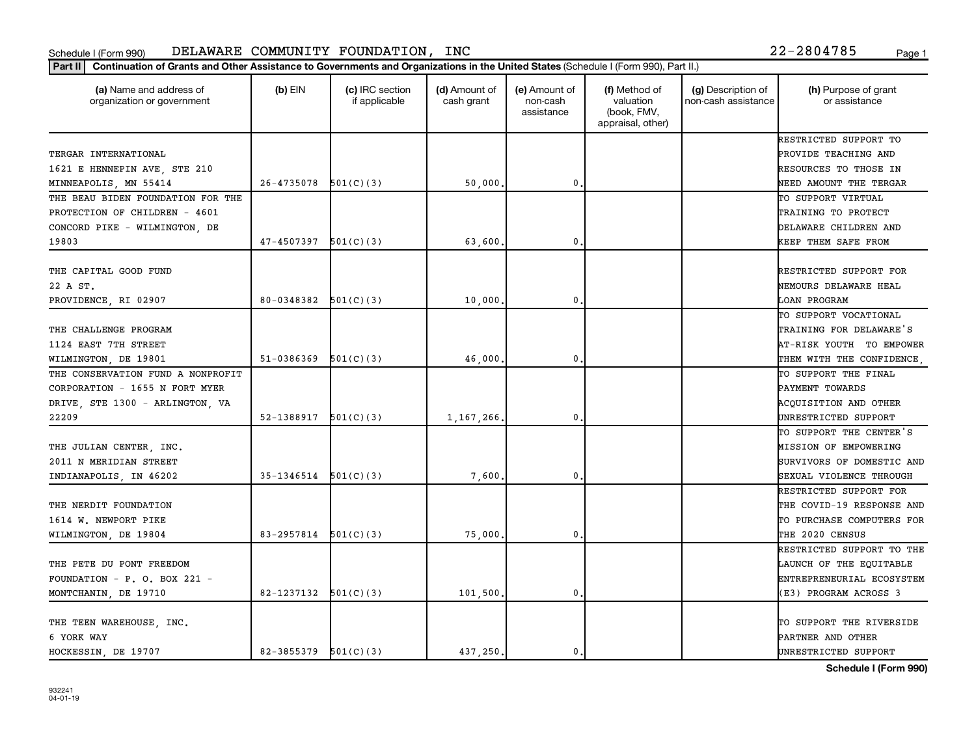| (a) Name and address of<br>organization or government | $(b)$ EIN              | (c) IRC section<br>if applicable | (d) Amount of<br>cash grant | (e) Amount of<br>non-cash<br>assistance | (f) Method of<br>valuation<br>(book, FMV,<br>appraisal, other) | (g) Description of<br>non-cash assistance | (h) Purpose of grant<br>or assistance |
|-------------------------------------------------------|------------------------|----------------------------------|-----------------------------|-----------------------------------------|----------------------------------------------------------------|-------------------------------------------|---------------------------------------|
|                                                       |                        |                                  |                             |                                         |                                                                |                                           | RESTRICTED SUPPORT TO                 |
| TERGAR INTERNATIONAL                                  |                        |                                  |                             |                                         |                                                                |                                           | PROVIDE TEACHING AND                  |
| 1621 E HENNEPIN AVE, STE 210                          |                        |                                  |                             |                                         |                                                                |                                           | RESOURCES TO THOSE IN                 |
| MINNEAPOLIS, MN 55414                                 | 26-4735078             | 501(C)(3)                        | 50,000                      | 0                                       |                                                                |                                           | NEED AMOUNT THE TERGAR                |
| THE BEAU BIDEN FOUNDATION FOR THE                     |                        |                                  |                             |                                         |                                                                |                                           | TO SUPPORT VIRTUAL                    |
| PROTECTION OF CHILDREN - 4601                         |                        |                                  |                             |                                         |                                                                |                                           | TRAINING TO PROTECT                   |
| CONCORD PIKE - WILMINGTON, DE                         |                        |                                  |                             |                                         |                                                                |                                           | DELAWARE CHILDREN AND                 |
| 19803                                                 | 47-4507397             | 501(C)(3)                        | 63,600.                     | 0                                       |                                                                |                                           | KEEP THEM SAFE FROM                   |
| THE CAPITAL GOOD FUND                                 |                        |                                  |                             |                                         |                                                                |                                           | RESTRICTED SUPPORT FOR                |
| 22 A ST.                                              |                        |                                  |                             |                                         |                                                                |                                           | NEMOURS DELAWARE HEAL                 |
| PROVIDENCE, RI 02907                                  | 80-0348382             | 501(C)(3)                        | 10,000                      | 0                                       |                                                                |                                           | LOAN PROGRAM                          |
|                                                       |                        |                                  |                             |                                         |                                                                |                                           | TO SUPPORT VOCATIONAL                 |
| THE CHALLENGE PROGRAM                                 |                        |                                  |                             |                                         |                                                                |                                           | TRAINING FOR DELAWARE'S               |
| 1124 EAST 7TH STREET                                  |                        |                                  |                             |                                         |                                                                |                                           | AT-RISK YOUTH TO EMPOWER              |
| WILMINGTON, DE 19801                                  | 51-0386369             | 501(C)(3)                        | 46,000                      | 0                                       |                                                                |                                           | THEM WITH THE CONFIDENCE,             |
| THE CONSERVATION FUND A NONPROFIT                     |                        |                                  |                             |                                         |                                                                |                                           | TO SUPPORT THE FINAL                  |
| CORPORATION - 1655 N FORT MYER                        |                        |                                  |                             |                                         |                                                                |                                           | PAYMENT TOWARDS                       |
| DRIVE, STE 1300 - ARLINGTON, VA                       |                        |                                  |                             |                                         |                                                                |                                           | ACQUISITION AND OTHER                 |
| 22209                                                 | 52-1388917             | 501(C)(3)                        | 1,167,266.                  | 0                                       |                                                                |                                           | UNRESTRICTED SUPPORT                  |
|                                                       |                        |                                  |                             |                                         |                                                                |                                           | TO SUPPORT THE CENTER'S               |
| THE JULIAN CENTER, INC.                               |                        |                                  |                             |                                         |                                                                |                                           | MISSION OF EMPOWERING                 |
| 2011 N MERIDIAN STREET                                |                        |                                  |                             |                                         |                                                                |                                           | SURVIVORS OF DOMESTIC AND             |
| INDIANAPOLIS, IN 46202                                | 35-1346514             | 501(C)(3)                        | 7,600                       | 0                                       |                                                                |                                           | SEXUAL VIOLENCE THROUGH               |
|                                                       |                        |                                  |                             |                                         |                                                                |                                           | RESTRICTED SUPPORT FOR                |
| THE NERDIT FOUNDATION                                 |                        |                                  |                             |                                         |                                                                |                                           | THE COVID-19 RESPONSE AND             |
| 1614 W. NEWPORT PIKE                                  |                        |                                  |                             |                                         |                                                                |                                           | TO PURCHASE COMPUTERS FOR             |
| WILMINGTON, DE 19804                                  | 83-2957814             | 501(C)(3)                        | 75,000                      | 0                                       |                                                                |                                           | THE 2020 CENSUS                       |
|                                                       |                        |                                  |                             |                                         |                                                                |                                           | RESTRICTED SUPPORT TO THE             |
| THE PETE DU PONT FREEDOM                              |                        |                                  |                             |                                         |                                                                |                                           | LAUNCH OF THE EQUITABLE               |
| FOUNDATION - P. O. BOX 221 -                          |                        |                                  |                             |                                         |                                                                |                                           | ENTREPRENEURIAL ECOSYSTEM             |
| MONTCHANIN, DE 19710                                  | 82-1237132             | 501(C)(3)                        | 101,500,                    | $\mathbf{0}$                            |                                                                |                                           | (E3) PROGRAM ACROSS 3                 |
|                                                       |                        |                                  |                             |                                         |                                                                |                                           |                                       |
| THE TEEN WAREHOUSE, INC.                              |                        |                                  |                             |                                         |                                                                |                                           | TO SUPPORT THE RIVERSIDE              |
| 6 YORK WAY                                            |                        |                                  |                             |                                         |                                                                |                                           | PARTNER AND OTHER                     |
| HOCKESSIN, DE 19707                                   | 82-3855379 $501(C)(3)$ |                                  | 437,250.                    | $\mathbf{0}$                            |                                                                |                                           | UNRESTRICTED SUPPORT                  |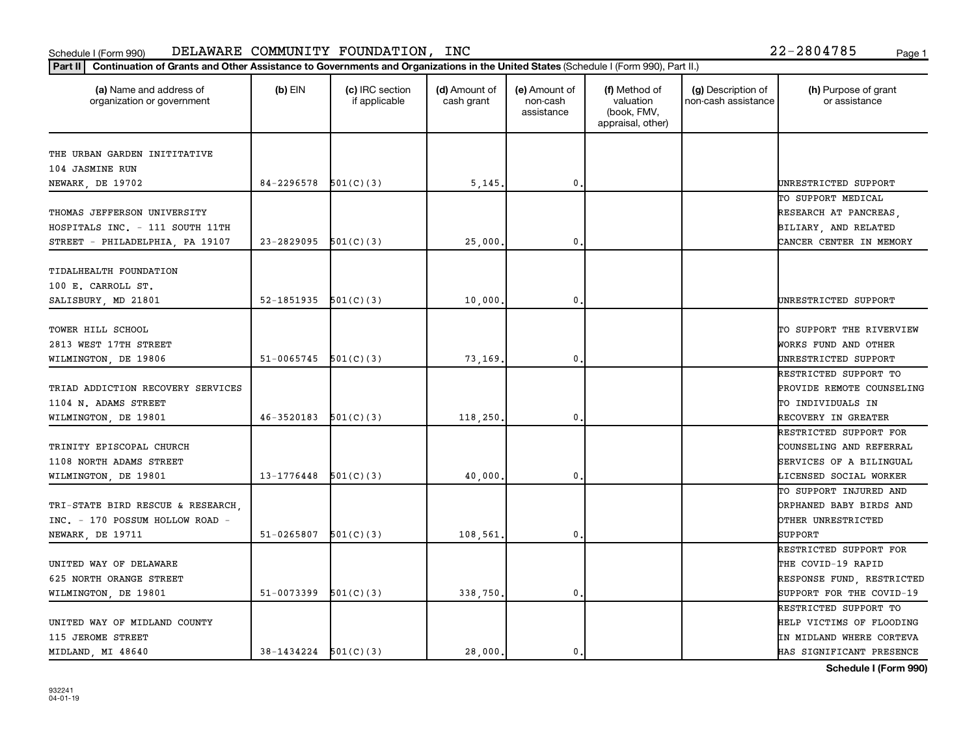| (a) Name and address of<br>organization or government | $(b)$ EIN                | (c) IRC section<br>if applicable | (d) Amount of<br>cash grant | (e) Amount of<br>non-cash<br>assistance | (f) Method of<br>valuation<br>(book, FMV,<br>appraisal, other) | (g) Description of<br>non-cash assistance | (h) Purpose of grant<br>or assistance |
|-------------------------------------------------------|--------------------------|----------------------------------|-----------------------------|-----------------------------------------|----------------------------------------------------------------|-------------------------------------------|---------------------------------------|
| THE URBAN GARDEN INITITATIVE                          |                          |                                  |                             |                                         |                                                                |                                           |                                       |
| 104 JASMINE RUN                                       |                          |                                  |                             |                                         |                                                                |                                           |                                       |
| NEWARK, DE 19702                                      | 84-2296578               | 501(C)(3)                        | 5,145                       | $\mathbf{0}$                            |                                                                |                                           | UNRESTRICTED SUPPORT                  |
|                                                       |                          |                                  |                             |                                         |                                                                |                                           | TO SUPPORT MEDICAL                    |
| THOMAS JEFFERSON UNIVERSITY                           |                          |                                  |                             |                                         |                                                                |                                           | RESEARCH AT PANCREAS,                 |
| HOSPITALS INC. - 111 SOUTH 11TH                       |                          |                                  |                             |                                         |                                                                |                                           | BILIARY, AND RELATED                  |
| STREET - PHILADELPHIA, PA 19107                       | 23-2829095               | 501(C)(3)                        | 25,000                      | $\mathbf{0}$                            |                                                                |                                           | CANCER CENTER IN MEMORY               |
|                                                       |                          |                                  |                             |                                         |                                                                |                                           |                                       |
| TIDALHEALTH FOUNDATION                                |                          |                                  |                             |                                         |                                                                |                                           |                                       |
| 100 E. CARROLL ST.                                    |                          |                                  |                             | $\mathbf{0}$                            |                                                                |                                           |                                       |
| SALISBURY, MD 21801                                   | 52-1851935               | 501(C)(3)                        | 10,000                      |                                         |                                                                |                                           | UNRESTRICTED SUPPORT                  |
| TOWER HILL SCHOOL                                     |                          |                                  |                             |                                         |                                                                |                                           | TO SUPPORT THE RIVERVIEW              |
| 2813 WEST 17TH STREET                                 |                          |                                  |                             |                                         |                                                                |                                           | WORKS FUND AND OTHER                  |
| WILMINGTON, DE 19806                                  | 51-0065745               | 501(C)(3)                        | 73,169                      | $\mathbf 0$                             |                                                                |                                           | UNRESTRICTED SUPPORT                  |
|                                                       |                          |                                  |                             |                                         |                                                                |                                           | RESTRICTED SUPPORT TO                 |
| TRIAD ADDICTION RECOVERY SERVICES                     |                          |                                  |                             |                                         |                                                                |                                           | PROVIDE REMOTE COUNSELING             |
| 1104 N. ADAMS STREET                                  |                          |                                  |                             |                                         |                                                                |                                           | TO INDIVIDUALS IN                     |
| WILMINGTON, DE 19801                                  | 46-3520183               | 501(C)(3)                        | 118,250                     | $\mathbf 0$                             |                                                                |                                           | RECOVERY IN GREATER                   |
|                                                       |                          |                                  |                             |                                         |                                                                |                                           | RESTRICTED SUPPORT FOR                |
| TRINITY EPISCOPAL CHURCH                              |                          |                                  |                             |                                         |                                                                |                                           | COUNSELING AND REFERRAL               |
| 1108 NORTH ADAMS STREET                               |                          |                                  |                             |                                         |                                                                |                                           | SERVICES OF A BILINGUAL               |
| WILMINGTON, DE 19801                                  | 13-1776448               | 501(C)(3)                        | 40,000                      | $\mathbf{0}$                            |                                                                |                                           | LICENSED SOCIAL WORKER                |
|                                                       |                          |                                  |                             |                                         |                                                                |                                           | TO SUPPORT INJURED AND                |
| TRI-STATE BIRD RESCUE & RESEARCH,                     |                          |                                  |                             |                                         |                                                                |                                           | ORPHANED BABY BIRDS AND               |
| INC. - 170 POSSUM HOLLOW ROAD -                       |                          |                                  |                             |                                         |                                                                |                                           | OTHER UNRESTRICTED                    |
| <b>NEWARK, DE 19711</b>                               | 51-0265807               | 501(C)(3)                        | 108,561                     | $\mathbf 0$                             |                                                                |                                           | SUPPORT                               |
|                                                       |                          |                                  |                             |                                         |                                                                |                                           | RESTRICTED SUPPORT FOR                |
| UNITED WAY OF DELAWARE                                |                          |                                  |                             |                                         |                                                                |                                           | THE COVID-19 RAPID                    |
| 625 NORTH ORANGE STREET                               |                          |                                  |                             |                                         |                                                                |                                           | RESPONSE FUND, RESTRICTED             |
| WILMINGTON, DE 19801                                  | 51-0073399               | 501(C)(3)                        | 338,750                     | $\mathbf{0}$                            |                                                                |                                           | SUPPORT FOR THE COVID-19              |
|                                                       |                          |                                  |                             |                                         |                                                                |                                           | RESTRICTED SUPPORT TO                 |
| UNITED WAY OF MIDLAND COUNTY                          |                          |                                  |                             |                                         |                                                                |                                           | HELP VICTIMS OF FLOODING              |
| 115 JEROME STREET                                     |                          |                                  |                             |                                         |                                                                |                                           | IN MIDLAND WHERE CORTEVA              |
| MIDLAND, MI 48640                                     | $38-1434224$ $501(C)(3)$ |                                  | 28,000.                     | $\mathbf 0$ .                           |                                                                |                                           | HAS SIGNIFICANT PRESENCE              |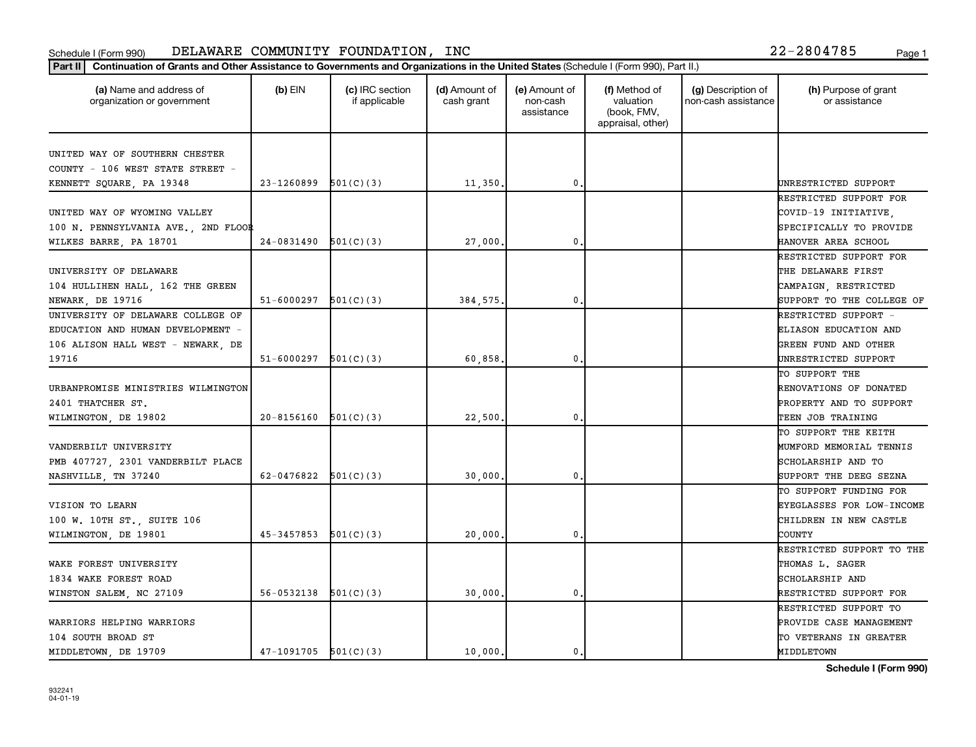| (a) Name and address of<br>organization or government | $(b)$ EIN  | (c) IRC section<br>if applicable | (d) Amount of<br>cash grant | (e) Amount of<br>non-cash<br>assistance | (f) Method of<br>valuation<br>(book, FMV,<br>appraisal, other) | (g) Description of<br>non-cash assistance | (h) Purpose of grant<br>or assistance |
|-------------------------------------------------------|------------|----------------------------------|-----------------------------|-----------------------------------------|----------------------------------------------------------------|-------------------------------------------|---------------------------------------|
| UNITED WAY OF SOUTHERN CHESTER                        |            |                                  |                             |                                         |                                                                |                                           |                                       |
| COUNTY - 106 WEST STATE STREET -                      |            |                                  |                             |                                         |                                                                |                                           |                                       |
| KENNETT SQUARE, PA 19348                              | 23-1260899 | 501(C)(3)                        | 11,350,                     | 0                                       |                                                                |                                           | UNRESTRICTED SUPPORT                  |
|                                                       |            |                                  |                             |                                         |                                                                |                                           | RESTRICTED SUPPORT FOR                |
| UNITED WAY OF WYOMING VALLEY                          |            |                                  |                             |                                         |                                                                |                                           | COVID-19 INITIATIVE,                  |
| 100 N. PENNSYLVANIA AVE., 2ND FLOOR                   |            |                                  |                             |                                         |                                                                |                                           | SPECIFICALLY TO PROVIDE               |
| WILKES BARRE, PA 18701                                | 24-0831490 | 501(C)(3)                        | 27,000                      | 0                                       |                                                                |                                           | HANOVER AREA SCHOOL                   |
|                                                       |            |                                  |                             |                                         |                                                                |                                           | RESTRICTED SUPPORT FOR                |
| UNIVERSITY OF DELAWARE                                |            |                                  |                             |                                         |                                                                |                                           | THE DELAWARE FIRST                    |
| 104 HULLIHEN HALL, 162 THE GREEN                      |            |                                  |                             |                                         |                                                                |                                           | CAMPAIGN, RESTRICTED                  |
| NEWARK, DE 19716                                      | 51-6000297 | 501(C)(3)                        | 384.575.                    | $\mathbf{0}$                            |                                                                |                                           | SUPPORT TO THE COLLEGE OF             |
| UNIVERSITY OF DELAWARE COLLEGE OF                     |            |                                  |                             |                                         |                                                                |                                           | RESTRICTED SUPPORT -                  |
| EDUCATION AND HUMAN DEVELOPMENT -                     |            |                                  |                             |                                         |                                                                |                                           | ELIASON EDUCATION AND                 |
| 106 ALISON HALL WEST - NEWARK, DE                     |            |                                  |                             |                                         |                                                                |                                           | GREEN FUND AND OTHER                  |
| 19716                                                 | 51-6000297 | 501(C)(3)                        | 60,858                      | 0                                       |                                                                |                                           | UNRESTRICTED SUPPORT                  |
|                                                       |            |                                  |                             |                                         |                                                                |                                           | TO SUPPORT THE                        |
| URBANPROMISE MINISTRIES WILMINGTON                    |            |                                  |                             |                                         |                                                                |                                           | RENOVATIONS OF DONATED                |
| 2401 THATCHER ST.                                     |            |                                  |                             |                                         |                                                                |                                           | PROPERTY AND TO SUPPORT               |
| WILMINGTON, DE 19802                                  | 20-8156160 | 501(C)(3)                        | 22,500                      | 0                                       |                                                                |                                           | TEEN JOB TRAINING                     |
|                                                       |            |                                  |                             |                                         |                                                                |                                           | TO SUPPORT THE KEITH                  |
| VANDERBILT UNIVERSITY                                 |            |                                  |                             |                                         |                                                                |                                           | MUMFORD MEMORIAL TENNIS               |
| PMB 407727, 2301 VANDERBILT PLACE                     |            |                                  |                             |                                         |                                                                |                                           | SCHOLARSHIP AND TO                    |
| NASHVILLE, TN 37240                                   | 62-0476822 | 501(C)(3)                        | 30,000                      | 0                                       |                                                                |                                           | SUPPORT THE DEEG SEZNA                |
|                                                       |            |                                  |                             |                                         |                                                                |                                           | TO SUPPORT FUNDING FOR                |
| VISION TO LEARN                                       |            |                                  |                             |                                         |                                                                |                                           | EYEGLASSES FOR LOW-INCOME             |
| 100 W. 10TH ST., SUITE 106                            |            |                                  |                             |                                         |                                                                |                                           | CHILDREN IN NEW CASTLE                |
| WILMINGTON, DE 19801                                  | 45-3457853 | 501(C)(3)                        | 20,000                      | $\mathbf 0$ .                           |                                                                |                                           | COUNTY                                |
|                                                       |            |                                  |                             |                                         |                                                                |                                           | RESTRICTED SUPPORT TO THE             |
| WAKE FOREST UNIVERSITY                                |            |                                  |                             |                                         |                                                                |                                           | THOMAS L. SAGER                       |
| 1834 WAKE FOREST ROAD                                 |            |                                  |                             |                                         |                                                                |                                           | SCHOLARSHIP AND                       |
| WINSTON SALEM, NC 27109                               | 56-0532138 | 501(C)(3)                        | 30,000                      | 0                                       |                                                                |                                           | RESTRICTED SUPPORT FOR                |
|                                                       |            |                                  |                             |                                         |                                                                |                                           | RESTRICTED SUPPORT TO                 |
| WARRIORS HELPING WARRIORS                             |            |                                  |                             |                                         |                                                                |                                           | PROVIDE CASE MANAGEMENT               |
| 104 SOUTH BROAD ST                                    |            |                                  |                             |                                         |                                                                |                                           | TO VETERANS IN GREATER                |
| MIDDLETOWN, DE 19709                                  | 47-1091705 | 501(C)(3)                        | 10,000.                     | $\mathbf 0$ .                           |                                                                |                                           | MIDDLETOWN                            |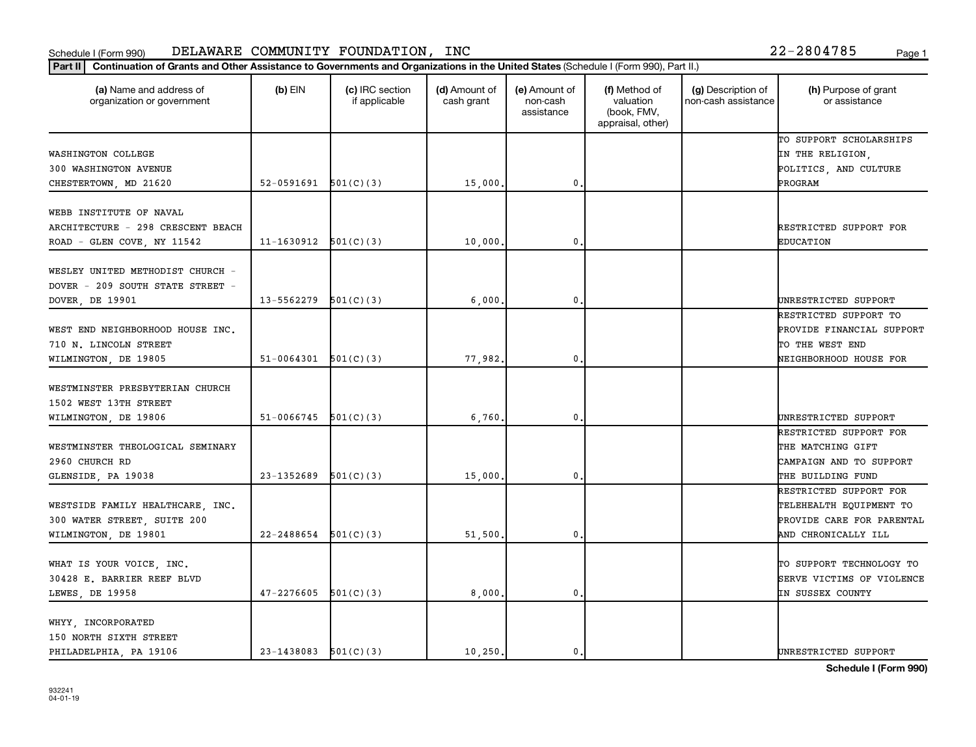| (a) Name and address of<br>organization or government                                                | $(b)$ EIN                | (c) IRC section<br>if applicable | (d) Amount of<br>cash grant | (e) Amount of<br>non-cash<br>assistance | (f) Method of<br>valuation<br>(book, FMV,<br>appraisal, other) | (g) Description of<br>non-cash assistance | (h) Purpose of grant<br>or assistance                                                                                   |
|------------------------------------------------------------------------------------------------------|--------------------------|----------------------------------|-----------------------------|-----------------------------------------|----------------------------------------------------------------|-------------------------------------------|-------------------------------------------------------------------------------------------------------------------------|
| WASHINGTON COLLEGE<br>300 WASHINGTON AVENUE                                                          |                          |                                  |                             |                                         |                                                                |                                           | TO SUPPORT SCHOLARSHIPS<br>IN THE RELIGION,<br>POLITICS, AND CULTURE                                                    |
| CHESTERTOWN, MD 21620                                                                                | $52-0591691$ $501(C)(3)$ |                                  | 15,000                      | $\mathbf 0$                             |                                                                |                                           | PROGRAM                                                                                                                 |
| WEBB INSTITUTE OF NAVAL<br>ARCHITECTURE - 298 CRESCENT BEACH<br>ROAD - GLEN COVE, NY 11542           | 11-1630912               | 501(C)(3)                        | 10,000                      | $\mathbf 0$                             |                                                                |                                           | RESTRICTED SUPPORT FOR<br><b>EDUCATION</b>                                                                              |
| WESLEY UNITED METHODIST CHURCH -<br>DOVER - 209 SOUTH STATE STREET -                                 |                          |                                  |                             |                                         |                                                                |                                           |                                                                                                                         |
| DOVER, DE 19901<br>WEST END NEIGHBORHOOD HOUSE INC.<br>710 N. LINCOLN STREET<br>WILMINGTON, DE 19805 | 13-5562279<br>51-0064301 | 501(C)(3)<br>501(C)(3)           | 6,000<br>77,982.            | $\mathbf 0$<br>$\mathbf{0}$             |                                                                |                                           | UNRESTRICTED SUPPORT<br>RESTRICTED SUPPORT TO<br>PROVIDE FINANCIAL SUPPORT<br>TO THE WEST END<br>NEIGHBORHOOD HOUSE FOR |
| WESTMINSTER PRESBYTERIAN CHURCH<br>1502 WEST 13TH STREET                                             |                          |                                  |                             | $\mathbf{0}$                            |                                                                |                                           |                                                                                                                         |
| WILMINGTON, DE 19806<br>WESTMINSTER THEOLOGICAL SEMINARY<br>2960 CHURCH RD<br>GLENSIDE, PA 19038     | 51-0066745<br>23-1352689 | 501(C)(3)<br>501(C)(3)           | 6,760<br>15,000             | $\mathbf 0$                             |                                                                |                                           | UNRESTRICTED SUPPORT<br>RESTRICTED SUPPORT FOR<br>THE MATCHING GIFT<br>CAMPAIGN AND TO SUPPORT<br>THE BUILDING FUND     |
| WESTSIDE FAMILY HEALTHCARE, INC.<br>300 WATER STREET, SUITE 200<br>WILMINGTON, DE 19801              | 22-2488654               | 501(C)(3)                        | 51,500                      | $\mathbf{0}$                            |                                                                |                                           | RESTRICTED SUPPORT FOR<br>TELEHEALTH EQUIPMENT TO<br>PROVIDE CARE FOR PARENTAL<br>AND CHRONICALLY ILL                   |
| WHAT IS YOUR VOICE, INC.<br>30428 E. BARRIER REEF BLVD<br>LEWES, DE 19958                            | 47-2276605               | 501(C)(3)                        | 8,000,                      | $\mathbf 0$                             |                                                                |                                           | TO SUPPORT TECHNOLOGY TO<br>SERVE VICTIMS OF VIOLENCE<br>IN SUSSEX COUNTY                                               |
| WHYY, INCORPORATED<br>150 NORTH SIXTH STREET<br>PHILADELPHIA, PA 19106                               | $23-1438083$ $501(C)(3)$ |                                  | 10, 250.                    | 0.                                      |                                                                |                                           | UNRESTRICTED SUPPORT                                                                                                    |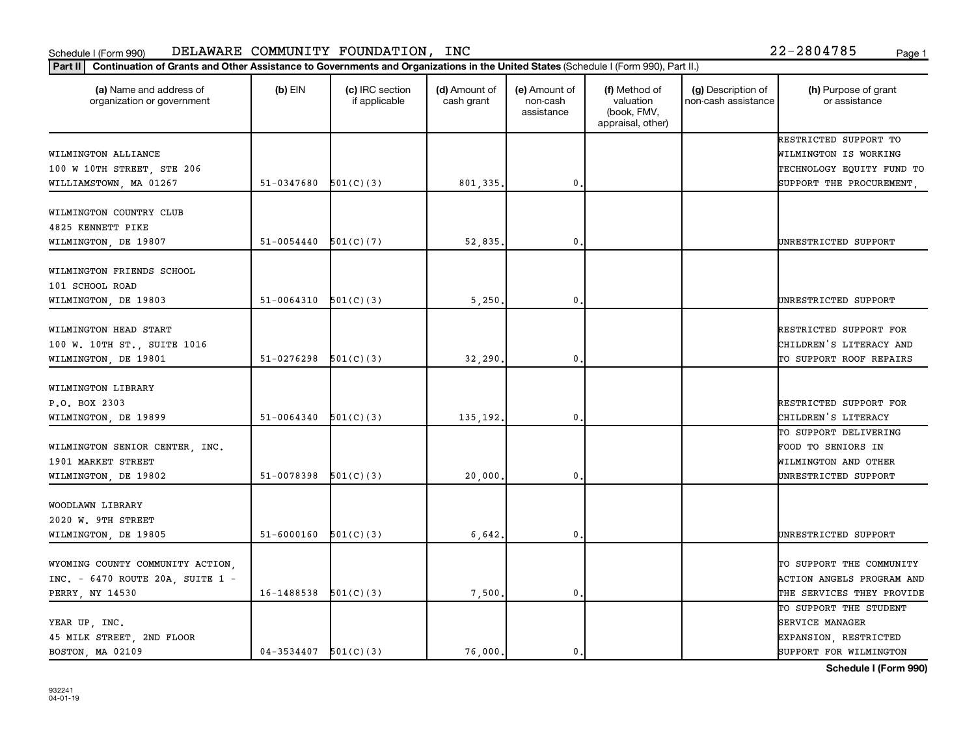| (a) Name and address of<br>organization or government | $(b)$ EIN                | (c) IRC section<br>if applicable | (d) Amount of<br>cash grant | (e) Amount of<br>non-cash<br>assistance | (f) Method of<br>valuation<br>(book, FMV,<br>appraisal, other) | (g) Description of<br>non-cash assistance | (h) Purpose of grant<br>or assistance |
|-------------------------------------------------------|--------------------------|----------------------------------|-----------------------------|-----------------------------------------|----------------------------------------------------------------|-------------------------------------------|---------------------------------------|
|                                                       |                          |                                  |                             |                                         |                                                                |                                           | RESTRICTED SUPPORT TO                 |
| WILMINGTON ALLIANCE                                   |                          |                                  |                             |                                         |                                                                |                                           | WILMINGTON IS WORKING                 |
| 100 W 10TH STREET, STE 206                            |                          |                                  |                             |                                         |                                                                |                                           | TECHNOLOGY EQUITY FUND TO             |
| WILLIAMSTOWN, MA 01267                                | 51-0347680               | 501(C)(3)                        | 801,335.                    | $\mathbf{0}$                            |                                                                |                                           | SUPPORT THE PROCUREMENT,              |
| WILMINGTON COUNTRY CLUB                               |                          |                                  |                             |                                         |                                                                |                                           |                                       |
| 4825 KENNETT PIKE                                     |                          |                                  |                             |                                         |                                                                |                                           |                                       |
| WILMINGTON, DE 19807                                  | $51 - 0054440$           | 501(C)(7)                        | 52,835                      | 0,                                      |                                                                |                                           | UNRESTRICTED SUPPORT                  |
|                                                       |                          |                                  |                             |                                         |                                                                |                                           |                                       |
| WILMINGTON FRIENDS SCHOOL                             |                          |                                  |                             |                                         |                                                                |                                           |                                       |
| 101 SCHOOL ROAD                                       |                          |                                  |                             |                                         |                                                                |                                           |                                       |
| WILMINGTON, DE 19803                                  | $51-0064310$ $501(C)(3)$ |                                  | 5,250                       | 0                                       |                                                                |                                           | UNRESTRICTED SUPPORT                  |
|                                                       |                          |                                  |                             |                                         |                                                                |                                           |                                       |
| WILMINGTON HEAD START                                 |                          |                                  |                             |                                         |                                                                |                                           | RESTRICTED SUPPORT FOR                |
| 100 W. 10TH ST., SUITE 1016                           |                          |                                  |                             |                                         |                                                                |                                           | CHILDREN'S LITERACY AND               |
| WILMINGTON, DE 19801                                  | $51-0276298$ $501(C)(3)$ |                                  | 32,290.                     | 0.                                      |                                                                |                                           | TO SUPPORT ROOF REPAIRS               |
|                                                       |                          |                                  |                             |                                         |                                                                |                                           |                                       |
| WILMINGTON LIBRARY                                    |                          |                                  |                             |                                         |                                                                |                                           |                                       |
| P.O. BOX 2303                                         |                          |                                  |                             |                                         |                                                                |                                           | RESTRICTED SUPPORT FOR                |
| WILMINGTON, DE 19899                                  | 51-0064340               | 501(C)(3)                        | 135, 192.                   | 0.                                      |                                                                |                                           | CHILDREN'S LITERACY                   |
|                                                       |                          |                                  |                             |                                         |                                                                |                                           | TO SUPPORT DELIVERING                 |
| WILMINGTON SENIOR CENTER, INC.                        |                          |                                  |                             |                                         |                                                                |                                           | FOOD TO SENIORS IN                    |
| 1901 MARKET STREET                                    |                          |                                  |                             |                                         |                                                                |                                           | WILMINGTON AND OTHER                  |
| WILMINGTON, DE 19802                                  | 51-0078398               | 501(C)(3)                        | 20,000                      | 0                                       |                                                                |                                           | UNRESTRICTED SUPPORT                  |
| WOODLAWN LIBRARY                                      |                          |                                  |                             |                                         |                                                                |                                           |                                       |
| 2020 W. 9TH STREET                                    |                          |                                  |                             |                                         |                                                                |                                           |                                       |
| WILMINGTON, DE 19805                                  | $51-6000160$ $501(C)(3)$ |                                  | 6,642,                      | $\mathbf{0}$ .                          |                                                                |                                           | UNRESTRICTED SUPPORT                  |
|                                                       |                          |                                  |                             |                                         |                                                                |                                           |                                       |
| WYOMING COUNTY COMMUNITY ACTION,                      |                          |                                  |                             |                                         |                                                                |                                           | TO SUPPORT THE COMMUNITY              |
| INC. - 6470 ROUTE 20A, SUITE 1 -                      |                          |                                  |                             |                                         |                                                                |                                           | ACTION ANGELS PROGRAM AND             |
| PERRY, NY 14530                                       | 16-1488538               | 501(C)(3)                        | 7,500.                      | $\mathbf 0$ .                           |                                                                |                                           | THE SERVICES THEY PROVIDE             |
|                                                       |                          |                                  |                             |                                         |                                                                |                                           | TO SUPPORT THE STUDENT                |
| YEAR UP, INC.                                         |                          |                                  |                             |                                         |                                                                |                                           | <b>SERVICE MANAGER</b>                |
| 45 MILK STREET, 2ND FLOOR                             |                          |                                  |                             |                                         |                                                                |                                           | EXPANSION, RESTRICTED                 |
| BOSTON, MA 02109                                      | $04-3534407$ $501(C)(3)$ |                                  | 76,000.                     | $\mathbf{0}$                            |                                                                |                                           | SUPPORT FOR WILMINGTON                |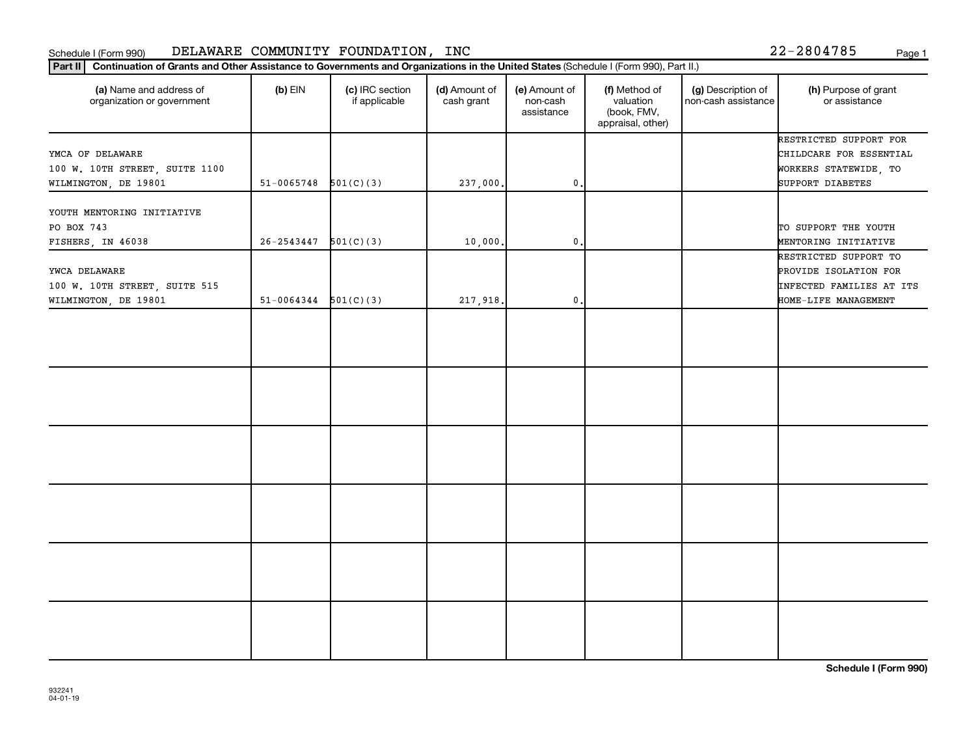| Part II   Continuation of Grants and Other Assistance to Governments and Organizations in the United States (Schedule I (Form 990), Part II.) |                          |                                  |                             |                                         |                                                                |                                           |                                                                            |  |
|-----------------------------------------------------------------------------------------------------------------------------------------------|--------------------------|----------------------------------|-----------------------------|-----------------------------------------|----------------------------------------------------------------|-------------------------------------------|----------------------------------------------------------------------------|--|
| (a) Name and address of<br>organization or government                                                                                         | $(b)$ EIN                | (c) IRC section<br>if applicable | (d) Amount of<br>cash grant | (e) Amount of<br>non-cash<br>assistance | (f) Method of<br>valuation<br>(book, FMV,<br>appraisal, other) | (g) Description of<br>non-cash assistance | (h) Purpose of grant<br>or assistance                                      |  |
| YMCA OF DELAWARE<br>100 W. 10TH STREET, SUITE 1100                                                                                            |                          |                                  |                             |                                         |                                                                |                                           | RESTRICTED SUPPORT FOR<br>CHILDCARE FOR ESSENTIAL<br>WORKERS STATEWIDE, TO |  |
| WILMINGTON, DE 19801                                                                                                                          | $51 - 0065748$           | 501(C)(3)                        | 237,000.                    | $\mathsf{0}$ .                          |                                                                |                                           | SUPPORT DIABETES                                                           |  |
| YOUTH MENTORING INITIATIVE<br>PO BOX 743<br>FISHERS, IN 46038                                                                                 | 26-2543447               | 501(C)(3)                        | 10,000.                     | $\mathbf{0}$                            |                                                                |                                           | TO SUPPORT THE YOUTH<br>MENTORING INITIATIVE                               |  |
| YWCA DELAWARE<br>100 W. 10TH STREET, SUITE 515                                                                                                |                          |                                  |                             |                                         |                                                                |                                           | RESTRICTED SUPPORT TO<br>PROVIDE ISOLATION FOR<br>INFECTED FAMILIES AT ITS |  |
| WILMINGTON, DE 19801                                                                                                                          | $51-0064344$ $501(C)(3)$ |                                  | 217,918.                    | $\mathbf{0}$ .                          |                                                                |                                           | HOME-LIFE MANAGEMENT                                                       |  |
|                                                                                                                                               |                          |                                  |                             |                                         |                                                                |                                           |                                                                            |  |
|                                                                                                                                               |                          |                                  |                             |                                         |                                                                |                                           |                                                                            |  |
|                                                                                                                                               |                          |                                  |                             |                                         |                                                                |                                           |                                                                            |  |
|                                                                                                                                               |                          |                                  |                             |                                         |                                                                |                                           |                                                                            |  |
|                                                                                                                                               |                          |                                  |                             |                                         |                                                                |                                           |                                                                            |  |
|                                                                                                                                               |                          |                                  |                             |                                         |                                                                |                                           |                                                                            |  |
|                                                                                                                                               |                          |                                  |                             |                                         |                                                                |                                           |                                                                            |  |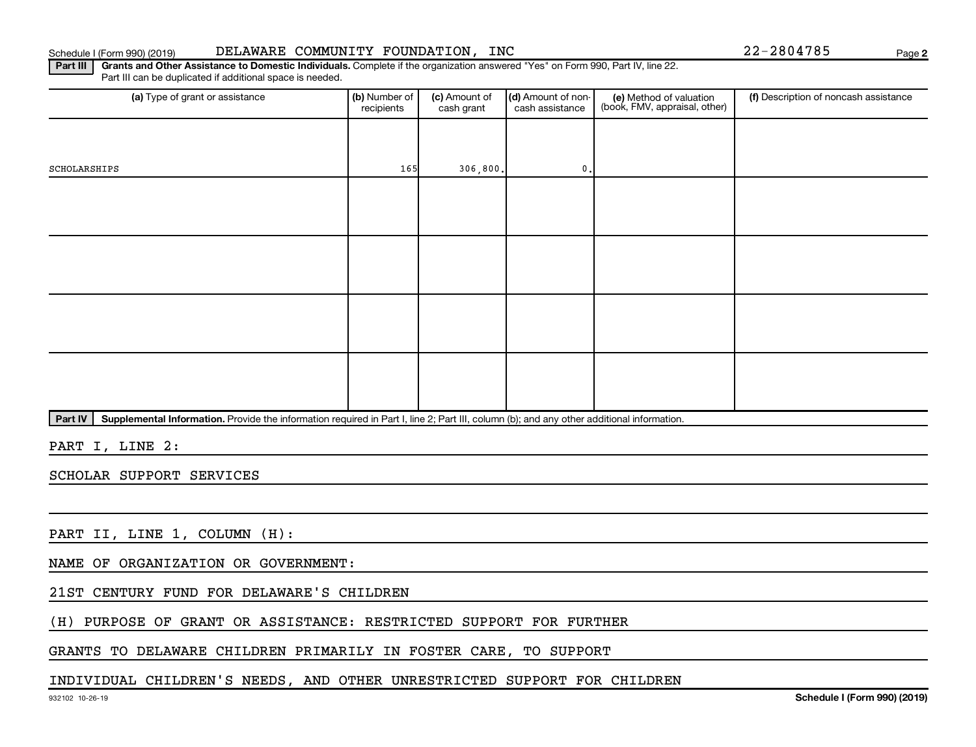### Schedule I (Form 990) (2019) DELAWARE COMMUNITY FOUNDATION,INC 22-2804785 Page

**2**

Part III | Grants and Other Assistance to Domestic Individuals. Complete if the organization answered "Yes" on Form 990, Part IV, line 22. Part III can be duplicated if additional space is needed.

| (a) Type of grant or assistance | (b) Number of<br>recipients | (c) Amount of<br>cash grant | (d) Amount of non-<br>cash assistance | (e) Method of valuation<br>(book, FMV, appraisal, other) | (f) Description of noncash assistance |
|---------------------------------|-----------------------------|-----------------------------|---------------------------------------|----------------------------------------------------------|---------------------------------------|
|                                 |                             |                             |                                       |                                                          |                                       |
| SCHOLARSHIPS                    | 165                         | 306,800.                    | 0.                                    |                                                          |                                       |
|                                 |                             |                             |                                       |                                                          |                                       |
|                                 |                             |                             |                                       |                                                          |                                       |
|                                 |                             |                             |                                       |                                                          |                                       |
|                                 |                             |                             |                                       |                                                          |                                       |
|                                 |                             |                             |                                       |                                                          |                                       |
|                                 |                             |                             |                                       |                                                          |                                       |
|                                 |                             |                             |                                       |                                                          |                                       |
|                                 |                             |                             |                                       |                                                          |                                       |

Part IV | Supplemental Information. Provide the information required in Part I, line 2; Part III, column (b); and any other additional information.

PART I, LINE 2:

SCHOLAR SUPPORT SERVICES

PART II, LINE 1, COLUMN (H):

NAME OF ORGANIZATION OR GOVERNMENT:

21ST CENTURY FUND FOR DELAWARE'S CHILDREN

(H) PURPOSE OF GRANT OR ASSISTANCE: RESTRICTED SUPPORT FOR FURTHER

GRANTS TO DELAWARE CHILDREN PRIMARILY IN FOSTER CARE, TO SUPPORT

# INDIVIDUAL CHILDREN'S NEEDS, AND OTHER UNRESTRICTED SUPPORT FOR CHILDREN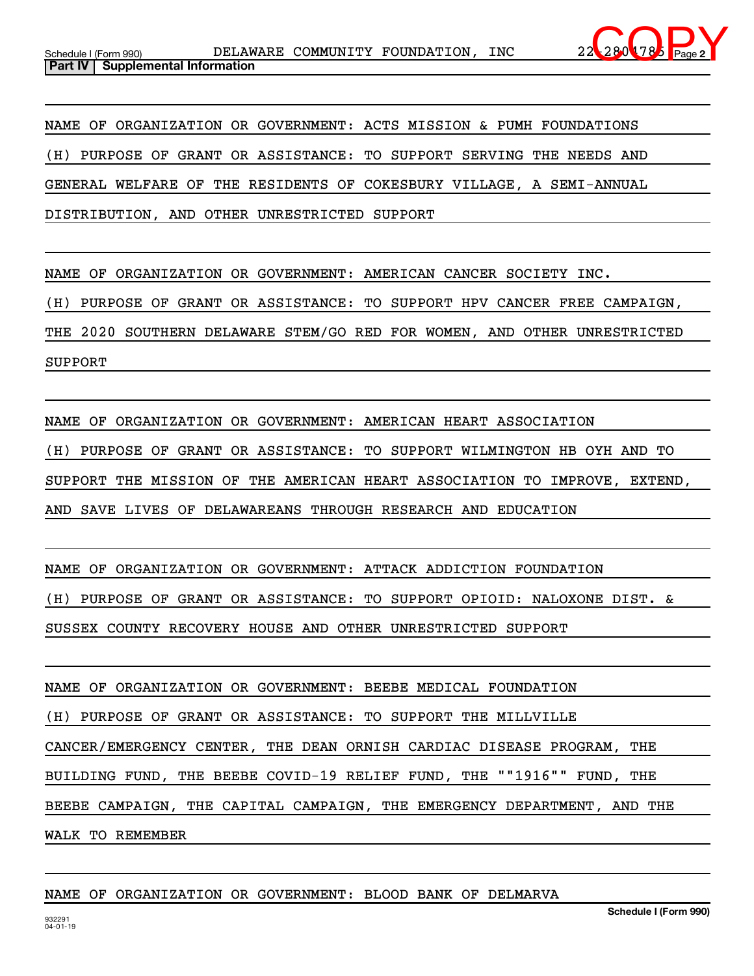

NAME OF ORGANIZATION OR GOVERNMENT: ACTS MISSION & PUMH FOUNDATIONS (H) PURPOSE OF GRANT OR ASSISTANCE: TO SUPPORT SERVING THE NEEDS AND GENERAL WELFARE OF THE RESIDENTS OF COKESBURY VILLAGE, A SEMI-ANNUAL DISTRIBUTION, AND OTHER UNRESTRICTED SUPPORT

NAME OF ORGANIZATION OR GOVERNMENT: AMERICAN CANCER SOCIETY INC.

(H) PURPOSE OF GRANT OR ASSISTANCE: TO SUPPORT HPV CANCER FREE CAMPAIGN,

THE 2020 SOUTHERN DELAWARE STEM/GO RED FOR WOMEN, AND OTHER UNRESTRICTED

SUPPORT

NAME OF ORGANIZATION OR GOVERNMENT: AMERICAN HEART ASSOCIATION (H) PURPOSE OF GRANT OR ASSISTANCE: TO SUPPORT WILMINGTON HB OYH AND TO SUPPORT THE MISSION OF THE AMERICAN HEART ASSOCIATION TO IMPROVE, EXTEND, AND SAVE LIVES OF DELAWAREANS THROUGH RESEARCH AND EDUCATION

NAME OF ORGANIZATION OR GOVERNMENT: ATTACK ADDICTION FOUNDATION (H) PURPOSE OF GRANT OR ASSISTANCE: TO SUPPORT OPIOID: NALOXONE DIST. & SUSSEX COUNTY RECOVERY HOUSE AND OTHER UNRESTRICTED SUPPORT

NAME OF ORGANIZATION OR GOVERNMENT: BEEBE MEDICAL FOUNDATION (H) PURPOSE OF GRANT OR ASSISTANCE: TO SUPPORT THE MILLVILLE CANCER/EMERGENCY CENTER, THE DEAN ORNISH CARDIAC DISEASE PROGRAM, THE BUILDING FUND, THE BEEBE COVID-19 RELIEF FUND, THE ""1916"" FUND, THE BEEBE CAMPAIGN, THE CAPITAL CAMPAIGN, THE EMERGENCY DEPARTMENT, AND THE WALK TO REMEMBER

## NAME OF ORGANIZATION OR GOVERNMENT: BLOOD BANK OF DELMARVA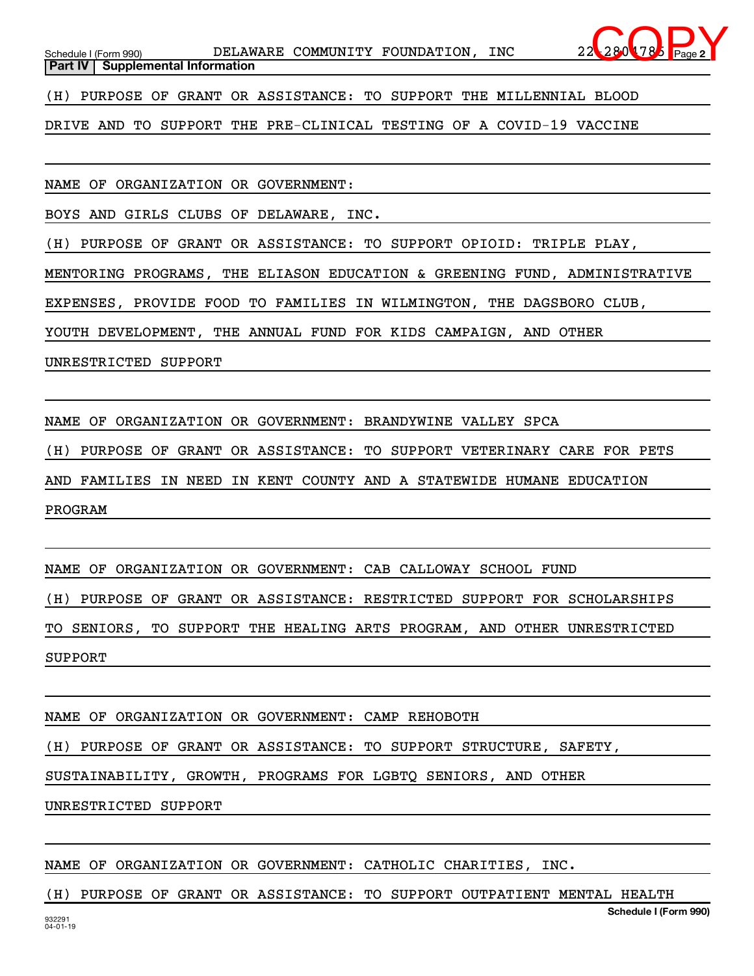Schedule I (Form 990) **DELAWARE COMMUNITY FOUNDATION, INC** 22-2804785 Page **Part IV** | Supplemental Information  $280$  78

**2**

(H) PURPOSE OF GRANT OR ASSISTANCE: TO SUPPORT THE MILLENNIAL BLOOD

DRIVE AND TO SUPPORT THE PRE-CLINICAL TESTING OF A COVID-19 VACCINE

NAME OF ORGANIZATION OR GOVERNMENT:

BOYS AND GIRLS CLUBS OF DELAWARE, INC.

(H) PURPOSE OF GRANT OR ASSISTANCE: TO SUPPORT OPIOID: TRIPLE PLAY,

MENTORING PROGRAMS, THE ELIASON EDUCATION & GREENING FUND, ADMINISTRATIVE

EXPENSES, PROVIDE FOOD TO FAMILIES IN WILMINGTON, THE DAGSBORO CLUB,

YOUTH DEVELOPMENT, THE ANNUAL FUND FOR KIDS CAMPAIGN, AND OTHER

UNRESTRICTED SUPPORT

NAME OF ORGANIZATION OR GOVERNMENT: BRANDYWINE VALLEY SPCA

(H) PURPOSE OF GRANT OR ASSISTANCE: TO SUPPORT VETERINARY CARE FOR PETS

AND FAMILIES IN NEED IN KENT COUNTY AND A STATEWIDE HUMANE EDUCATION

PROGRAM

NAME OF ORGANIZATION OR GOVERNMENT: CAB CALLOWAY SCHOOL FUND

(H) PURPOSE OF GRANT OR ASSISTANCE: RESTRICTED SUPPORT FOR SCHOLARSHIPS

TO SENIORS, TO SUPPORT THE HEALING ARTS PROGRAM, AND OTHER UNRESTRICTED SUPPORT

NAME OF ORGANIZATION OR GOVERNMENT: CAMP REHOBOTH

(H) PURPOSE OF GRANT OR ASSISTANCE: TO SUPPORT STRUCTURE, SAFETY,

SUSTAINABILITY, GROWTH, PROGRAMS FOR LGBTQ SENIORS, AND OTHER

UNRESTRICTED SUPPORT

NAME OF ORGANIZATION OR GOVERNMENT: CATHOLIC CHARITIES, INC.

**Schedule I (Form 990)** (H) PURPOSE OF GRANT OR ASSISTANCE: TO SUPPORT OUTPATIENT MENTAL HEALTH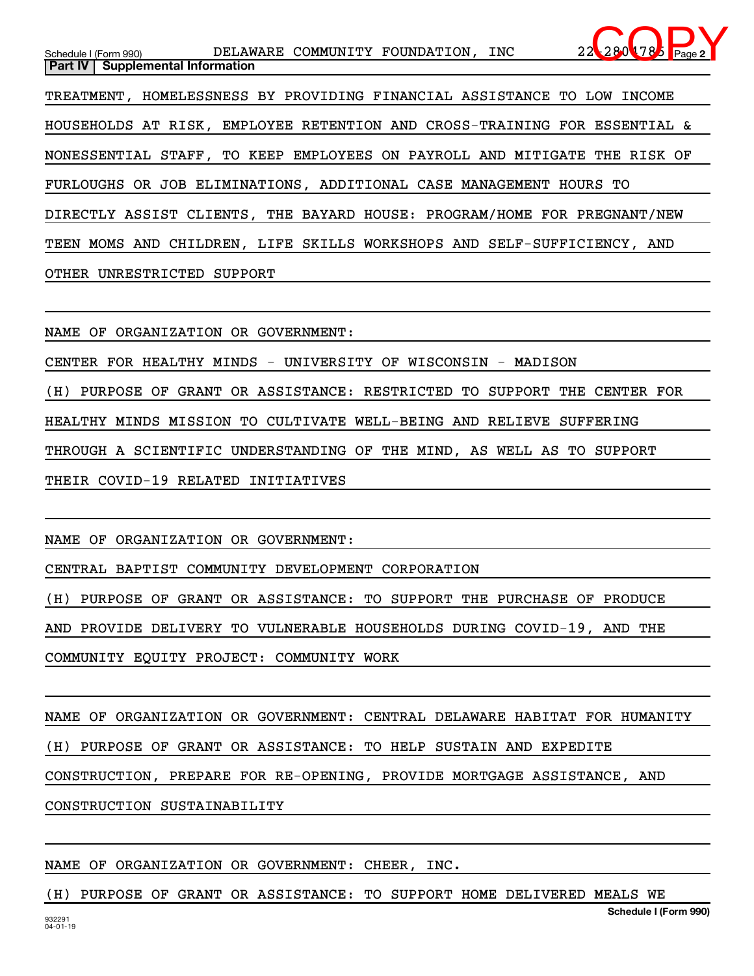**2** Schedule I (Form 990) **DELAWARE COMMUNITY FOUNDATION, INC** 22-2804785 Page **Part IV** | Supplemental Information TREATMENT, HOMELESSNESS BY PROVIDING FINANCIAL ASSISTANCE TO LOW INCOME HOUSEHOLDS AT RISK, EMPLOYEE RETENTION AND CROSS-TRAINING FOR ESSENTIAL & NONESSENTIAL STAFF, TO KEEP EMPLOYEES ON PAYROLL AND MITIGATE THE RISK OF FURLOUGHS OR JOB ELIMINATIONS, ADDITIONAL CASE MANAGEMENT HOURS TO DIRECTLY ASSIST CLIENTS, THE BAYARD HOUSE: PROGRAM/HOME FOR PREGNANT/NEW TEEN MOMS AND CHILDREN, LIFE SKILLS WORKSHOPS AND SELF-SUFFICIENCY, AND OTHER UNRESTRICTED SUPPORT  $280$  78

NAME OF ORGANIZATION OR GOVERNMENT:

CENTER FOR HEALTHY MINDS - UNIVERSITY OF WISCONSIN - MADISON

(H) PURPOSE OF GRANT OR ASSISTANCE: RESTRICTED TO SUPPORT THE CENTER FOR

HEALTHY MINDS MISSION TO CULTIVATE WELL-BEING AND RELIEVE SUFFERING

THROUGH A SCIENTIFIC UNDERSTANDING OF THE MIND, AS WELL AS TO SUPPORT

THEIR COVID-19 RELATED INITIATIVES

NAME OF ORGANIZATION OR GOVERNMENT:

CENTRAL BAPTIST COMMUNITY DEVELOPMENT CORPORATION

(H) PURPOSE OF GRANT OR ASSISTANCE: TO SUPPORT THE PURCHASE OF PRODUCE

AND PROVIDE DELIVERY TO VULNERABLE HOUSEHOLDS DURING COVID-19, AND THE

COMMUNITY EQUITY PROJECT: COMMUNITY WORK

NAME OF ORGANIZATION OR GOVERNMENT: CENTRAL DELAWARE HABITAT FOR HUMANITY (H) PURPOSE OF GRANT OR ASSISTANCE: TO HELP SUSTAIN AND EXPEDITE CONSTRUCTION, PREPARE FOR RE-OPENING, PROVIDE MORTGAGE ASSISTANCE, AND CONSTRUCTION SUSTAINABILITY

NAME OF ORGANIZATION OR GOVERNMENT: CHEER, INC.

(H) PURPOSE OF GRANT OR ASSISTANCE: TO SUPPORT HOME DELIVERED MEALS WE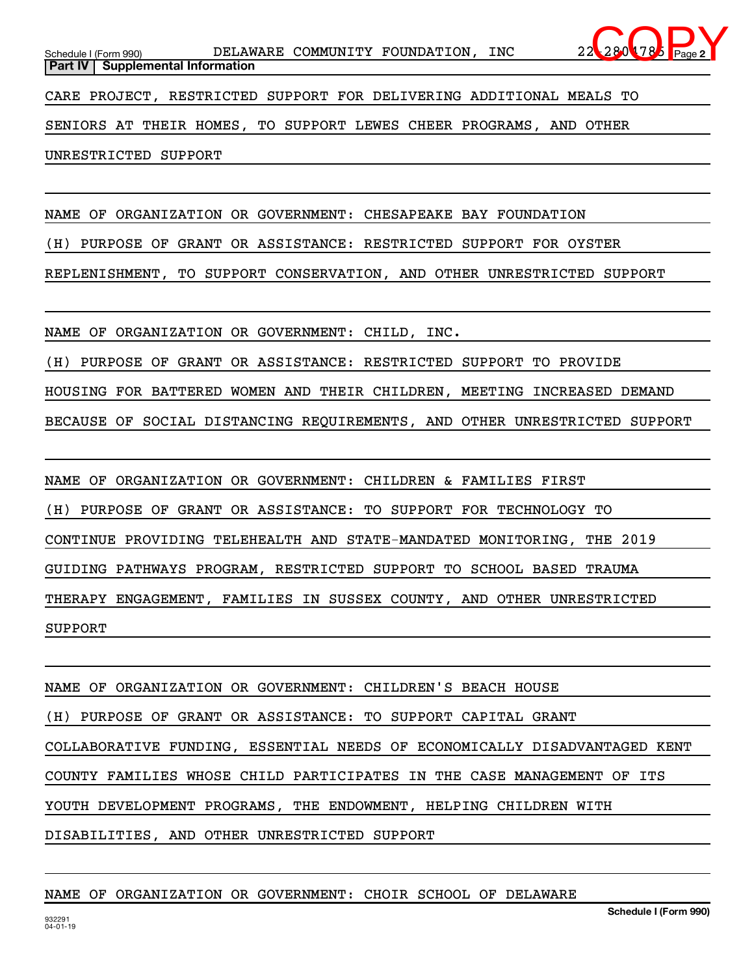**2** Schedule I (Form 990) **DELAWARE COMMUNITY FOUNDATION, INC** 22-2804785 Page **Part IV** | Supplemental Information CARE PROJECT, RESTRICTED SUPPORT FOR DELIVERING ADDITIONAL MEALS TO SENIORS AT THEIR HOMES, TO SUPPORT LEWES CHEER PROGRAMS, AND OTHER  $280$  78

UNRESTRICTED SUPPORT

NAME OF ORGANIZATION OR GOVERNMENT: CHESAPEAKE BAY FOUNDATION

(H) PURPOSE OF GRANT OR ASSISTANCE: RESTRICTED SUPPORT FOR OYSTER

REPLENISHMENT, TO SUPPORT CONSERVATION, AND OTHER UNRESTRICTED SUPPORT

NAME OF ORGANIZATION OR GOVERNMENT: CHILD, INC.

(H) PURPOSE OF GRANT OR ASSISTANCE: RESTRICTED SUPPORT TO PROVIDE

HOUSING FOR BATTERED WOMEN AND THEIR CHILDREN, MEETING INCREASED DEMAND

BECAUSE OF SOCIAL DISTANCING REQUIREMENTS, AND OTHER UNRESTRICTED SUPPORT

NAME OF ORGANIZATION OR GOVERNMENT: CHILDREN & FAMILIES FIRST (H) PURPOSE OF GRANT OR ASSISTANCE: TO SUPPORT FOR TECHNOLOGY TO CONTINUE PROVIDING TELEHEALTH AND STATE-MANDATED MONITORING, THE 2019 GUIDING PATHWAYS PROGRAM, RESTRICTED SUPPORT TO SCHOOL BASED TRAUMA THERAPY ENGAGEMENT, FAMILIES IN SUSSEX COUNTY, AND OTHER UNRESTRICTED SUPPORT

NAME OF ORGANIZATION OR GOVERNMENT: CHILDREN'S BEACH HOUSE (H) PURPOSE OF GRANT OR ASSISTANCE: TO SUPPORT CAPITAL GRANT COLLABORATIVE FUNDING, ESSENTIAL NEEDS OF ECONOMICALLY DISADVANTAGED KENT COUNTY FAMILIES WHOSE CHILD PARTICIPATES IN THE CASE MANAGEMENT OF ITS YOUTH DEVELOPMENT PROGRAMS, THE ENDOWMENT, HELPING CHILDREN WITH DISABILITIES, AND OTHER UNRESTRICTED SUPPORT

### NAME OF ORGANIZATION OR GOVERNMENT: CHOIR SCHOOL OF DELAWARE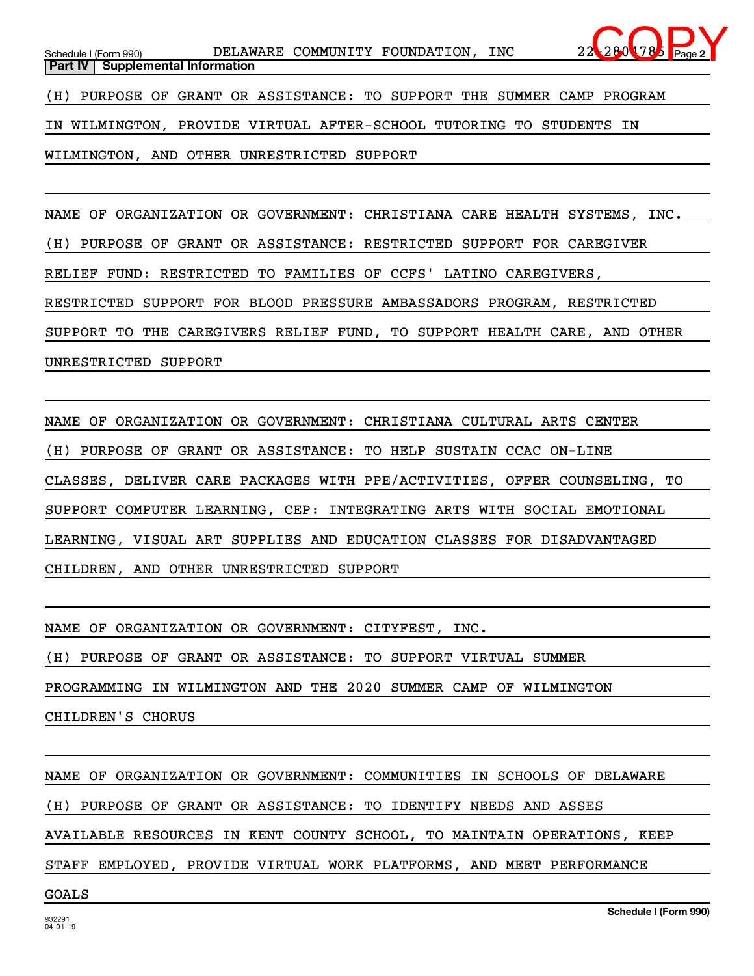NAME OF ORGANIZATION OR GOVERNMENT: CHRISTIANA CARE HEALTH SYSTEMS, INC. (H) PURPOSE OF GRANT OR ASSISTANCE: RESTRICTED SUPPORT FOR CAREGIVER RELIEF FUND: RESTRICTED TO FAMILIES OF CCFS' LATINO CAREGIVERS, RESTRICTED SUPPORT FOR BLOOD PRESSURE AMBASSADORS PROGRAM, RESTRICTED SUPPORT TO THE CAREGIVERS RELIEF FUND, TO SUPPORT HEALTH CARE, AND OTHER UNRESTRICTED SUPPORT

NAME OF ORGANIZATION OR GOVERNMENT: CHRISTIANA CULTURAL ARTS CENTER (H) PURPOSE OF GRANT OR ASSISTANCE: TO HELP SUSTAIN CCAC ON-LINE CLASSES, DELIVER CARE PACKAGES WITH PPE/ACTIVITIES, OFFER COUNSELING, TO SUPPORT COMPUTER LEARNING, CEP: INTEGRATING ARTS WITH SOCIAL EMOTIONAL LEARNING, VISUAL ART SUPPLIES AND EDUCATION CLASSES FOR DISADVANTAGED CHILDREN, AND OTHER UNRESTRICTED SUPPORT

NAME OF ORGANIZATION OR GOVERNMENT: CITYFEST, INC.

WILMINGTON, AND OTHER UNRESTRICTED SUPPORT

(H) PURPOSE OF GRANT OR ASSISTANCE: TO SUPPORT VIRTUAL SUMMER

PROGRAMMING IN WILMINGTON AND THE 2020 SUMMER CAMP OF WILMINGTON

CHILDREN'S CHORUS

NAME OF ORGANIZATION OR GOVERNMENT: COMMUNITIES IN SCHOOLS OF DELAWARE

(H) PURPOSE OF GRANT OR ASSISTANCE: TO IDENTIFY NEEDS AND ASSES

AVAILABLE RESOURCES IN KENT COUNTY SCHOOL, TO MAINTAIN OPERATIONS, KEEP

STAFF EMPLOYED, PROVIDE VIRTUAL WORK PLATFORMS, AND MEET PERFORMANCE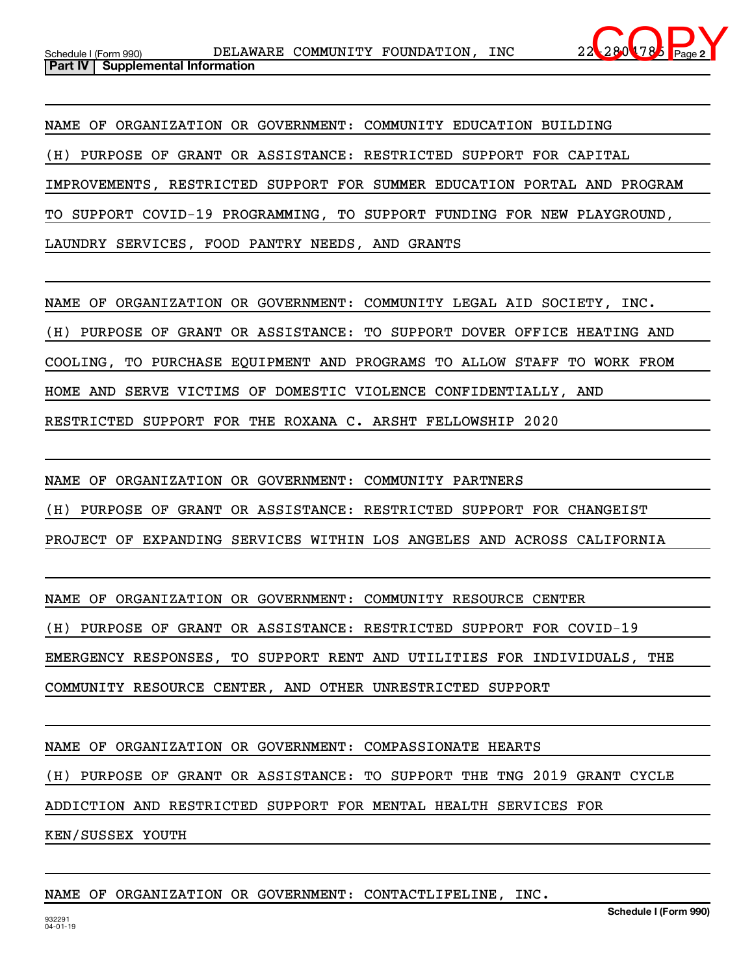

NAME OF ORGANIZATION OR GOVERNMENT: COMMUNITY EDUCATION BUILDING (H) PURPOSE OF GRANT OR ASSISTANCE: RESTRICTED SUPPORT FOR CAPITAL IMPROVEMENTS, RESTRICTED SUPPORT FOR SUMMER EDUCATION PORTAL AND PROGRAM TO SUPPORT COVID-19 PROGRAMMING, TO SUPPORT FUNDING FOR NEW PLAYGROUND, LAUNDRY SERVICES, FOOD PANTRY NEEDS, AND GRANTS

NAME OF ORGANIZATION OR GOVERNMENT: COMMUNITY LEGAL AID SOCIETY, INC. (H) PURPOSE OF GRANT OR ASSISTANCE: TO SUPPORT DOVER OFFICE HEATING AND COOLING, TO PURCHASE EQUIPMENT AND PROGRAMS TO ALLOW STAFF TO WORK FROM HOME AND SERVE VICTIMS OF DOMESTIC VIOLENCE CONFIDENTIALLY, AND RESTRICTED SUPPORT FOR THE ROXANA C. ARSHT FELLOWSHIP 2020

NAME OF ORGANIZATION OR GOVERNMENT: COMMUNITY PARTNERS (H) PURPOSE OF GRANT OR ASSISTANCE: RESTRICTED SUPPORT FOR CHANGEIST PROJECT OF EXPANDING SERVICES WITHIN LOS ANGELES AND ACROSS CALIFORNIA

NAME OF ORGANIZATION OR GOVERNMENT: COMMUNITY RESOURCE CENTER

(H) PURPOSE OF GRANT OR ASSISTANCE: RESTRICTED SUPPORT FOR COVID-19

EMERGENCY RESPONSES, TO SUPPORT RENT AND UTILITIES FOR INDIVIDUALS, THE

COMMUNITY RESOURCE CENTER, AND OTHER UNRESTRICTED SUPPORT

NAME OF ORGANIZATION OR GOVERNMENT: COMPASSIONATE HEARTS

(H) PURPOSE OF GRANT OR ASSISTANCE: TO SUPPORT THE TNG 2019 GRANT CYCLE

ADDICTION AND RESTRICTED SUPPORT FOR MENTAL HEALTH SERVICES FOR

KEN/SUSSEX YOUTH

## NAME OF ORGANIZATION OR GOVERNMENT: CONTACTLIFELINE, INC.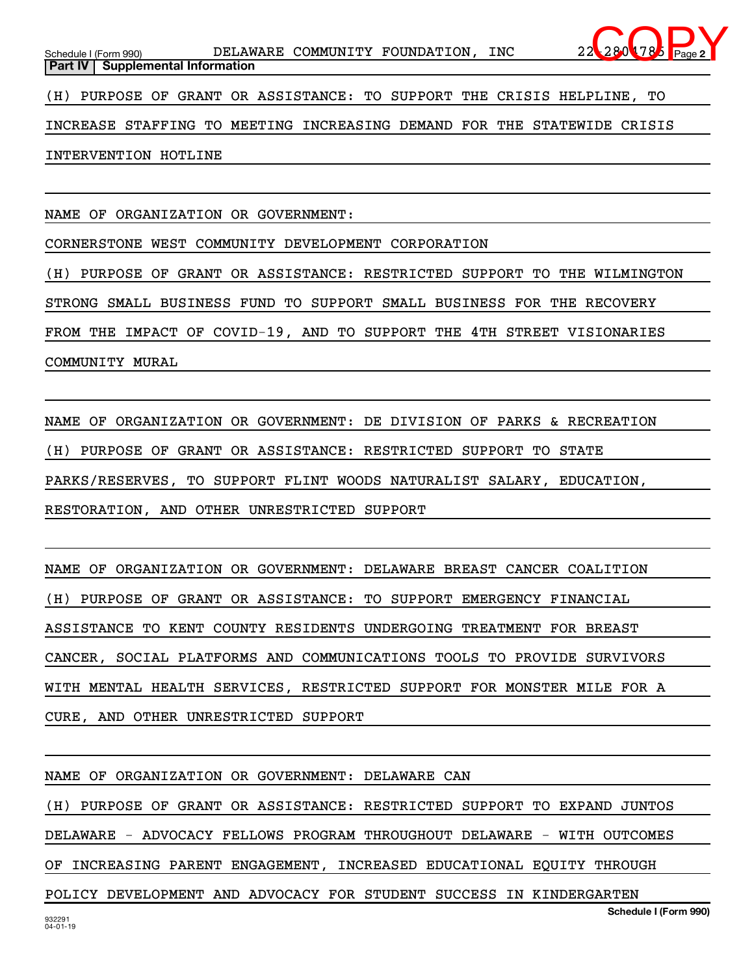**2**

(H) PURPOSE OF GRANT OR ASSISTANCE: TO SUPPORT THE CRISIS HELPLINE, TO

INCREASE STAFFING TO MEETING INCREASING DEMAND FOR THE STATEWIDE CRISIS

INTERVENTION HOTLINE

NAME OF ORGANIZATION OR GOVERNMENT:

CORNERSTONE WEST COMMUNITY DEVELOPMENT CORPORATION

(H) PURPOSE OF GRANT OR ASSISTANCE: RESTRICTED SUPPORT TO THE WILMINGTON

STRONG SMALL BUSINESS FUND TO SUPPORT SMALL BUSINESS FOR THE RECOVERY

FROM THE IMPACT OF COVID-19, AND TO SUPPORT THE 4TH STREET VISIONARIES

COMMUNITY MURAL

NAME OF ORGANIZATION OR GOVERNMENT: DE DIVISION OF PARKS & RECREATION (H) PURPOSE OF GRANT OR ASSISTANCE: RESTRICTED SUPPORT TO STATE PARKS/RESERVES, TO SUPPORT FLINT WOODS NATURALIST SALARY, EDUCATION, RESTORATION, AND OTHER UNRESTRICTED SUPPORT

NAME OF ORGANIZATION OR GOVERNMENT: DELAWARE BREAST CANCER COALITION (H) PURPOSE OF GRANT OR ASSISTANCE: TO SUPPORT EMERGENCY FINANCIAL ASSISTANCE TO KENT COUNTY RESIDENTS UNDERGOING TREATMENT FOR BREAST CANCER, SOCIAL PLATFORMS AND COMMUNICATIONS TOOLS TO PROVIDE SURVIVORS WITH MENTAL HEALTH SERVICES, RESTRICTED SUPPORT FOR MONSTER MILE FOR A CURE, AND OTHER UNRESTRICTED SUPPORT

NAME OF ORGANIZATION OR GOVERNMENT: DELAWARE CAN

**Schedule I (Form 990)** (H) PURPOSE OF GRANT OR ASSISTANCE: RESTRICTED SUPPORT TO EXPAND JUNTOS DELAWARE - ADVOCACY FELLOWS PROGRAM THROUGHOUT DELAWARE - WITH OUTCOMES OF INCREASING PARENT ENGAGEMENT, INCREASED EDUCATIONAL EQUITY THROUGH POLICY DEVELOPMENT AND ADVOCACY FOR STUDENT SUCCESS IN KINDERGARTEN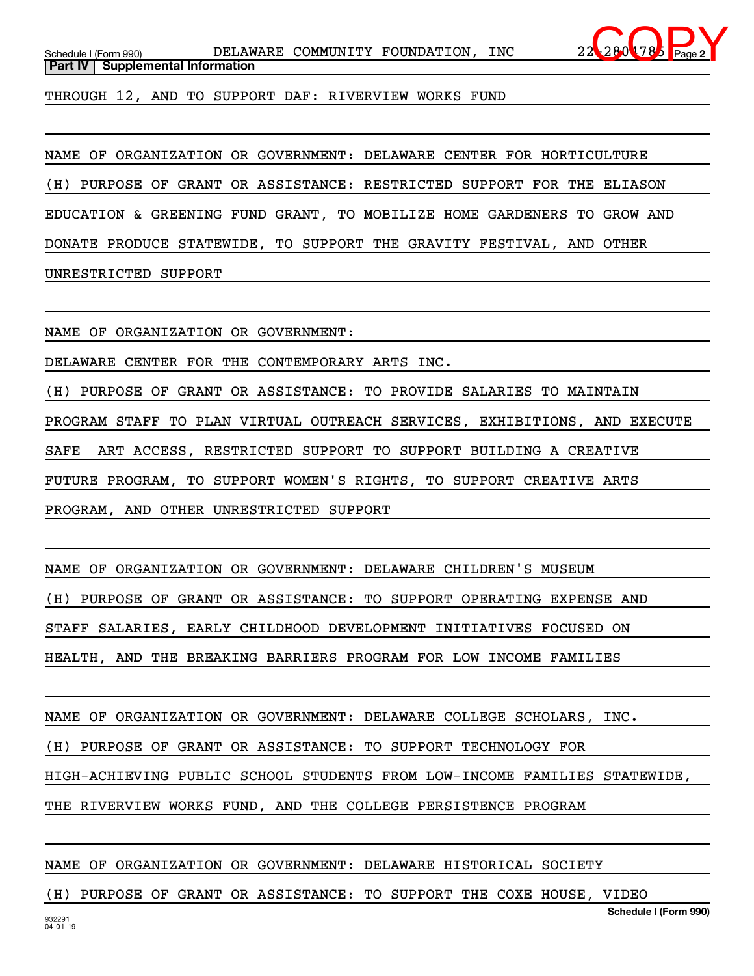

THROUGH 12, AND TO SUPPORT DAF: RIVERVIEW WORKS FUND

NAME OF ORGANIZATION OR GOVERNMENT: DELAWARE CENTER FOR HORTICULTURE

(H) PURPOSE OF GRANT OR ASSISTANCE: RESTRICTED SUPPORT FOR THE ELIASON

EDUCATION & GREENING FUND GRANT, TO MOBILIZE HOME GARDENERS TO GROW AND

DONATE PRODUCE STATEWIDE, TO SUPPORT THE GRAVITY FESTIVAL, AND OTHER

UNRESTRICTED SUPPORT

NAME OF ORGANIZATION OR GOVERNMENT:

DELAWARE CENTER FOR THE CONTEMPORARY ARTS INC.

(H) PURPOSE OF GRANT OR ASSISTANCE: TO PROVIDE SALARIES TO MAINTAIN PROGRAM STAFF TO PLAN VIRTUAL OUTREACH SERVICES, EXHIBITIONS, AND EXECUTE SAFE ART ACCESS, RESTRICTED SUPPORT TO SUPPORT BUILDING A CREATIVE FUTURE PROGRAM, TO SUPPORT WOMEN'S RIGHTS, TO SUPPORT CREATIVE ARTS PROGRAM, AND OTHER UNRESTRICTED SUPPORT

NAME OF ORGANIZATION OR GOVERNMENT: DELAWARE CHILDREN'S MUSEUM (H) PURPOSE OF GRANT OR ASSISTANCE: TO SUPPORT OPERATING EXPENSE AND STAFF SALARIES, EARLY CHILDHOOD DEVELOPMENT INITIATIVES FOCUSED ON HEALTH, AND THE BREAKING BARRIERS PROGRAM FOR LOW INCOME FAMILIES

NAME OF ORGANIZATION OR GOVERNMENT: DELAWARE COLLEGE SCHOLARS, INC.

(H) PURPOSE OF GRANT OR ASSISTANCE: TO SUPPORT TECHNOLOGY FOR

HIGH-ACHIEVING PUBLIC SCHOOL STUDENTS FROM LOW-INCOME FAMILIES STATEWIDE,

THE RIVERVIEW WORKS FUND, AND THE COLLEGE PERSISTENCE PROGRAM

NAME OF ORGANIZATION OR GOVERNMENT: DELAWARE HISTORICAL SOCIETY

(H) PURPOSE OF GRANT OR ASSISTANCE: TO SUPPORT THE COXE HOUSE, VIDEO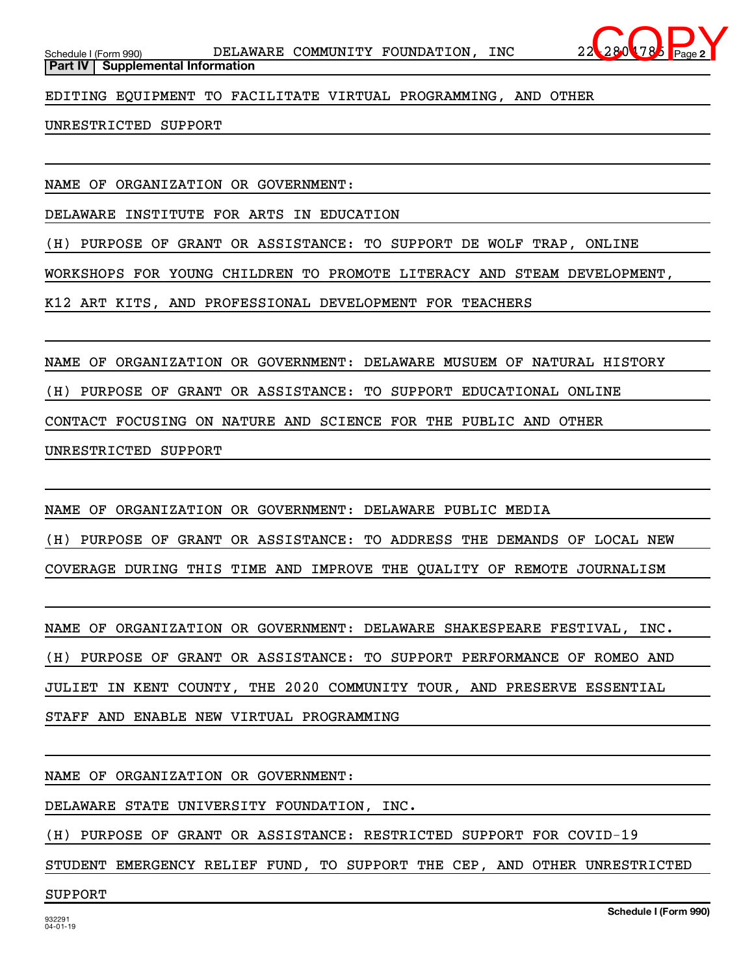

EDITING EQUIPMENT TO FACILITATE VIRTUAL PROGRAMMING, AND OTHER

## UNRESTRICTED SUPPORT

NAME OF ORGANIZATION OR GOVERNMENT:

DELAWARE INSTITUTE FOR ARTS IN EDUCATION

(H) PURPOSE OF GRANT OR ASSISTANCE: TO SUPPORT DE WOLF TRAP, ONLINE

WORKSHOPS FOR YOUNG CHILDREN TO PROMOTE LITERACY AND STEAM DEVELOPMENT,

K12 ART KITS, AND PROFESSIONAL DEVELOPMENT FOR TEACHERS

NAME OF ORGANIZATION OR GOVERNMENT: DELAWARE MUSUEM OF NATURAL HISTORY

(H) PURPOSE OF GRANT OR ASSISTANCE: TO SUPPORT EDUCATIONAL ONLINE

CONTACT FOCUSING ON NATURE AND SCIENCE FOR THE PUBLIC AND OTHER

UNRESTRICTED SUPPORT

NAME OF ORGANIZATION OR GOVERNMENT: DELAWARE PUBLIC MEDIA (H) PURPOSE OF GRANT OR ASSISTANCE: TO ADDRESS THE DEMANDS OF LOCAL NEW COVERAGE DURING THIS TIME AND IMPROVE THE QUALITY OF REMOTE JOURNALISM

NAME OF ORGANIZATION OR GOVERNMENT: DELAWARE SHAKESPEARE FESTIVAL, INC. (H) PURPOSE OF GRANT OR ASSISTANCE: TO SUPPORT PERFORMANCE OF ROMEO AND JULIET IN KENT COUNTY, THE 2020 COMMUNITY TOUR, AND PRESERVE ESSENTIAL STAFF AND ENABLE NEW VIRTUAL PROGRAMMING

NAME OF ORGANIZATION OR GOVERNMENT:

DELAWARE STATE UNIVERSITY FOUNDATION, INC.

(H) PURPOSE OF GRANT OR ASSISTANCE: RESTRICTED SUPPORT FOR COVID-19

STUDENT EMERGENCY RELIEF FUND, TO SUPPORT THE CEP, AND OTHER UNRESTRICTED

## SUPPORT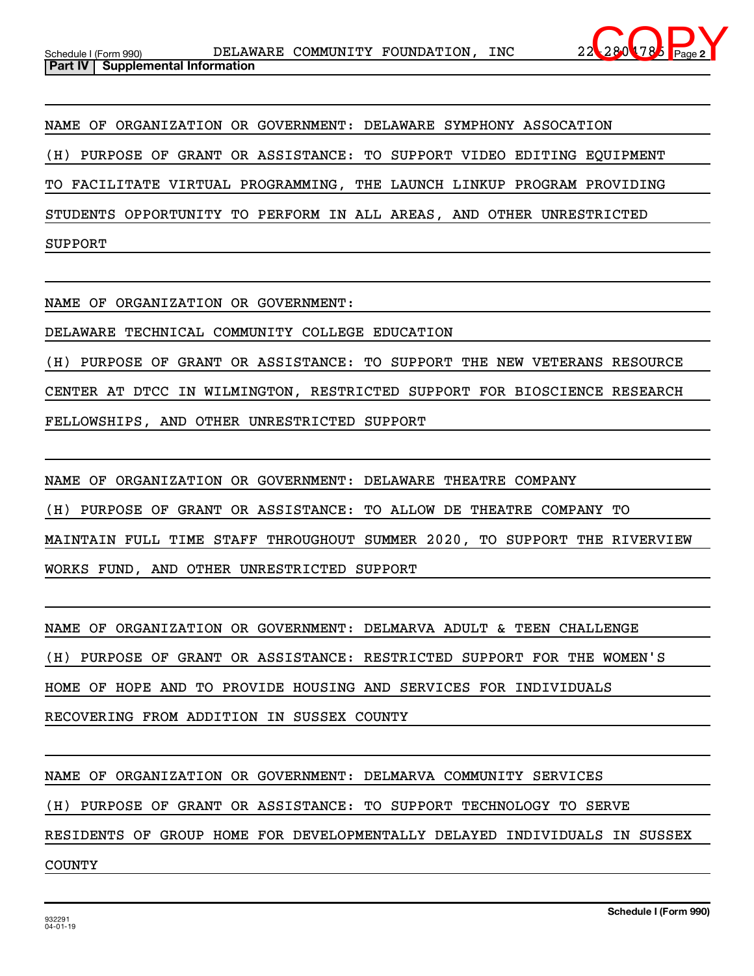

NAME OF ORGANIZATION OR GOVERNMENT: DELAWARE SYMPHONY ASSOCATION (H) PURPOSE OF GRANT OR ASSISTANCE: TO SUPPORT VIDEO EDITING EQUIPMENT TO FACILITATE VIRTUAL PROGRAMMING, THE LAUNCH LINKUP PROGRAM PROVIDING STUDENTS OPPORTUNITY TO PERFORM IN ALL AREAS, AND OTHER UNRESTRICTED SUPPORT

NAME OF ORGANIZATION OR GOVERNMENT:

DELAWARE TECHNICAL COMMUNITY COLLEGE EDUCATION

(H) PURPOSE OF GRANT OR ASSISTANCE: TO SUPPORT THE NEW VETERANS RESOURCE CENTER AT DTCC IN WILMINGTON, RESTRICTED SUPPORT FOR BIOSCIENCE RESEARCH FELLOWSHIPS, AND OTHER UNRESTRICTED SUPPORT

NAME OF ORGANIZATION OR GOVERNMENT: DELAWARE THEATRE COMPANY (H) PURPOSE OF GRANT OR ASSISTANCE: TO ALLOW DE THEATRE COMPANY TO MAINTAIN FULL TIME STAFF THROUGHOUT SUMMER 2020, TO SUPPORT THE RIVERVIEW WORKS FUND, AND OTHER UNRESTRICTED SUPPORT

NAME OF ORGANIZATION OR GOVERNMENT: DELMARVA ADULT & TEEN CHALLENGE (H) PURPOSE OF GRANT OR ASSISTANCE: RESTRICTED SUPPORT FOR THE WOMEN'S HOME OF HOPE AND TO PROVIDE HOUSING AND SERVICES FOR INDIVIDUALS RECOVERING FROM ADDITION IN SUSSEX COUNTY

NAME OF ORGANIZATION OR GOVERNMENT: DELMARVA COMMUNITY SERVICES

(H) PURPOSE OF GRANT OR ASSISTANCE: TO SUPPORT TECHNOLOGY TO SERVE

RESIDENTS OF GROUP HOME FOR DEVELOPMENTALLY DELAYED INDIVIDUALS IN SUSSEX

COUNTY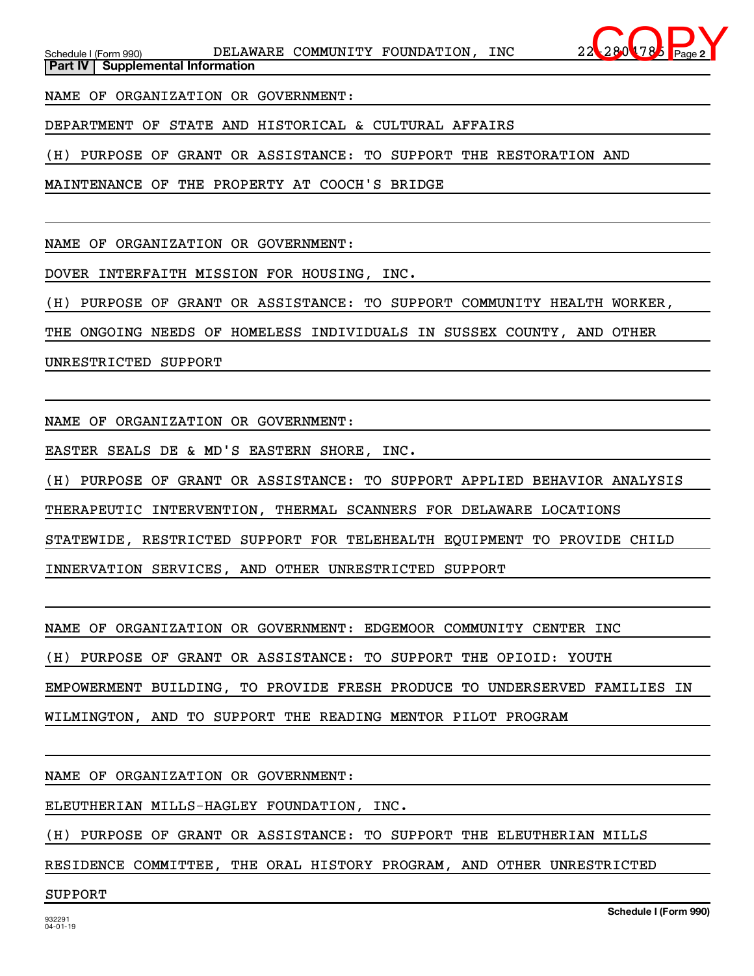NAME OF ORGANIZATION OR GOVERNMENT:

DEPARTMENT OF STATE AND HISTORICAL & CULTURAL AFFAIRS

(H) PURPOSE OF GRANT OR ASSISTANCE: TO SUPPORT THE RESTORATION AND

MAINTENANCE OF THE PROPERTY AT COOCH'S BRIDGE

NAME OF ORGANIZATION OR GOVERNMENT:

DOVER INTERFAITH MISSION FOR HOUSING, INC.

(H) PURPOSE OF GRANT OR ASSISTANCE: TO SUPPORT COMMUNITY HEALTH WORKER,

THE ONGOING NEEDS OF HOMELESS INDIVIDUALS IN SUSSEX COUNTY, AND OTHER

UNRESTRICTED SUPPORT

NAME OF ORGANIZATION OR GOVERNMENT:

EASTER SEALS DE & MD'S EASTERN SHORE, INC.

(H) PURPOSE OF GRANT OR ASSISTANCE: TO SUPPORT APPLIED BEHAVIOR ANALYSIS

THERAPEUTIC INTERVENTION, THERMAL SCANNERS FOR DELAWARE LOCATIONS

STATEWIDE, RESTRICTED SUPPORT FOR TELEHEALTH EQUIPMENT TO PROVIDE CHILD

INNERVATION SERVICES, AND OTHER UNRESTRICTED SUPPORT

NAME OF ORGANIZATION OR GOVERNMENT: EDGEMOOR COMMUNITY CENTER INC

(H) PURPOSE OF GRANT OR ASSISTANCE: TO SUPPORT THE OPIOID: YOUTH

EMPOWERMENT BUILDING, TO PROVIDE FRESH PRODUCE TO UNDERSERVED FAMILIES IN

WILMINGTON, AND TO SUPPORT THE READING MENTOR PILOT PROGRAM

NAME OF ORGANIZATION OR GOVERNMENT:

ELEUTHERIAN MILLS-HAGLEY FOUNDATION, INC.

(H) PURPOSE OF GRANT OR ASSISTANCE: TO SUPPORT THE ELEUTHERIAN MILLS

RESIDENCE COMMITTEE, THE ORAL HISTORY PROGRAM, AND OTHER UNRESTRICTED

## SUPPORT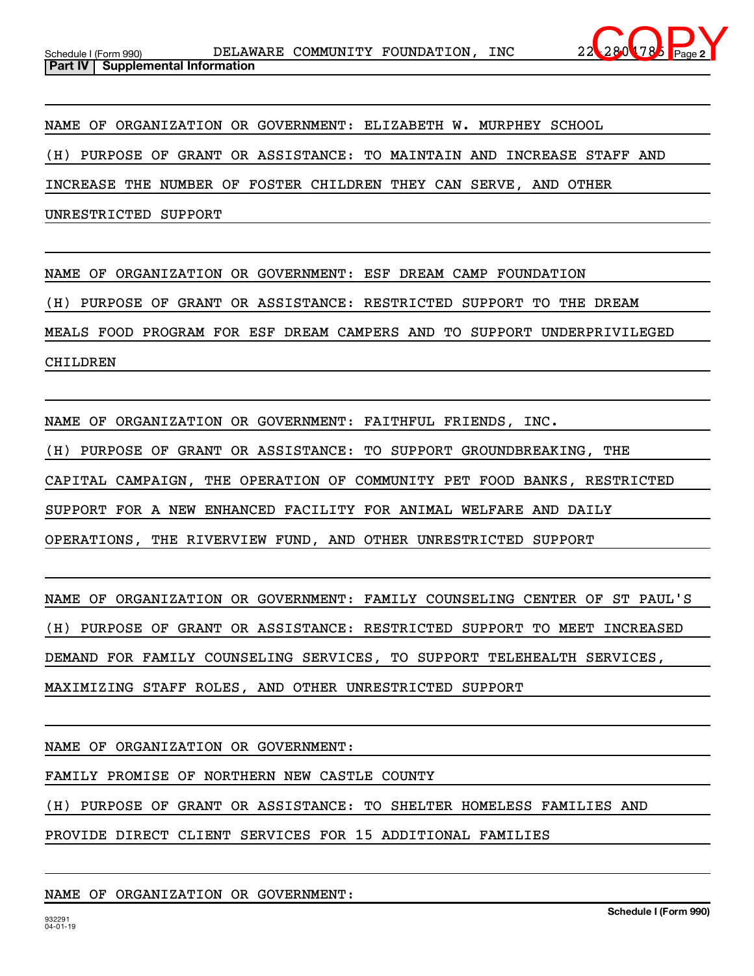

NAME OF ORGANIZATION OR GOVERNMENT: ELIZABETH W. MURPHEY SCHOOL

(H) PURPOSE OF GRANT OR ASSISTANCE: TO MAINTAIN AND INCREASE STAFF AND

INCREASE THE NUMBER OF FOSTER CHILDREN THEY CAN SERVE, AND OTHER

UNRESTRICTED SUPPORT

NAME OF ORGANIZATION OR GOVERNMENT: ESF DREAM CAMP FOUNDATION

(H) PURPOSE OF GRANT OR ASSISTANCE: RESTRICTED SUPPORT TO THE DREAM

MEALS FOOD PROGRAM FOR ESF DREAM CAMPERS AND TO SUPPORT UNDERPRIVILEGED

CHILDREN

NAME OF ORGANIZATION OR GOVERNMENT: FAITHFUL FRIENDS, INC.

(H) PURPOSE OF GRANT OR ASSISTANCE: TO SUPPORT GROUNDBREAKING, THE

CAPITAL CAMPAIGN, THE OPERATION OF COMMUNITY PET FOOD BANKS, RESTRICTED

SUPPORT FOR A NEW ENHANCED FACILITY FOR ANIMAL WELFARE AND DAILY

OPERATIONS, THE RIVERVIEW FUND, AND OTHER UNRESTRICTED SUPPORT

NAME OF ORGANIZATION OR GOVERNMENT: FAMILY COUNSELING CENTER OF ST PAUL'S

(H) PURPOSE OF GRANT OR ASSISTANCE: RESTRICTED SUPPORT TO MEET INCREASED

DEMAND FOR FAMILY COUNSELING SERVICES, TO SUPPORT TELEHEALTH SERVICES,

MAXIMIZING STAFF ROLES, AND OTHER UNRESTRICTED SUPPORT

NAME OF ORGANIZATION OR GOVERNMENT:

FAMILY PROMISE OF NORTHERN NEW CASTLE COUNTY

(H) PURPOSE OF GRANT OR ASSISTANCE: TO SHELTER HOMELESS FAMILIES AND

PROVIDE DIRECT CLIENT SERVICES FOR 15 ADDITIONAL FAMILIES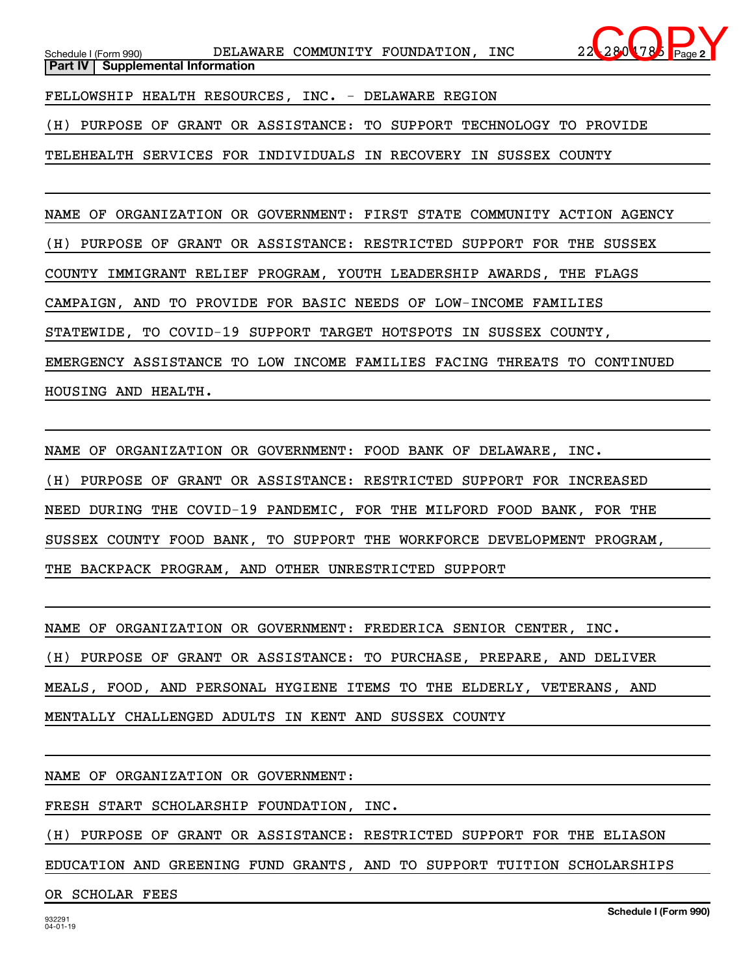

(H) PURPOSE OF GRANT OR ASSISTANCE: TO SUPPORT TECHNOLOGY TO PROVIDE

TELEHEALTH SERVICES FOR INDIVIDUALS IN RECOVERY IN SUSSEX COUNTY

NAME OF ORGANIZATION OR GOVERNMENT: FIRST STATE COMMUNITY ACTION AGENCY (H) PURPOSE OF GRANT OR ASSISTANCE: RESTRICTED SUPPORT FOR THE SUSSEX COUNTY IMMIGRANT RELIEF PROGRAM, YOUTH LEADERSHIP AWARDS, THE FLAGS CAMPAIGN, AND TO PROVIDE FOR BASIC NEEDS OF LOW-INCOME FAMILIES STATEWIDE, TO COVID-19 SUPPORT TARGET HOTSPOTS IN SUSSEX COUNTY, EMERGENCY ASSISTANCE TO LOW INCOME FAMILIES FACING THREATS TO CONTINUED HOUSING AND HEALTH.

NAME OF ORGANIZATION OR GOVERNMENT: FOOD BANK OF DELAWARE, INC. (H) PURPOSE OF GRANT OR ASSISTANCE: RESTRICTED SUPPORT FOR INCREASED NEED DURING THE COVID-19 PANDEMIC, FOR THE MILFORD FOOD BANK, FOR THE SUSSEX COUNTY FOOD BANK, TO SUPPORT THE WORKFORCE DEVELOPMENT PROGRAM, THE BACKPACK PROGRAM, AND OTHER UNRESTRICTED SUPPORT

NAME OF ORGANIZATION OR GOVERNMENT: FREDERICA SENIOR CENTER, INC. (H) PURPOSE OF GRANT OR ASSISTANCE: TO PURCHASE, PREPARE, AND DELIVER MEALS, FOOD, AND PERSONAL HYGIENE ITEMS TO THE ELDERLY, VETERANS, AND MENTALLY CHALLENGED ADULTS IN KENT AND SUSSEX COUNTY

NAME OF ORGANIZATION OR GOVERNMENT:

FRESH START SCHOLARSHIP FOUNDATION, INC.

(H) PURPOSE OF GRANT OR ASSISTANCE: RESTRICTED SUPPORT FOR THE ELIASON

EDUCATION AND GREENING FUND GRANTS, AND TO SUPPORT TUITION SCHOLARSHIPS

OR SCHOLAR FEES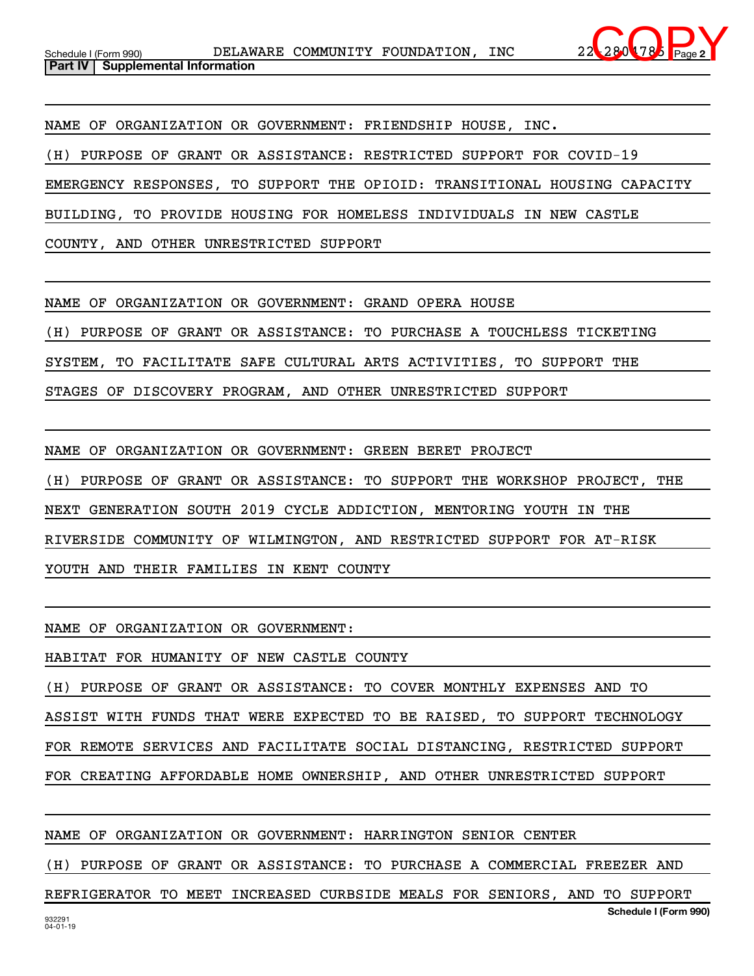

NAME OF ORGANIZATION OR GOVERNMENT: FRIENDSHIP HOUSE, INC.

(H) PURPOSE OF GRANT OR ASSISTANCE: RESTRICTED SUPPORT FOR COVID-19

EMERGENCY RESPONSES, TO SUPPORT THE OPIOID: TRANSITIONAL HOUSING CAPACITY

BUILDING, TO PROVIDE HOUSING FOR HOMELESS INDIVIDUALS IN NEW CASTLE

COUNTY, AND OTHER UNRESTRICTED SUPPORT

NAME OF ORGANIZATION OR GOVERNMENT: GRAND OPERA HOUSE

(H) PURPOSE OF GRANT OR ASSISTANCE: TO PURCHASE A TOUCHLESS TICKETING

SYSTEM, TO FACILITATE SAFE CULTURAL ARTS ACTIVITIES, TO SUPPORT THE

STAGES OF DISCOVERY PROGRAM, AND OTHER UNRESTRICTED SUPPORT

NAME OF ORGANIZATION OR GOVERNMENT: GREEN BERET PROJECT (H) PURPOSE OF GRANT OR ASSISTANCE: TO SUPPORT THE WORKSHOP PROJECT, THE NEXT GENERATION SOUTH 2019 CYCLE ADDICTION, MENTORING YOUTH IN THE RIVERSIDE COMMUNITY OF WILMINGTON, AND RESTRICTED SUPPORT FOR AT-RISK YOUTH AND THEIR FAMILIES IN KENT COUNTY

NAME OF ORGANIZATION OR GOVERNMENT:

HABITAT FOR HUMANITY OF NEW CASTLE COUNTY

(H) PURPOSE OF GRANT OR ASSISTANCE: TO COVER MONTHLY EXPENSES AND TO

ASSIST WITH FUNDS THAT WERE EXPECTED TO BE RAISED, TO SUPPORT TECHNOLOGY

FOR REMOTE SERVICES AND FACILITATE SOCIAL DISTANCING, RESTRICTED SUPPORT

FOR CREATING AFFORDABLE HOME OWNERSHIP, AND OTHER UNRESTRICTED SUPPORT

NAME OF ORGANIZATION OR GOVERNMENT: HARRINGTON SENIOR CENTER

(H) PURPOSE OF GRANT OR ASSISTANCE: TO PURCHASE A COMMERCIAL FREEZER AND

**Schedule I (Form 990)** REFRIGERATOR TO MEET INCREASED CURBSIDE MEALS FOR SENIORS, AND TO SUPPORT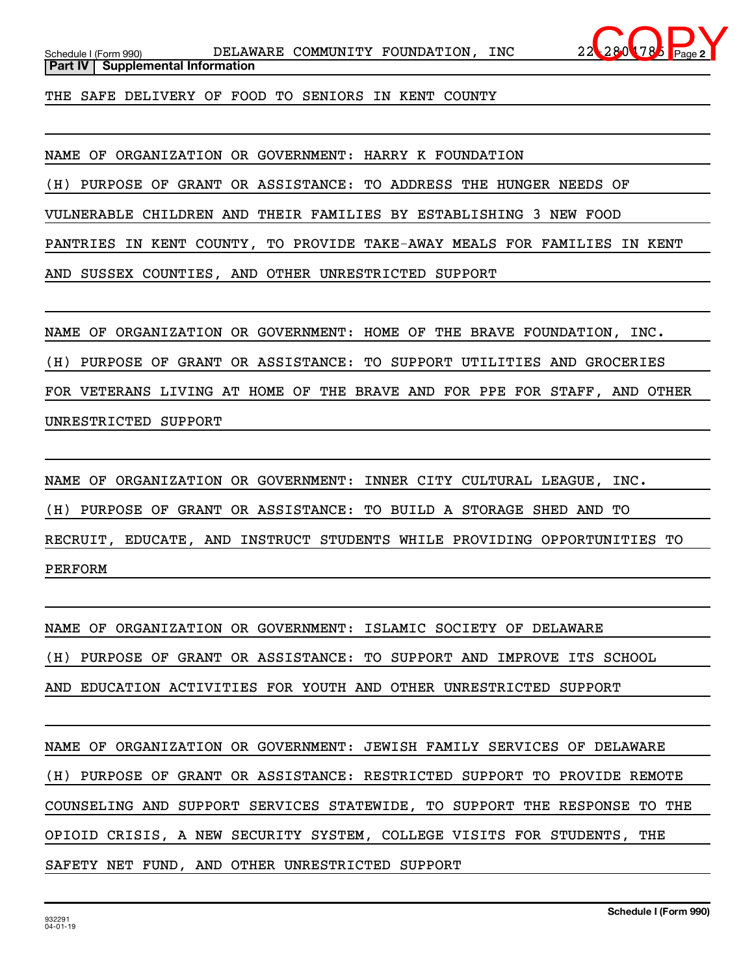

**Part IV** | Supplemental Information

THE SAFE DELIVERY OF FOOD TO SENIORS IN KENT COUNTY

NAME OF ORGANIZATION OR GOVERNMENT: HARRY K FOUNDATION

(H) PURPOSE OF GRANT OR ASSISTANCE: TO ADDRESS THE HUNGER NEEDS OF

VULNERABLE CHILDREN AND THEIR FAMILIES BY ESTABLISHING 3 NEW FOOD

PANTRIES IN KENT COUNTY, TO PROVIDE TAKE-AWAY MEALS FOR FAMILIES IN KENT

AND SUSSEX COUNTIES, AND OTHER UNRESTRICTED SUPPORT

NAME OF ORGANIZATION OR GOVERNMENT: HOME OF THE BRAVE FOUNDATION, INC.

(H) PURPOSE OF GRANT OR ASSISTANCE: TO SUPPORT UTILITIES AND GROCERIES

FOR VETERANS LIVING AT HOME OF THE BRAVE AND FOR PPE FOR STAFF, AND OTHER UNRESTRICTED SUPPORT

NAME OF ORGANIZATION OR GOVERNMENT: INNER CITY CULTURAL LEAGUE, INC. (H) PURPOSE OF GRANT OR ASSISTANCE: TO BUILD A STORAGE SHED AND TO RECRUIT, EDUCATE, AND INSTRUCT STUDENTS WHILE PROVIDING OPPORTUNITIES TO PERFORM

NAME OF ORGANIZATION OR GOVERNMENT: ISLAMIC SOCIETY OF DELAWARE

(H) PURPOSE OF GRANT OR ASSISTANCE: TO SUPPORT AND IMPROVE ITS SCHOOL

AND EDUCATION ACTIVITIES FOR YOUTH AND OTHER UNRESTRICTED SUPPORT

NAME OF ORGANIZATION OR GOVERNMENT: JEWISH FAMILY SERVICES OF DELAWARE (H) PURPOSE OF GRANT OR ASSISTANCE: RESTRICTED SUPPORT TO PROVIDE REMOTE COUNSELING AND SUPPORT SERVICES STATEWIDE, TO SUPPORT THE RESPONSE TO THE OPIOID CRISIS, A NEW SECURITY SYSTEM, COLLEGE VISITS FOR STUDENTS, THE SAFETY NET FUND, AND OTHER UNRESTRICTED SUPPORT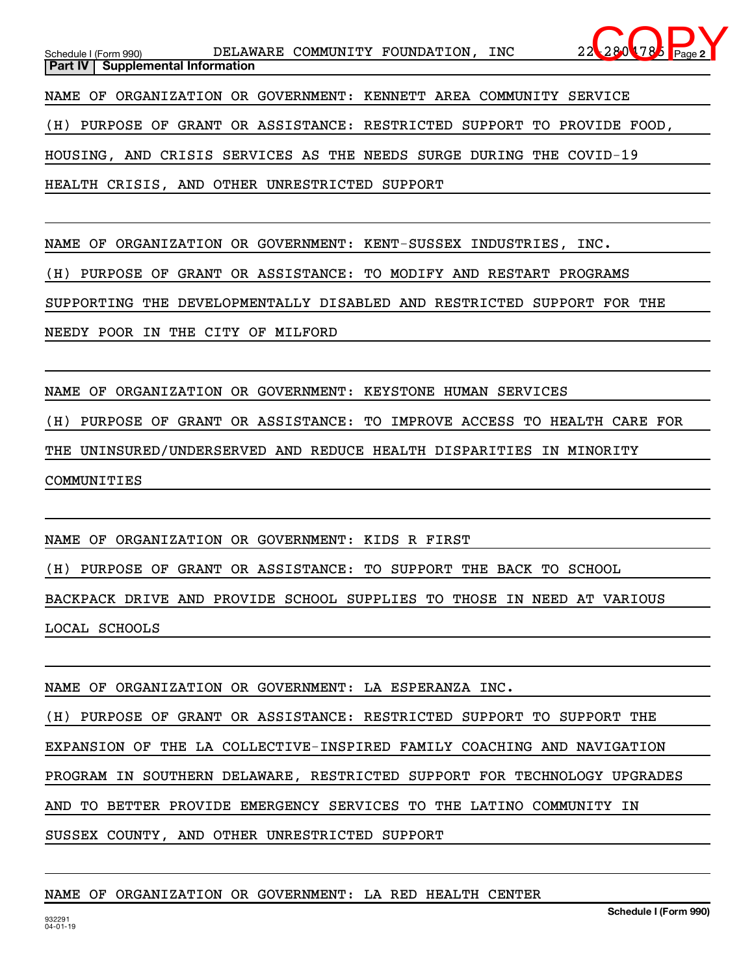**2** Schedule I (Form 990) **DELAWARE COMMUNITY FOUNDATION, INC** 22-2804785 Page **Part IV** | Supplemental Information NAME OF ORGANIZATION OR GOVERNMENT: KENNETT AREA COMMUNITY SERVICE (H) PURPOSE OF GRANT OR ASSISTANCE: RESTRICTED SUPPORT TO PROVIDE FOOD, HOUSING, AND CRISIS SERVICES AS THE NEEDS SURGE DURING THE COVID-19 HEALTH CRISIS, AND OTHER UNRESTRICTED SUPPORT  $280$  78

NAME OF ORGANIZATION OR GOVERNMENT: KENT-SUSSEX INDUSTRIES, INC.

(H) PURPOSE OF GRANT OR ASSISTANCE: TO MODIFY AND RESTART PROGRAMS

SUPPORTING THE DEVELOPMENTALLY DISABLED AND RESTRICTED SUPPORT FOR THE

NEEDY POOR IN THE CITY OF MILFORD

NAME OF ORGANIZATION OR GOVERNMENT: KEYSTONE HUMAN SERVICES

(H) PURPOSE OF GRANT OR ASSISTANCE: TO IMPROVE ACCESS TO HEALTH CARE FOR

THE UNINSURED/UNDERSERVED AND REDUCE HEALTH DISPARITIES IN MINORITY

COMMUNITIES

NAME OF ORGANIZATION OR GOVERNMENT: KIDS R FIRST

(H) PURPOSE OF GRANT OR ASSISTANCE: TO SUPPORT THE BACK TO SCHOOL

BACKPACK DRIVE AND PROVIDE SCHOOL SUPPLIES TO THOSE IN NEED AT VARIOUS

LOCAL SCHOOLS

NAME OF ORGANIZATION OR GOVERNMENT: LA ESPERANZA INC.

(H) PURPOSE OF GRANT OR ASSISTANCE: RESTRICTED SUPPORT TO SUPPORT THE EXPANSION OF THE LA COLLECTIVE-INSPIRED FAMILY COACHING AND NAVIGATION PROGRAM IN SOUTHERN DELAWARE, RESTRICTED SUPPORT FOR TECHNOLOGY UPGRADES AND TO BETTER PROVIDE EMERGENCY SERVICES TO THE LATINO COMMUNITY IN

SUSSEX COUNTY, AND OTHER UNRESTRICTED SUPPORT

## NAME OF ORGANIZATION OR GOVERNMENT: LA RED HEALTH CENTER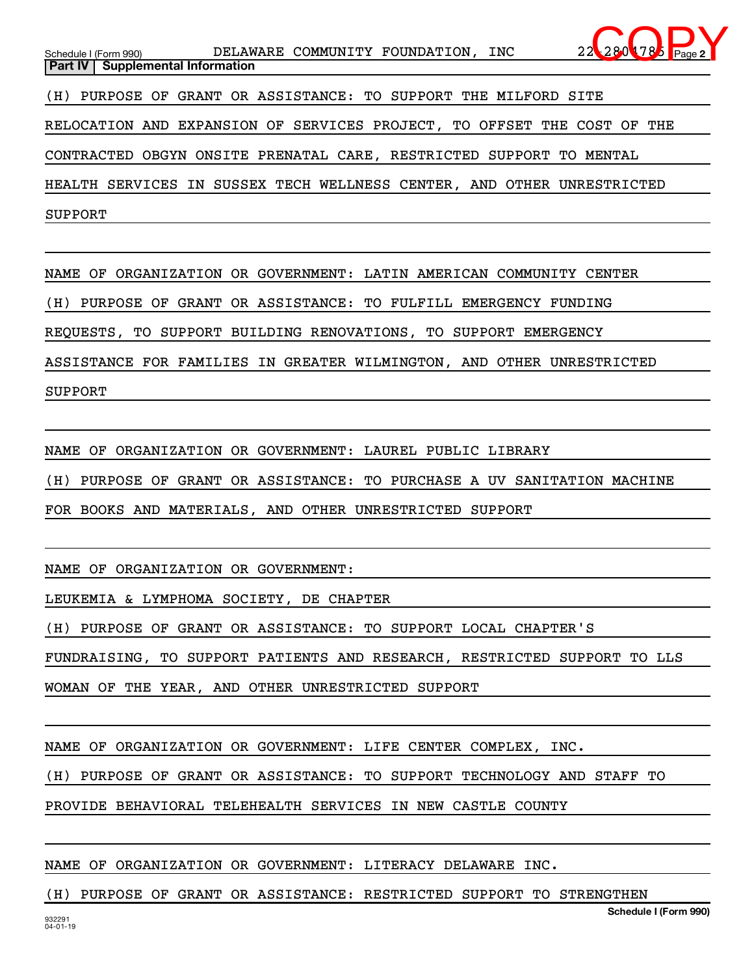**2** Schedule I (Form 990) **DELAWARE COMMUNITY FOUNDATION, INC** 22-2804785 Page **Part IV** | Supplemental Information (H) PURPOSE OF GRANT OR ASSISTANCE: TO SUPPORT THE MILFORD SITE RELOCATION AND EXPANSION OF SERVICES PROJECT, TO OFFSET THE COST OF THE CONTRACTED OBGYN ONSITE PRENATAL CARE, RESTRICTED SUPPORT TO MENTAL HEALTH SERVICES IN SUSSEX TECH WELLNESS CENTER, AND OTHER UNRESTRICTED SUPPORT  $280$  78

NAME OF ORGANIZATION OR GOVERNMENT: LATIN AMERICAN COMMUNITY CENTER

(H) PURPOSE OF GRANT OR ASSISTANCE: TO FULFILL EMERGENCY FUNDING

REQUESTS, TO SUPPORT BUILDING RENOVATIONS, TO SUPPORT EMERGENCY

ASSISTANCE FOR FAMILIES IN GREATER WILMINGTON, AND OTHER UNRESTRICTED

SUPPORT

NAME OF ORGANIZATION OR GOVERNMENT: LAUREL PUBLIC LIBRARY

(H) PURPOSE OF GRANT OR ASSISTANCE: TO PURCHASE A UV SANITATION MACHINE

FOR BOOKS AND MATERIALS, AND OTHER UNRESTRICTED SUPPORT

NAME OF ORGANIZATION OR GOVERNMENT:

LEUKEMIA & LYMPHOMA SOCIETY, DE CHAPTER

(H) PURPOSE OF GRANT OR ASSISTANCE: TO SUPPORT LOCAL CHAPTER'S

FUNDRAISING, TO SUPPORT PATIENTS AND RESEARCH, RESTRICTED SUPPORT TO LLS

WOMAN OF THE YEAR, AND OTHER UNRESTRICTED SUPPORT

NAME OF ORGANIZATION OR GOVERNMENT: LIFE CENTER COMPLEX, INC.

(H) PURPOSE OF GRANT OR ASSISTANCE: TO SUPPORT TECHNOLOGY AND STAFF TO

PROVIDE BEHAVIORAL TELEHEALTH SERVICES IN NEW CASTLE COUNTY

NAME OF ORGANIZATION OR GOVERNMENT: LITERACY DELAWARE INC.

(H) PURPOSE OF GRANT OR ASSISTANCE: RESTRICTED SUPPORT TO STRENGTHEN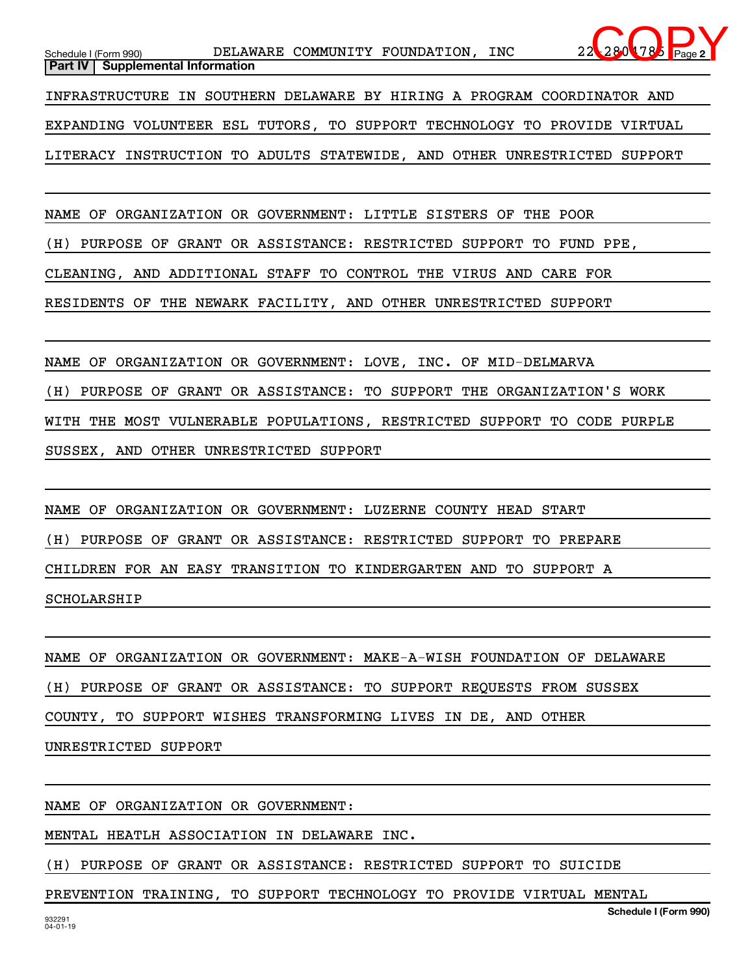NAME OF ORGANIZATION OR GOVERNMENT: LITTLE SISTERS OF THE POOR

(H) PURPOSE OF GRANT OR ASSISTANCE: RESTRICTED SUPPORT TO FUND PPE,

CLEANING, AND ADDITIONAL STAFF TO CONTROL THE VIRUS AND CARE FOR

RESIDENTS OF THE NEWARK FACILITY, AND OTHER UNRESTRICTED SUPPORT

NAME OF ORGANIZATION OR GOVERNMENT: LOVE, INC. OF MID-DELMARVA (H) PURPOSE OF GRANT OR ASSISTANCE: TO SUPPORT THE ORGANIZATION'S WORK WITH THE MOST VULNERABLE POPULATIONS, RESTRICTED SUPPORT TO CODE PURPLE SUSSEX, AND OTHER UNRESTRICTED SUPPORT

NAME OF ORGANIZATION OR GOVERNMENT: LUZERNE COUNTY HEAD START (H) PURPOSE OF GRANT OR ASSISTANCE: RESTRICTED SUPPORT TO PREPARE CHILDREN FOR AN EASY TRANSITION TO KINDERGARTEN AND TO SUPPORT A SCHOLARSHIP

|                      |  |  |  |  | NAME OF ORGANIZATION OR GOVERNMENT: MAKE-A-WISH FOUNDATION OF DELAWARE |  |  |  |  |  |  |  |
|----------------------|--|--|--|--|------------------------------------------------------------------------|--|--|--|--|--|--|--|
|                      |  |  |  |  | (H) PURPOSE OF GRANT OR ASSISTANCE: TO SUPPORT REQUESTS FROM SUSSEX    |  |  |  |  |  |  |  |
|                      |  |  |  |  | COUNTY, TO SUPPORT WISHES TRANSFORMING LIVES IN DE, AND OTHER          |  |  |  |  |  |  |  |
| UNRESTRICTED SUPPORT |  |  |  |  |                                                                        |  |  |  |  |  |  |  |

NAME OF ORGANIZATION OR GOVERNMENT:

MENTAL HEATLH ASSOCIATION IN DELAWARE INC.

(H) PURPOSE OF GRANT OR ASSISTANCE: RESTRICTED SUPPORT TO SUICIDE

PREVENTION TRAINING, TO SUPPORT TECHNOLOGY TO PROVIDE VIRTUAL MENTAL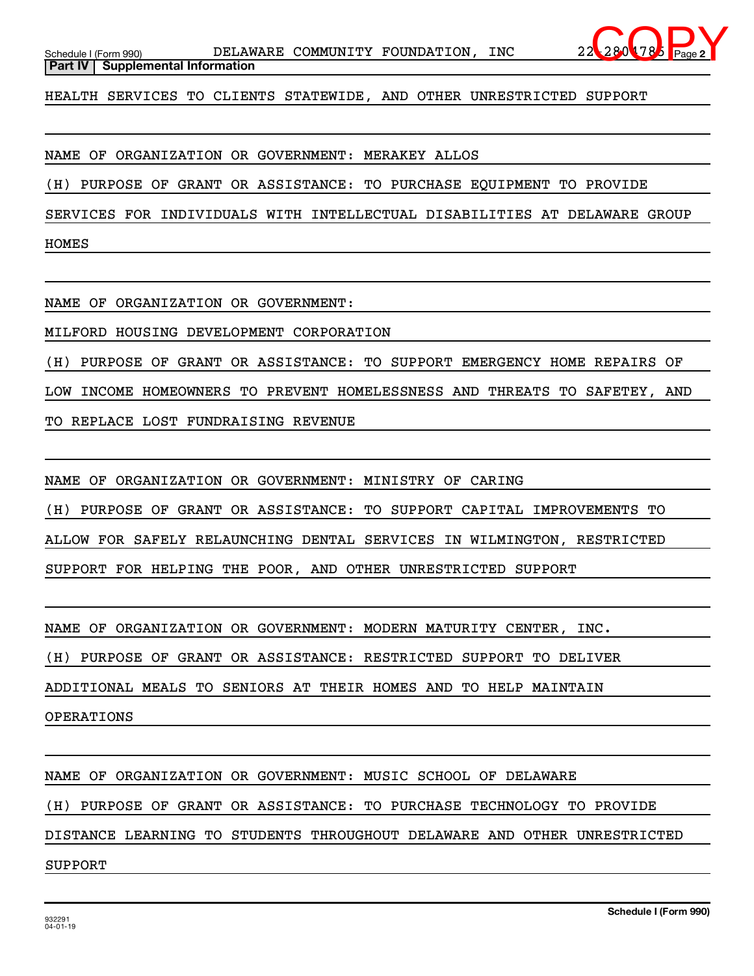

**Part IV** | Supplemental Information

HEALTH SERVICES TO CLIENTS STATEWIDE, AND OTHER UNRESTRICTED SUPPORT

NAME OF ORGANIZATION OR GOVERNMENT: MERAKEY ALLOS

(H) PURPOSE OF GRANT OR ASSISTANCE: TO PURCHASE EQUIPMENT TO PROVIDE

SERVICES FOR INDIVIDUALS WITH INTELLECTUAL DISABILITIES AT DELAWARE GROUP

HOMES

NAME OF ORGANIZATION OR GOVERNMENT:

MILFORD HOUSING DEVELOPMENT CORPORATION

(H) PURPOSE OF GRANT OR ASSISTANCE: TO SUPPORT EMERGENCY HOME REPAIRS OF

LOW INCOME HOMEOWNERS TO PREVENT HOMELESSNESS AND THREATS TO SAFETEY, AND

TO REPLACE LOST FUNDRAISING REVENUE

NAME OF ORGANIZATION OR GOVERNMENT: MINISTRY OF CARING

(H) PURPOSE OF GRANT OR ASSISTANCE: TO SUPPORT CAPITAL IMPROVEMENTS TO

ALLOW FOR SAFELY RELAUNCHING DENTAL SERVICES IN WILMINGTON, RESTRICTED

SUPPORT FOR HELPING THE POOR, AND OTHER UNRESTRICTED SUPPORT

NAME OF ORGANIZATION OR GOVERNMENT: MODERN MATURITY CENTER, INC.

(H) PURPOSE OF GRANT OR ASSISTANCE: RESTRICTED SUPPORT TO DELIVER

ADDITIONAL MEALS TO SENIORS AT THEIR HOMES AND TO HELP MAINTAIN

OPERATIONS

NAME OF ORGANIZATION OR GOVERNMENT: MUSIC SCHOOL OF DELAWARE

(H) PURPOSE OF GRANT OR ASSISTANCE: TO PURCHASE TECHNOLOGY TO PROVIDE

DISTANCE LEARNING TO STUDENTS THROUGHOUT DELAWARE AND OTHER UNRESTRICTED

SUPPORT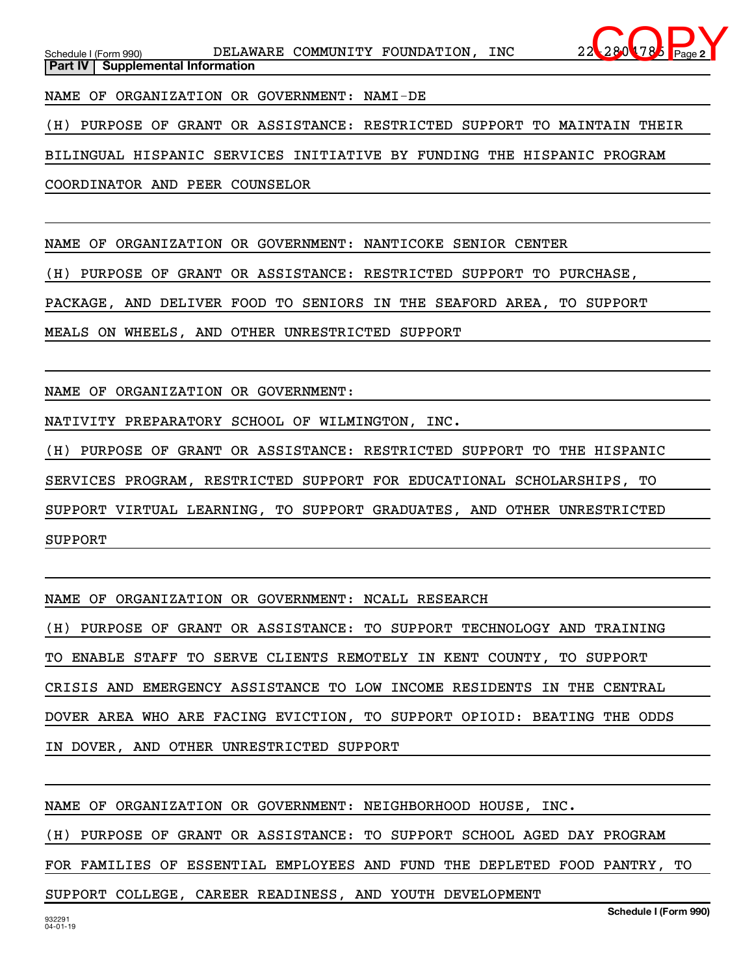NAME OF ORGANIZATION OR GOVERNMENT: NAMI-DE

(H) PURPOSE OF GRANT OR ASSISTANCE: RESTRICTED SUPPORT TO MAINTAIN THEIR

BILINGUAL HISPANIC SERVICES INITIATIVE BY FUNDING THE HISPANIC PROGRAM

COORDINATOR AND PEER COUNSELOR

NAME OF ORGANIZATION OR GOVERNMENT: NANTICOKE SENIOR CENTER

(H) PURPOSE OF GRANT OR ASSISTANCE: RESTRICTED SUPPORT TO PURCHASE,

PACKAGE, AND DELIVER FOOD TO SENIORS IN THE SEAFORD AREA, TO SUPPORT

MEALS ON WHEELS, AND OTHER UNRESTRICTED SUPPORT

NAME OF ORGANIZATION OR GOVERNMENT:

NATIVITY PREPARATORY SCHOOL OF WILMINGTON, INC.

(H) PURPOSE OF GRANT OR ASSISTANCE: RESTRICTED SUPPORT TO THE HISPANIC SERVICES PROGRAM, RESTRICTED SUPPORT FOR EDUCATIONAL SCHOLARSHIPS, TO SUPPORT VIRTUAL LEARNING, TO SUPPORT GRADUATES, AND OTHER UNRESTRICTED SUPPORT

NAME OF ORGANIZATION OR GOVERNMENT: NCALL RESEARCH

(H) PURPOSE OF GRANT OR ASSISTANCE: TO SUPPORT TECHNOLOGY AND TRAINING

TO ENABLE STAFF TO SERVE CLIENTS REMOTELY IN KENT COUNTY, TO SUPPORT

CRISIS AND EMERGENCY ASSISTANCE TO LOW INCOME RESIDENTS IN THE CENTRAL

DOVER AREA WHO ARE FACING EVICTION, TO SUPPORT OPIOID: BEATING THE ODDS

IN DOVER, AND OTHER UNRESTRICTED SUPPORT

NAME OF ORGANIZATION OR GOVERNMENT: NEIGHBORHOOD HOUSE, INC.

(H) PURPOSE OF GRANT OR ASSISTANCE: TO SUPPORT SCHOOL AGED DAY PROGRAM

FOR FAMILIES OF ESSENTIAL EMPLOYEES AND FUND THE DEPLETED FOOD PANTRY, TO

SUPPORT COLLEGE, CAREER READINESS, AND YOUTH DEVELOPMENT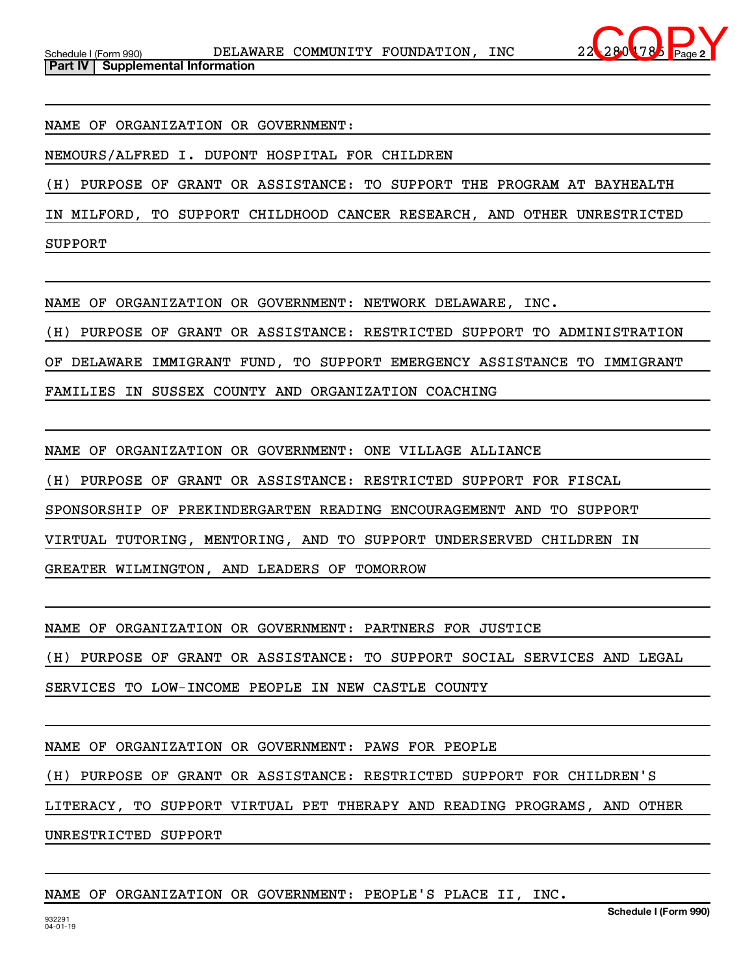

NAME OF ORGANIZATION OR GOVERNMENT:

NEMOURS/ALFRED I. DUPONT HOSPITAL FOR CHILDREN

(H) PURPOSE OF GRANT OR ASSISTANCE: TO SUPPORT THE PROGRAM AT BAYHEALTH

IN MILFORD, TO SUPPORT CHILDHOOD CANCER RESEARCH, AND OTHER UNRESTRICTED

SUPPORT

NAME OF ORGANIZATION OR GOVERNMENT: NETWORK DELAWARE, INC.

(H) PURPOSE OF GRANT OR ASSISTANCE: RESTRICTED SUPPORT TO ADMINISTRATION

OF DELAWARE IMMIGRANT FUND, TO SUPPORT EMERGENCY ASSISTANCE TO IMMIGRANT

FAMILIES IN SUSSEX COUNTY AND ORGANIZATION COACHING

NAME OF ORGANIZATION OR GOVERNMENT: ONE VILLAGE ALLIANCE

(H) PURPOSE OF GRANT OR ASSISTANCE: RESTRICTED SUPPORT FOR FISCAL

SPONSORSHIP OF PREKINDERGARTEN READING ENCOURAGEMENT AND TO SUPPORT

VIRTUAL TUTORING, MENTORING, AND TO SUPPORT UNDERSERVED CHILDREN IN

GREATER WILMINGTON, AND LEADERS OF TOMORROW

NAME OF ORGANIZATION OR GOVERNMENT: PARTNERS FOR JUSTICE

(H) PURPOSE OF GRANT OR ASSISTANCE: TO SUPPORT SOCIAL SERVICES AND LEGAL

SERVICES TO LOW-INCOME PEOPLE IN NEW CASTLE COUNTY

NAME OF ORGANIZATION OR GOVERNMENT: PAWS FOR PEOPLE

(H) PURPOSE OF GRANT OR ASSISTANCE: RESTRICTED SUPPORT FOR CHILDREN'S

LITERACY, TO SUPPORT VIRTUAL PET THERAPY AND READING PROGRAMS, AND OTHER

UNRESTRICTED SUPPORT

## NAME OF ORGANIZATION OR GOVERNMENT: PEOPLE'S PLACE II, INC.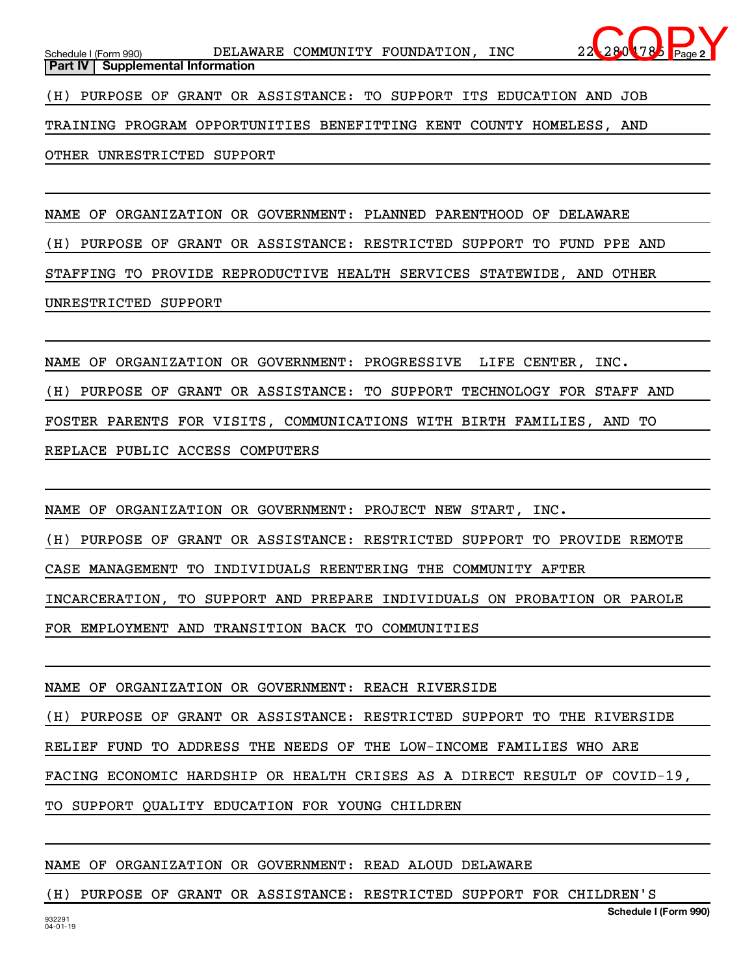Schedule I (Form 990) **DELAWARE COMMUNITY FOUNDATION, INC** 22-2804785 Page **Part IV** | Supplemental Information (H) PURPOSE OF GRANT OR ASSISTANCE: TO SUPPORT ITS EDUCATION AND JOB TRAINING PROGRAM OPPORTUNITIES BENEFITTING KENT COUNTY HOMELESS, AND  $280$  78

OTHER UNRESTRICTED SUPPORT

NAME OF ORGANIZATION OR GOVERNMENT: PLANNED PARENTHOOD OF DELAWARE (H) PURPOSE OF GRANT OR ASSISTANCE: RESTRICTED SUPPORT TO FUND PPE AND STAFFING TO PROVIDE REPRODUCTIVE HEALTH SERVICES STATEWIDE, AND OTHER UNRESTRICTED SUPPORT

NAME OF ORGANIZATION OR GOVERNMENT: PROGRESSIVE LIFE CENTER, INC. (H) PURPOSE OF GRANT OR ASSISTANCE: TO SUPPORT TECHNOLOGY FOR STAFF AND FOSTER PARENTS FOR VISITS, COMMUNICATIONS WITH BIRTH FAMILIES, AND TO REPLACE PUBLIC ACCESS COMPUTERS

NAME OF ORGANIZATION OR GOVERNMENT: PROJECT NEW START, INC. (H) PURPOSE OF GRANT OR ASSISTANCE: RESTRICTED SUPPORT TO PROVIDE REMOTE CASE MANAGEMENT TO INDIVIDUALS REENTERING THE COMMUNITY AFTER INCARCERATION, TO SUPPORT AND PREPARE INDIVIDUALS ON PROBATION OR PAROLE FOR EMPLOYMENT AND TRANSITION BACK TO COMMUNITIES

NAME OF ORGANIZATION OR GOVERNMENT: REACH RIVERSIDE

(H) PURPOSE OF GRANT OR ASSISTANCE: RESTRICTED SUPPORT TO THE RIVERSIDE RELIEF FUND TO ADDRESS THE NEEDS OF THE LOW-INCOME FAMILIES WHO ARE

FACING ECONOMIC HARDSHIP OR HEALTH CRISES AS A DIRECT RESULT OF COVID-19,

TO SUPPORT QUALITY EDUCATION FOR YOUNG CHILDREN

NAME OF ORGANIZATION OR GOVERNMENT: READ ALOUD DELAWARE

(H) PURPOSE OF GRANT OR ASSISTANCE: RESTRICTED SUPPORT FOR CHILDREN'S

**2**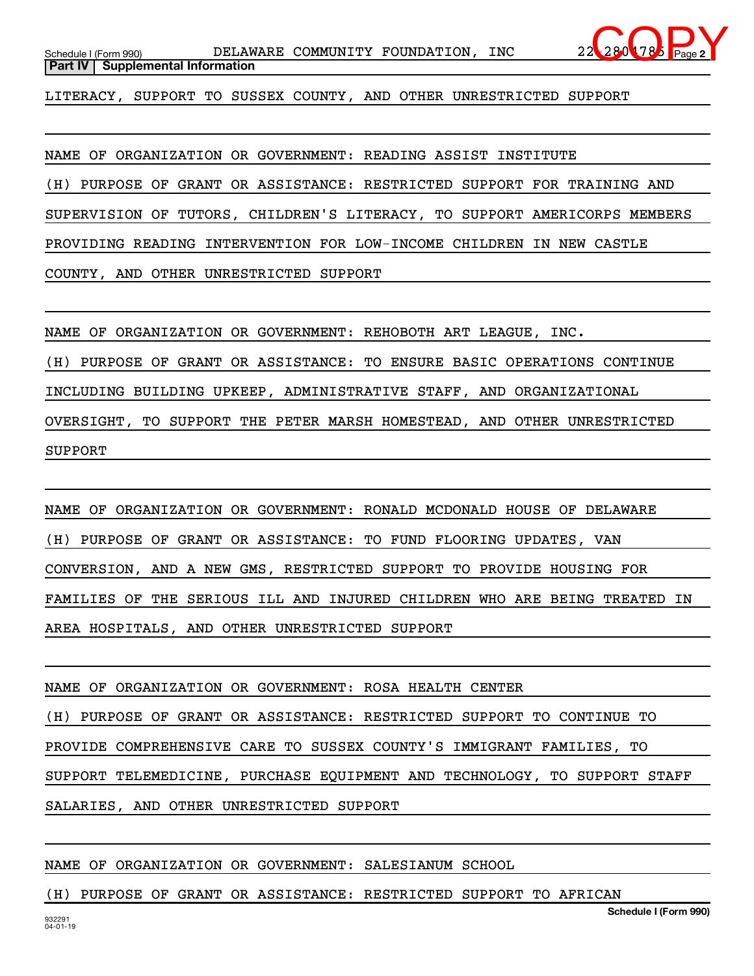LITERACY, SUPPORT TO SUSSEX COUNTY, AND OTHER UNRESTRICTED SUPPORT

NAME OF ORGANIZATION OR GOVERNMENT: READING ASSIST INSTITUTE (H) PURPOSE OF GRANT OR ASSISTANCE: RESTRICTED SUPPORT FOR TRAINING AND SUPERVISION OF TUTORS, CHILDREN'S LITERACY, TO SUPPORT AMERICORPS MEMBERS PROVIDING READING INTERVENTION FOR LOW-INCOME CHILDREN IN NEW CASTLE COUNTY, AND OTHER UNRESTRICTED SUPPORT

NAME OF ORGANIZATION OR GOVERNMENT: REHOBOTH ART LEAGUE, INC.

(H) PURPOSE OF GRANT OR ASSISTANCE: TO ENSURE BASIC OPERATIONS CONTINUE

INCLUDING BUILDING UPKEEP, ADMINISTRATIVE STAFF, AND ORGANIZATIONAL

OVERSIGHT, TO SUPPORT THE PETER MARSH HOMESTEAD, AND OTHER UNRESTRICTED SUPPORT

NAME OF ORGANIZATION OR GOVERNMENT: RONALD MCDONALD HOUSE OF DELAWARE (H) PURPOSE OF GRANT OR ASSISTANCE: TO FUND FLOORING UPDATES, VAN CONVERSION, AND A NEW GMS, RESTRICTED SUPPORT TO PROVIDE HOUSING FOR FAMILIES OF THE SERIOUS ILL AND INJURED CHILDREN WHO ARE BEING TREATED IN AREA HOSPITALS, AND OTHER UNRESTRICTED SUPPORT

NAME OF ORGANIZATION OR GOVERNMENT: ROSA HEALTH CENTER (H) PURPOSE OF GRANT OR ASSISTANCE: RESTRICTED SUPPORT TO CONTINUE TO PROVIDE COMPREHENSIVE CARE TO SUSSEX COUNTY'S IMMIGRANT FAMILIES, TO SUPPORT TELEMEDICINE, PURCHASE EQUIPMENT AND TECHNOLOGY, TO SUPPORT STAFF SALARIES, AND OTHER UNRESTRICTED SUPPORT

NAME OF ORGANIZATION OR GOVERNMENT: SALESIANUM SCHOOL

(H) PURPOSE OF GRANT OR ASSISTANCE: RESTRICTED SUPPORT TO AFRICAN

**2**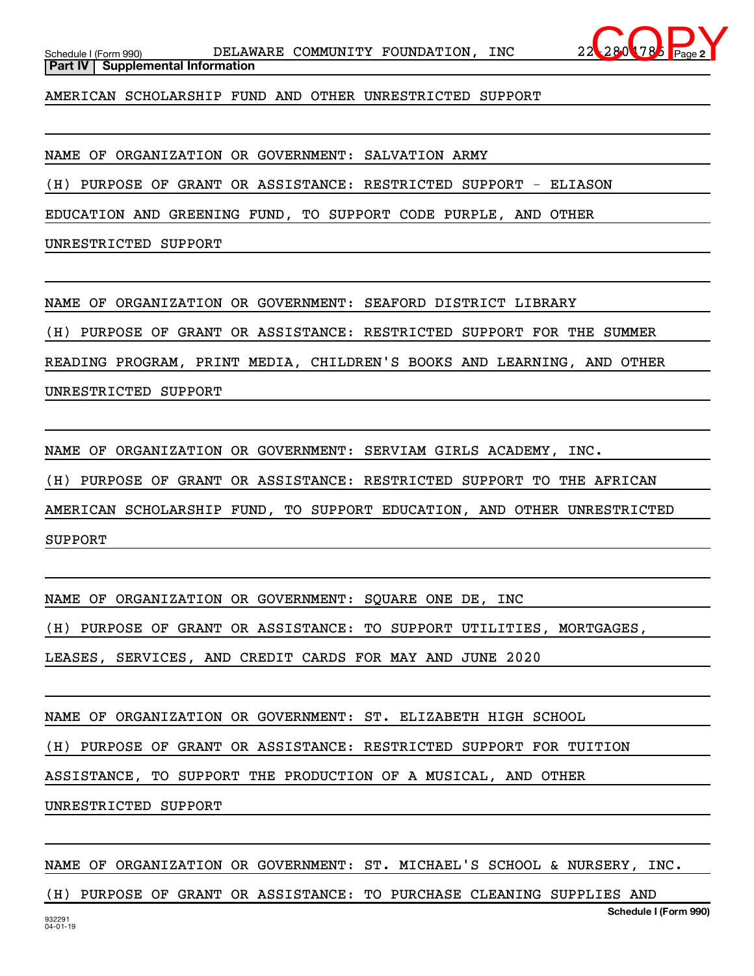

**Part IV** | Supplemental Information

AMERICAN SCHOLARSHIP FUND AND OTHER UNRESTRICTED SUPPORT

NAME OF ORGANIZATION OR GOVERNMENT: SALVATION ARMY

(H) PURPOSE OF GRANT OR ASSISTANCE: RESTRICTED SUPPORT - ELIASON

EDUCATION AND GREENING FUND, TO SUPPORT CODE PURPLE, AND OTHER

UNRESTRICTED SUPPORT

NAME OF ORGANIZATION OR GOVERNMENT: SEAFORD DISTRICT LIBRARY

(H) PURPOSE OF GRANT OR ASSISTANCE: RESTRICTED SUPPORT FOR THE SUMMER

READING PROGRAM, PRINT MEDIA, CHILDREN'S BOOKS AND LEARNING, AND OTHER

UNRESTRICTED SUPPORT

NAME OF ORGANIZATION OR GOVERNMENT: SERVIAM GIRLS ACADEMY, INC.

(H) PURPOSE OF GRANT OR ASSISTANCE: RESTRICTED SUPPORT TO THE AFRICAN

AMERICAN SCHOLARSHIP FUND, TO SUPPORT EDUCATION, AND OTHER UNRESTRICTED

SUPPORT

NAME OF ORGANIZATION OR GOVERNMENT: SQUARE ONE DE, INC

(H) PURPOSE OF GRANT OR ASSISTANCE: TO SUPPORT UTILITIES, MORTGAGES,

LEASES, SERVICES, AND CREDIT CARDS FOR MAY AND JUNE 2020

NAME OF ORGANIZATION OR GOVERNMENT: ST. ELIZABETH HIGH SCHOOL

(H) PURPOSE OF GRANT OR ASSISTANCE: RESTRICTED SUPPORT FOR TUITION

ASSISTANCE, TO SUPPORT THE PRODUCTION OF A MUSICAL, AND OTHER

UNRESTRICTED SUPPORT

NAME OF ORGANIZATION OR GOVERNMENT: ST. MICHAEL'S SCHOOL & NURSERY, INC.

(H) PURPOSE OF GRANT OR ASSISTANCE: TO PURCHASE CLEANING SUPPLIES AND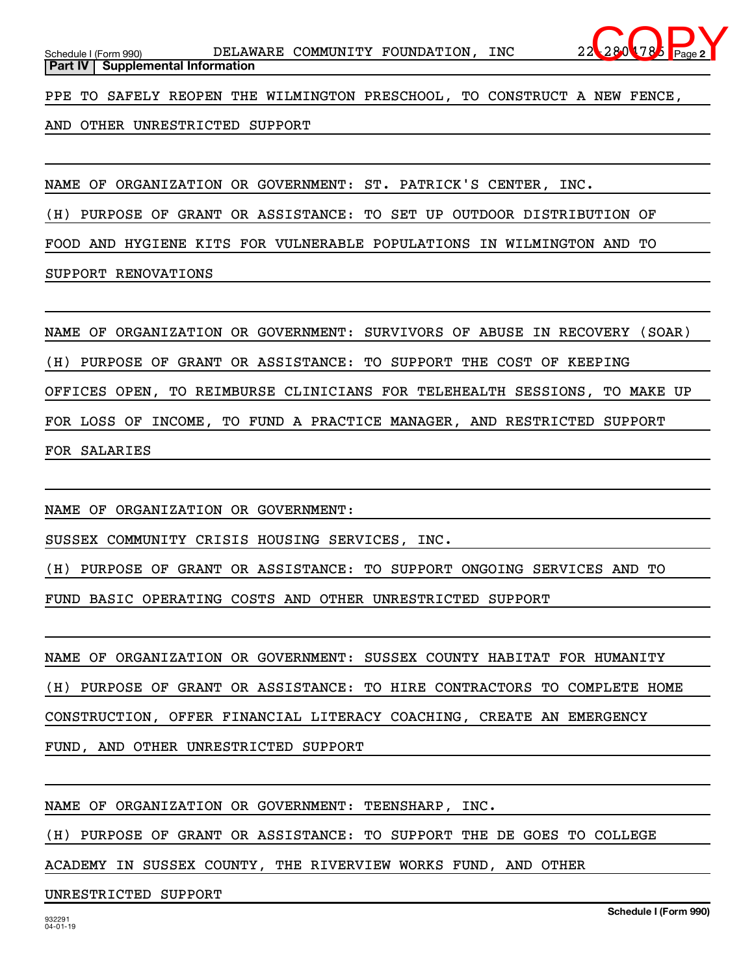PPE TO SAFELY REOPEN THE WILMINGTON PRESCHOOL, TO CONSTRUCT A NEW FENCE,

AND OTHER UNRESTRICTED SUPPORT

NAME OF ORGANIZATION OR GOVERNMENT: ST. PATRICK'S CENTER, INC.

(H) PURPOSE OF GRANT OR ASSISTANCE: TO SET UP OUTDOOR DISTRIBUTION OF

FOOD AND HYGIENE KITS FOR VULNERABLE POPULATIONS IN WILMINGTON AND TO

SUPPORT RENOVATIONS

NAME OF ORGANIZATION OR GOVERNMENT: SURVIVORS OF ABUSE IN RECOVERY (SOAR) (H) PURPOSE OF GRANT OR ASSISTANCE: TO SUPPORT THE COST OF KEEPING OFFICES OPEN, TO REIMBURSE CLINICIANS FOR TELEHEALTH SESSIONS, TO MAKE UP FOR LOSS OF INCOME, TO FUND A PRACTICE MANAGER, AND RESTRICTED SUPPORT FOR SALARIES

NAME OF ORGANIZATION OR GOVERNMENT:

SUSSEX COMMUNITY CRISIS HOUSING SERVICES, INC.

(H) PURPOSE OF GRANT OR ASSISTANCE: TO SUPPORT ONGOING SERVICES AND TO

FUND BASIC OPERATING COSTS AND OTHER UNRESTRICTED SUPPORT

NAME OF ORGANIZATION OR GOVERNMENT: SUSSEX COUNTY HABITAT FOR HUMANITY (H) PURPOSE OF GRANT OR ASSISTANCE: TO HIRE CONTRACTORS TO COMPLETE HOME CONSTRUCTION, OFFER FINANCIAL LITERACY COACHING, CREATE AN EMERGENCY FUND, AND OTHER UNRESTRICTED SUPPORT

NAME OF ORGANIZATION OR GOVERNMENT: TEENSHARP, INC.

(H) PURPOSE OF GRANT OR ASSISTANCE: TO SUPPORT THE DE GOES TO COLLEGE

ACADEMY IN SUSSEX COUNTY, THE RIVERVIEW WORKS FUND, AND OTHER

UNRESTRICTED SUPPORT

**2**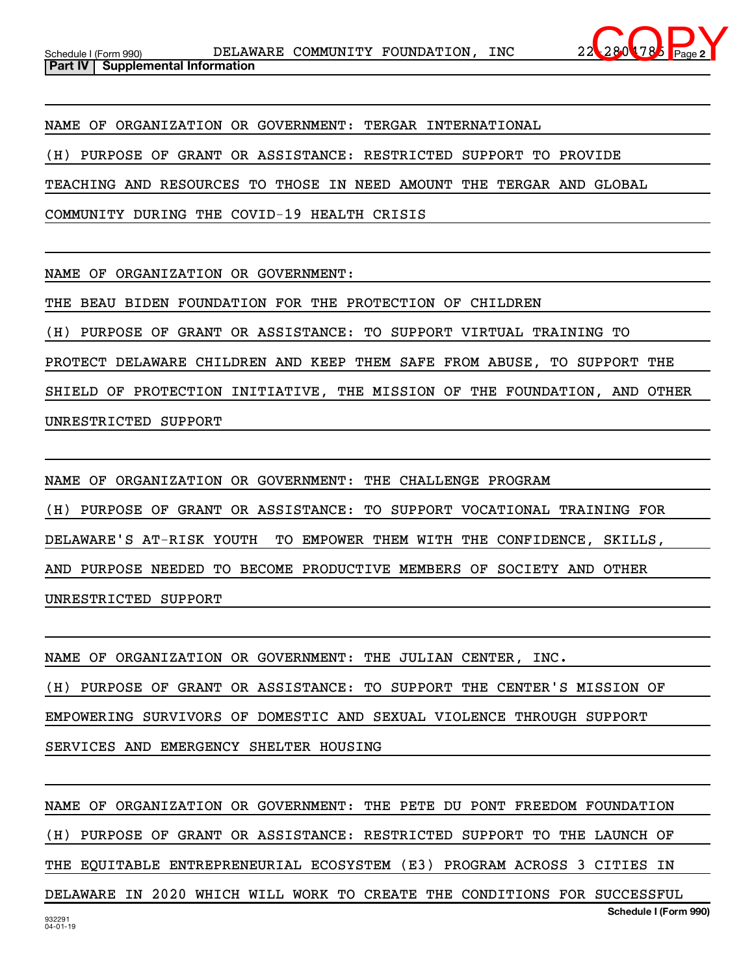

NAME OF ORGANIZATION OR GOVERNMENT: TERGAR INTERNATIONAL

(H) PURPOSE OF GRANT OR ASSISTANCE: RESTRICTED SUPPORT TO PROVIDE

TEACHING AND RESOURCES TO THOSE IN NEED AMOUNT THE TERGAR AND GLOBAL

COMMUNITY DURING THE COVID-19 HEALTH CRISIS

NAME OF ORGANIZATION OR GOVERNMENT:

THE BEAU BIDEN FOUNDATION FOR THE PROTECTION OF CHILDREN

(H) PURPOSE OF GRANT OR ASSISTANCE: TO SUPPORT VIRTUAL TRAINING TO

PROTECT DELAWARE CHILDREN AND KEEP THEM SAFE FROM ABUSE, TO SUPPORT THE

SHIELD OF PROTECTION INITIATIVE, THE MISSION OF THE FOUNDATION, AND OTHER

UNRESTRICTED SUPPORT

NAME OF ORGANIZATION OR GOVERNMENT: THE CHALLENGE PROGRAM (H) PURPOSE OF GRANT OR ASSISTANCE: TO SUPPORT VOCATIONAL TRAINING FOR DELAWARE'S AT-RISK YOUTH TO EMPOWER THEM WITH THE CONFIDENCE, SKILLS, AND PURPOSE NEEDED TO BECOME PRODUCTIVE MEMBERS OF SOCIETY AND OTHER UNRESTRICTED SUPPORT

NAME OF ORGANIZATION OR GOVERNMENT: THE JULIAN CENTER, INC.

(H) PURPOSE OF GRANT OR ASSISTANCE: TO SUPPORT THE CENTER'S MISSION OF

EMPOWERING SURVIVORS OF DOMESTIC AND SEXUAL VIOLENCE THROUGH SUPPORT

SERVICES AND EMERGENCY SHELTER HOUSING

932291 04-01-19 **Schedule I (Form 990)** NAME OF ORGANIZATION OR GOVERNMENT: THE PETE DU PONT FREEDOM FOUNDATION (H) PURPOSE OF GRANT OR ASSISTANCE: RESTRICTED SUPPORT TO THE LAUNCH OF THE EQUITABLE ENTREPRENEURIAL ECOSYSTEM (E3) PROGRAM ACROSS 3 CITIES IN DELAWARE IN 2020 WHICH WILL WORK TO CREATE THE CONDITIONS FOR SUCCESSFUL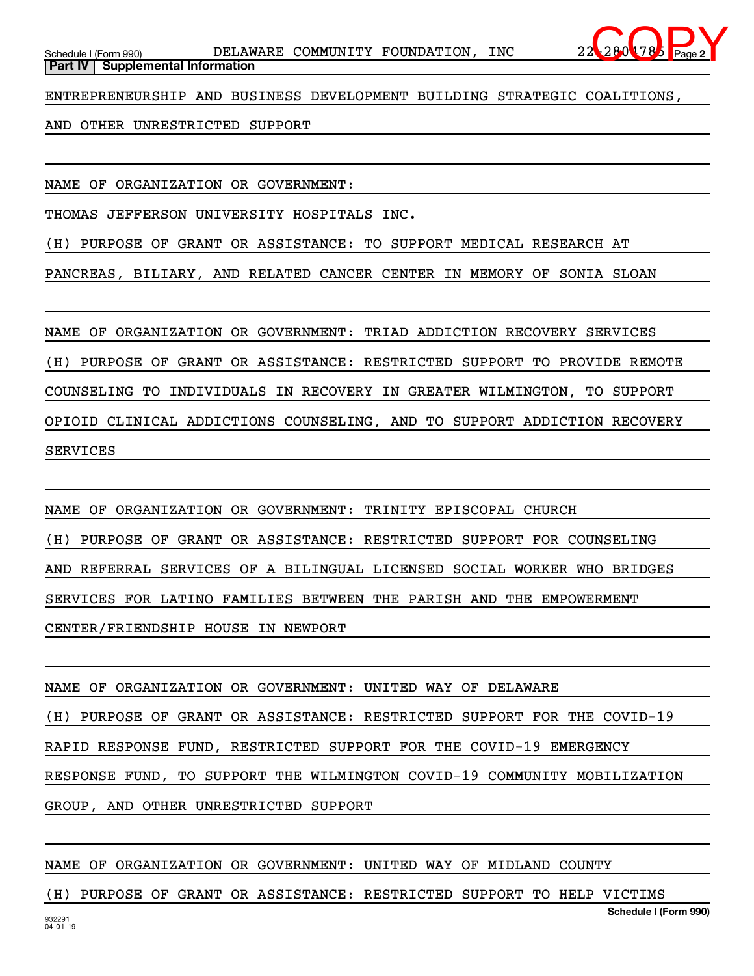

ENTREPRENEURSHIP AND BUSINESS DEVELOPMENT BUILDING STRATEGIC COALITIONS,

AND OTHER UNRESTRICTED SUPPORT

NAME OF ORGANIZATION OR GOVERNMENT:

THOMAS JEFFERSON UNIVERSITY HOSPITALS INC.

(H) PURPOSE OF GRANT OR ASSISTANCE: TO SUPPORT MEDICAL RESEARCH AT

PANCREAS, BILIARY, AND RELATED CANCER CENTER IN MEMORY OF SONIA SLOAN

NAME OF ORGANIZATION OR GOVERNMENT: TRIAD ADDICTION RECOVERY SERVICES (H) PURPOSE OF GRANT OR ASSISTANCE: RESTRICTED SUPPORT TO PROVIDE REMOTE COUNSELING TO INDIVIDUALS IN RECOVERY IN GREATER WILMINGTON, TO SUPPORT OPIOID CLINICAL ADDICTIONS COUNSELING, AND TO SUPPORT ADDICTION RECOVERY SERVICES

NAME OF ORGANIZATION OR GOVERNMENT: TRINITY EPISCOPAL CHURCH (H) PURPOSE OF GRANT OR ASSISTANCE: RESTRICTED SUPPORT FOR COUNSELING AND REFERRAL SERVICES OF A BILINGUAL LICENSED SOCIAL WORKER WHO BRIDGES SERVICES FOR LATINO FAMILIES BETWEEN THE PARISH AND THE EMPOWERMENT CENTER/FRIENDSHIP HOUSE IN NEWPORT

NAME OF ORGANIZATION OR GOVERNMENT: UNITED WAY OF DELAWARE (H) PURPOSE OF GRANT OR ASSISTANCE: RESTRICTED SUPPORT FOR THE COVID-19 RAPID RESPONSE FUND, RESTRICTED SUPPORT FOR THE COVID-19 EMERGENCY RESPONSE FUND, TO SUPPORT THE WILMINGTON COVID-19 COMMUNITY MOBILIZATION GROUP, AND OTHER UNRESTRICTED SUPPORT

NAME OF ORGANIZATION OR GOVERNMENT: UNITED WAY OF MIDLAND COUNTY

(H) PURPOSE OF GRANT OR ASSISTANCE: RESTRICTED SUPPORT TO HELP VICTIMS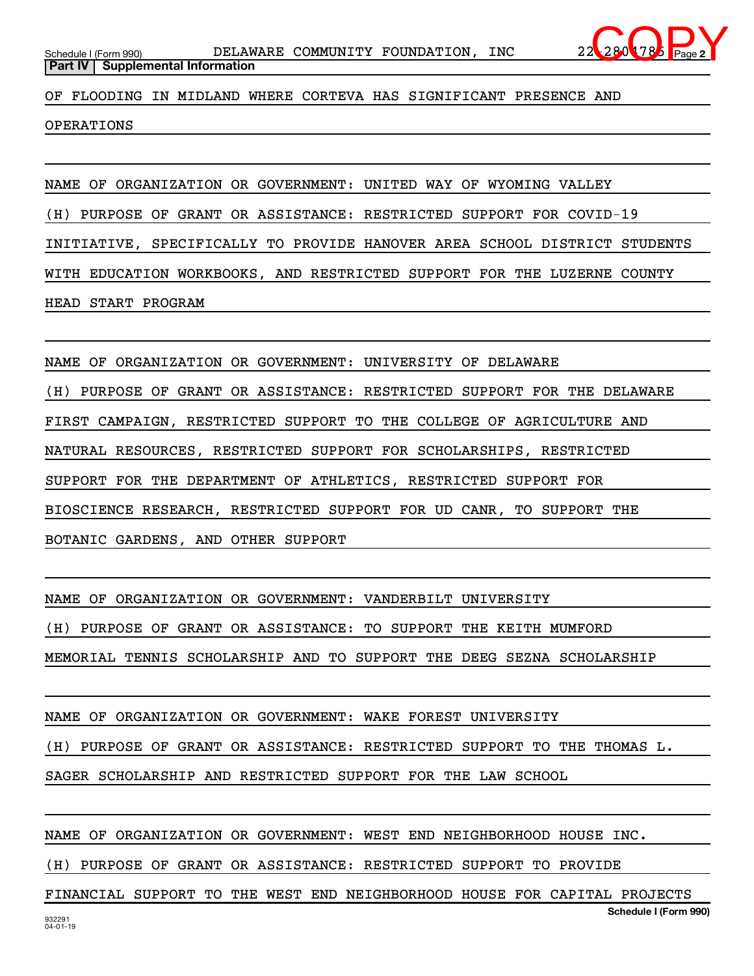

**Part IV** | Supplemental Information

OF FLOODING IN MIDLAND WHERE CORTEVA HAS SIGNIFICANT PRESENCE AND

OPERATIONS

NAME OF ORGANIZATION OR GOVERNMENT: UNITED WAY OF WYOMING VALLEY

(H) PURPOSE OF GRANT OR ASSISTANCE: RESTRICTED SUPPORT FOR COVID-19

INITIATIVE, SPECIFICALLY TO PROVIDE HANOVER AREA SCHOOL DISTRICT STUDENTS

WITH EDUCATION WORKBOOKS, AND RESTRICTED SUPPORT FOR THE LUZERNE COUNTY

HEAD START PROGRAM

NAME OF ORGANIZATION OR GOVERNMENT: UNIVERSITY OF DELAWARE

(H) PURPOSE OF GRANT OR ASSISTANCE: RESTRICTED SUPPORT FOR THE DELAWARE FIRST CAMPAIGN, RESTRICTED SUPPORT TO THE COLLEGE OF AGRICULTURE AND NATURAL RESOURCES, RESTRICTED SUPPORT FOR SCHOLARSHIPS, RESTRICTED SUPPORT FOR THE DEPARTMENT OF ATHLETICS, RESTRICTED SUPPORT FOR BIOSCIENCE RESEARCH, RESTRICTED SUPPORT FOR UD CANR, TO SUPPORT THE BOTANIC GARDENS, AND OTHER SUPPORT

NAME OF ORGANIZATION OR GOVERNMENT: VANDERBILT UNIVERSITY

(H) PURPOSE OF GRANT OR ASSISTANCE: TO SUPPORT THE KEITH MUMFORD

MEMORIAL TENNIS SCHOLARSHIP AND TO SUPPORT THE DEEG SEZNA SCHOLARSHIP

NAME OF ORGANIZATION OR GOVERNMENT: WAKE FOREST UNIVERSITY

(H) PURPOSE OF GRANT OR ASSISTANCE: RESTRICTED SUPPORT TO THE THOMAS L.

SAGER SCHOLARSHIP AND RESTRICTED SUPPORT FOR THE LAW SCHOOL

NAME OF ORGANIZATION OR GOVERNMENT: WEST END NEIGHBORHOOD HOUSE INC.

(H) PURPOSE OF GRANT OR ASSISTANCE: RESTRICTED SUPPORT TO PROVIDE

**Schedule I (Form 990)** FINANCIAL SUPPORT TO THE WEST END NEIGHBORHOOD HOUSE FOR CAPITAL PROJECTS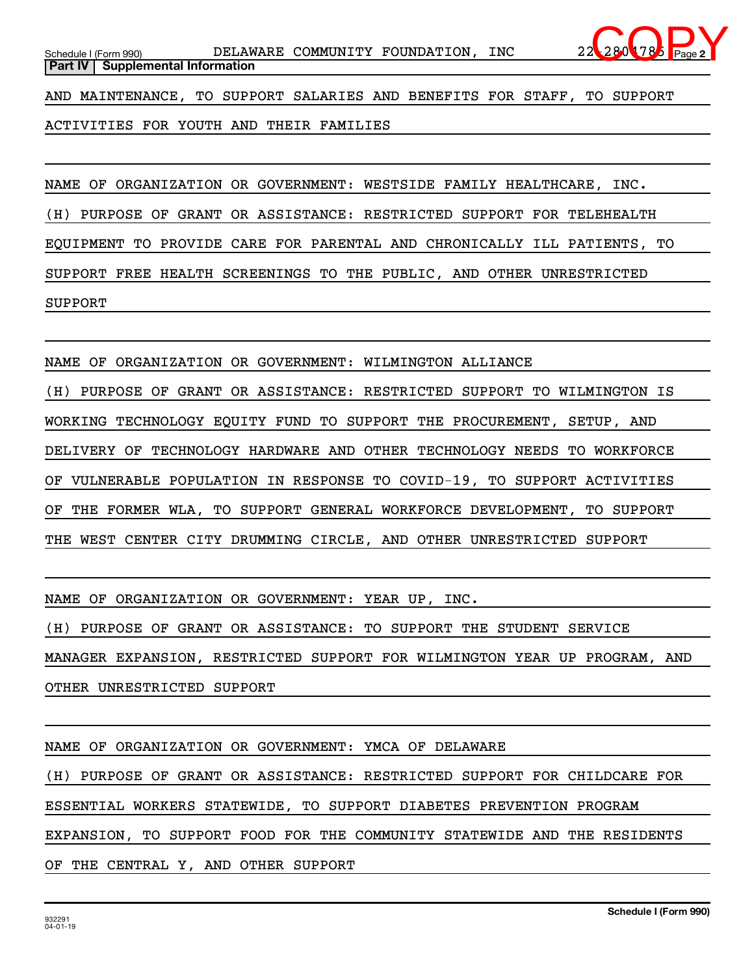AND MAINTENANCE, TO SUPPORT SALARIES AND BENEFITS FOR STAFF, TO SUPPORT

ACTIVITIES FOR YOUTH AND THEIR FAMILIES

NAME OF ORGANIZATION OR GOVERNMENT: WESTSIDE FAMILY HEALTHCARE, INC. (H) PURPOSE OF GRANT OR ASSISTANCE: RESTRICTED SUPPORT FOR TELEHEALTH EQUIPMENT TO PROVIDE CARE FOR PARENTAL AND CHRONICALLY ILL PATIENTS, TO SUPPORT FREE HEALTH SCREENINGS TO THE PUBLIC, AND OTHER UNRESTRICTED SUPPORT

NAME OF ORGANIZATION OR GOVERNMENT: WILMINGTON ALLIANCE

(H) PURPOSE OF GRANT OR ASSISTANCE: RESTRICTED SUPPORT TO WILMINGTON IS WORKING TECHNOLOGY EQUITY FUND TO SUPPORT THE PROCUREMENT, SETUP, AND DELIVERY OF TECHNOLOGY HARDWARE AND OTHER TECHNOLOGY NEEDS TO WORKFORCE OF VULNERABLE POPULATION IN RESPONSE TO COVID-19, TO SUPPORT ACTIVITIES OF THE FORMER WLA, TO SUPPORT GENERAL WORKFORCE DEVELOPMENT, TO SUPPORT THE WEST CENTER CITY DRUMMING CIRCLE, AND OTHER UNRESTRICTED SUPPORT

NAME OF ORGANIZATION OR GOVERNMENT: YEAR UP, INC.

(H) PURPOSE OF GRANT OR ASSISTANCE: TO SUPPORT THE STUDENT SERVICE MANAGER EXPANSION, RESTRICTED SUPPORT FOR WILMINGTON YEAR UP PROGRAM, AND OTHER UNRESTRICTED SUPPORT

NAME OF ORGANIZATION OR GOVERNMENT: YMCA OF DELAWARE

(H) PURPOSE OF GRANT OR ASSISTANCE: RESTRICTED SUPPORT FOR CHILDCARE FOR ESSENTIAL WORKERS STATEWIDE, TO SUPPORT DIABETES PREVENTION PROGRAM EXPANSION, TO SUPPORT FOOD FOR THE COMMUNITY STATEWIDE AND THE RESIDENTS OF THE CENTRAL Y, AND OTHER SUPPORT

**2**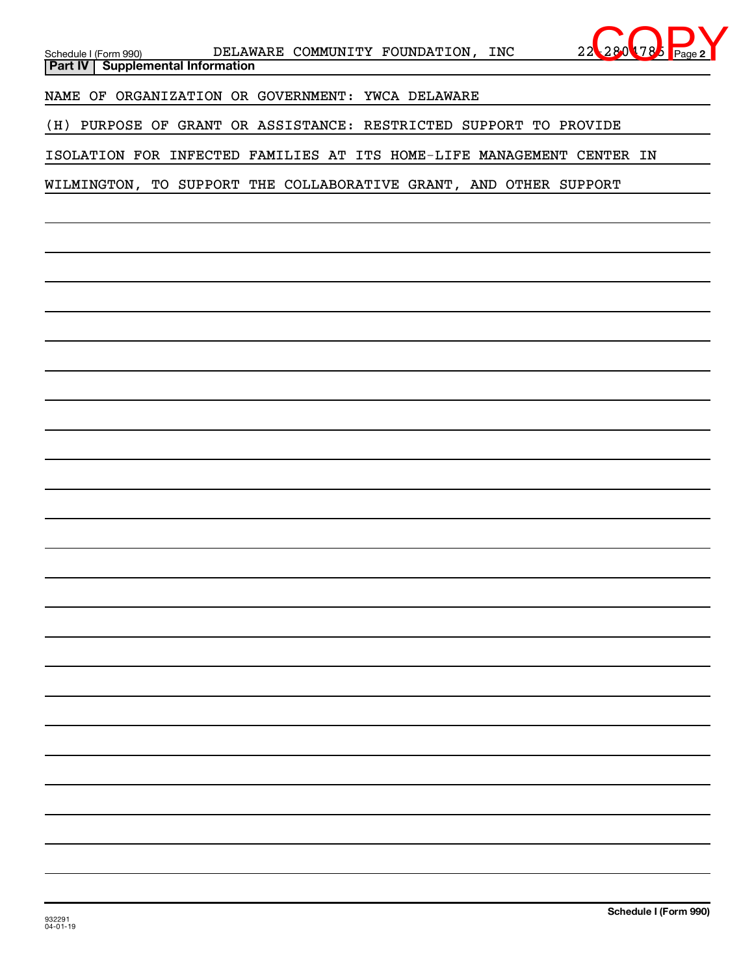| Schedule I (Form 990) DELAWARE COMMUNITY FOUNDATION, INC<br>L78<br>Part IV   Supplemental Information |
|-------------------------------------------------------------------------------------------------------|
| NAME OF ORGANIZATION OR GOVERNMENT: YWCA DELAWARE                                                     |
| (H) PURPOSE OF GRANT OR ASSISTANCE: RESTRICTED SUPPORT TO PROVIDE                                     |
| ISOLATION FOR INFECTED FAMILIES AT ITS HOME-LIFE MANAGEMENT CENTER IN                                 |
| WILMINGTON, TO SUPPORT THE COLLABORATIVE GRANT, AND OTHER SUPPORT                                     |
|                                                                                                       |
|                                                                                                       |
|                                                                                                       |
|                                                                                                       |
|                                                                                                       |
|                                                                                                       |
|                                                                                                       |
|                                                                                                       |
|                                                                                                       |
|                                                                                                       |
|                                                                                                       |
|                                                                                                       |
|                                                                                                       |
|                                                                                                       |
|                                                                                                       |
|                                                                                                       |
|                                                                                                       |
|                                                                                                       |
|                                                                                                       |
|                                                                                                       |
|                                                                                                       |
|                                                                                                       |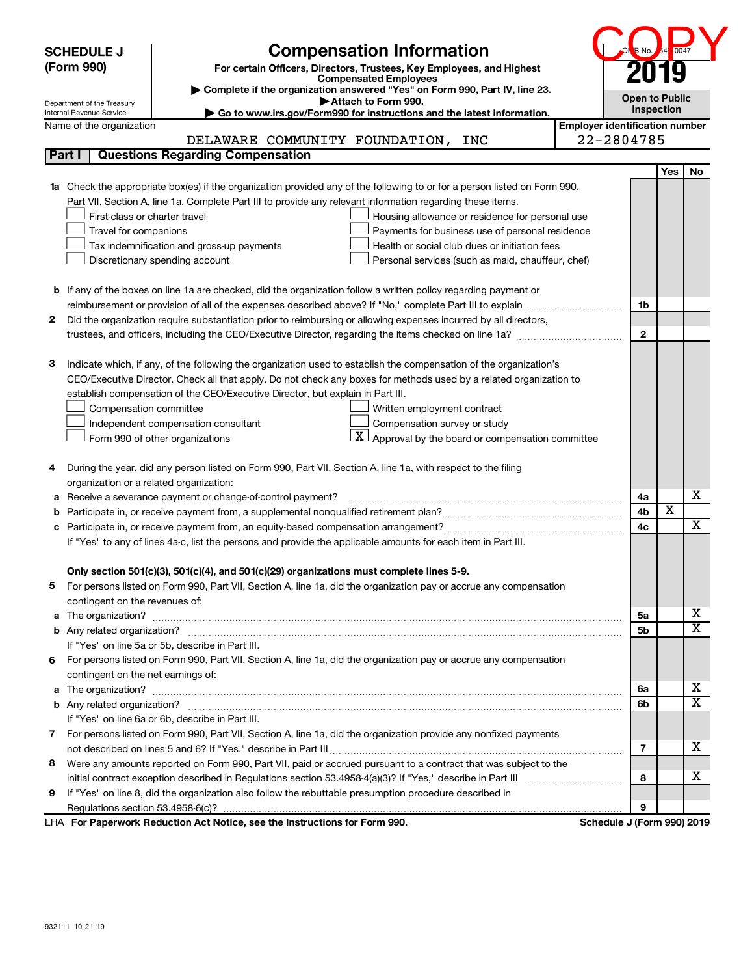| Yes<br>No<br><b>1a</b> Check the appropriate box(es) if the organization provided any of the following to or for a person listed on Form 990,<br>Part VII, Section A, line 1a. Complete Part III to provide any relevant information regarding these items.<br>First-class or charter travel<br>Housing allowance or residence for personal use<br>Travel for companions<br>Payments for business use of personal residence<br>Tax indemnification and gross-up payments<br>Health or social club dues or initiation fees<br>Discretionary spending account<br>Personal services (such as maid, chauffeur, chef)<br>b If any of the boxes on line 1a are checked, did the organization follow a written policy regarding payment or<br>reimbursement or provision of all of the expenses described above? If "No," complete Part III to explain<br>1b<br>Did the organization require substantiation prior to reimbursing or allowing expenses incurred by all directors,<br>2<br>$\mathbf{2}$<br>Indicate which, if any, of the following the organization used to establish the compensation of the organization's<br>3<br>CEO/Executive Director. Check all that apply. Do not check any boxes for methods used by a related organization to<br>establish compensation of the CEO/Executive Director, but explain in Part III.<br>Compensation committee<br>Written employment contract<br>Compensation survey or study<br>Independent compensation consultant<br><u>x</u><br>Approval by the board or compensation committee<br>Form 990 of other organizations<br>During the year, did any person listed on Form 990, Part VII, Section A, line 1a, with respect to the filing<br>organization or a related organization:<br>X<br>Receive a severance payment or change-of-control payment?<br>4a<br>а<br>$\overline{\textbf{x}}$<br>4 <sub>b</sub><br>b<br>х<br>4c<br>c<br>If "Yes" to any of lines 4a-c, list the persons and provide the applicable amounts for each item in Part III.<br>Only section 501(c)(3), 501(c)(4), and 501(c)(29) organizations must complete lines 5-9.<br>For persons listed on Form 990, Part VII, Section A, line 1a, did the organization pay or accrue any compensation<br>5.<br>contingent on the revenues of:<br>х<br>5a<br>а<br>$\overline{\textbf{X}}$<br>5b<br>If "Yes" on line 5a or 5b, describe in Part III.<br>For persons listed on Form 990, Part VII, Section A, line 1a, did the organization pay or accrue any compensation<br>6.<br>contingent on the net earnings of:<br>x<br>6а<br>а<br>$\overline{\texttt{x}}$<br>6b<br>If "Yes" on line 6a or 6b, describe in Part III.<br>7 For persons listed on Form 990, Part VII, Section A, line 1a, did the organization provide any nonfixed payments<br>x<br>$\overline{\mathbf{r}}$<br>Were any amounts reported on Form 990, Part VII, paid or accrued pursuant to a contract that was subject to the<br>8<br>х<br>8<br>If "Yes" on line 8, did the organization also follow the rebuttable presumption procedure described in<br>9<br>9 | <b>SCHEDULE J</b><br>(Form 990)<br>Department of the Treasury<br>Internal Revenue Service<br>Name of the organization<br>Part I | <b>Compensation Information</b><br>For certain Officers, Directors, Trustees, Key Employees, and Highest<br><b>Compensated Employees</b><br>Complete if the organization answered "Yes" on Form 990, Part IV, line 23.<br>Attach to Form 990.<br>Go to www.irs.gov/Form990 for instructions and the latest information.<br>DELAWARE COMMUNITY FOUNDATION, INC<br><b>Questions Regarding Compensation</b> | B No.<br><b>Open to Public</b><br><b>Employer identification number</b><br>22-2804785 | 0047<br>Inspection |  |
|------------------------------------------------------------------------------------------------------------------------------------------------------------------------------------------------------------------------------------------------------------------------------------------------------------------------------------------------------------------------------------------------------------------------------------------------------------------------------------------------------------------------------------------------------------------------------------------------------------------------------------------------------------------------------------------------------------------------------------------------------------------------------------------------------------------------------------------------------------------------------------------------------------------------------------------------------------------------------------------------------------------------------------------------------------------------------------------------------------------------------------------------------------------------------------------------------------------------------------------------------------------------------------------------------------------------------------------------------------------------------------------------------------------------------------------------------------------------------------------------------------------------------------------------------------------------------------------------------------------------------------------------------------------------------------------------------------------------------------------------------------------------------------------------------------------------------------------------------------------------------------------------------------------------------------------------------------------------------------------------------------------------------------------------------------------------------------------------------------------------------------------------------------------------------------------------------------------------------------------------------------------------------------------------------------------------------------------------------------------------------------------------------------------------------------------------------------------------------------------------------------------------------------------------------------------------------------------------------------------------------------------------------------------------------------------------------------------------------------------------------------------------------------------------------------------------------------------------------------------------------------------------------------------------------------------------------------------------------------------------------------------------------------------------|---------------------------------------------------------------------------------------------------------------------------------|----------------------------------------------------------------------------------------------------------------------------------------------------------------------------------------------------------------------------------------------------------------------------------------------------------------------------------------------------------------------------------------------------------|---------------------------------------------------------------------------------------|--------------------|--|
|                                                                                                                                                                                                                                                                                                                                                                                                                                                                                                                                                                                                                                                                                                                                                                                                                                                                                                                                                                                                                                                                                                                                                                                                                                                                                                                                                                                                                                                                                                                                                                                                                                                                                                                                                                                                                                                                                                                                                                                                                                                                                                                                                                                                                                                                                                                                                                                                                                                                                                                                                                                                                                                                                                                                                                                                                                                                                                                                                                                                                                                |                                                                                                                                 |                                                                                                                                                                                                                                                                                                                                                                                                          |                                                                                       |                    |  |
|                                                                                                                                                                                                                                                                                                                                                                                                                                                                                                                                                                                                                                                                                                                                                                                                                                                                                                                                                                                                                                                                                                                                                                                                                                                                                                                                                                                                                                                                                                                                                                                                                                                                                                                                                                                                                                                                                                                                                                                                                                                                                                                                                                                                                                                                                                                                                                                                                                                                                                                                                                                                                                                                                                                                                                                                                                                                                                                                                                                                                                                |                                                                                                                                 |                                                                                                                                                                                                                                                                                                                                                                                                          |                                                                                       |                    |  |
|                                                                                                                                                                                                                                                                                                                                                                                                                                                                                                                                                                                                                                                                                                                                                                                                                                                                                                                                                                                                                                                                                                                                                                                                                                                                                                                                                                                                                                                                                                                                                                                                                                                                                                                                                                                                                                                                                                                                                                                                                                                                                                                                                                                                                                                                                                                                                                                                                                                                                                                                                                                                                                                                                                                                                                                                                                                                                                                                                                                                                                                |                                                                                                                                 |                                                                                                                                                                                                                                                                                                                                                                                                          |                                                                                       |                    |  |
|                                                                                                                                                                                                                                                                                                                                                                                                                                                                                                                                                                                                                                                                                                                                                                                                                                                                                                                                                                                                                                                                                                                                                                                                                                                                                                                                                                                                                                                                                                                                                                                                                                                                                                                                                                                                                                                                                                                                                                                                                                                                                                                                                                                                                                                                                                                                                                                                                                                                                                                                                                                                                                                                                                                                                                                                                                                                                                                                                                                                                                                |                                                                                                                                 |                                                                                                                                                                                                                                                                                                                                                                                                          |                                                                                       |                    |  |
|                                                                                                                                                                                                                                                                                                                                                                                                                                                                                                                                                                                                                                                                                                                                                                                                                                                                                                                                                                                                                                                                                                                                                                                                                                                                                                                                                                                                                                                                                                                                                                                                                                                                                                                                                                                                                                                                                                                                                                                                                                                                                                                                                                                                                                                                                                                                                                                                                                                                                                                                                                                                                                                                                                                                                                                                                                                                                                                                                                                                                                                |                                                                                                                                 |                                                                                                                                                                                                                                                                                                                                                                                                          |                                                                                       |                    |  |
|                                                                                                                                                                                                                                                                                                                                                                                                                                                                                                                                                                                                                                                                                                                                                                                                                                                                                                                                                                                                                                                                                                                                                                                                                                                                                                                                                                                                                                                                                                                                                                                                                                                                                                                                                                                                                                                                                                                                                                                                                                                                                                                                                                                                                                                                                                                                                                                                                                                                                                                                                                                                                                                                                                                                                                                                                                                                                                                                                                                                                                                |                                                                                                                                 |                                                                                                                                                                                                                                                                                                                                                                                                          |                                                                                       |                    |  |
|                                                                                                                                                                                                                                                                                                                                                                                                                                                                                                                                                                                                                                                                                                                                                                                                                                                                                                                                                                                                                                                                                                                                                                                                                                                                                                                                                                                                                                                                                                                                                                                                                                                                                                                                                                                                                                                                                                                                                                                                                                                                                                                                                                                                                                                                                                                                                                                                                                                                                                                                                                                                                                                                                                                                                                                                                                                                                                                                                                                                                                                |                                                                                                                                 |                                                                                                                                                                                                                                                                                                                                                                                                          |                                                                                       |                    |  |
|                                                                                                                                                                                                                                                                                                                                                                                                                                                                                                                                                                                                                                                                                                                                                                                                                                                                                                                                                                                                                                                                                                                                                                                                                                                                                                                                                                                                                                                                                                                                                                                                                                                                                                                                                                                                                                                                                                                                                                                                                                                                                                                                                                                                                                                                                                                                                                                                                                                                                                                                                                                                                                                                                                                                                                                                                                                                                                                                                                                                                                                |                                                                                                                                 |                                                                                                                                                                                                                                                                                                                                                                                                          |                                                                                       |                    |  |
|                                                                                                                                                                                                                                                                                                                                                                                                                                                                                                                                                                                                                                                                                                                                                                                                                                                                                                                                                                                                                                                                                                                                                                                                                                                                                                                                                                                                                                                                                                                                                                                                                                                                                                                                                                                                                                                                                                                                                                                                                                                                                                                                                                                                                                                                                                                                                                                                                                                                                                                                                                                                                                                                                                                                                                                                                                                                                                                                                                                                                                                |                                                                                                                                 |                                                                                                                                                                                                                                                                                                                                                                                                          |                                                                                       |                    |  |
|                                                                                                                                                                                                                                                                                                                                                                                                                                                                                                                                                                                                                                                                                                                                                                                                                                                                                                                                                                                                                                                                                                                                                                                                                                                                                                                                                                                                                                                                                                                                                                                                                                                                                                                                                                                                                                                                                                                                                                                                                                                                                                                                                                                                                                                                                                                                                                                                                                                                                                                                                                                                                                                                                                                                                                                                                                                                                                                                                                                                                                                |                                                                                                                                 |                                                                                                                                                                                                                                                                                                                                                                                                          |                                                                                       |                    |  |
|                                                                                                                                                                                                                                                                                                                                                                                                                                                                                                                                                                                                                                                                                                                                                                                                                                                                                                                                                                                                                                                                                                                                                                                                                                                                                                                                                                                                                                                                                                                                                                                                                                                                                                                                                                                                                                                                                                                                                                                                                                                                                                                                                                                                                                                                                                                                                                                                                                                                                                                                                                                                                                                                                                                                                                                                                                                                                                                                                                                                                                                |                                                                                                                                 |                                                                                                                                                                                                                                                                                                                                                                                                          |                                                                                       |                    |  |
|                                                                                                                                                                                                                                                                                                                                                                                                                                                                                                                                                                                                                                                                                                                                                                                                                                                                                                                                                                                                                                                                                                                                                                                                                                                                                                                                                                                                                                                                                                                                                                                                                                                                                                                                                                                                                                                                                                                                                                                                                                                                                                                                                                                                                                                                                                                                                                                                                                                                                                                                                                                                                                                                                                                                                                                                                                                                                                                                                                                                                                                |                                                                                                                                 |                                                                                                                                                                                                                                                                                                                                                                                                          |                                                                                       |                    |  |
|                                                                                                                                                                                                                                                                                                                                                                                                                                                                                                                                                                                                                                                                                                                                                                                                                                                                                                                                                                                                                                                                                                                                                                                                                                                                                                                                                                                                                                                                                                                                                                                                                                                                                                                                                                                                                                                                                                                                                                                                                                                                                                                                                                                                                                                                                                                                                                                                                                                                                                                                                                                                                                                                                                                                                                                                                                                                                                                                                                                                                                                |                                                                                                                                 |                                                                                                                                                                                                                                                                                                                                                                                                          |                                                                                       |                    |  |
|                                                                                                                                                                                                                                                                                                                                                                                                                                                                                                                                                                                                                                                                                                                                                                                                                                                                                                                                                                                                                                                                                                                                                                                                                                                                                                                                                                                                                                                                                                                                                                                                                                                                                                                                                                                                                                                                                                                                                                                                                                                                                                                                                                                                                                                                                                                                                                                                                                                                                                                                                                                                                                                                                                                                                                                                                                                                                                                                                                                                                                                |                                                                                                                                 |                                                                                                                                                                                                                                                                                                                                                                                                          |                                                                                       |                    |  |
|                                                                                                                                                                                                                                                                                                                                                                                                                                                                                                                                                                                                                                                                                                                                                                                                                                                                                                                                                                                                                                                                                                                                                                                                                                                                                                                                                                                                                                                                                                                                                                                                                                                                                                                                                                                                                                                                                                                                                                                                                                                                                                                                                                                                                                                                                                                                                                                                                                                                                                                                                                                                                                                                                                                                                                                                                                                                                                                                                                                                                                                |                                                                                                                                 |                                                                                                                                                                                                                                                                                                                                                                                                          |                                                                                       |                    |  |
|                                                                                                                                                                                                                                                                                                                                                                                                                                                                                                                                                                                                                                                                                                                                                                                                                                                                                                                                                                                                                                                                                                                                                                                                                                                                                                                                                                                                                                                                                                                                                                                                                                                                                                                                                                                                                                                                                                                                                                                                                                                                                                                                                                                                                                                                                                                                                                                                                                                                                                                                                                                                                                                                                                                                                                                                                                                                                                                                                                                                                                                |                                                                                                                                 |                                                                                                                                                                                                                                                                                                                                                                                                          |                                                                                       |                    |  |
|                                                                                                                                                                                                                                                                                                                                                                                                                                                                                                                                                                                                                                                                                                                                                                                                                                                                                                                                                                                                                                                                                                                                                                                                                                                                                                                                                                                                                                                                                                                                                                                                                                                                                                                                                                                                                                                                                                                                                                                                                                                                                                                                                                                                                                                                                                                                                                                                                                                                                                                                                                                                                                                                                                                                                                                                                                                                                                                                                                                                                                                |                                                                                                                                 |                                                                                                                                                                                                                                                                                                                                                                                                          |                                                                                       |                    |  |
|                                                                                                                                                                                                                                                                                                                                                                                                                                                                                                                                                                                                                                                                                                                                                                                                                                                                                                                                                                                                                                                                                                                                                                                                                                                                                                                                                                                                                                                                                                                                                                                                                                                                                                                                                                                                                                                                                                                                                                                                                                                                                                                                                                                                                                                                                                                                                                                                                                                                                                                                                                                                                                                                                                                                                                                                                                                                                                                                                                                                                                                |                                                                                                                                 |                                                                                                                                                                                                                                                                                                                                                                                                          |                                                                                       |                    |  |
|                                                                                                                                                                                                                                                                                                                                                                                                                                                                                                                                                                                                                                                                                                                                                                                                                                                                                                                                                                                                                                                                                                                                                                                                                                                                                                                                                                                                                                                                                                                                                                                                                                                                                                                                                                                                                                                                                                                                                                                                                                                                                                                                                                                                                                                                                                                                                                                                                                                                                                                                                                                                                                                                                                                                                                                                                                                                                                                                                                                                                                                |                                                                                                                                 |                                                                                                                                                                                                                                                                                                                                                                                                          |                                                                                       |                    |  |
|                                                                                                                                                                                                                                                                                                                                                                                                                                                                                                                                                                                                                                                                                                                                                                                                                                                                                                                                                                                                                                                                                                                                                                                                                                                                                                                                                                                                                                                                                                                                                                                                                                                                                                                                                                                                                                                                                                                                                                                                                                                                                                                                                                                                                                                                                                                                                                                                                                                                                                                                                                                                                                                                                                                                                                                                                                                                                                                                                                                                                                                |                                                                                                                                 |                                                                                                                                                                                                                                                                                                                                                                                                          |                                                                                       |                    |  |
|                                                                                                                                                                                                                                                                                                                                                                                                                                                                                                                                                                                                                                                                                                                                                                                                                                                                                                                                                                                                                                                                                                                                                                                                                                                                                                                                                                                                                                                                                                                                                                                                                                                                                                                                                                                                                                                                                                                                                                                                                                                                                                                                                                                                                                                                                                                                                                                                                                                                                                                                                                                                                                                                                                                                                                                                                                                                                                                                                                                                                                                |                                                                                                                                 |                                                                                                                                                                                                                                                                                                                                                                                                          |                                                                                       |                    |  |
|                                                                                                                                                                                                                                                                                                                                                                                                                                                                                                                                                                                                                                                                                                                                                                                                                                                                                                                                                                                                                                                                                                                                                                                                                                                                                                                                                                                                                                                                                                                                                                                                                                                                                                                                                                                                                                                                                                                                                                                                                                                                                                                                                                                                                                                                                                                                                                                                                                                                                                                                                                                                                                                                                                                                                                                                                                                                                                                                                                                                                                                |                                                                                                                                 |                                                                                                                                                                                                                                                                                                                                                                                                          |                                                                                       |                    |  |
|                                                                                                                                                                                                                                                                                                                                                                                                                                                                                                                                                                                                                                                                                                                                                                                                                                                                                                                                                                                                                                                                                                                                                                                                                                                                                                                                                                                                                                                                                                                                                                                                                                                                                                                                                                                                                                                                                                                                                                                                                                                                                                                                                                                                                                                                                                                                                                                                                                                                                                                                                                                                                                                                                                                                                                                                                                                                                                                                                                                                                                                |                                                                                                                                 |                                                                                                                                                                                                                                                                                                                                                                                                          |                                                                                       |                    |  |
|                                                                                                                                                                                                                                                                                                                                                                                                                                                                                                                                                                                                                                                                                                                                                                                                                                                                                                                                                                                                                                                                                                                                                                                                                                                                                                                                                                                                                                                                                                                                                                                                                                                                                                                                                                                                                                                                                                                                                                                                                                                                                                                                                                                                                                                                                                                                                                                                                                                                                                                                                                                                                                                                                                                                                                                                                                                                                                                                                                                                                                                |                                                                                                                                 |                                                                                                                                                                                                                                                                                                                                                                                                          |                                                                                       |                    |  |
| Schedule J (Form 990) 2019<br>LHA For Paperwork Reduction Act Notice, see the Instructions for Form 990.                                                                                                                                                                                                                                                                                                                                                                                                                                                                                                                                                                                                                                                                                                                                                                                                                                                                                                                                                                                                                                                                                                                                                                                                                                                                                                                                                                                                                                                                                                                                                                                                                                                                                                                                                                                                                                                                                                                                                                                                                                                                                                                                                                                                                                                                                                                                                                                                                                                                                                                                                                                                                                                                                                                                                                                                                                                                                                                                       |                                                                                                                                 |                                                                                                                                                                                                                                                                                                                                                                                                          |                                                                                       |                    |  |

932111 10-21-19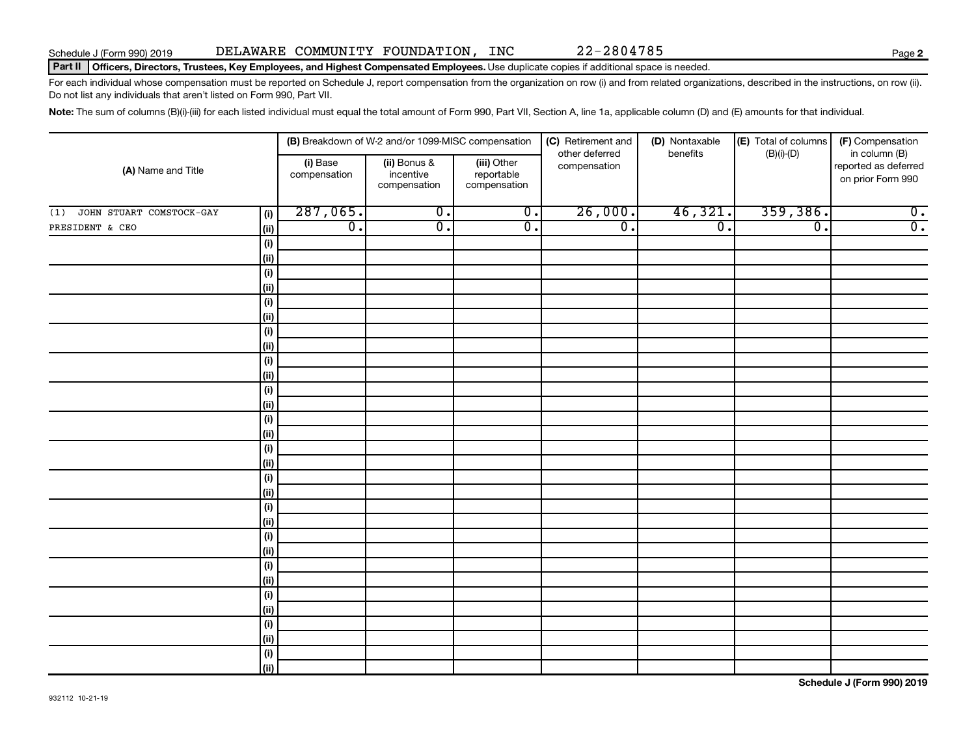## Part II | Officers, Directors, Trustees, Key Employees, and Highest Compensated Employees. Use duplicate copies if additional space is needed.

For each individual whose compensation must be reported on Schedule J, report compensation from the organization on row (i) and from related organizations, described in the instructions, on row (ii). Do not list any individuals that aren't listed on Form 990, Part VII.

Note: The sum of columns (B)(i)-(iii) for each listed individual must equal the total amount of Form 990, Part VII, Section A, line 1a, applicable column (D) and (E) amounts for that individual.

|                                 |                              | (B) Breakdown of W-2 and/or 1099-MISC compensation |                                           | (C) Retirement and             | (D) Nontaxable<br>benefits | (E) Total of columns | (F) Compensation                                           |
|---------------------------------|------------------------------|----------------------------------------------------|-------------------------------------------|--------------------------------|----------------------------|----------------------|------------------------------------------------------------|
| (A) Name and Title              | (i) Base<br>compensation     | (ii) Bonus &<br>incentive<br>compensation          | (iii) Other<br>reportable<br>compensation | other deferred<br>compensation |                            | $(B)(i)-(D)$         | in column (B)<br>reported as deferred<br>on prior Form 990 |
| JOHN STUART COMSTOCK-GAY<br>(1) | 287,065.<br>(i)              | $\overline{0}$ .                                   | $\overline{0}$ .                          | 26,000.                        | 46,321.                    | 359,386.             | $\overline{0}$ .                                           |
| PRESIDENT & CEO                 | $\overline{0}$ .<br>(ii)     | $\overline{0}$ .                                   | $\overline{0}$ .                          | $\overline{0}$ .               | $\overline{0}$ .           | $\overline{0}$ .     | $\overline{0}$ .                                           |
|                                 | $(\sf{i})$                   |                                                    |                                           |                                |                            |                      |                                                            |
|                                 | (ii)                         |                                                    |                                           |                                |                            |                      |                                                            |
|                                 | $(\sf{i})$                   |                                                    |                                           |                                |                            |                      |                                                            |
|                                 | (ii)                         |                                                    |                                           |                                |                            |                      |                                                            |
|                                 | $(\sf{i})$                   |                                                    |                                           |                                |                            |                      |                                                            |
|                                 | (ii)                         |                                                    |                                           |                                |                            |                      |                                                            |
|                                 | $\qquad \qquad \textbf{(i)}$ |                                                    |                                           |                                |                            |                      |                                                            |
|                                 | (ii)                         |                                                    |                                           |                                |                            |                      |                                                            |
|                                 | $\qquad \qquad \textbf{(i)}$ |                                                    |                                           |                                |                            |                      |                                                            |
|                                 | (ii)                         |                                                    |                                           |                                |                            |                      |                                                            |
|                                 | $\qquad \qquad \textbf{(i)}$ |                                                    |                                           |                                |                            |                      |                                                            |
|                                 | (ii)                         |                                                    |                                           |                                |                            |                      |                                                            |
| (i)                             | $(\sf{i})$                   |                                                    |                                           |                                |                            |                      |                                                            |
|                                 | $(\sf{i})$                   |                                                    |                                           |                                |                            |                      |                                                            |
| (ii)                            |                              |                                                    |                                           |                                |                            |                      |                                                            |
|                                 | $(\sf{i})$                   |                                                    |                                           |                                |                            |                      |                                                            |
|                                 | (ii)                         |                                                    |                                           |                                |                            |                      |                                                            |
|                                 | (i)                          |                                                    |                                           |                                |                            |                      |                                                            |
|                                 | (ii)                         |                                                    |                                           |                                |                            |                      |                                                            |
|                                 | $\qquad \qquad \textbf{(i)}$ |                                                    |                                           |                                |                            |                      |                                                            |
|                                 | (ii)                         |                                                    |                                           |                                |                            |                      |                                                            |
|                                 | (i)                          |                                                    |                                           |                                |                            |                      |                                                            |
|                                 | (ii)                         |                                                    |                                           |                                |                            |                      |                                                            |
|                                 | (i)                          |                                                    |                                           |                                |                            |                      |                                                            |
|                                 | (ii)                         |                                                    |                                           |                                |                            |                      |                                                            |
|                                 | (i)                          |                                                    |                                           |                                |                            |                      |                                                            |
|                                 | (ii)                         |                                                    |                                           |                                |                            |                      |                                                            |
|                                 | $(\sf{i})$                   |                                                    |                                           |                                |                            |                      |                                                            |
|                                 | (ii)                         |                                                    |                                           |                                |                            |                      |                                                            |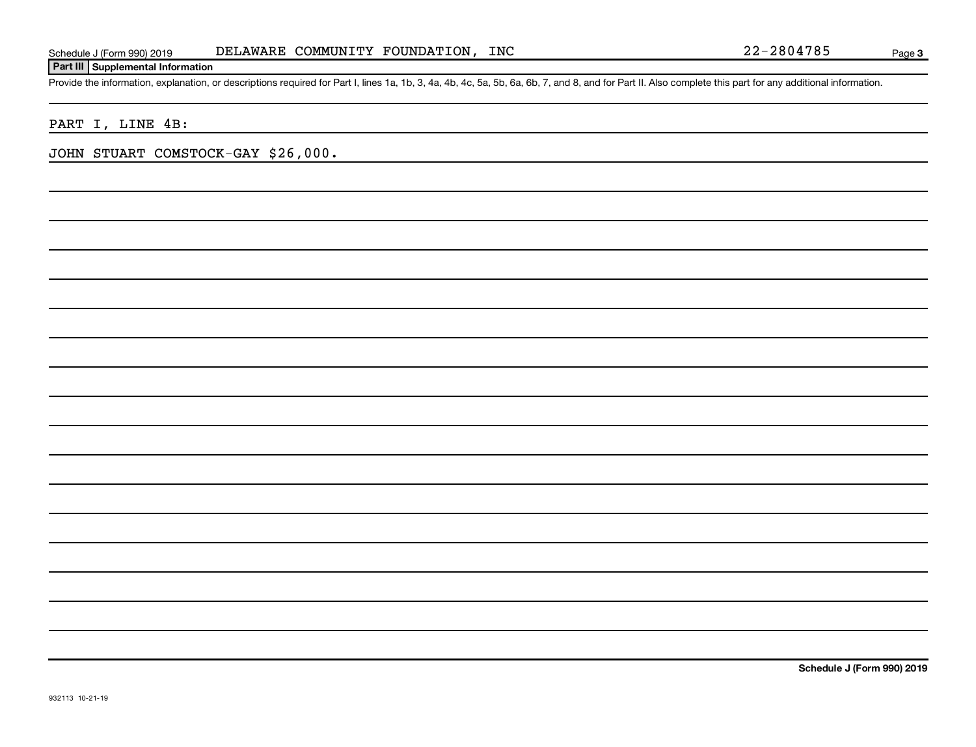## **Part III Supplemental Information**

Provide the information, explanation, or descriptions required for Part I, lines 1a, 1b, 3, 4a, 4b, 4c, 5a, 5b, 6a, 6b, 7, and 8, and for Part II. Also complete this part for any additional information.

PART I, LINE 4B:

JOHN STUART COMSTOCK-GAY \$26,000.

**Schedule J (Form 990) 2019**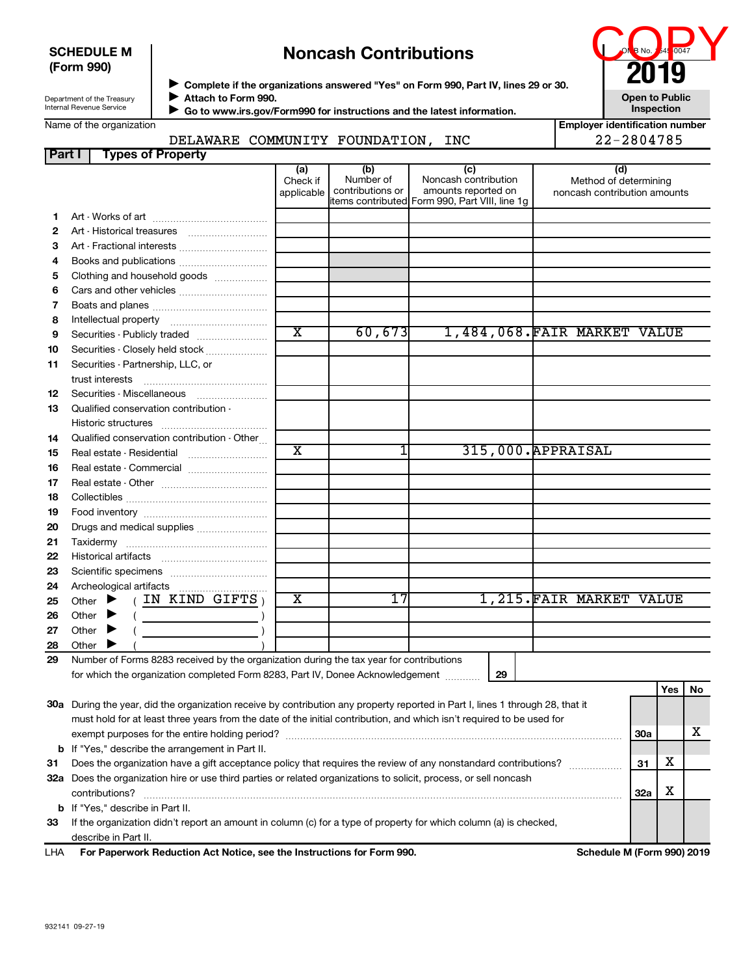## **SCHEDULE M (Form 990)**

# **Noncash Contributions**

| <b>Noncash Contributions</b>                                                         | <b>ONE NO.</b> 4 DO47<br>2019 |  |
|--------------------------------------------------------------------------------------|-------------------------------|--|
| ▶ Complete if the organizations answered "Yes" on Form 990, Part IV, lines 29 or 30. |                               |  |
| Attach to Form 990.                                                                  | <b>Open to Public</b>         |  |

Department of the Treasury Internal Revenue Service

 **Go to www.irs.gov/Form990 for instructions and the latest information.** J

|  |  | Name of the organization |
|--|--|--------------------------|
|--|--|--------------------------|

# DELAWARE COMMUNITY FOUNDATION, INC

|  | <b>Inspection</b>                     |
|--|---------------------------------------|
|  | <b>Employer identification number</b> |

| 22-2804785 |
|------------|

| <b>Part I</b> | <b>Types of Property</b>                                                                                                       |                               |                                      |                                                                                                       |                                                              |            |     |    |
|---------------|--------------------------------------------------------------------------------------------------------------------------------|-------------------------------|--------------------------------------|-------------------------------------------------------------------------------------------------------|--------------------------------------------------------------|------------|-----|----|
|               |                                                                                                                                | (a)<br>Check if<br>applicable | (b)<br>Number of<br>contributions or | (c)<br>Noncash contribution<br>amounts reported on<br>litems contributed Form 990, Part VIII, line 1g | (d)<br>Method of determining<br>noncash contribution amounts |            |     |    |
| 1             |                                                                                                                                |                               |                                      |                                                                                                       |                                                              |            |     |    |
| 2             |                                                                                                                                |                               |                                      |                                                                                                       |                                                              |            |     |    |
| З             | Art - Fractional interests                                                                                                     |                               |                                      |                                                                                                       |                                                              |            |     |    |
| 4             | Books and publications                                                                                                         |                               |                                      |                                                                                                       |                                                              |            |     |    |
| 5             | Clothing and household goods                                                                                                   |                               |                                      |                                                                                                       |                                                              |            |     |    |
| 6             | Cars and other vehicles                                                                                                        |                               |                                      |                                                                                                       |                                                              |            |     |    |
| 7             |                                                                                                                                |                               |                                      |                                                                                                       |                                                              |            |     |    |
| 8             |                                                                                                                                |                               |                                      |                                                                                                       |                                                              |            |     |    |
| 9             | Securities - Publicly traded                                                                                                   | $\overline{\texttt{x}}$       | 60,673                               |                                                                                                       | 1,484,068.FAIR MARKET VALUE                                  |            |     |    |
| 10            |                                                                                                                                |                               |                                      |                                                                                                       |                                                              |            |     |    |
|               | Securities - Closely held stock<br>Securities - Partnership, LLC, or                                                           |                               |                                      |                                                                                                       |                                                              |            |     |    |
| 11            | trust interests                                                                                                                |                               |                                      |                                                                                                       |                                                              |            |     |    |
| 12            | Securities - Miscellaneous                                                                                                     |                               |                                      |                                                                                                       |                                                              |            |     |    |
| 13            | Qualified conservation contribution -                                                                                          |                               |                                      |                                                                                                       |                                                              |            |     |    |
|               |                                                                                                                                |                               |                                      |                                                                                                       |                                                              |            |     |    |
| 14            | Qualified conservation contribution - Other                                                                                    |                               |                                      |                                                                                                       |                                                              |            |     |    |
| 15            |                                                                                                                                | X                             | 1                                    |                                                                                                       | 315,000. APPRAISAL                                           |            |     |    |
| 16            | Real estate - Commercial                                                                                                       |                               |                                      |                                                                                                       |                                                              |            |     |    |
| 17            |                                                                                                                                |                               |                                      |                                                                                                       |                                                              |            |     |    |
| 18            |                                                                                                                                |                               |                                      |                                                                                                       |                                                              |            |     |    |
| 19            |                                                                                                                                |                               |                                      |                                                                                                       |                                                              |            |     |    |
| 20            | Drugs and medical supplies                                                                                                     |                               |                                      |                                                                                                       |                                                              |            |     |    |
| 21            |                                                                                                                                |                               |                                      |                                                                                                       |                                                              |            |     |    |
| 22            |                                                                                                                                |                               |                                      |                                                                                                       |                                                              |            |     |    |
| 23            |                                                                                                                                |                               |                                      |                                                                                                       |                                                              |            |     |    |
| 24            |                                                                                                                                |                               |                                      |                                                                                                       |                                                              |            |     |    |
| 25            | $($ IN KIND GIFTS $)$<br>Other $\blacktriangleright$                                                                           | х                             | 17                                   |                                                                                                       | 1,215. FAIR MARKET VALUE                                     |            |     |    |
| 26            | Other                                                                                                                          |                               |                                      |                                                                                                       |                                                              |            |     |    |
| 27            | Other                                                                                                                          |                               |                                      |                                                                                                       |                                                              |            |     |    |
| 28            | Other                                                                                                                          |                               |                                      |                                                                                                       |                                                              |            |     |    |
| 29            | Number of Forms 8283 received by the organization during the tax year for contributions                                        |                               |                                      |                                                                                                       |                                                              |            |     |    |
|               | for which the organization completed Form 8283, Part IV, Donee Acknowledgement                                                 |                               |                                      | 29                                                                                                    |                                                              |            |     |    |
|               |                                                                                                                                |                               |                                      |                                                                                                       |                                                              |            | Yes | No |
|               | 30a During the year, did the organization receive by contribution any property reported in Part I, lines 1 through 28, that it |                               |                                      |                                                                                                       |                                                              |            |     |    |
|               | must hold for at least three years from the date of the initial contribution, and which isn't required to be used for          |                               |                                      |                                                                                                       |                                                              |            |     |    |
|               |                                                                                                                                |                               |                                      |                                                                                                       |                                                              | 30a        |     | x. |
|               | <b>b</b> If "Yes," describe the arrangement in Part II.                                                                        |                               |                                      |                                                                                                       |                                                              |            |     |    |
| 31            | Does the organization have a gift acceptance policy that requires the review of any nonstandard contributions?                 |                               |                                      |                                                                                                       |                                                              | 31         | х   |    |
|               | 32a Does the organization hire or use third parties or related organizations to solicit, process, or sell noncash              |                               |                                      |                                                                                                       |                                                              |            |     |    |
|               | contributions?                                                                                                                 |                               |                                      |                                                                                                       |                                                              | <b>32a</b> | X   |    |
|               | <b>b</b> If "Yes," describe in Part II.                                                                                        |                               |                                      |                                                                                                       |                                                              |            |     |    |
| 33            | If the organization didn't report an amount in column (c) for a type of property for which column (a) is checked,              |                               |                                      |                                                                                                       |                                                              |            |     |    |
|               | describe in Part II.                                                                                                           |                               |                                      |                                                                                                       |                                                              |            |     |    |
| LHA           | For Paperwork Reduction Act Notice, see the Instructions for Form 990.                                                         |                               |                                      |                                                                                                       | Schedule M (Form 990) 2019                                   |            |     |    |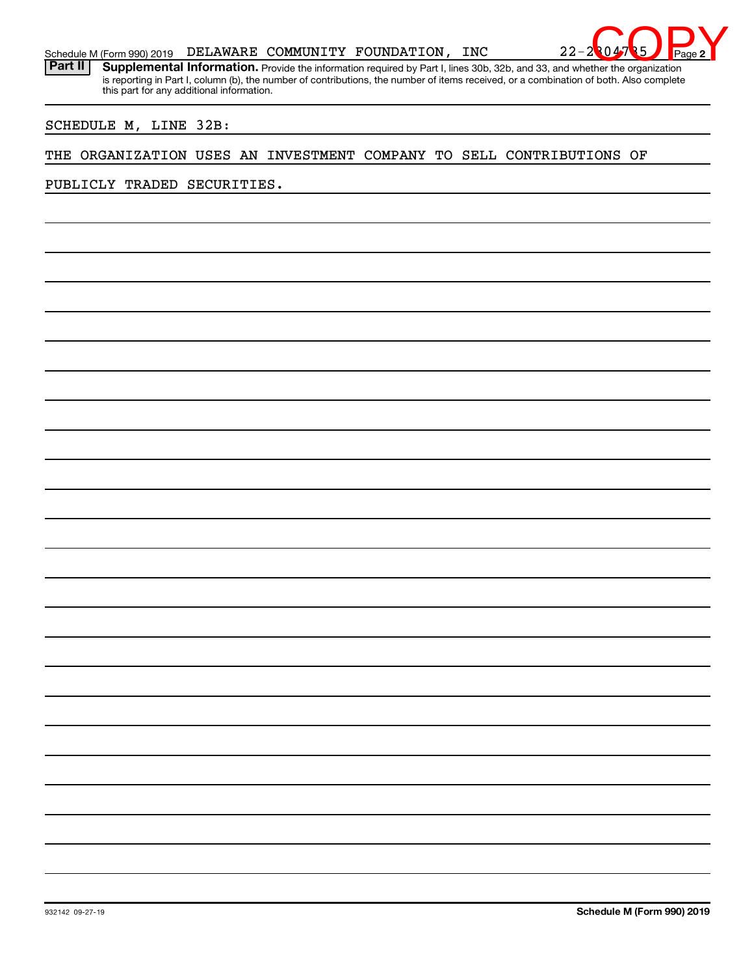

is reporting in Part I, column (b), the number of contributions, the number of items received, or a combination of both. Also complete this part for any additional information.

SCHEDULE M, LINE 32B:

## THE ORGANIZATION USES AN INVESTMENT COMPANY TO SELL CONTRIBUTIONS OF

PUBLICLY TRADED SECURITIES.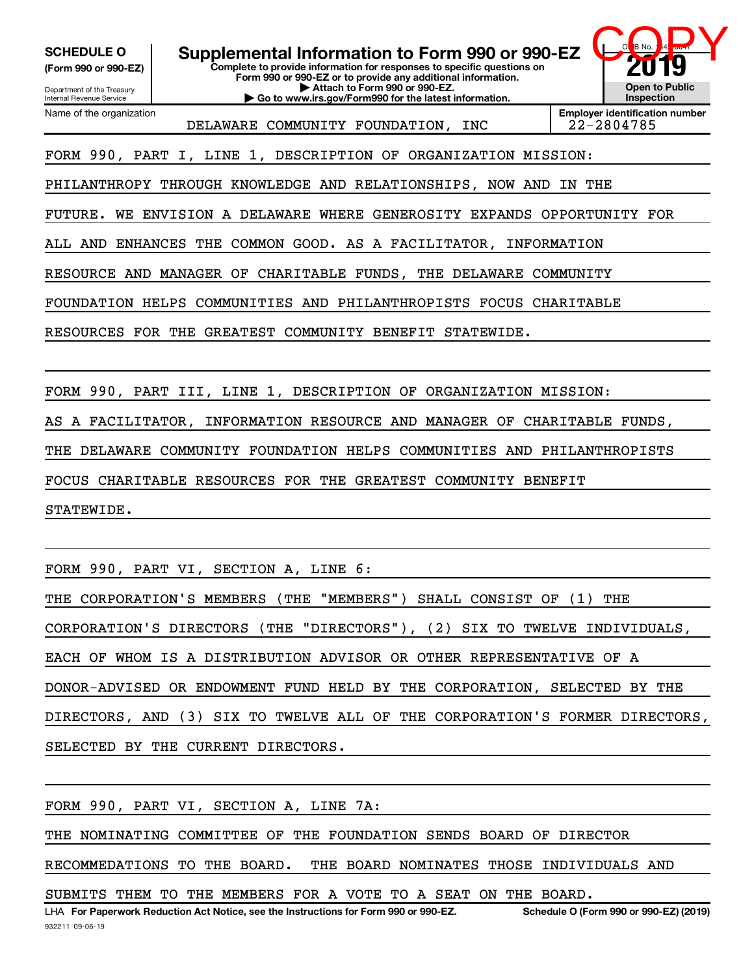**(Form 990 or 990-EZ)**

**Complete to provide information for responses to specific questions on Form 990 or 990-EZ or to provide any additional information. | Attach to Form 990 or 990-EZ. | Go to www.irs.gov/Form990 for the latest information.** SCHEDULE 0 | Supplemental Information to Form 990 or 990-EZ

Department of the Treasury Internal Revenue Service Name of the organization

DELAWARE COMMUNITY FOUNDATION, INC | 22-2804785

**Employer identification number**

O<mark>M</mark>B No. 1 45 <del>1004</del>7

COPY TO

**Open to Public Inspection**

FORM 990, PART I, LINE 1, DESCRIPTION OF ORGANIZATION MISSION:

PHILANTHROPY THROUGH KNOWLEDGE AND RELATIONSHIPS, NOW AND IN THE

FUTURE. WE ENVISION A DELAWARE WHERE GENEROSITY EXPANDS OPPORTUNITY FOR

ALL AND ENHANCES THE COMMON GOOD. AS A FACILITATOR, INFORMATION

RESOURCE AND MANAGER OF CHARITABLE FUNDS, THE DELAWARE COMMUNITY

FOUNDATION HELPS COMMUNITIES AND PHILANTHROPISTS FOCUS CHARITABLE

RESOURCES FOR THE GREATEST COMMUNITY BENEFIT STATEWIDE.

FORM 990, PART III, LINE 1, DESCRIPTION OF ORGANIZATION MISSION:

AS A FACILITATOR, INFORMATION RESOURCE AND MANAGER OF CHARITABLE FUNDS,

THE DELAWARE COMMUNITY FOUNDATION HELPS COMMUNITIES AND PHILANTHROPISTS

FOCUS CHARITABLE RESOURCES FOR THE GREATEST COMMUNITY BENEFIT

STATEWIDE.

FORM 990, PART VI, SECTION A, LINE 6:

THE CORPORATION'S MEMBERS (THE "MEMBERS") SHALL CONSIST OF (1) THE

CORPORATION'S DIRECTORS (THE "DIRECTORS"), (2) SIX TO TWELVE INDIVIDUALS,

EACH OF WHOM IS A DISTRIBUTION ADVISOR OR OTHER REPRESENTATIVE OF A

DONOR-ADVISED OR ENDOWMENT FUND HELD BY THE CORPORATION, SELECTED BY THE

DIRECTORS, AND (3) SIX TO TWELVE ALL OF THE CORPORATION'S FORMER DIRECTORS,

SELECTED BY THE CURRENT DIRECTORS.

FORM 990, PART VI, SECTION A, LINE 7A:

THE NOMINATING COMMITTEE OF THE FOUNDATION SENDS BOARD OF DIRECTOR

RECOMMEDATIONS TO THE BOARD. THE BOARD NOMINATES THOSE INDIVIDUALS AND

SUBMITS THEM TO THE MEMBERS FOR A VOTE TO A SEAT ON THE BOARD.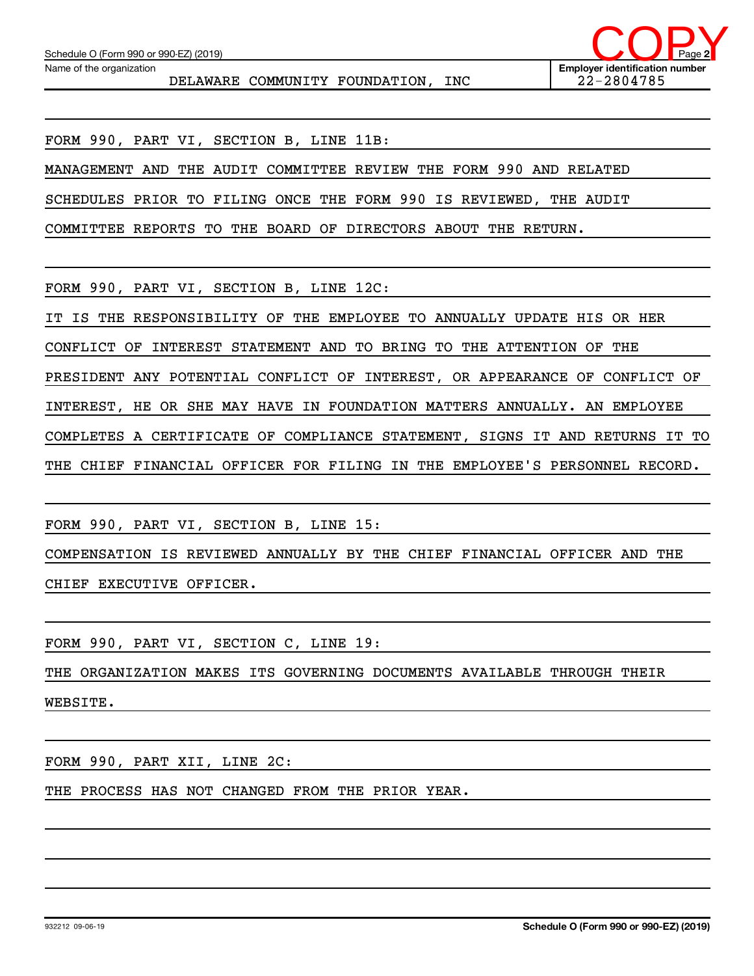Name of the organization

DELAWARE COMMUNITY FOUNDATION, INC | 22-2804785



FORM 990, PART VI, SECTION B, LINE 11B:

MANAGEMENT AND THE AUDIT COMMITTEE REVIEW THE FORM 990 AND RELATED

SCHEDULES PRIOR TO FILING ONCE THE FORM 990 IS REVIEWED, THE AUDIT

COMMITTEE REPORTS TO THE BOARD OF DIRECTORS ABOUT THE RETURN.

FORM 990, PART VI, SECTION B, LINE 12C:

IT IS THE RESPONSIBILITY OF THE EMPLOYEE TO ANNUALLY UPDATE HIS OR HER

CONFLICT OF INTEREST STATEMENT AND TO BRING TO THE ATTENTION OF THE

PRESIDENT ANY POTENTIAL CONFLICT OF INTEREST, OR APPEARANCE OF CONFLICT OF

INTEREST, HE OR SHE MAY HAVE IN FOUNDATION MATTERS ANNUALLY. AN EMPLOYEE

COMPLETES A CERTIFICATE OF COMPLIANCE STATEMENT, SIGNS IT AND RETURNS IT TO

THE CHIEF FINANCIAL OFFICER FOR FILING IN THE EMPLOYEE'S PERSONNEL RECORD.

FORM 990, PART VI, SECTION B, LINE 15:

COMPENSATION IS REVIEWED ANNUALLY BY THE CHIEF FINANCIAL OFFICER AND THE CHIEF EXECUTIVE OFFICER.

FORM 990, PART VI, SECTION C, LINE 19:

THE ORGANIZATION MAKES ITS GOVERNING DOCUMENTS AVAILABLE THROUGH THEIR WEBSITE.

FORM 990, PART XII, LINE 2C:

THE PROCESS HAS NOT CHANGED FROM THE PRIOR YEAR.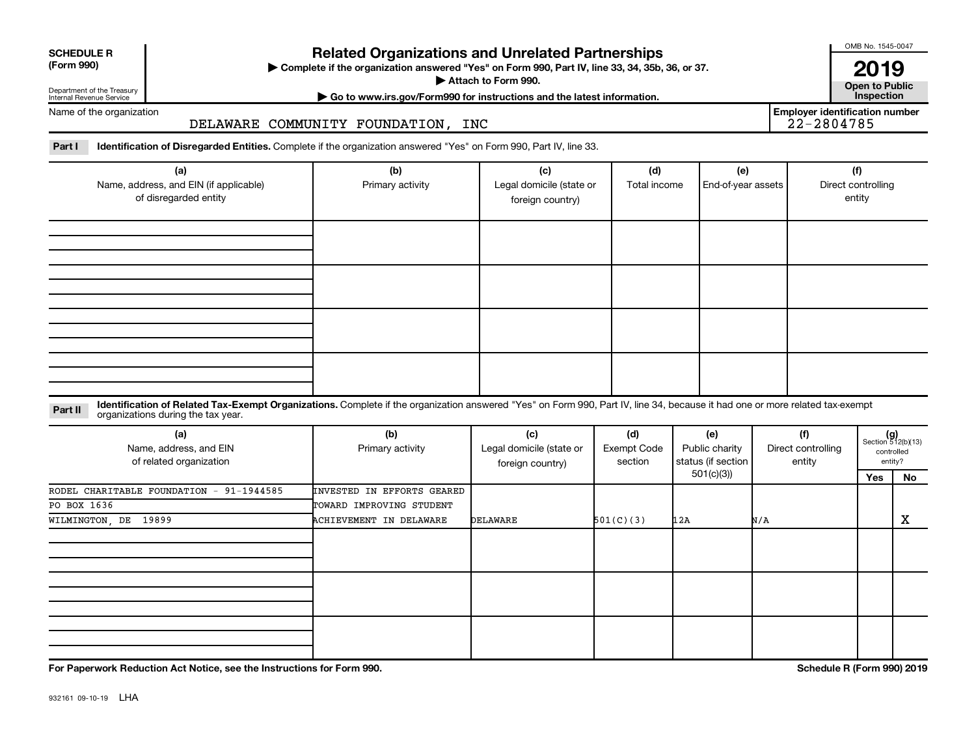| <b>SCHEDULE R</b> |  |  |
|-------------------|--|--|
|                   |  |  |

Department of the Treasury Internal Revenue Service

# **Related Organizations and Unrelated Partnerships**

**(Form 990) Complete if the organization answered "Yes" on Form 990, Part IV, line 33, 34, 35b, 36, or 37.** |

▶ Attach to Form 990. **Open to Public** 

**2019**<br>Open to Public

**Employer identification number**

OMB No. 1545-0047

**| Go to www.irs.gov/Form990 for instructions and the latest information. Inspection**

## Name of the organization

DELAWARE COMMUNITY FOUNDATION, INC

Part I ldentification of Disregarded Entities. Complete if the organization answered "Yes" on Form 990, Part IV, line 33.

| (a)                                    | (b)              | (c)                      | (d)          | (e)                | (f)                |
|----------------------------------------|------------------|--------------------------|--------------|--------------------|--------------------|
| Name, address, and EIN (if applicable) | Primary activity | Legal domicile (state or | Total income | End-of-year assets | Direct controlling |
| of disregarded entity                  |                  | foreign country)         |              |                    | entity             |
|                                        |                  |                          |              |                    |                    |
|                                        |                  |                          |              |                    |                    |
|                                        |                  |                          |              |                    |                    |
|                                        |                  |                          |              |                    |                    |
|                                        |                  |                          |              |                    |                    |
|                                        |                  |                          |              |                    |                    |
|                                        |                  |                          |              |                    |                    |
|                                        |                  |                          |              |                    |                    |
|                                        |                  |                          |              |                    |                    |
|                                        |                  |                          |              |                    |                    |
|                                        |                  |                          |              |                    |                    |
|                                        |                  |                          |              |                    |                    |
|                                        |                  |                          |              |                    |                    |

### **Part II** Identification of Related Tax-Exempt Organizations. Complete if the organization answered "Yes" on Form 990, Part IV, line 34, because it had one or more related tax-exempt<br>Part II acconizations during the tax ye organizations during the tax year.

| (a)<br>Name, address, and EIN<br>of related organization | (b)<br>Primary activity           | (c)<br>Legal domicile (state or<br>foreign country) | (d)<br>Exempt Code<br>section | (e)<br>Public charity<br>status (if section | (f)<br>Direct controlling<br>entity |     | $(g)$<br>Section 512(b)(13)<br>controlled<br>entity? |
|----------------------------------------------------------|-----------------------------------|-----------------------------------------------------|-------------------------------|---------------------------------------------|-------------------------------------|-----|------------------------------------------------------|
|                                                          |                                   |                                                     |                               | 501(c)(3))                                  |                                     | Yes | No                                                   |
| RODEL CHARITABLE FOUNDATION - 91-1944585                 | <b>INVESTED IN EFFORTS GEARED</b> |                                                     |                               |                                             |                                     |     |                                                      |
| PO BOX 1636                                              | TOWARD IMPROVING STUDENT          |                                                     |                               |                                             |                                     |     |                                                      |
| WILMINGTON, DE 19899                                     | <b>ACHIEVEMENT IN DELAWARE</b>    | <b>DELAWARE</b>                                     | 501(C)(3)                     | 12A                                         | N/A                                 |     | X                                                    |
|                                                          |                                   |                                                     |                               |                                             |                                     |     |                                                      |
|                                                          |                                   |                                                     |                               |                                             |                                     |     |                                                      |
|                                                          |                                   |                                                     |                               |                                             |                                     |     |                                                      |

**For Paperwork Reduction Act Notice, see the Instructions for Form 990. Schedule R (Form 990) 2019**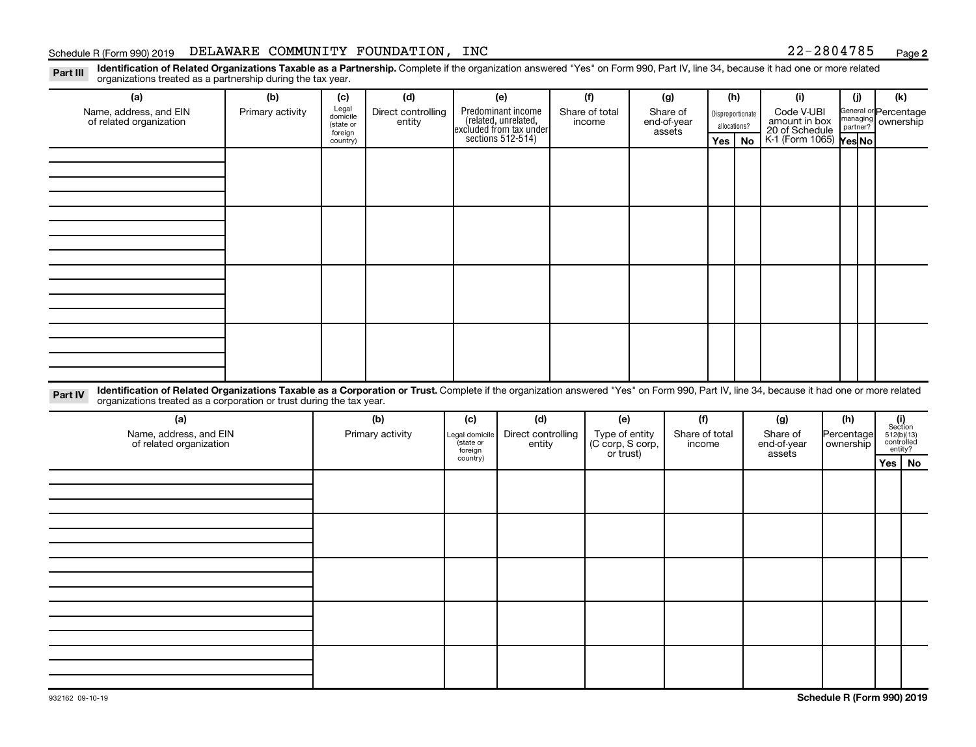## Schedule R (Form 990) 2019  $\,$  DELAWARE COMMUNITY FOUNDATION, INC  $\,$  22-2804785  $\,$   $_{\rm Page}$

**2**

Part III Identification of Related Organizations Taxable as a Partnership. Complete if the organization answered "Yes" on Form 990, Part IV, line 34, because it had one or more related<br>Read to the organizations tracted as organizations treated as a partnership during the tax year.

| (b)<br>Primary activity | (c)<br>Legal<br>domicile<br>(state or<br>foreign<br>country) | (d)<br>entity  |                                                                                          |                                                  |                                                   |                                                                                |                                 |                                                        |                                          | <b>No</b>     | (i)                                                              |             | (i)                         | (k)<br>ownership                                                                                                         |                                                                                                                                                                                                                                                                                                     |
|-------------------------|--------------------------------------------------------------|----------------|------------------------------------------------------------------------------------------|--------------------------------------------------|---------------------------------------------------|--------------------------------------------------------------------------------|---------------------------------|--------------------------------------------------------|------------------------------------------|---------------|------------------------------------------------------------------|-------------|-----------------------------|--------------------------------------------------------------------------------------------------------------------------|-----------------------------------------------------------------------------------------------------------------------------------------------------------------------------------------------------------------------------------------------------------------------------------------------------|
|                         |                                                              |                |                                                                                          |                                                  |                                                   |                                                                                |                                 |                                                        |                                          |               |                                                                  |             |                             |                                                                                                                          |                                                                                                                                                                                                                                                                                                     |
|                         |                                                              |                |                                                                                          |                                                  |                                                   |                                                                                |                                 |                                                        |                                          |               |                                                                  |             |                             |                                                                                                                          |                                                                                                                                                                                                                                                                                                     |
|                         |                                                              |                |                                                                                          |                                                  |                                                   |                                                                                |                                 |                                                        |                                          |               |                                                                  |             |                             |                                                                                                                          |                                                                                                                                                                                                                                                                                                     |
|                         |                                                              |                |                                                                                          |                                                  |                                                   |                                                                                |                                 |                                                        |                                          |               |                                                                  |             |                             |                                                                                                                          |                                                                                                                                                                                                                                                                                                     |
|                         |                                                              |                |                                                                                          |                                                  |                                                   |                                                                                |                                 |                                                        |                                          |               |                                                                  |             |                             |                                                                                                                          |                                                                                                                                                                                                                                                                                                     |
|                         |                                                              | (b)            | (c)<br>(state or<br>foreign                                                              | (d)                                              |                                                   |                                                                                |                                 |                                                        |                                          |               | (g)<br>Share of<br>assets                                        |             |                             | $\begin{array}{c} \textbf{(i)}\\ \text{Section}\\ 512 \text{(b)} \text{(13)}\\ \text{controlled} \end{array}$<br>entity? |                                                                                                                                                                                                                                                                                                     |
|                         |                                                              |                |                                                                                          |                                                  |                                                   |                                                                                |                                 |                                                        |                                          |               |                                                                  |             |                             |                                                                                                                          |                                                                                                                                                                                                                                                                                                     |
|                         |                                                              |                |                                                                                          |                                                  |                                                   |                                                                                |                                 |                                                        |                                          |               |                                                                  |             |                             |                                                                                                                          |                                                                                                                                                                                                                                                                                                     |
|                         |                                                              |                |                                                                                          |                                                  |                                                   |                                                                                |                                 |                                                        |                                          |               |                                                                  |             |                             |                                                                                                                          |                                                                                                                                                                                                                                                                                                     |
|                         |                                                              |                |                                                                                          |                                                  |                                                   |                                                                                |                                 |                                                        |                                          |               |                                                                  |             |                             |                                                                                                                          |                                                                                                                                                                                                                                                                                                     |
|                         | . איי פ<br>Name, address, and EIN<br>of related organization | $\overline{J}$ | organizations treated as a corporation or trust during the tax year.<br>Primary activity | Direct controlling<br>Legal domicile<br>country) | (e)<br>Predominant income<br>sections $512-514$ ) | related, unrelated,<br>excluded from tax under<br>Direct controlling<br>entity | (f)<br>Share of total<br>income | (e)<br>Type of entity<br>(C corp, S corp,<br>or trust) | (g)<br>Share of<br>end-of-year<br>assets | (f)<br>income | (h)<br>Disproportionate<br>allocations?<br>Yes<br>Share of total | end-of-year | Code V-UBI<br>amount in box | (h)<br>ownership                                                                                                         | General or Percentage<br>managing<br>20 of Schedule<br>K-1 (Form 1065) Yes No<br>Identification of Related Organizations Taxable as a Corporation or Trust. Complete if the organization answered "Yes" on Form 990, Part IV, line 34, because it had one or more related<br>Percentage<br>Yes   No |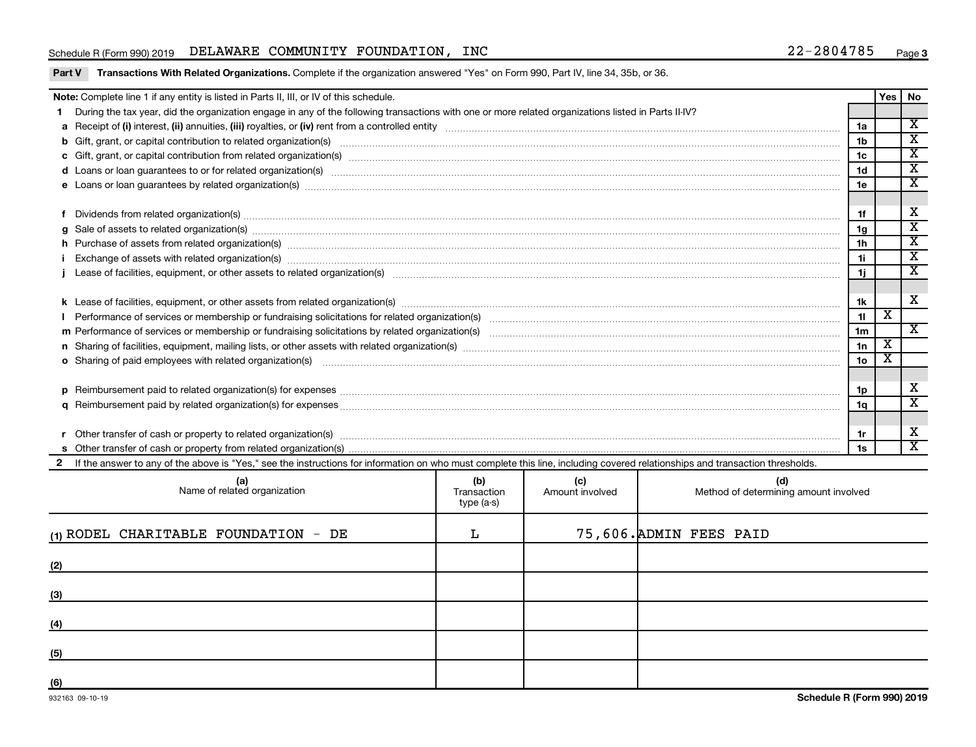## Schedule R (Form 990) 2019  $\,$  DELAWARE COMMUNITY FOUNDATION, INC  $\,$  22-2804785  $\,$   $_{\rm Page}$

| Part V Transactions With Related Organizations. Complete if the organization answered "Yes" on Form 990, Part IV, line 34, 35b, or 36. |  |  |
|----------------------------------------------------------------------------------------------------------------------------------------|--|--|
|                                                                                                                                        |  |  |

| Note: Complete line 1 if any entity is listed in Parts II, III, or IV of this schedule.                         |                                                                                                                                                                                                                                                                                                                                                                                                                                                                  |     |     |     |                | <b>Yes</b> | No                          |  |
|-----------------------------------------------------------------------------------------------------------------|------------------------------------------------------------------------------------------------------------------------------------------------------------------------------------------------------------------------------------------------------------------------------------------------------------------------------------------------------------------------------------------------------------------------------------------------------------------|-----|-----|-----|----------------|------------|-----------------------------|--|
|                                                                                                                 | During the tax year, did the organization engage in any of the following transactions with one or more related organizations listed in Parts II-IV?                                                                                                                                                                                                                                                                                                              |     |     |     |                |            |                             |  |
|                                                                                                                 |                                                                                                                                                                                                                                                                                                                                                                                                                                                                  |     |     |     |                |            |                             |  |
|                                                                                                                 |                                                                                                                                                                                                                                                                                                                                                                                                                                                                  |     |     |     | 1 <sub>b</sub> |            | $\overline{\texttt{x}}$     |  |
|                                                                                                                 |                                                                                                                                                                                                                                                                                                                                                                                                                                                                  |     |     |     | 1 <sub>c</sub> |            | $\overline{\textnormal{x}}$ |  |
|                                                                                                                 | d Loans or loan guarantees to or for related organization(s) www.communities.com/www.communities.com/www.communities.com/www.communities.com/www.communities.com/www.communities.com/www.communities.com/www.communities.com/w                                                                                                                                                                                                                                   |     |     |     | 1 <sub>d</sub> |            | $\overline{\mathbf{x}}$     |  |
|                                                                                                                 | e Loans or loan guarantees by related organization(s) material content and content to content the content of the content of the content of the content of the content of the content of the content of the content of the cont                                                                                                                                                                                                                                   |     |     |     | 1e             |            | $\overline{\textbf{x}}$     |  |
|                                                                                                                 |                                                                                                                                                                                                                                                                                                                                                                                                                                                                  |     |     |     |                |            |                             |  |
|                                                                                                                 | Dividends from related organization(s) machinesis and contract and contract and contract and contract and contract and contract and contract and contract and contract and contract and contract and contract and contract and                                                                                                                                                                                                                                   |     |     |     | 1f             |            | X                           |  |
|                                                                                                                 |                                                                                                                                                                                                                                                                                                                                                                                                                                                                  |     |     |     | 1 <sub>g</sub> |            | $\overline{\mathbf{x}}$     |  |
|                                                                                                                 |                                                                                                                                                                                                                                                                                                                                                                                                                                                                  |     |     |     | 1 <sub>h</sub> |            | $\overline{\texttt{x}}$     |  |
|                                                                                                                 | h Purchase of assets from related organization(s) manufactured content to content the content of the content of the content of the content of the content of the content of the content of the content of the content of the c<br>Exchange of assets with related organization(s) www.andron.com/www.andron.com/www.andron.com/www.andron.com/www.andron.com/www.andron.com/www.andron.com/www.andron.com/www.andron.com/www.andron.com/www.andron.com/www.andro |     |     |     |                |            |                             |  |
|                                                                                                                 |                                                                                                                                                                                                                                                                                                                                                                                                                                                                  |     |     |     |                |            | $\overline{\texttt{x}}$     |  |
|                                                                                                                 |                                                                                                                                                                                                                                                                                                                                                                                                                                                                  |     |     |     |                |            |                             |  |
|                                                                                                                 |                                                                                                                                                                                                                                                                                                                                                                                                                                                                  |     |     |     |                |            |                             |  |
|                                                                                                                 |                                                                                                                                                                                                                                                                                                                                                                                                                                                                  |     |     |     |                |            |                             |  |
|                                                                                                                 |                                                                                                                                                                                                                                                                                                                                                                                                                                                                  |     |     |     |                |            | $\mathbf{x}$                |  |
|                                                                                                                 |                                                                                                                                                                                                                                                                                                                                                                                                                                                                  |     |     |     |                |            |                             |  |
|                                                                                                                 | o Sharing of paid employees with related organization(s) manufaction(s) and contain a substitution of the state or state or state or state or state or state or state or state or state or state or state or state or state or                                                                                                                                                                                                                                   |     |     |     |                |            |                             |  |
|                                                                                                                 |                                                                                                                                                                                                                                                                                                                                                                                                                                                                  |     |     |     | 1 <sub>o</sub> |            |                             |  |
|                                                                                                                 | Reimbursement paid to related organization(s) for expenses [111] Research Manuscritics [21] Reimbursement paid to related organization(s) for expenses [11] Manuscritics [21] Manuscritics [21] All Manuscritics [21] Manuscri<br>D                                                                                                                                                                                                                              |     |     |     |                |            |                             |  |
|                                                                                                                 |                                                                                                                                                                                                                                                                                                                                                                                                                                                                  |     |     |     |                |            | $\overline{\textnormal{x}}$ |  |
|                                                                                                                 |                                                                                                                                                                                                                                                                                                                                                                                                                                                                  |     |     |     |                |            |                             |  |
| Other transfer of cash or property to related organization(s) CONDERNIAL CONDERNIAL CONDERNIAL CONDERNIAL CONDE |                                                                                                                                                                                                                                                                                                                                                                                                                                                                  |     |     |     |                |            | х                           |  |
|                                                                                                                 |                                                                                                                                                                                                                                                                                                                                                                                                                                                                  |     |     |     |                |            | $\overline{\mathbf{x}}$     |  |
|                                                                                                                 | 2 If the answer to any of the above is "Yes," see the instructions for information on who must complete this line, including covered relationships and transaction thresholds.                                                                                                                                                                                                                                                                                   |     |     |     |                |            |                             |  |
|                                                                                                                 |                                                                                                                                                                                                                                                                                                                                                                                                                                                                  |     |     |     |                |            |                             |  |
|                                                                                                                 | (a)                                                                                                                                                                                                                                                                                                                                                                                                                                                              | (b) | (c) | (d) |                |            |                             |  |

| (a)<br>Name of related organization    | (b)<br>Transaction<br>type (a-s) | (c)<br>Amount involved | (d)<br>Method of determining amount involved |
|----------------------------------------|----------------------------------|------------------------|----------------------------------------------|
| $(1)$ RODEL CHARITABLE FOUNDATION - DE | L                                |                        | 75,606. ADMIN FEES PAID                      |
| (2)                                    |                                  |                        |                                              |
| (3)                                    |                                  |                        |                                              |
| (4)                                    |                                  |                        |                                              |
| (5)                                    |                                  |                        |                                              |
| (6)                                    |                                  |                        |                                              |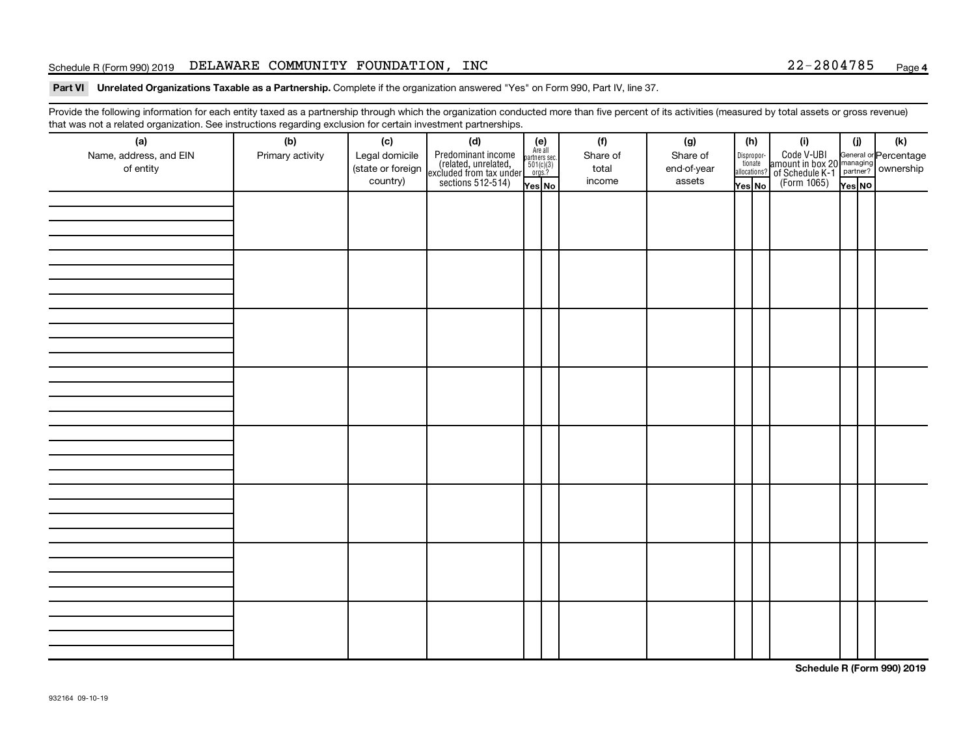## Schedule R (Form 990) 2019  $\,$  DELAWARE COMMUNITY FOUNDATION, INC  $\,$  22-2804785  $\,$   $_{\rm Page}$

Part VI Unrelated Organizations Taxable as a Partnership. Complete if the organization answered "Yes" on Form 990, Part IV, line 37.

Provide the following information for each entity taxed as a partnership through which the organization conducted more than five percent of its activities (measured by total assets or gross revenue) that was not a related organization. See instructions regarding exclusion for certain investment partnerships.

| mat mad not a rolated organization. Oce includedlorlo regarding exolation for coltain invectment partnerompo.<br>(a) | (b)              | (c)               | (d)                                                                                        |                                                          | (f)      | (g)         | (h)    |                                  | (i)                                                                                                  | (i)    | (k) |
|----------------------------------------------------------------------------------------------------------------------|------------------|-------------------|--------------------------------------------------------------------------------------------|----------------------------------------------------------|----------|-------------|--------|----------------------------------|------------------------------------------------------------------------------------------------------|--------|-----|
| Name, address, and EIN                                                                                               | Primary activity | Legal domicile    |                                                                                            | (e)<br>Are all<br>partners sec.<br>$501(c)(3)$<br>orgs.? | Share of | Share of    |        |                                  |                                                                                                      |        |     |
| of entity                                                                                                            |                  | (state or foreign | Predominant income<br>(related, unrelated,<br>excluded from tax under<br>sections 512-514) |                                                          | total    | end-of-year |        | Disproportionate<br>allocations? | Code V-UBI<br>amount in box 20 managing<br>of Schedule K-1<br>(Form 1065)<br>$\overline{Y}_{res}$ No |        |     |
|                                                                                                                      |                  | country)          |                                                                                            |                                                          | income   | assets      |        |                                  |                                                                                                      |        |     |
|                                                                                                                      |                  |                   |                                                                                            | Yes No                                                   |          |             | Yes No |                                  |                                                                                                      | Yes NO |     |
|                                                                                                                      |                  |                   |                                                                                            |                                                          |          |             |        |                                  |                                                                                                      |        |     |
|                                                                                                                      |                  |                   |                                                                                            |                                                          |          |             |        |                                  |                                                                                                      |        |     |
|                                                                                                                      |                  |                   |                                                                                            |                                                          |          |             |        |                                  |                                                                                                      |        |     |
|                                                                                                                      |                  |                   |                                                                                            |                                                          |          |             |        |                                  |                                                                                                      |        |     |
|                                                                                                                      |                  |                   |                                                                                            |                                                          |          |             |        |                                  |                                                                                                      |        |     |
|                                                                                                                      |                  |                   |                                                                                            |                                                          |          |             |        |                                  |                                                                                                      |        |     |
|                                                                                                                      |                  |                   |                                                                                            |                                                          |          |             |        |                                  |                                                                                                      |        |     |
|                                                                                                                      |                  |                   |                                                                                            |                                                          |          |             |        |                                  |                                                                                                      |        |     |
|                                                                                                                      |                  |                   |                                                                                            |                                                          |          |             |        |                                  |                                                                                                      |        |     |
|                                                                                                                      |                  |                   |                                                                                            |                                                          |          |             |        |                                  |                                                                                                      |        |     |
|                                                                                                                      |                  |                   |                                                                                            |                                                          |          |             |        |                                  |                                                                                                      |        |     |
|                                                                                                                      |                  |                   |                                                                                            |                                                          |          |             |        |                                  |                                                                                                      |        |     |
|                                                                                                                      |                  |                   |                                                                                            |                                                          |          |             |        |                                  |                                                                                                      |        |     |
|                                                                                                                      |                  |                   |                                                                                            |                                                          |          |             |        |                                  |                                                                                                      |        |     |
|                                                                                                                      |                  |                   |                                                                                            |                                                          |          |             |        |                                  |                                                                                                      |        |     |
|                                                                                                                      |                  |                   |                                                                                            |                                                          |          |             |        |                                  |                                                                                                      |        |     |
|                                                                                                                      |                  |                   |                                                                                            |                                                          |          |             |        |                                  |                                                                                                      |        |     |
|                                                                                                                      |                  |                   |                                                                                            |                                                          |          |             |        |                                  |                                                                                                      |        |     |
|                                                                                                                      |                  |                   |                                                                                            |                                                          |          |             |        |                                  |                                                                                                      |        |     |
|                                                                                                                      |                  |                   |                                                                                            |                                                          |          |             |        |                                  |                                                                                                      |        |     |
|                                                                                                                      |                  |                   |                                                                                            |                                                          |          |             |        |                                  |                                                                                                      |        |     |
|                                                                                                                      |                  |                   |                                                                                            |                                                          |          |             |        |                                  |                                                                                                      |        |     |
|                                                                                                                      |                  |                   |                                                                                            |                                                          |          |             |        |                                  |                                                                                                      |        |     |
|                                                                                                                      |                  |                   |                                                                                            |                                                          |          |             |        |                                  |                                                                                                      |        |     |
|                                                                                                                      |                  |                   |                                                                                            |                                                          |          |             |        |                                  |                                                                                                      |        |     |
|                                                                                                                      |                  |                   |                                                                                            |                                                          |          |             |        |                                  |                                                                                                      |        |     |
|                                                                                                                      |                  |                   |                                                                                            |                                                          |          |             |        |                                  |                                                                                                      |        |     |
|                                                                                                                      |                  |                   |                                                                                            |                                                          |          |             |        |                                  |                                                                                                      |        |     |
|                                                                                                                      |                  |                   |                                                                                            |                                                          |          |             |        |                                  |                                                                                                      |        |     |
|                                                                                                                      |                  |                   |                                                                                            |                                                          |          |             |        |                                  |                                                                                                      |        |     |
|                                                                                                                      |                  |                   |                                                                                            |                                                          |          |             |        |                                  |                                                                                                      |        |     |
|                                                                                                                      |                  |                   |                                                                                            |                                                          |          |             |        |                                  |                                                                                                      |        |     |
|                                                                                                                      |                  |                   |                                                                                            |                                                          |          |             |        |                                  |                                                                                                      |        |     |
|                                                                                                                      |                  |                   |                                                                                            |                                                          |          |             |        |                                  |                                                                                                      |        |     |
|                                                                                                                      |                  |                   |                                                                                            |                                                          |          |             |        |                                  |                                                                                                      |        |     |

**Schedule R (Form 990) 2019**